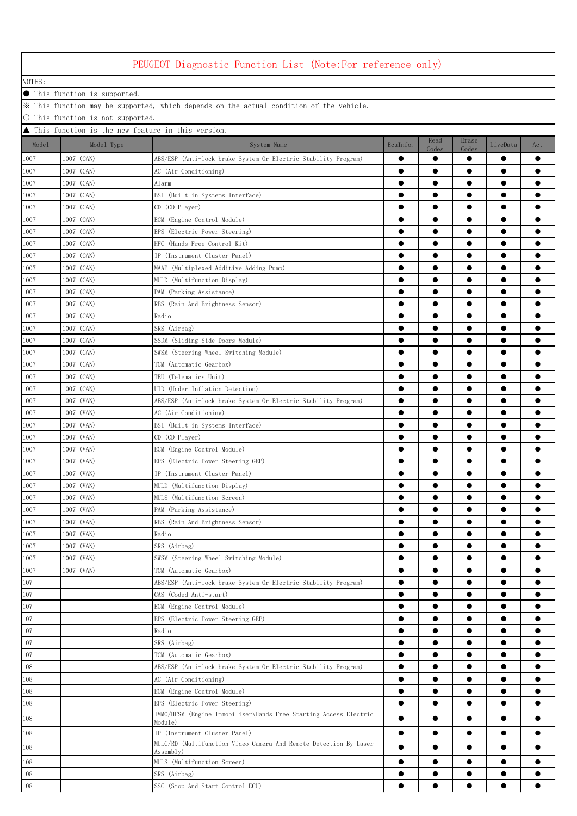|              |                                                     | PEUGEOT Diagnostic Function List (Note:For reference only)                              |           |                    |                    |           |           |
|--------------|-----------------------------------------------------|-----------------------------------------------------------------------------------------|-----------|--------------------|--------------------|-----------|-----------|
| NOTES:       |                                                     |                                                                                         |           |                    |                    |           |           |
|              | ● This function is supported.                       |                                                                                         |           |                    |                    |           |           |
|              |                                                     | X This function may be supported, which depends on the actual condition of the vehicle. |           |                    |                    |           |           |
|              | ○ This function is not supported.                   |                                                                                         |           |                    |                    |           |           |
|              | ▲ This function is the new feature in this version. |                                                                                         |           |                    |                    |           |           |
| Model        | Model Type                                          | System Name                                                                             | EcuInfo.  | Read               | Erase              | LiveData  | Act       |
| 1007         | 1007 (CAN)                                          | ABS/ESP (Anti-lock brake System Or Electric Stability Program)                          |           | Codes<br>$\bullet$ | Codes<br>$\bullet$ |           |           |
| 1007         | 1007 (CAN)                                          | AC (Air Conditioning)                                                                   | $\bullet$ | $\bullet$          | $\bullet$          | $\bullet$ |           |
| 1007         | 1007 (CAN)                                          | Alarm                                                                                   | $\bullet$ | $\bullet$          | $\bullet$          | $\bullet$ |           |
| 1007         | 1007 (CAN)                                          | BSI (Built-in Systems Interface)                                                        | $\bullet$ | $\bullet$          | $\bullet$          | $\bullet$ |           |
| 1007         | 1007 (CAN)                                          | CD (CD Player)                                                                          |           | $\bullet$          | $\bullet$          | $\bullet$ |           |
| 1007         | 1007 (CAN)                                          | ECM (Engine Control Module)                                                             | $\bullet$ | $\bullet$          | $\bullet$          | $\bullet$ |           |
| 1007         | 1007 (CAN)                                          | EPS (Electric Power Steering)                                                           | $\bullet$ | $\bullet$          | $\bullet$          | $\bullet$ |           |
| 1007         | 1007 (CAN)                                          | HFC (Hands Free Control Kit)                                                            | $\bullet$ | $\bullet$          | $\bullet$          | $\bullet$ |           |
| 1007         | 1007 (CAN)                                          | IP (Instrument Cluster Panel)                                                           | $\bullet$ | $\bullet$          | $\bullet$          | $\bullet$ |           |
| 1007         | 1007 (CAN)                                          | MAAP (Multiplexed Additive Adding Pump)                                                 | 0         |                    |                    |           |           |
| 1007         | 1007 (CAN)                                          | MULD (Multifunction Display)                                                            |           |                    |                    | e         |           |
| 1007         | 1007 (CAN)                                          | PAM (Parking Assistance)                                                                | $\bullet$ |                    |                    | $\bullet$ |           |
| 1007         | 1007 (CAN)                                          | RBS (Rain And Brightness Sensor)                                                        |           | $\bullet$          | $\bullet$          | $\bullet$ |           |
| 1007         | 1007 (CAN)                                          | Radio                                                                                   | $\bullet$ | $\bullet$          | $\bullet$          | $\bullet$ |           |
| 1007         | 1007 (CAN)                                          | SRS (Airbag)                                                                            | $\bullet$ | $\bullet$          | $\bullet$          | $\bullet$ |           |
| 1007         | 1007 (CAN)                                          | SSDM (Sliding Side Doors Module)                                                        | $\bullet$ | $\bullet$          | $\bullet$          | $\bullet$ |           |
| 1007         | 1007 (CAN)                                          | SWSM (Steering Wheel Switching Module)                                                  |           | $\bullet$          | $\bullet$          | $\bullet$ |           |
| 1007         | 1007 (CAN)                                          | TCM (Automatic Gearbox)                                                                 | $\bullet$ | $\bullet$          | $\bullet$          | $\bullet$ |           |
| 1007         | 1007 (CAN)                                          | TEU (Telematics Unit)                                                                   | $\bullet$ | $\bullet$          | $\bullet$          | $\bullet$ |           |
| 1007         | 1007 (CAN)                                          | UID (Under Inflation Detection)                                                         | $\bullet$ | ●                  | $\bullet$          | $\bullet$ |           |
| 1007         | 1007 (VAN)                                          | ABS/ESP (Anti-lock brake System Or Electric Stability Program)                          | $\bullet$ | ●                  | $\bullet$          | $\bullet$ |           |
| 1007         | 1007 (VAN)                                          | AC (Air Conditioning)                                                                   |           |                    | $\bullet$          | $\bullet$ |           |
| 1007         | 1007 (VAN)                                          | BSI (Built-in Systems Interface)                                                        |           |                    |                    |           |           |
| 1007         | 1007 (VAN)                                          | CD (CD Player)                                                                          | $\bullet$ |                    | $\bullet$          | $\bullet$ |           |
| 1007         | 1007 (VAN)                                          | ECM (Engine Control Module)                                                             |           |                    |                    | $\bullet$ |           |
| 1007         | 1007 (VAN)                                          | EPS (Electric Power Steering GEP)                                                       |           |                    | $\bullet$          | $\bullet$ |           |
| 1007         | 1007 (VAN)                                          | IP (Instrument Cluster Panel)                                                           |           | $\bullet$          | $\bullet$          | $\bullet$ |           |
| 1007         | 1007 (VAN)                                          | MULD (Multifunction Display)                                                            |           | ●                  | $\bullet$          | ●         |           |
| 1007<br>1007 | 1007 (VAN)<br>1007 (VAN)                            | MULS (Multifunction Screen)                                                             | $\bullet$ | $\bullet$          | $\bullet$          | $\bullet$ |           |
| $1007\,$     | 1007 (VAN)                                          | PAM (Parking Assistance)<br>RBS (Rain And Brightness Sensor)                            | $\bullet$ | $\bullet$          | $\bullet$          | $\bullet$ |           |
| 1007         | 1007 (VAN)                                          | Radio                                                                                   | $\bullet$ | $\bullet$          | $\bullet$          | $\bullet$ |           |
| 1007         | 1007 (VAN)                                          | SRS (Airbag)                                                                            | $\bullet$ | $\bullet$          | $\bullet$          | $\bullet$ |           |
| 1007         | 1007 (VAN)                                          | SWSM (Steering Wheel Switching Module)                                                  | $\bullet$ | $\bullet$          | $\bullet$          | $\bullet$ |           |
| 1007         | 1007 (VAN)                                          | TCM (Automatic Gearbox)                                                                 |           |                    |                    |           |           |
| 107          |                                                     | ABS/ESP (Anti-lock brake System Or Electric Stability Program)                          |           |                    |                    |           |           |
| 107          |                                                     | CAS (Coded Anti-start)                                                                  |           |                    |                    |           |           |
| 107          |                                                     | ECM (Engine Control Module)                                                             | $\bullet$ | $\bullet$          | $\bullet$          | $\bullet$ |           |
| 107          |                                                     | EPS (Electric Power Steering GEP)                                                       | $\bullet$ | $\bullet$          | $\bullet$          | $\bullet$ |           |
| $107\,$      |                                                     | Radio                                                                                   | $\bullet$ | $\bullet$          | $\bullet$          | $\bullet$ |           |
| 107          |                                                     | SRS (Airbag)                                                                            | $\bullet$ | $\bullet$          | $\bullet$          | $\bullet$ | $\bullet$ |
| 107          |                                                     | TCM (Automatic Gearbox)                                                                 | $\bullet$ | $\bullet$          | $\bullet$          | $\bullet$ | $\bullet$ |
| 108          |                                                     | ABS/ESP (Anti-lock brake System Or Electric Stability Program)                          | $\bullet$ | $\bullet$          | $\bullet$          | $\bullet$ | $\bullet$ |
| 108          |                                                     | AC (Air Conditioning)                                                                   | $\bullet$ | $\bullet$          | $\bullet$          | $\bullet$ |           |
| 108          |                                                     | ECM (Engine Control Module)                                                             | $\bullet$ | $\bullet$          | $\bullet$          | $\bullet$ |           |
| 108          |                                                     | EPS (Electric Power Steering)                                                           | $\bullet$ | $\bullet$          | $\bullet$          | $\bullet$ |           |
| 108          |                                                     | IMMO/HFSM (Engine Immobiliser\Hands Free Starting Access Electric<br>Module)            | $\bullet$ |                    | $\bullet$          |           |           |
| 108          |                                                     | IP (Instrument Cluster Panel)                                                           | $\bullet$ |                    |                    | $\bullet$ |           |
| 108          |                                                     | MULC/RD (Multifunction Video Camera And Remote Detection By Laser                       | $\bullet$ | $\bullet$          | $\bullet$          | $\bullet$ |           |
|              |                                                     | Assemblv)                                                                               |           |                    |                    |           |           |
| 108          |                                                     | MULS (Multifunction Screen)                                                             | $\bullet$ | $\bullet$          | $\bullet$          | $\bullet$ |           |
| 108          |                                                     | SRS (Airbag)<br>SSC (Stop And Start Control ECU)                                        | $\bullet$ |                    | $\bullet$          |           |           |
| 108          |                                                     |                                                                                         |           |                    |                    |           |           |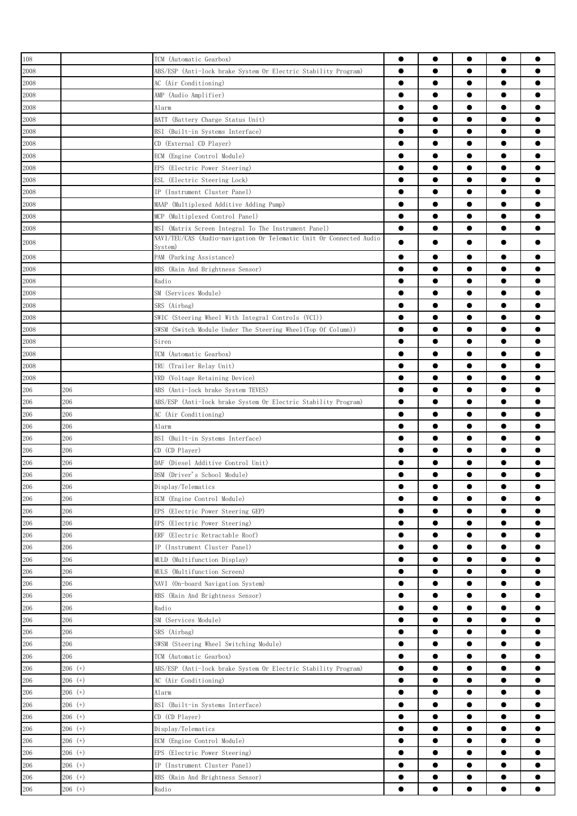| 108     |           | TCM (Automatic Gearbox)                                                        | $\bullet$ | $\bullet$ |           | $\bullet$ |           |
|---------|-----------|--------------------------------------------------------------------------------|-----------|-----------|-----------|-----------|-----------|
| 2008    |           | ABS/ESP (Anti-lock brake System Or Electric Stability Program)                 | $\bullet$ | $\bullet$ |           | $\bullet$ |           |
| 2008    |           | AC (Air Conditioning)                                                          | $\bullet$ | $\bullet$ | $\bullet$ | $\bullet$ |           |
| 2008    |           | AMP (Audio Amplifier)                                                          | $\bullet$ | $\bullet$ | $\bullet$ | $\bullet$ |           |
| 2008    |           | Alarm                                                                          | $\bullet$ | $\bullet$ | $\bullet$ | $\bullet$ |           |
| 2008    |           | BATT (Battery Charge Status Unit)                                              | $\bullet$ | $\bullet$ | $\bullet$ | $\bullet$ |           |
| 2008    |           | BSI (Built-in Systems Interface)                                               | $\bullet$ | ●         |           | $\bullet$ |           |
| 2008    |           | CD (External CD Player)                                                        | $\bullet$ | ●         | ●         | $\bullet$ |           |
| 2008    |           | ECM (Engine Control Module)                                                    |           |           |           | $\bullet$ |           |
| 2008    |           | EPS (Electric Power Steering)                                                  |           |           | ●         | $\bullet$ |           |
|         |           |                                                                                | $\bullet$ |           |           | $\bullet$ |           |
| 2008    |           | ESL (Electric Steering Lock)                                                   |           |           |           | $\bullet$ |           |
| 2008    |           | IP (Instrument Cluster Panel)                                                  | $\bullet$ |           |           |           |           |
| 2008    |           | MAAP (Multiplexed Additive Adding Pump)                                        | $\bullet$ | $\bullet$ | ●         | $\bullet$ |           |
| 2008    |           | MCP (Multiplexed Control Panel)                                                | $\bullet$ | $\bullet$ | $\bullet$ | $\bullet$ |           |
| 2008    |           | MSI (Matrix Screen Integral To The Instrument Panel)                           | $\bullet$ | $\bullet$ | $\bullet$ | $\bullet$ |           |
| 2008    |           | NAVI/TEU/CAS (Audio-navigation Or Telematic Unit Or Connected Audio<br>System) |           |           |           | $\bullet$ |           |
| 2008    |           | PAM (Parking Assistance)                                                       | $\bullet$ | $\bullet$ |           | $\bullet$ |           |
| 2008    |           | RBS (Rain And Brightness Sensor)                                               | $\bullet$ | $\bullet$ | $\bullet$ | $\bullet$ |           |
| 2008    |           | Radio                                                                          | $\bullet$ | $\bullet$ | $\bullet$ | $\bullet$ |           |
| 2008    |           | SM (Services Module)                                                           | $\bullet$ | $\bullet$ | $\bullet$ | $\bullet$ | 0         |
| 2008    |           | SRS (Airbag)                                                                   | $\bullet$ | $\bullet$ | $\bullet$ | $\bullet$ |           |
| 2008    |           | SWIC (Steering Wheel With Integral Controls (VCI))                             | $\bullet$ | ●         | ●         | $\bullet$ |           |
| 2008    |           | SWSM (Switch Module Under The Steering Wheel(Top Of Column))                   | $\bullet$ | $\bullet$ | $\bullet$ | $\bullet$ |           |
| 2008    |           | Siren                                                                          | $\bullet$ | $\bullet$ |           | $\bullet$ |           |
| 2008    |           | TCM (Automatic Gearbox)                                                        |           | $\bullet$ |           | $\bullet$ |           |
| 2008    |           | TRU (Trailer Relay Unit)                                                       | $\bullet$ | $\bullet$ |           | $\bullet$ |           |
| 2008    |           | VRD (Voltage Retaining Device)                                                 | $\bullet$ |           |           | $\bullet$ |           |
| 206     | 206       | ABS (Anti-lock brake System TEVES)                                             | $\bullet$ | $\bullet$ |           | $\bullet$ |           |
|         | 206       |                                                                                | $\bullet$ | $\bullet$ |           | $\bullet$ |           |
| 206     |           | ABS/ESP (Anti-lock brake System Or Electric Stability Program)                 | $\bullet$ | $\bullet$ | $\bullet$ | $\bullet$ |           |
| 206     | 206       | AC (Air Conditioning)                                                          |           |           |           |           |           |
| 206     | 206       | Alarm                                                                          | $\bullet$ | $\bullet$ | $\bullet$ | $\bullet$ |           |
| 206     | 206       | BSI (Built-in Systems Interface)                                               | $\bullet$ | $\bullet$ | $\bullet$ | $\bullet$ |           |
| 206     | 206       | CD (CD Player)                                                                 | $\bullet$ | $\bullet$ | $\bullet$ | $\bullet$ |           |
| 206     | 206       | DAF (Diesel Additive Control Unit)                                             | $\bullet$ | $\bullet$ |           | $\bullet$ |           |
| 206     | 206       | DSM (Driver's School Module)                                                   | $\bullet$ | ●         | ●         | $\bullet$ |           |
| 206     | 206       | Display/Telematics                                                             | ●         |           |           |           |           |
| 206     | 206       | ECM (Engine Control Module)                                                    |           |           |           | $\bullet$ |           |
| 206     | 206       | EPS (Electric Power Steering GEP)                                              | 0         |           |           |           |           |
| 206     | 206       | EPS (Electric Power Steering)                                                  | $\bullet$ |           |           |           |           |
| 206     | 206       | ERF (Electric Retractable Roof)                                                | $\bullet$ |           |           | $\bullet$ |           |
| 206     | 206       | IP (Instrument Cluster Panel)                                                  |           | $\bullet$ |           | $\bullet$ | ●         |
| 206     | 206       | MULD (Multifunction Display)                                                   | $\bullet$ | $\bullet$ | $\bullet$ | $\bullet$ | $\bullet$ |
| 206     | 206       | MULS (Multifunction Screen)                                                    | $\bullet$ | $\bullet$ | $\bullet$ | $\bullet$ |           |
| 206     | 206       | NAVI (On-board Navigation System)                                              | $\bullet$ | $\bullet$ | $\bullet$ | $\bullet$ |           |
| 206     | 206       | RBS (Rain And Brightness Sensor)                                               | $\bullet$ | $\bullet$ | $\bullet$ | $\bullet$ | $\bullet$ |
| 206     | 206       | Radio                                                                          | $\bullet$ | $\bullet$ |           | $\bullet$ |           |
| 206     | 206       | SM (Services Module)                                                           | $\bullet$ | ●         |           | $\bullet$ |           |
| 206     | 206       | SRS (Airbag)                                                                   | $\bullet$ |           |           | $\bullet$ |           |
| 206     | 206       | SWSM (Steering Wheel Switching Module)                                         | $\bullet$ |           |           | $\bullet$ |           |
| 206     | 206       | TCM (Automatic Gearbox)                                                        | $\bullet$ |           |           | $\bullet$ |           |
| 206     | $206$ (+) | ABS/ESP (Anti-lock brake System Or Electric Stability Program)                 | $\bullet$ |           |           | $\bullet$ |           |
| 206     | 206 (+)   | AC (Air Conditioning)                                                          |           |           |           |           |           |
| 206     | 206 (+)   | Alarm                                                                          |           |           |           | $\bullet$ |           |
| 206     | $206$ (+) | BSI (Built-in Systems Interface)                                               | $\bullet$ | $\bullet$ | $\bullet$ | $\bullet$ | $\bullet$ |
| 206     | $206$ (+) | CD (CD Player)                                                                 | $\bullet$ | $\bullet$ | $\bullet$ | $\bullet$ | $\bullet$ |
| 206     | $206$ (+) | Display/Telematics                                                             | $\bullet$ | $\bullet$ | $\bullet$ | $\bullet$ |           |
| $206\,$ | $206$ (+) | ECM (Engine Control Module)                                                    | $\bullet$ | $\bullet$ | $\bullet$ | $\bullet$ | $\bullet$ |
| 206     | 206 (+)   |                                                                                | $\bullet$ | $\bullet$ | $\bullet$ | $\bullet$ | $\bullet$ |
|         |           | EPS (Electric Power Steering)                                                  | $\bullet$ | $\bullet$ |           | $\bullet$ |           |
| 206     | 206 (+)   | IP (Instrument Cluster Panel)                                                  |           | $\bullet$ |           | $\bullet$ |           |
| 206     | 206 (+)   | RBS (Rain And Brightness Sensor)                                               | $\bullet$ |           |           |           |           |
| 206     | $206$ (+) | Radio                                                                          |           |           |           | $\bullet$ |           |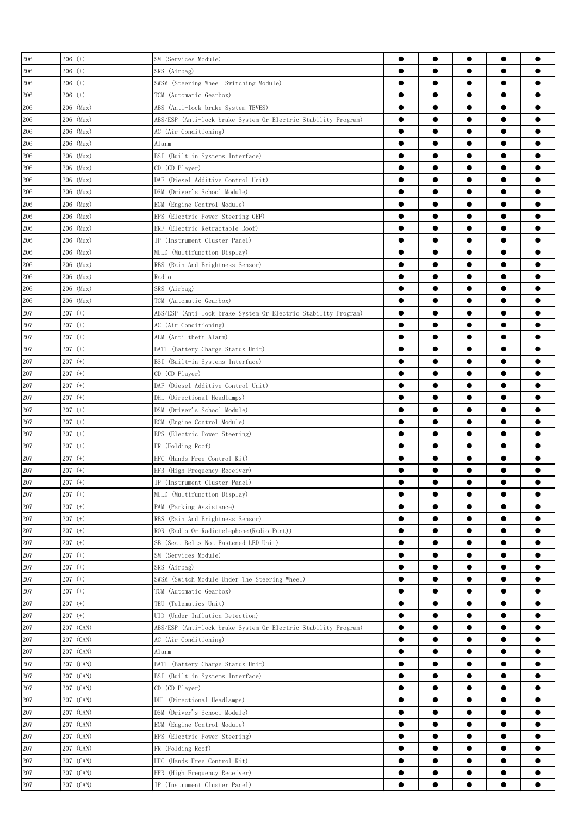| 206     | $206$ (+) | SM (Services Module)                                           | $\bullet$ | $\bullet$ | $\bullet$ | $\bullet$ | $\bullet$ |
|---------|-----------|----------------------------------------------------------------|-----------|-----------|-----------|-----------|-----------|
| 206     | 206 (+)   | SRS (Airbag)                                                   | $\bullet$ | $\bullet$ |           | $\bullet$ |           |
|         |           |                                                                | $\bullet$ | $\bullet$ | $\bullet$ | $\bullet$ |           |
| 206     | 206 (+)   | SWSM (Steering Wheel Switching Module)                         |           |           |           |           |           |
| 206     | 206 (+)   | TCM (Automatic Gearbox)                                        | $\bullet$ | $\bullet$ | $\bullet$ | $\bullet$ | 0         |
| 206     | 206 (Mux) | ABS (Anti-lock brake System TEVES)                             | $\bullet$ | $\bullet$ |           | $\bullet$ |           |
| 206     | 206 (Mux) | ABS/ESP (Anti-lock brake System Or Electric Stability Program) | $\bullet$ | ●         | ●         | $\bullet$ |           |
| 206     | 206 (Mux) | AC (Air Conditioning)                                          | $\bullet$ | $\bullet$ | ●         | $\bullet$ |           |
| 206     | 206 (Mux) | Alarm                                                          | $\bullet$ |           |           | $\bullet$ |           |
| 206     | 206 (Mux) | BSI (Built-in Systems Interface)                               | 0         |           | e         | $\bullet$ |           |
| 206     | 206 (Mux) | CD (CD Player)                                                 | $\bullet$ |           |           | $\bullet$ |           |
| 206     | 206 (Mux) | DAF (Diesel Additive Control Unit)                             |           |           |           | $\bullet$ |           |
| 206     | 206 (Mux) | DSM (Driver's School Module)                                   |           | ●         |           | $\bullet$ |           |
| 206     | 206 (Mux) | ECM (Engine Control Module)                                    | $\bullet$ | $\bullet$ | $\bullet$ | $\bullet$ | $\bullet$ |
| 206     | 206 (Mux) | EPS (Electric Power Steering GEP)                              | $\bullet$ | $\bullet$ | $\bullet$ | $\bullet$ |           |
| 206     | 206 (Mux) | ERF (Electric Retractable Roof)                                | $\bullet$ | $\bullet$ | $\bullet$ | $\bullet$ |           |
| 206     | 206 (Mux) | IP (Instrument Cluster Panel)                                  | $\bullet$ | $\bullet$ | $\bullet$ | $\bullet$ |           |
| 206     | 206 (Mux) | MULD (Multifunction Display)                                   | $\bullet$ | $\bullet$ | $\bullet$ | $\bullet$ |           |
| 206     | 206 (Mux) | RBS (Rain And Brightness Sensor)                               | $\bullet$ | ●         |           | $\bullet$ |           |
| 206     | 206 (Mux) | Radio                                                          | $\bullet$ | ●         |           | $\bullet$ |           |
| 206     | 206 (Mux) | SRS (Airbag)                                                   | $\bullet$ |           |           | $\bullet$ |           |
| 206     | 206 (Mux) | TCM (Automatic Gearbox)                                        |           |           |           | $\bullet$ |           |
| 207     | $207$ (+) | ABS/ESP (Anti-lock brake System Or Electric Stability Program) |           | ●         |           | $\bullet$ |           |
| 207     | $207$ (+) | AC (Air Conditioning)                                          |           |           |           |           |           |
| 207     | $207$ (+) | ALM (Anti-theft Alarm)                                         | $\bullet$ | ●         |           | $\bullet$ |           |
| 207     | $207$ (+) | BATT (Battery Charge Status Unit)                              | $\bullet$ | ●         |           | $\bullet$ | e         |
| 207     | $207$ (+) | BSI (Built-in Systems Interface)                               | $\bullet$ | $\bullet$ | $\bullet$ | $\bullet$ |           |
| 207     | 207 (+)   | CD (CD Player)                                                 | $\bullet$ | $\bullet$ | $\bullet$ | $\bullet$ |           |
| 207     | $207$ (+) | DAF<br>(Diesel Additive Control Unit)                          | $\bullet$ | $\bullet$ | $\bullet$ | $\bullet$ | 0         |
| 207     | $207$ (+) | DHL (Directional Headlamps)                                    | $\bullet$ | $\bullet$ | $\bullet$ | $\bullet$ | 0         |
| 207     | $207$ (+) | DSM (Driver's School Module)                                   |           |           |           | $\bullet$ |           |
| 207     | $207$ (+) | ECM (Engine Control Module)                                    | $\bullet$ | ●         | ●         | $\bullet$ |           |
| 207     | $207$ (+) | EPS (Electric Power Steering)                                  | $\bullet$ | ●         | ●         | $\bullet$ |           |
|         |           |                                                                | 0         |           |           | $\bullet$ |           |
| 207     | $207$ (+) | FR (Folding Roof)                                              |           |           |           |           |           |
| 207     | 207 (+)   | HFC (Hands Free Control Kit)                                   |           |           |           |           |           |
| 207     | $207$ (+) | HFR (High Frequency Receiver)                                  | $\bullet$ |           |           |           |           |
| 207     | $207$ (+) | IP (Instrument Cluster Panel)                                  |           | $\bullet$ |           | ●         |           |
| $207\,$ | $207$ (+) | MULD (Multifunction Display)                                   | $\bullet$ | $\bullet$ | $\bullet$ | $\bullet$ |           |
| $207\,$ | $207$ (+) | PAM (Parking Assistance)                                       | $\bullet$ | $\bullet$ | $\bullet$ | $\bullet$ | $\bullet$ |
| 207     | $207$ (+) | RBS (Rain And Brightness Sensor)                               | $\bullet$ | $\bullet$ | $\bullet$ | $\bullet$ | $\bullet$ |
| 207     | $207$ (+) | ROR (Radio Or Radiotelephone (Radio Part))                     | $\bullet$ | $\bullet$ | $\bullet$ | $\bullet$ | $\bullet$ |
| $207\,$ | $207$ (+) | SB (Seat Belts Not Fastened LED Unit)                          | $\bullet$ | $\bullet$ | $\bullet$ | $\bullet$ | $\bullet$ |
| 207     | $207$ (+) | SM (Services Module)                                           | $\bullet$ | $\bullet$ | $\bullet$ | $\bullet$ | $\bullet$ |
| 207     | $207$ (+) | SRS (Airbag)                                                   | $\bullet$ | $\bullet$ | $\bullet$ | $\bullet$ |           |
| 207     | $207$ (+) | SWSM (Switch Module Under The Steering Wheel)                  | $\bullet$ | $\bullet$ | $\bullet$ | $\bullet$ | $\bullet$ |
| 207     | $207$ (+) | TCM (Automatic Gearbox)                                        | $\bullet$ |           | $\bullet$ | $\bullet$ |           |
| 207     | $207$ (+) | TEU (Telematics Unit)                                          | $\bullet$ |           |           | $\bullet$ |           |
| $207\,$ | $207$ (+) | UID (Under Inflation Detection)                                | $\bullet$ |           |           | $\bullet$ |           |
| 207     | 207 (CAN) | ABS/ESP (Anti-lock brake System Or Electric Stability Program) | $\bullet$ |           |           | $\bullet$ |           |
| 207     | 207 (CAN) | AC (Air Conditioning)                                          | $\bullet$ |           |           | $\bullet$ |           |
| $207\,$ | 207 (CAN) | Alarm                                                          | $\bullet$ | $\bullet$ |           | $\bullet$ | $\bullet$ |
| 207     | 207 (CAN) | BATT (Battery Charge Status Unit)                              | $\bullet$ | $\bullet$ | $\bullet$ | $\bullet$ | $\bullet$ |
| 207     | 207 (CAN) | BSI (Built-in Systems Interface)                               | $\bullet$ | $\bullet$ | $\bullet$ | $\bullet$ |           |
| 207     | 207 (CAN) | CD (CD Player)                                                 | $\bullet$ | $\bullet$ | $\bullet$ | $\bullet$ | ●         |
| 207     | 207 (CAN) | DHL (Directional Headlamps)                                    | $\bullet$ | $\bullet$ | $\bullet$ | $\bullet$ | $\bullet$ |
| 207     | 207 (CAN) | DSM (Driver's School Module)                                   | $\bullet$ | $\bullet$ | $\bullet$ | $\bullet$ |           |
| 207     | 207 (CAN) | ECM (Engine Control Module)                                    | $\bullet$ | $\bullet$ |           | $\bullet$ |           |
| 207     | 207 (CAN) | EPS (Electric Power Steering)                                  | $\bullet$ | $\bullet$ | $\bullet$ | $\bullet$ |           |
| 207     | 207 (CAN) | FR (Folding Roof)                                              | $\bullet$ |           |           | $\bullet$ |           |
| 207     | 207 (CAN) | HFC (Hands Free Control Kit)                                   | $\bullet$ |           |           | $\bullet$ |           |
| 207     | 207 (CAN) | HFR (High Frequency Receiver)                                  | $\bullet$ |           |           |           |           |
| 207     | 207 (CAN) | IP (Instrument Cluster Panel)                                  |           |           |           |           |           |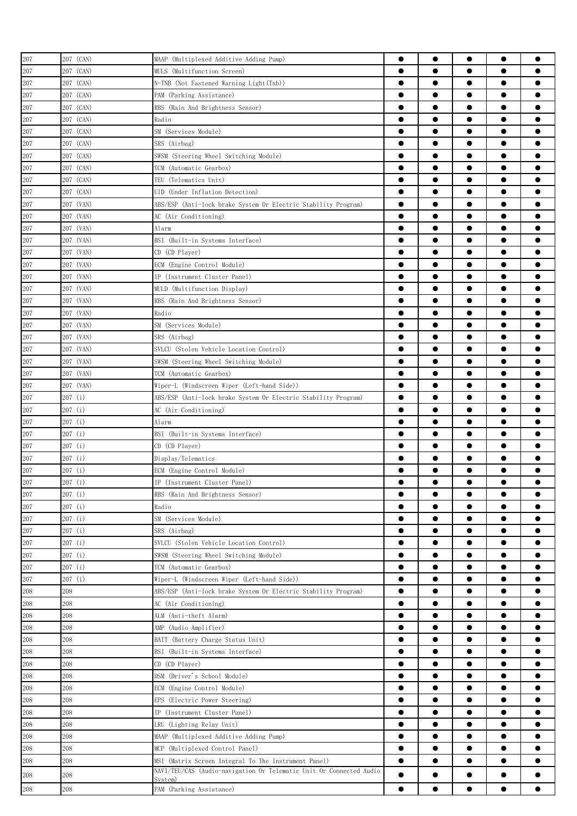| 207     | 207 (CAN)        | MAAP (Multiplexed Additive Adding Pump)                                        |                        | $\bullet$              |                        | $\bullet$              |           |
|---------|------------------|--------------------------------------------------------------------------------|------------------------|------------------------|------------------------|------------------------|-----------|
| 207     | 207 (CAN)        | MULS (Multifunction Screen)                                                    | $\bullet$              | ●                      | ●                      | $\bullet$              |           |
| 207     | 207 (CAN)        | N-TNB (Not Fastened Warning Light(Tnb))                                        | $\bullet$              | $\bullet$              | $\bullet$              | $\bullet$              |           |
| 207     | 207 (CAN)        | PAM (Parking Assistance)                                                       | $\bullet$              | $\bullet$              |                        | $\bullet$              |           |
| 207     | 207 (CAN)        | RBS (Rain And Brightness Sensor)                                               | $\bullet$              | $\bullet$              | $\bullet$              | $\bullet$              |           |
| $207\,$ | 207 (CAN)        | Radio                                                                          | $\bullet$              | $\bullet$              | $\bullet$              | $\bullet$              | $\bullet$ |
| 207     | 207 (CAN)        | SM (Services Module)                                                           | $\bullet$              | $\bullet$              | $\bullet$              | $\bullet$              |           |
| 207     | 207 (CAN)        | SRS (Airbag)                                                                   | $\bullet$              | ●                      |                        | $\bullet$              |           |
| 207     | 207 (CAN)        | SWSM (Steering Wheel Switching Module)                                         |                        | $\bullet$              |                        | $\bullet$              |           |
| 207     | 207 (CAN)        | TCM (Automatic Gearbox)                                                        |                        |                        |                        | $\bullet$              |           |
| 207     | 207 (CAN)        | TEU (Telematics Unit)                                                          |                        |                        |                        | $\bullet$              |           |
| 207     | 207 (CAN)        | UID (Under Inflation Detection)                                                | ●                      |                        | ●                      | $\bullet$              |           |
| 207     | 207 (VAN)        | ABS/ESP (Anti-lock brake System Or Electric Stability Program)                 |                        |                        |                        | $\bullet$              |           |
| 207     | 207 (VAN)        | AC (Air Conditioning)                                                          |                        | ●                      |                        | $\bullet$              |           |
| 207     | 207 (VAN)        | Alarm                                                                          | $\bullet$              | ●                      |                        | $\bullet$              | e         |
| 207     | 207 (VAN)        | BSI (Built-in Systems Interface)                                               | $\bullet$              | $\bullet$              |                        | $\bullet$              |           |
| 207     | 207 (VAN)        | CD (CD Player)                                                                 | $\bullet$              | $\bullet$              | $\bullet$              | $\bullet$              |           |
| 207     | 207 (VAN)        | ECM (Engine Control Module)                                                    | $\bullet$              | $\bullet$              | $\bullet$              | $\bullet$              |           |
| 207     | 207 (VAN)        | IP (Instrument Cluster Panel)                                                  | $\bullet$              | $\bullet$              | $\bullet$              | $\bullet$              |           |
| 207     | 207 (VAN)        | MULD (Multifunction Display)                                                   | $\bullet$              | ●                      |                        | $\bullet$              |           |
| 207     | 207 (VAN)        | RBS (Rain And Brightness Sensor)                                               | $\bullet$              | ●                      | ●                      | $\bullet$              |           |
| 207     | 207 (VAN)        | Radio                                                                          | $\bullet$              | ●                      | ●                      | $\bullet$              |           |
| 207     | 207 (VAN)        | SM (Services Module)                                                           |                        |                        |                        | $\bullet$              |           |
| 207     | 207 (VAN)        | SRS (Airbag)                                                                   | 0                      |                        |                        | $\bullet$              |           |
| 207     | 207 (VAN)        | SVLCU (Stolen Vehicle Location Control)                                        | $\bullet$              |                        |                        | $\bullet$              |           |
| 207     | 207 (VAN)        | SWSM (Steering Wheel Switching Module)                                         | $\bullet$              | ●                      |                        | $\bullet$              |           |
| 207     | 207 (VAN)        | TCM (Automatic Gearbox)                                                        | $\bullet$              | ●                      |                        | $\bullet$              | e         |
| 207     | 207 (VAN)        | Wiper-L (Windscreen Wiper (Left-hand Side))                                    | $\bullet$              | $\bullet$              | $\bullet$              | $\bullet$              |           |
| 207     | 207 (i)          | ABS/ESP (Anti-lock brake System Or Electric Stability Program)                 | $\bullet$              | $\bullet$              | $\bullet$              | $\bullet$              |           |
| 207     | 207(i)           | AC (Air Conditioning)                                                          | $\bullet$              | $\bullet$              | $\bullet$              | $\bullet$              | e         |
| 207     | 207 (i)          | Alarm                                                                          | $\bullet$              | $\bullet$              | $\bullet$              | $\bullet$              | $\bullet$ |
| 207     | 207(i)           | BSI (Built-in Systems Interface)                                               | $\bullet$              | $\bullet$              | $\bullet$              | $\bullet$              |           |
| 207     | 207 (i)          | CD (CD Player)                                                                 |                        | ●                      | ●                      | $\bullet$              |           |
| 207     | 207 (i)          | Display/Telematics                                                             |                        | $\bullet$              | $\bullet$              | $\bullet$              |           |
| 207     | 207 (i)          | ECM (Engine Control Module)                                                    | $\bullet$              |                        |                        | $\bullet$              |           |
| 207     | 207(i)           | IP (Instrument Cluster Panel)                                                  | ●                      | ●                      |                        | $\bullet$              |           |
| $207\,$ | 207(i)           | RBS (Rain And Brightness Sensor)                                               | $\bullet$              | $\bullet$              | $\bullet$              | $\bullet$              |           |
| 207     | 207 (i)          | Radio                                                                          |                        |                        |                        |                        |           |
| 207     | 207 (i)          | SM (Services Module)                                                           |                        |                        |                        | $\bullet$              |           |
|         |                  | SRS (Airbag)                                                                   | $\bullet$              | $\bullet$              |                        | $\bullet$              |           |
| $207\,$ | 207(i)           | SVLCU (Stolen Vehicle Location Control)                                        | $\bullet$              | $\bullet$              | $\bullet$              | $\bullet$              |           |
| 207     | 207(i)<br>207(i) |                                                                                | $\bullet$              | $\bullet$              | $\bullet$              | $\bullet$              |           |
| 207     |                  | SWSM (Steering Wheel Switching Module)                                         | $\bullet$              | $\bullet$              | $\bullet$              | $\bullet$              |           |
| 207     | 207(i)           | TCM (Automatic Gearbox)                                                        |                        |                        |                        |                        |           |
| 207     | 207(i)           | Wiper-L (Windscreen Wiper (Left-hand Side))                                    | $\bullet$              | $\bullet$              | $\bullet$              | $\bullet$              |           |
| 208     | 208<br>208       | ABS/ESP (Anti-lock brake System Or Electric Stability Program)                 | $\bullet$<br>$\bullet$ | $\bullet$<br>$\bullet$ | $\bullet$<br>$\bullet$ | $\bullet$<br>$\bullet$ | ●<br>●    |
| 208     |                  | AC (Air Conditioning)                                                          |                        |                        |                        |                        |           |
| 208     | 208              | ALM (Anti-theft Alarm)                                                         | $\bullet$              | $\bullet$              |                        | $\bullet$              |           |
| 208     | 208              | AMP (Audio Amplifier)                                                          | $\bullet$              |                        |                        | $\bullet$              |           |
| 208     | 208              | BATT (Battery Charge Status Unit)                                              |                        |                        |                        | $\bullet$              |           |
| 208     | 208              | BSI (Built-in Systems Interface)                                               | $\bullet$              |                        |                        | $\bullet$              |           |
| 208     | 208              | CD (CD Player)                                                                 |                        |                        |                        | $\bullet$              |           |
| 208     | 208              | DSM (Driver's School Module)                                                   | $\bullet$              | $\bullet$              |                        | $\bullet$              | ●         |
| 208     | 208              | ECM (Engine Control Module)                                                    | $\bullet$              | $\bullet$              | $\bullet$              | $\bullet$              | $\bullet$ |
| 208     | 208              | EPS (Electric Power Steering)                                                  | $\bullet$              | $\bullet$              | $\bullet$              | $\bullet$              |           |
| 208     | 208              | IP (Instrument Cluster Panel)                                                  | $\bullet$              | $\bullet$              | $\bullet$              | $\bullet$              |           |
| 208     | 208              | LRU (Lighting Relay Unit)                                                      | $\bullet$              | $\bullet$              | $\bullet$              | $\bullet$              | $\bullet$ |
| 208     | 208              | MAAP (Multiplexed Additive Adding Pump)                                        | $\bullet$              | $\bullet$              |                        | $\bullet$              |           |
| 208     | 208              | MCP (Multiplexed Control Panel)                                                | $\bullet$              | ●                      |                        | $\bullet$              |           |
| 208     | 208              | MSI (Matrix Screen Integral To The Instrument Panel)                           | $\bullet$              | $\bullet$              |                        | $\bullet$              |           |
| 208     | 208              | NAVI/TEU/CAS (Audio-navigation Or Telematic Unit Or Connected Audio<br>System) | $\bullet$              | $\bullet$              |                        | $\bullet$              |           |
| 208     | 208              | PAM (Parking Assistance)                                                       |                        |                        |                        | $\bullet$              |           |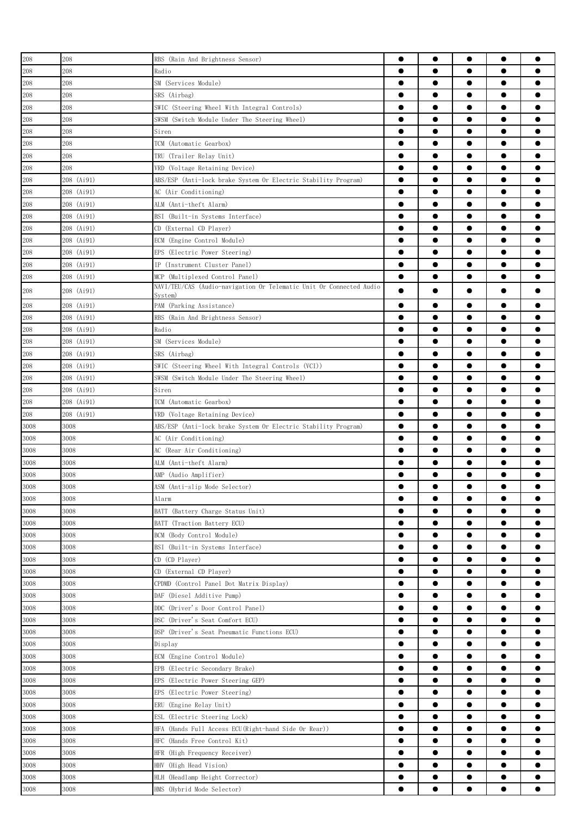| 208      | 208        | RBS (Rain And Brightness Sensor)                                    | $\bullet$ | $\bullet$ | $\bullet$ | $\bullet$ |           |
|----------|------------|---------------------------------------------------------------------|-----------|-----------|-----------|-----------|-----------|
| 208      | 208        | Radio                                                               |           | $\bullet$ |           | $\bullet$ |           |
| 208      | 208        | SM (Services Module)                                                |           | $\bullet$ | $\bullet$ | $\bullet$ |           |
| 208      | 208        | SRS (Airbag)                                                        | $\bullet$ | $\bullet$ | $\bullet$ | $\bullet$ |           |
| 208      | 208        | SWIC (Steering Wheel With Integral Controls)                        | $\bullet$ | $\bullet$ | $\bullet$ | $\bullet$ |           |
| 208      | 208        | SWSM (Switch Module Under The Steering Wheel)                       |           | ●         | ●         | $\bullet$ |           |
| 208      | 208        |                                                                     | $\bullet$ | ●         | ●         | $\bullet$ |           |
|          | 208        | Siren                                                               | $\bullet$ | $\bullet$ |           | $\bullet$ |           |
| 208      |            | TCM (Automatic Gearbox)                                             |           |           |           |           |           |
| 208      | 208        | TRU (Trailer Relay Unit)                                            |           |           |           | $\bullet$ |           |
| 208      | 208        | VRD (Voltage Retaining Device)                                      |           |           |           | $\bullet$ |           |
| 208      | 208 (Ai91) | ABS/ESP (Anti-lock brake System Or Electric Stability Program)      | $\bullet$ |           |           | $\bullet$ |           |
| 208      | 208 (Ai91) | AC (Air Conditioning)                                               |           |           |           | $\bullet$ |           |
| 208      | 208 (Ai91) | ALM (Anti-theft Alarm)                                              | $\bullet$ | $\bullet$ |           | $\bullet$ |           |
| 208      | 208 (Ai91) | BSI<br>(Built-in Systems Interface)                                 | $\bullet$ | $\bullet$ | $\bullet$ | $\bullet$ |           |
| 208      | 208 (Ai91) | CD (External CD Player)                                             |           | $\bullet$ | $\bullet$ | $\bullet$ |           |
| 208      | 208 (Ai91) | ECM (Engine Control Module)                                         | $\bullet$ | $\bullet$ |           | $\bullet$ |           |
| 208      | 208 (Ai91) | EPS (Electric Power Steering)                                       | $\bullet$ | $\bullet$ |           | $\bullet$ |           |
| 208      | 208 (Ai91) | IP (Instrument Cluster Panel)                                       |           | ●         |           | $\bullet$ |           |
| 208      | 208 (Ai91) | MCP (Multiplexed Control Panel)                                     | $\bullet$ | $\bullet$ |           | $\bullet$ |           |
| 208      | 208 (Ai91) | NAVI/TEU/CAS (Audio-navigation Or Telematic Unit Or Connected Audio |           | ●         |           | $\bullet$ |           |
|          |            | Svstem)                                                             |           | ●         |           | $\bullet$ |           |
| 208      | 208 (Ai91) | PAM (Parking Assistance)                                            |           |           |           |           |           |
| 208      | 208 (Ai91) | RBS (Rain And Brightness Sensor)                                    |           | ●         |           | $\bullet$ |           |
| 208      | 208 (Ai91) | Radio                                                               |           | $\bullet$ |           | $\bullet$ |           |
| 208      | 208 (Ai91) | SM (Services Module)                                                |           |           |           | $\bullet$ |           |
| 208      | 208 (Ai91) | SRS (Airbag)                                                        | ●         |           |           | $\bullet$ |           |
| 208      | 208 (Ai91) | SWIC (Steering Wheel With Integral Controls (VCI))                  | $\bullet$ |           |           | $\bullet$ |           |
| 208      | 208 (Ai91) | SWSM (Switch Module Under The Steering Wheel)                       |           |           |           | $\bullet$ |           |
| 208      | 208 (Ai91) | Siren                                                               |           | $\bullet$ | ●         | $\bullet$ |           |
| 208      | 208 (Ai91) | TCM (Automatic Gearbox)                                             | $\bullet$ | $\bullet$ |           | $\bullet$ |           |
| 208      | 208 (Ai91) | VRD (Voltage Retaining Device)                                      | $\bullet$ | $\bullet$ |           | $\bullet$ |           |
| 3008     | 3008       | ABS/ESP (Anti-lock brake System Or Electric Stability Program)      | $\bullet$ | $\bullet$ | $\bullet$ | $\bullet$ |           |
| 3008     | 3008       | AC (Air Conditioning)                                               | $\bullet$ | $\bullet$ | $\bullet$ | $\bullet$ |           |
| 3008     | 3008       | AC (Rear Air Conditioning)                                          |           | ●         |           | $\bullet$ |           |
| 3008     | 3008       | ALM (Anti-theft Alarm)                                              |           | ●         |           | $\bullet$ |           |
| 3008     | 3008       | AMP (Audio Amplifier)                                               | $\bullet$ | ●         | e         | $\bullet$ |           |
| 3008     | 3008       | ASM (Anti-slip Mode Selector)                                       |           |           |           |           |           |
| 3008     | 3008       | Alarm                                                               |           |           |           | $\bullet$ |           |
| 3008     | 3008       | BATT (Battery Charge Status Unit)                                   | $\bullet$ |           |           | $\bullet$ |           |
| 3008     | 3008       | BATT (Traction Battery ECU)                                         | $\bullet$ |           |           | $\bullet$ |           |
| 3008     | 3008       | BCM (Body Control Module)                                           | $\bullet$ | $\bullet$ |           | $\bullet$ |           |
|          | 3008       |                                                                     | $\bullet$ | $\bullet$ | $\bullet$ | $\bullet$ | $\bullet$ |
| 3008     |            | BSI (Built-in Systems Interface)                                    |           |           |           |           |           |
| 3008     | 3008       | CD (CD Plaver)                                                      | $\bullet$ | $\bullet$ | $\bullet$ | $\bullet$ |           |
| 3008     | 3008       | CD (External CD Player)                                             | $\bullet$ | $\bullet$ | $\bullet$ | $\bullet$ |           |
| 3008     | 3008       | CPDMD (Control Panel Dot Matrix Display)                            | $\bullet$ | $\bullet$ | $\bullet$ | $\bullet$ | $\bullet$ |
| 3008     | 3008       | DAF (Diesel Additive Pump)                                          | $\bullet$ | $\bullet$ | $\bullet$ | $\bullet$ |           |
| 3008     | 3008       | DDC (Driver's Door Control Panel)                                   | $\bullet$ | $\bullet$ |           | $\bullet$ |           |
| 3008     | 3008       | DSC (Driver's Seat Comfort ECU)                                     | $\bullet$ | $\bullet$ |           | $\bullet$ |           |
| 3008     | 3008       | DSP (Driver's Seat Pneumatic Functions ECU)                         | $\bullet$ |           |           | $\bullet$ |           |
| 3008     | 3008       | Display                                                             | $\bullet$ |           |           | $\bullet$ |           |
| $3008\,$ | 3008       | ECM (Engine Control Module)                                         | $\bullet$ |           |           |           |           |
| 3008     | 3008       | EPB (Electric Secondary Brake)                                      | $\bullet$ |           |           | $\bullet$ |           |
| 3008     | 3008       | EPS (Electric Power Steering GEP)                                   | $\bullet$ |           |           | $\bullet$ |           |
| 3008     | 3008       | EPS (Electric Power Steering)                                       | $\bullet$ | ●         |           | $\bullet$ |           |
| 3008     | 3008       | ERU (Engine Relay Unit)                                             | $\bullet$ | $\bullet$ | $\bullet$ | $\bullet$ |           |
| 3008     | 3008       | ESL (Electric Steering Lock)                                        | $\bullet$ | $\bullet$ | $\bullet$ | $\bullet$ |           |
| 3008     | 3008       | HFA (Hands Full Access ECU(Right-hand Side Or Rear))                | $\bullet$ | $\bullet$ | $\bullet$ | $\bullet$ |           |
| 3008     | 3008       | HFC (Hands Free Control Kit)                                        | $\bullet$ | $\bullet$ | $\bullet$ | $\bullet$ |           |
| 3008     | 3008       | HFR (High Frequency Receiver)                                       | $\bullet$ | $\bullet$ | $\bullet$ | $\bullet$ |           |
| 3008     | 3008       | HHV (High Head Vision)                                              | $\bullet$ | $\bullet$ | $\bullet$ | $\bullet$ |           |
| 3008     | 3008       | HLH (Headlamp Height Corrector)                                     | $\bullet$ | $\bullet$ | $\bullet$ | $\bullet$ |           |
| 3008     | 3008       | HMS (Hybrid Mode Selector)                                          |           |           |           | $\bullet$ |           |
|          |            |                                                                     |           |           |           |           |           |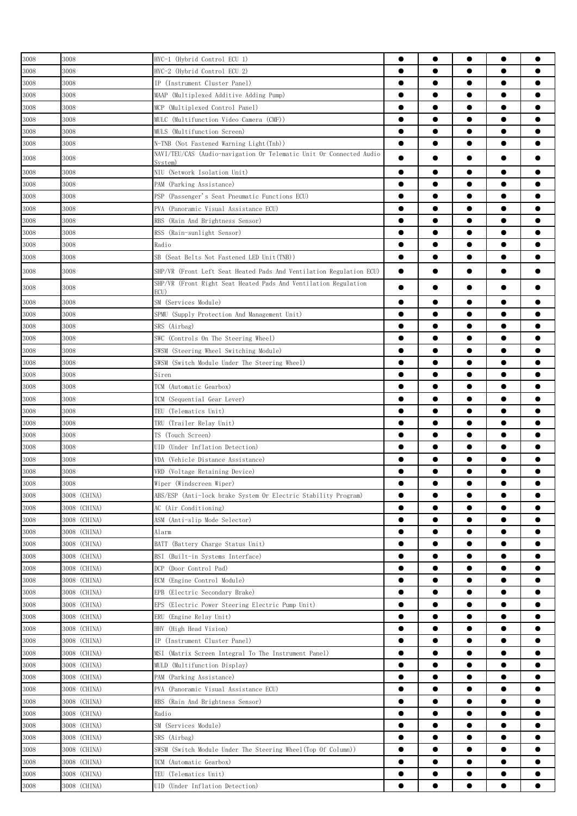| 3008     | 3008         | HYC-1 (Hybrid Control ECU 1)                                                   |           | $\bullet$ |           | $\bullet$ | œ         |
|----------|--------------|--------------------------------------------------------------------------------|-----------|-----------|-----------|-----------|-----------|
| 3008     | 3008         | HYC-2 (Hybrid Control ECU 2)                                                   | $\bullet$ | $\bullet$ |           | $\bullet$ |           |
| 3008     | 3008         | IP (Instrument Cluster Panel)                                                  |           | $\bullet$ | $\bullet$ | $\bullet$ |           |
| 3008     | 3008         |                                                                                |           | $\bullet$ | $\bullet$ | $\bullet$ |           |
|          |              | MAAP (Multiplexed Additive Adding Pump)                                        | $\bullet$ | $\bullet$ | $\bullet$ | $\bullet$ | 0         |
| 3008     | 3008         | MCP (Multiplexed Control Panel)                                                |           |           |           |           |           |
| 3008     | 3008         | MULC (Multifunction Video Camera (CMF))                                        | $\bullet$ | ●         | $\bullet$ | $\bullet$ |           |
| 3008     | 3008         | MULS (Multifunction Screen)                                                    | $\bullet$ | ●         | ●         | $\bullet$ |           |
| 3008     | 3008         | N-TNB (Not Fastened Warning Light(Tnb))                                        | $\bullet$ | $\bullet$ | ●         | $\bullet$ |           |
| $3008\,$ | 3008         | NAVI/TEU/CAS (Audio-navigation Or Telematic Unit Or Connected Audio<br>Svstem) | $\bullet$ | $\bullet$ |           | $\bullet$ |           |
| 3008     | 3008         | NIU (Network Isolation Unit)                                                   | $\bullet$ | ●         | ●         | $\bullet$ |           |
| 3008     | 3008         | PAM (Parking Assistance)                                                       | $\bullet$ |           |           | $\bullet$ |           |
| 3008     | 3008         | PSP (Passenger's Seat Pneumatic Functions ECU)                                 | 0         |           |           | $\bullet$ |           |
| 3008     | 3008         | PVA (Panoramic Visual Assistance ECU)                                          |           |           |           | $\bullet$ |           |
| 3008     | 3008         | RBS (Rain And Brightness Sensor)                                               |           |           |           | $\bullet$ |           |
| 3008     | 3008         | RSS (Rain-sunlight Sensor)                                                     | $\bullet$ |           |           | $\bullet$ |           |
| 3008     | 3008         | Radio                                                                          |           | ●         |           | $\bullet$ |           |
| 3008     | 3008         | SB (Seat Belts Not Fastened LED Unit(TNB))                                     | $\bullet$ | $\bullet$ | $\bullet$ | $\bullet$ |           |
|          |              |                                                                                |           |           |           |           |           |
| 3008     | 3008         | SHP/VR (Front Left Seat Heated Pads And Ventilation Regulation ECU)            | $\bullet$ |           | ●         | $\bullet$ |           |
| 3008     | 3008         | SHP/VR (Front Right Seat Heated Pads And Ventilation Regulation<br>ECU)        |           |           |           | $\bullet$ |           |
| 3008     | 3008         | SM (Services Module)                                                           | 0         |           |           |           |           |
| 3008     | 3008         | SPMU (Supply Protection And Management Unit)                                   |           |           |           |           |           |
| 3008     | 3008         | SRS (Airbag)                                                                   |           | ●         | ●         | $\bullet$ |           |
| 3008     | 3008         | SWC (Controls On The Steering Wheel)                                           | $\bullet$ | $\bullet$ | $\bullet$ | $\bullet$ |           |
| 3008     | 3008         | SWSM (Steering Wheel Switching Module)                                         | $\bullet$ | $\bullet$ | $\bullet$ | $\bullet$ |           |
| 3008     | 3008         | SWSM (Switch Module Under The Steering Wheel)                                  |           | $\bullet$ | $\bullet$ | $\bullet$ |           |
| 3008     | 3008         | Siren                                                                          | $\bullet$ | $\bullet$ | $\bullet$ | $\bullet$ |           |
| 3008     | 3008         | TCM (Automatic Gearbox)                                                        | $\bullet$ | $\bullet$ | $\bullet$ | $\bullet$ |           |
|          | 3008         |                                                                                | ●         | ●         | ●         | $\bullet$ |           |
| 3008     | 3008         | TCM (Sequential Gear Lever)                                                    | $\bullet$ | ●         | ●         | $\bullet$ |           |
| 3008     |              | TEU (Telematics Unit)                                                          |           |           |           |           |           |
| 3008     | 3008         | TRU (Trailer Relay Unit)                                                       |           | $\bullet$ |           | $\bullet$ |           |
| 3008     | 3008         | TS (Touch Screen)                                                              | 0         |           |           | $\bullet$ |           |
| $3008\,$ | 3008         | UID (Under Inflation Detection)                                                |           |           |           | $\bullet$ |           |
| 3008     | 3008         | VDA (Vehicle Distance Assistance)                                              |           |           |           |           |           |
| 3008     | 3008         | VRD (Voltage Retaining Device)                                                 |           |           |           |           |           |
| 3008     | $3008\,$     | Wiper (Windscreen Wiper)                                                       | ▲         | ●         |           | ●         |           |
| 3008     | 3008 (CHINA) | ABS/ESP (Anti-lock brake System Or Electric Stability Program)                 | $\bullet$ | $\bullet$ | $\bullet$ | $\bullet$ | $\bullet$ |
| 3008     | 3008 (CHINA) | AC (Air Conditioning)                                                          | $\bullet$ | $\bullet$ | $\bullet$ | $\bullet$ |           |
| $3008\,$ | 3008 (CHINA) | ASM (Anti-slip Mode Selector)                                                  | $\bullet$ | $\bullet$ | $\bullet$ | $\bullet$ | ●         |
| 3008     | 3008 (CHINA) | Alarm                                                                          | $\bullet$ | $\bullet$ | $\bullet$ | $\bullet$ |           |
| 3008     | 3008 (CHINA) | BATT (Battery Charge Status Unit)                                              | $\bullet$ | ●         | $\bullet$ | $\bullet$ | $\bullet$ |
| 3008     | 3008 (CHINA) | BSI (Built-in Systems Interface)                                               | $\bullet$ | $\bullet$ | $\bullet$ | $\bullet$ | $\bullet$ |
| 3008     | 3008 (CHINA) | DCP (Door Control Pad)                                                         | $\bullet$ |           |           | $\bullet$ |           |
| 3008     | 3008 (CHINA) | ECM (Engine Control Module)                                                    | $\bullet$ |           |           | $\bullet$ |           |
| 3008     | 3008 (CHINA) | EPB (Electric Secondary Brake)                                                 | $\bullet$ |           |           | $\bullet$ |           |
| $3008\,$ | 3008 (CHINA) | EPS (Electric Power Steering Electric Pump Unit)                               | $\bullet$ |           |           | $\bullet$ |           |
| 3008     | 3008 (CHINA) | ERU (Engine Relay Unit)                                                        | $\bullet$ |           |           | $\bullet$ |           |
| 3008     | 3008 (CHINA) | HHV (High Head Vision)                                                         | $\bullet$ | $\bullet$ | $\bullet$ | $\bullet$ |           |
| 3008     | 3008 (CHINA) | IP (Instrument Cluster Panel)                                                  | $\bullet$ | $\bullet$ | $\bullet$ | $\bullet$ | $\bullet$ |
| 3008     | 3008 (CHINA) | (Matrix Screen Integral To The Instrument Panel)<br>MSI                        | $\bullet$ | $\bullet$ | $\bullet$ | $\bullet$ |           |
| $3008\,$ | 3008 (CHINA) | MULD (Multifunction Display)                                                   | $\bullet$ | $\bullet$ | $\bullet$ | $\bullet$ | $\bullet$ |
| 3008     | 3008 (CHINA) | PAM (Parking Assistance)                                                       | $\bullet$ | $\bullet$ | $\bullet$ | $\bullet$ | $\bullet$ |
| 3008     | 3008 (CHINA) | PVA (Panoramic Visual Assistance ECU)                                          | $\bullet$ | $\bullet$ | $\bullet$ | $\bullet$ |           |
| 3008     | 3008 (CHINA) | RBS (Rain And Brightness Sensor)                                               | $\bullet$ | ●         |           | $\bullet$ |           |
|          |              | Radio                                                                          | $\bullet$ | $\bullet$ | $\bullet$ | $\bullet$ |           |
| 3008     | 3008 (CHINA) |                                                                                | $\bullet$ |           |           | $\bullet$ |           |
| 3008     | 3008 (CHINA) | SM (Services Module)                                                           |           |           |           |           |           |
| 3008     | 3008 (CHINA) | SRS (Airbag)                                                                   | $\bullet$ |           |           | $\bullet$ |           |
| 3008     | 3008 (CHINA) | SWSM (Switch Module Under The Steering Wheel(Top Of Column))                   | $\bullet$ |           |           | $\bullet$ |           |
| $3008\,$ | 3008 (CHINA) | TCM (Automatic Gearbox)                                                        | $\bullet$ |           |           | $\bullet$ |           |
| 3008     | 3008 (CHINA) | TEU (Telematics Unit)                                                          | $\bullet$ |           |           |           |           |
| 3008     | 3008 (CHINA) | UID (Under Inflation Detection)                                                | $\bullet$ | $\bullet$ |           | $\bullet$ | $\bullet$ |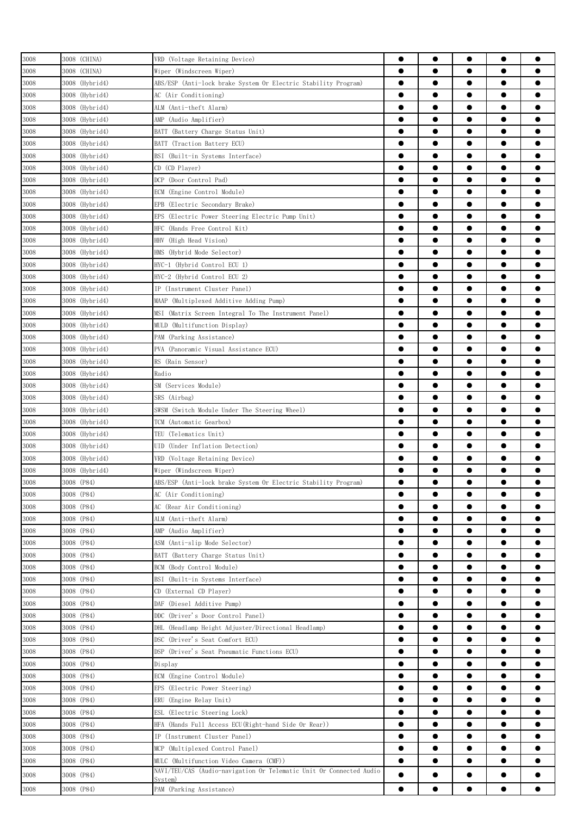| 3008     | 3008 (CHINA)   | VRD (Voltage Retaining Device)                                      |           | $\bullet$ |           | $\bullet$ |           |
|----------|----------------|---------------------------------------------------------------------|-----------|-----------|-----------|-----------|-----------|
| 3008     | 3008 (CHINA)   | Wiper (Windscreen Wiper)                                            | $\bullet$ |           |           | $\bullet$ |           |
| 3008     | 3008 (Hybrid4) | ABS/ESP (Anti-lock brake System Or Electric Stability Program)      | $\bullet$ | $\bullet$ | $\bullet$ | $\bullet$ |           |
| 3008     | 3008 (Hybrid4) | AC (Air Conditioning)                                               | $\bullet$ | $\bullet$ | $\bullet$ | $\bullet$ |           |
| $3008\,$ | 3008 (Hybrid4) | ALM (Anti-theft Alarm)                                              | $\bullet$ | $\bullet$ | $\bullet$ | $\bullet$ | $\bullet$ |
|          |                |                                                                     |           | ●         | $\bullet$ | $\bullet$ | ●         |
| 3008     | 3008 (Hybrid4) | AMP (Audio Amplifier)                                               |           | ●         | ●         | $\bullet$ |           |
| 3008     | 3008 (Hybrid4) | BATT (Battery Charge Status Unit)                                   |           |           |           |           |           |
| 3008     | 3008 (Hybrid4) | BATT (Traction Battery ECU)                                         | $\bullet$ | ●         | ●         | $\bullet$ |           |
| 3008     | 3008 (Hybrid4) | BSI (Built-in Systems Interface)                                    |           |           |           | $\bullet$ |           |
| 3008     | 3008 (Hybrid4) | CD (CD Player)                                                      |           |           |           | $\bullet$ |           |
| 3008     | 3008 (Hybrid4) | (Door Control Pad)<br>DCP                                           |           | ●         |           | $\bullet$ |           |
| 3008     | 3008 (Hybrid4) | ECM (Engine Control Module)                                         | $\bullet$ |           |           | $\bullet$ |           |
| 3008     | 3008 (Hybrid4) | EPB (Electric Secondary Brake)                                      | $\bullet$ | ●         |           | $\bullet$ | e         |
| 3008     | 3008 (Hybrid4) | EPS<br>(Electric Power Steering Electric Pump Unit)                 | $\bullet$ | $\bullet$ | $\bullet$ | $\bullet$ |           |
| $3008\,$ | 3008 (Hybrid4) | HFC<br>(Hands Free Control Kit)                                     | $\bullet$ | $\bullet$ | $\bullet$ | $\bullet$ |           |
| 3008     | 3008 (Hybrid4) | HHV<br>(High Head Vision)                                           | $\bullet$ | $\bullet$ | $\bullet$ | $\bullet$ |           |
| 3008     | 3008 (Hybrid4) | HMS (Hybrid Mode Selector)                                          | $\bullet$ | $\bullet$ | $\bullet$ | $\bullet$ | $\bullet$ |
| 3008     | 3008 (Hybrid4) | HYC-1 (Hybrid Control ECU 1)                                        | $\bullet$ | ●         |           | $\bullet$ |           |
| 3008     | 3008 (Hybrid4) | HYC-2 (Hybrid Control ECU 2)                                        |           | ●         | ●         | $\bullet$ |           |
| 3008     | 3008 (Hybrid4) | IP (Instrument Cluster Panel)                                       | $\bullet$ | ●         |           | $\bullet$ |           |
| 3008     | 3008 (Hybrid4) | MAAP (Multiplexed Additive Adding Pump)                             | $\bullet$ |           |           | $\bullet$ |           |
| 3008     | 3008 (Hybrid4) | MSI (Matrix Screen Integral To The Instrument Panel)                |           |           |           | $\bullet$ |           |
| 3008     | 3008 (Hybrid4) | MULD (Multifunction Display)                                        |           |           |           | $\bullet$ |           |
| 3008     | 3008 (Hybrid4) | PAM (Parking Assistance)                                            | $\bullet$ |           |           | $\bullet$ |           |
| 3008     | 3008 (Hybrid4) | PVA (Panoramic Visual Assistance ECU)                               |           |           |           | $\bullet$ |           |
| $3008\,$ | 3008 (Hybrid4) | RS (Rain Sensor)                                                    | $\bullet$ | $\bullet$ |           | $\bullet$ |           |
| 3008     | 3008 (Hybrid4) | Radio                                                               | $\bullet$ | $\bullet$ | $\bullet$ | $\bullet$ |           |
| 3008     | 3008 (Hybrid4) | SM (Services Module)                                                | $\bullet$ | $\bullet$ | $\bullet$ | $\bullet$ |           |
| 3008     | 3008 (Hybrid4) | SRS (Airbag)                                                        | $\bullet$ | $\bullet$ | $\bullet$ | $\bullet$ |           |
| 3008     | 3008 (Hybrid4) | SWSM (Switch Module Under The Steering Wheel)                       | $\bullet$ | $\bullet$ | $\bullet$ | $\bullet$ |           |
| 3008     | 3008 (Hybrid4) | TCM (Automatic Gearbox)                                             |           |           | ●         | $\bullet$ |           |
| 3008     | 3008 (Hybrid4) | TEU<br>(Telematics Unit)                                            |           | ●         | ●         | $\bullet$ |           |
|          |                |                                                                     | $\bullet$ | $\bullet$ |           | $\bullet$ |           |
| 3008     | 3008 (Hybrid4) | (Under Inflation Detection)<br>UID                                  | 0         |           |           | $\bullet$ |           |
| 3008     | 3008 (Hybrid4) | VRD (Voltage Retaining Device)                                      |           |           |           |           |           |
| 3008     | 3008 (Hybrid4) | Wiper (Windscreen Wiper)                                            |           |           |           |           |           |
| 3008     | 3008 (P84)     | ABS/ESP (Anti-lock brake System Or Electric Stability Program)      |           | ●         |           |           |           |
| 3008     | 3008 (P84)     | AC (Air Conditioning)                                               | $\bullet$ | $\bullet$ |           | $\bullet$ |           |
| 3008     | 3008 (P84)     | AC (Rear Air Conditioning)                                          |           |           |           | $\bullet$ | ●         |
| 3008     | 3008 (P84)     | ALM (Anti-theft Alarm)                                              | $\bullet$ | $\bullet$ | $\bullet$ | $\bullet$ | $\bullet$ |
| 3008     | 3008 (P84)     | AMP (Audio Amplifier)                                               | $\bullet$ | $\bullet$ | $\bullet$ | $\bullet$ |           |
| 3008     | 3008 (P84)     | ASM (Anti-slip Mode Selector)                                       | $\bullet$ | $\bullet$ | $\bullet$ | $\bullet$ |           |
| 3008     | 3008 (P84)     | BATT (Battery Charge Status Unit)                                   | $\bullet$ | $\bullet$ | $\bullet$ | $\bullet$ | $\bullet$ |
| 3008     | 3008 (P84)     | BCM (Body Control Module)                                           | $\bullet$ | $\bullet$ | $\bullet$ | $\bullet$ |           |
| 3008     | 3008 (P84)     | BSI (Built-in Systems Interface)                                    |           | ●         | ●         | $\bullet$ |           |
| 3008     | 3008 (P84)     | CD (External CD Player)                                             | $\bullet$ | $\bullet$ | $\bullet$ | $\bullet$ |           |
| 3008     | 3008 (P84)     | DAF (Diesel Additive Pump)                                          | $\bullet$ |           | $\bullet$ | $\bullet$ |           |
| 3008     | 3008 (P84)     | DDC (Driver's Door Control Panel)                                   |           |           |           | $\bullet$ |           |
| 3008     | 3008 (P84)     | DHL (Headlamp Height Adjuster/Directional Headlamp)                 | $\bullet$ |           |           | $\bullet$ |           |
| 3008     | 3008 (P84)     | DSC (Driver's Seat Comfort ECU)                                     | $\bullet$ |           |           | $\bullet$ |           |
| 3008     | 3008 (P84)     | DSP (Driver's Seat Pneumatic Functions ECU)                         | $\bullet$ |           |           | $\bullet$ |           |
| 3008     | 3008 (P84)     | Display                                                             | $\bullet$ | $\bullet$ | $\bullet$ | $\bullet$ | $\bullet$ |
| 3008     | 3008 (P84)     | ECM (Engine Control Module)                                         | $\bullet$ | $\bullet$ | $\bullet$ | $\bullet$ |           |
| 3008     | 3008 (P84)     | EPS (Electric Power Steering)                                       | $\bullet$ | $\bullet$ | $\bullet$ | $\bullet$ |           |
| 3008     | 3008 (P84)     | ERU (Engine Relay Unit)                                             | $\bullet$ | $\bullet$ | $\bullet$ | $\bullet$ |           |
| 3008     | 3008 (P84)     | ESL (Electric Steering Lock)                                        | $\bullet$ | $\bullet$ | $\bullet$ | $\bullet$ |           |
| 3008     | 3008 (P84)     | HFA (Hands Full Access ECU(Right-hand Side Or Rear))                |           | ●         |           | $\bullet$ |           |
| 3008     | 3008 (P84)     | IP (Instrument Cluster Panel)                                       |           | ●         |           | $\bullet$ |           |
| 3008     | 3008 (P84)     | MCP (Multiplexed Control Panel)                                     | $\bullet$ |           |           | $\bullet$ |           |
| 3008     | 3008 (P84)     | MULC (Multifunction Video Camera (CMF))                             | $\bullet$ |           |           | $\bullet$ |           |
|          |                | NAVI/TEU/CAS (Audio-navigation Or Telematic Unit Or Connected Audio |           |           |           |           |           |
| $3008\,$ | 3008 (P84)     | System)                                                             | $\bullet$ | $\bullet$ |           | $\bullet$ |           |
| 3008     | 3008 (P84)     | PAM (Parking Assistance)                                            |           |           |           | $\bullet$ |           |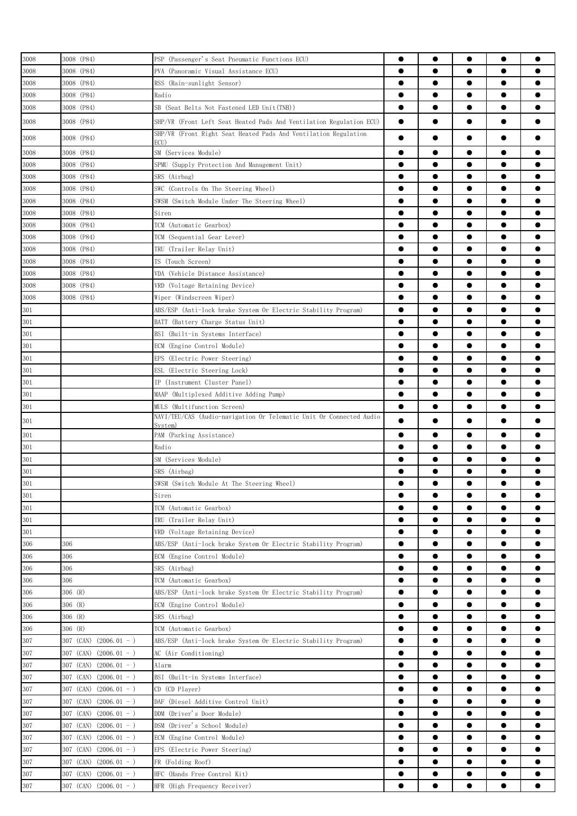| 3008              | 3008 (P84)                  | PSP (Passenger's Seat Pneumatic Functions ECU)                                                                                         | ●         | $\bullet$ | $\bullet$ | $\bullet$ |           |
|-------------------|-----------------------------|----------------------------------------------------------------------------------------------------------------------------------------|-----------|-----------|-----------|-----------|-----------|
| 3008              | 3008 (P84)                  | PVA (Panoramic Visual Assistance ECU)                                                                                                  | $\bullet$ |           | $\bullet$ | $\bullet$ |           |
| 3008              | 3008 (P84)                  |                                                                                                                                        | $\bullet$ | $\bullet$ | $\bullet$ | $\bullet$ |           |
|                   |                             | RSS (Rain-sunlight Sensor)                                                                                                             |           |           |           |           |           |
| 3008              | 3008 (P84)                  | Radio                                                                                                                                  | $\bullet$ | $\bullet$ | $\bullet$ | $\bullet$ |           |
| 3008              | 3008 (P84)                  | SB (Seat Belts Not Fastened LED Unit(TNB))                                                                                             | $\bullet$ | $\bullet$ | $\bullet$ | $\bullet$ |           |
| 3008              | 3008 (P84)                  | SHP/VR (Front Left Seat Heated Pads And Ventilation Regulation ECU)<br>SHP/VR (Front Right Seat Heated Pads And Ventilation Regulation | $\bullet$ |           |           | $\bullet$ |           |
| 3008              | 3008 (P84)                  | ECU)                                                                                                                                   | $\bullet$ |           |           | $\bullet$ |           |
| 3008              | 3008 (P84)                  | SM (Services Module)                                                                                                                   | $\bullet$ | $\bullet$ |           | $\bullet$ |           |
| 3008              | 3008 (P84)                  | SPMU (Supply Protection And Management Unit)                                                                                           | $\bullet$ | $\bullet$ | $\bullet$ | $\bullet$ |           |
| 3008              | 3008 (P84)                  | SRS (Airbag)                                                                                                                           | $\bullet$ | $\bullet$ | $\bullet$ | $\bullet$ |           |
| 3008              | 3008 (P84)                  | SWC (Controls On The Steering Wheel)                                                                                                   | $\bullet$ | $\bullet$ | $\bullet$ | $\bullet$ |           |
| 3008              | 3008 (P84)                  | SWSM (Switch Module Under The Steering Wheel)                                                                                          | $\bullet$ | $\bullet$ | $\bullet$ | $\bullet$ |           |
| 3008              | 3008 (P84)                  | Siren                                                                                                                                  | $\bullet$ | ●         | ●         | $\bullet$ |           |
| 3008              | 3008 (P84)                  | TCM (Automatic Gearbox)                                                                                                                | $\bullet$ | ●         | ●         | $\bullet$ |           |
| 3008              | 3008 (P84)                  | TCM (Sequential Gear Lever)                                                                                                            | ●         |           |           | $\bullet$ |           |
| 3008              | 3008 (P84)                  | TRU (Trailer Relay Unit)                                                                                                               | ●         |           | ●         | $\bullet$ |           |
|                   | 3008 (P84)                  | TS (Touch Screen)                                                                                                                      | ●         |           |           | $\bullet$ |           |
| 3008              |                             |                                                                                                                                        |           |           |           |           |           |
| 3008              | 3008 (P84)                  | VDA (Vehicle Distance Assistance)                                                                                                      | $\bullet$ |           |           | $\bullet$ |           |
| 3008              | 3008 (P84)                  | VRD (Voltage Retaining Device)                                                                                                         | $\bullet$ | ●         |           | $\bullet$ |           |
| 3008              | 3008 (P84)                  | Wiper (Windscreen Wiper)                                                                                                               | $\bullet$ | $\bullet$ | $\bullet$ | $\bullet$ |           |
| 301               |                             | ABS/ESP (Anti-lock brake System Or Electric Stability Program)                                                                         | $\bullet$ | $\bullet$ | $\bullet$ | $\bullet$ |           |
| 301               |                             | BATT (Battery Charge Status Unit)                                                                                                      | $\bullet$ | $\bullet$ | $\bullet$ | $\bullet$ |           |
| 301               |                             | BSI (Built-in Systems Interface)                                                                                                       | $\bullet$ | $\bullet$ | $\bullet$ | $\bullet$ | 0         |
| 301               |                             | ECM (Engine Control Module)                                                                                                            | $\bullet$ | $\bullet$ | $\bullet$ | $\bullet$ |           |
| 301               |                             | EPS (Electric Power Steering)                                                                                                          | ●         | ●         | ●         | $\bullet$ |           |
| $\frac{301}{201}$ |                             | ESL (Electric Steering Lock)                                                                                                           | $\bullet$ | ●         | ●         | $\bullet$ |           |
| 301               |                             | IP (Instrument Cluster Panel)                                                                                                          | $\bullet$ |           |           | $\bullet$ |           |
| 301               |                             | MAAP (Multiplexed Additive Adding Pump)                                                                                                | ●         |           |           | $\bullet$ |           |
| $301\,$           |                             | MULS (Multifunction Screen)                                                                                                            | $\bullet$ | $\bullet$ |           | $\bullet$ |           |
|                   |                             | NAVI/TEU/CAS (Audio-navigation Or Telematic Unit Or Connected Audio                                                                    |           |           |           |           |           |
| 301               |                             | Svstem)                                                                                                                                | $\bullet$ | $\bullet$ |           | $\bullet$ |           |
| 301               |                             | PAM (Parking Assistance)                                                                                                               | ●         |           |           | $\bullet$ |           |
| 301               |                             | Radio                                                                                                                                  | $\bullet$ |           |           | $\bullet$ |           |
| 301               |                             | SM (Services Module)                                                                                                                   | $\bullet$ |           |           | $\bullet$ |           |
| $\frac{301}{301}$ |                             | SRS (Airbag)                                                                                                                           | $\bullet$ |           |           |           |           |
|                   |                             | SWSM (Switch Module At The Steering Wheel)                                                                                             | $\bullet$ | ●         |           | ●         |           |
| 301               |                             | Siren                                                                                                                                  | $\bullet$ | $\bullet$ | $\bullet$ | $\bullet$ |           |
| 301               |                             | TCM (Automatic Gearbox)                                                                                                                | $\bullet$ | $\bullet$ | $\bullet$ | $\bullet$ |           |
| $301\,$           |                             | TRU (Trailer Relay Unit)                                                                                                               | $\bullet$ | $\bullet$ | $\bullet$ | $\bullet$ |           |
| 301               |                             | VRD (Voltage Retaining Device)                                                                                                         | $\bullet$ |           | $\bullet$ | $\bullet$ |           |
| 306               | 306                         | ABS/ESP (Anti-lock brake System Or Electric Stability Program)                                                                         | $\bullet$ | $\bullet$ | $\bullet$ | $\bullet$ |           |
| 306               | 306                         | ECM (Engine Control Module)                                                                                                            | $\bullet$ | $\bullet$ |           | $\bullet$ | ●         |
| 306               |                             |                                                                                                                                        | $\bullet$ |           |           | $\bullet$ |           |
|                   | 306                         | SRS (Airbag)                                                                                                                           |           |           |           |           |           |
| 306               | 306                         | TCM (Automatic Gearbox)                                                                                                                | $\bullet$ |           |           | $\bullet$ |           |
| 306               | 306 (R)                     | ABS/ESP (Anti-lock brake System Or Electric Stability Program)                                                                         | $\bullet$ |           |           | $\bullet$ |           |
| 306               | 306 (R)                     | ECM (Engine Control Module)                                                                                                            | $\bullet$ |           |           |           |           |
| 306               | 306 (R)                     | SRS (Airbag)                                                                                                                           | $\bullet$ |           |           |           | O         |
| 306               | 306 (R)                     | TCM (Automatic Gearbox)                                                                                                                | $\bullet$ |           |           | $\bullet$ |           |
| 307               | 307 (CAN)<br>$(2006.01 - )$ | ABS/ESP (Anti-lock brake System Or Electric Stability Program)                                                                         | $\bullet$ | $\bullet$ |           | $\bullet$ | $\bullet$ |
| 307               | $(2006.01 - )$<br>307 (CAN) | AC (Air Conditioning)                                                                                                                  | $\bullet$ | $\bullet$ |           | $\bullet$ |           |
| 307               | $(2006.01 - )$<br>307 (CAN) | Alarm                                                                                                                                  | $\bullet$ | $\bullet$ | $\bullet$ | $\bullet$ |           |
| 307               | 307 (CAN) $(2006.01 - )$    | BSI (Built-in Systems Interface)                                                                                                       | $\bullet$ | $\bullet$ | $\bullet$ | $\bullet$ | $\bullet$ |
| 307               | 307 (CAN) $(2006.01 - )$    | CD (CD Player)                                                                                                                         | $\bullet$ | $\bullet$ | $\bullet$ | $\bullet$ |           |
| 307               | $(2006.01 - )$<br>307 (CAN) | DAF (Diesel Additive Control Unit)                                                                                                     | $\bullet$ | $\bullet$ |           | $\bullet$ |           |
| 307               | 307 (CAN)<br>$(2006.01 - )$ | DDM (Driver's Door Module)                                                                                                             | $\bullet$ |           | $\bullet$ | $\bullet$ |           |
| 307               | $(2006.01 - )$<br>307 (CAN) | DSM (Driver's School Module)                                                                                                           | $\bullet$ |           |           | $\bullet$ |           |
| 307               | $(2006.01 - )$<br>307 (CAN) | ECM (Engine Control Module)                                                                                                            | $\bullet$ |           |           | $\bullet$ |           |
| 307               | 307 (CAN)<br>$(2006.01 - )$ | EPS (Electric Power Steering)                                                                                                          | $\bullet$ |           |           |           |           |
| 307               | 307 (CAN) $(2006.01 - )$    | FR (Folding Roof)                                                                                                                      | 0         |           |           |           |           |
| 307               | 307 (CAN) $(2006.01 - )$    | HFC (Hands Free Control Kit)                                                                                                           | $\bullet$ |           |           |           |           |
| $307\,$           | 307 (CAN) $(2006.01 - )$    | HFR (High Frequency Receiver)                                                                                                          | $\bullet$ | $\bullet$ |           | $\bullet$ |           |
|                   |                             |                                                                                                                                        |           |           |           |           |           |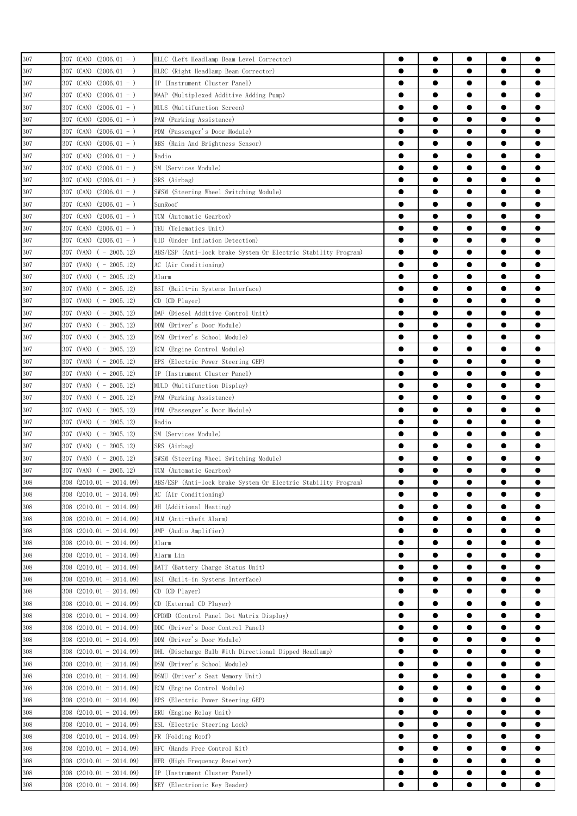| 307 | 307 (CAN) $(2006.01 - )$    | HLLC (Left Headlamp Beam Level Corrector)                      |           | $\bullet$ |           |           |           |
|-----|-----------------------------|----------------------------------------------------------------|-----------|-----------|-----------|-----------|-----------|
| 307 | 307 (CAN)<br>$(2006.01 - )$ | HLRC (Right Headlamp Beam Corrector)                           | ●         |           | ●         | $\bullet$ |           |
| 307 | 307 (CAN)<br>$(2006.01 - )$ | IP (Instrument Cluster Panel)                                  | $\bullet$ | $\bullet$ | $\bullet$ | $\bullet$ |           |
| 307 | 307 (CAN)<br>$(2006.01 - )$ | MAAP (Multiplexed Additive Adding Pump)                        | $\bullet$ | $\bullet$ |           | $\bullet$ |           |
| 307 | $307$ (CAN) $(2006.01 - )$  | MULS (Multifunction Screen)                                    | $\bullet$ | $\bullet$ |           | $\bullet$ |           |
| 307 | $(2006.01 - )$<br>307 (CAN) | PAM (Parking Assistance)                                       | $\bullet$ | $\bullet$ | $\bullet$ | $\bullet$ | $\bullet$ |
| 307 | 307 (CAN) (2006.01 - )      | PDM (Passenger's Door Module)                                  | $\bullet$ |           |           | $\bullet$ |           |
| 307 | 307 (CAN) (2006.01 - )      | RBS (Rain And Brightness Sensor)                               |           | e         |           | $\bullet$ |           |
| 307 | 307 (CAN)<br>$(2006.01 - )$ | Radio                                                          | ●         | ●         |           | $\bullet$ |           |
| 307 | 307 (CAN)<br>$(2006.01 - )$ | SM (Services Module)                                           |           |           |           | $\bullet$ |           |
|     | 307 (CAN)                   |                                                                | ●         |           |           | $\bullet$ |           |
| 307 | $(2006.01 - )$              | SRS (Airbag)                                                   |           |           |           | $\bullet$ |           |
| 307 | 307 (CAN) $(2006.01 - )$    | SWSM (Steering Wheel Switching Module)                         |           |           |           |           |           |
| 307 | 307 (CAN) $(2006.01 - )$    | SunRoof                                                        |           | ●         |           |           |           |
| 307 | 307 (CAN) $(2006.01 - )$    | TCM (Automatic Gearbox)                                        |           | ●         |           | $\bullet$ |           |
| 307 | $307$ (CAN) $(2006.01 - )$  | TEU (Telematics Unit)                                          | $\bullet$ |           |           | $\bullet$ |           |
| 307 | 307 (CAN) $(2006.01 - )$    | UID (Under Inflation Detection)                                | $\bullet$ | $\bullet$ |           | $\bullet$ |           |
| 307 | $307$ (VAN) ( - 2005.12)    | ABS/ESP (Anti-lock brake System Or Electric Stability Program) | $\bullet$ | $\bullet$ | $\bullet$ | $\bullet$ |           |
| 307 | $307$ (VAN) ( - 2005, 12)   | AC (Air Conditioning)                                          | $\bullet$ | $\bullet$ | $\bullet$ | $\bullet$ |           |
| 307 | $307$ (VAN) ( - 2005.12)    | Alarm                                                          | $\bullet$ | $\bullet$ | $\bullet$ | $\bullet$ |           |
| 307 | 307 (VAN) ( - 2005.12)      | BSI (Built-in Systems Interface)                               |           |           |           | $\bullet$ |           |
| 307 | 307 (VAN) ( - 2005.12)      | CD (CD Player)                                                 | ●         | ●         | ●         | $\bullet$ |           |
| 307 | $307$ (VAN) ( - 2005.12)    | DAF (Diesel Additive Control Unit)                             | $\bullet$ | ●         |           | $\bullet$ |           |
| 307 | $307$ (VAN) ( - 2005.12)    | DDM (Driver's Door Module)                                     | ●         |           |           | $\bullet$ |           |
| 307 | $307$ (VAN) ( - 2005.12)    | DSM (Driver's School Module)                                   |           |           |           |           |           |
| 307 | $307$ (VAN) ( - 2005.12)    | ECM (Engine Control Module)                                    | 0         | ●         |           |           |           |
| 307 | $307$ (VAN) ( - 2005.12)    | EPS (Electric Power Steering GEP)                              | ●         |           |           |           |           |
| 307 | $307$ (VAN) ( - 2005.12)    | IP (Instrument Cluster Panel)                                  | ●         | ●         |           | $\bullet$ |           |
| 307 | $307$ (VAN) ( - 2005.12)    | MULD (Multifunction Display)                                   | $\bullet$ | $\bullet$ | $\bullet$ | $\bullet$ |           |
| 307 | $307$ (VAN) ( - 2005.12)    | PAM (Parking Assistance)                                       | $\bullet$ | $\bullet$ |           | $\bullet$ |           |
| 307 | 307 (VAN) $(-2005.12)$      | PDM (Passenger's Door Module)                                  | $\bullet$ | $\bullet$ | $\bullet$ | $\bullet$ |           |
| 307 | $307$ (VAN) ( - 2005.12)    | Radio                                                          | $\bullet$ | $\bullet$ | $\bullet$ | $\bullet$ | $\bullet$ |
| 307 | 307 (VAN) ( - 2005.12)      | SM (Services Module)                                           | $\bullet$ |           | $\bullet$ | $\bullet$ |           |
| 307 | 307 (VAN) ( - 2005.12)      | SRS (Airbag)                                                   |           | ●         | ●         | $\bullet$ |           |
| 307 | 307 (VAN) $(-2005.12)$      | SWSM (Steering Wheel Switching Module)                         |           | $\bullet$ |           | $\bullet$ |           |
| 307 | $307$ (VAN) ( - 2005.12)    | TCM (Automatic Gearbox)                                        |           |           |           | $\bullet$ |           |
| 308 | $308$ (2010.01 - 2014.09)   | ABS/ESP (Anti-lock brake System Or Electric Stability Program) |           | ●         |           | e         |           |
| 308 | $308$ $(2010.01 - 2014.09)$ | AC (Air Conditioning)                                          | $\bullet$ | $\bullet$ | $\bullet$ | $\bullet$ |           |
| 308 | $308$ $(2010.01 - 2014.09)$ | AH (Additional Heating)                                        | $\bullet$ |           |           |           |           |
| 308 | $308$ $(2010.01 - 2014.09)$ | ALM (Anti-theft Alarm)                                         |           |           |           |           |           |
| 308 | $308$ $(2010.01 - 2014.09)$ | AMP (Audio Amplifier)                                          | $\bullet$ | $\bullet$ |           | $\bullet$ |           |
| 308 | $308$ (2010.01 - 2014.09)   | Alarm                                                          | $\bullet$ | $\bullet$ |           | $\bullet$ | $\bullet$ |
| 308 | $308$ $(2010.01 - 2014.09)$ | Alarm Lin                                                      | $\bullet$ | $\bullet$ | $\bullet$ | $\bullet$ |           |
| 308 | $308$ $(2010.01 - 2014.09)$ | BATT (Battery Charge Status Unit)                              | $\bullet$ | $\bullet$ | $\bullet$ | $\bullet$ |           |
| 308 | $308$ $(2010.01 - 2014.09)$ | BSI (Built-in Systems Interface)                               | $\bullet$ | $\bullet$ | $\bullet$ | $\bullet$ |           |
| 308 | $308$ $(2010.01 - 2014.09)$ | CD (CD Player)                                                 | $\bullet$ | $\bullet$ | $\bullet$ | $\bullet$ |           |
| 308 | $308$ $(2010.01 - 2014.09)$ | CD (External CD Player)                                        |           | $\bullet$ |           | $\bullet$ |           |
| 308 |                             |                                                                | $\bullet$ |           |           | $\bullet$ |           |
| 308 | $308$ $(2010.01 - 2014.09)$ | CPDMD (Control Panel Dot Matrix Display)                       | $\bullet$ | $\bullet$ |           | $\bullet$ |           |
|     | $308$ $(2010.01 - 2014.09)$ | DDC (Driver's Door Control Panel)                              |           |           |           |           |           |
| 308 | $308$ $(2010.01 - 2014.09)$ | DDM (Driver's Door Module)                                     | 0         | $\bullet$ |           | $\bullet$ |           |
| 308 | $308$ $(2010.01 - 2014.09)$ | DHL (Discharge Bulb With Directional Dipped Headlamp)          | $\bullet$ | $\bullet$ |           |           |           |
| 308 | $308$ $(2010.01 - 2014.09)$ | DSM (Driver's School Module)                                   | $\bullet$ |           |           | $\bullet$ |           |
| 308 | $308$ $(2010.01 - 2014.09)$ | DSMU (Driver's Seat Memory Unit)                               | $\bullet$ | $\bullet$ |           | $\bullet$ |           |
| 308 | $308$ $(2010.01 - 2014.09)$ | ECM (Engine Control Module)                                    | $\bullet$ | $\bullet$ | $\bullet$ | $\bullet$ | $\bullet$ |
| 308 | $308$ $(2010.01 - 2014.09)$ | EPS (Electric Power Steering GEP)                              | $\bullet$ | $\bullet$ | $\bullet$ | $\bullet$ |           |
| 308 | $308$ $(2010.01 - 2014.09)$ | ERU (Engine Relay Unit)                                        | $\bullet$ | $\bullet$ | $\bullet$ | $\bullet$ | $\bullet$ |
| 308 | $308$ $(2010.01 - 2014.09)$ | ESL (Electric Steering Lock)                                   | $\bullet$ | $\bullet$ | $\bullet$ | $\bullet$ | $\bullet$ |
| 308 | $308$ $(2010.01 - 2014.09)$ | FR (Folding Roof)                                              | $\bullet$ | $\bullet$ | $\bullet$ | $\bullet$ |           |
| 308 | $308$ $(2010.01 - 2014.09)$ | HFC (Hands Free Control Kit)                                   |           | ●         |           | $\bullet$ |           |
| 308 | $308$ $(2010.01 - 2014.09)$ | HFR (High Frequency Receiver)                                  | $\bullet$ |           |           | $\bullet$ |           |
| 308 | $308$ $(2010.01 - 2014.09)$ | IP (Instrument Cluster Panel)                                  |           | $\bullet$ |           | $\bullet$ |           |
| 308 | $308$ $(2010.01 - 2014.09)$ | KEY (Electrionic Key Reader)                                   |           |           |           |           |           |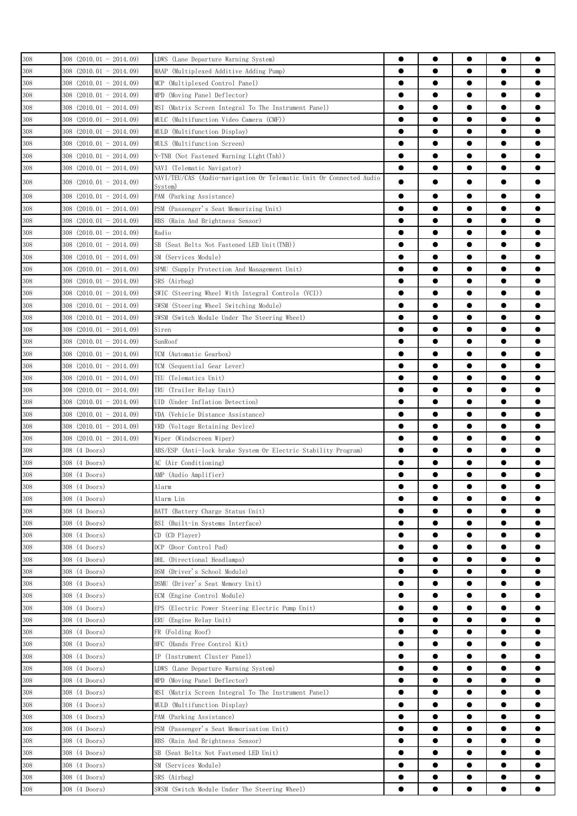| 308                    | $308$ $(2010.01 - 2014.09)$   | LDWS (Lane Departure Warning System)                                | $\bullet$ | $\bullet$ | $\bullet$ | $\bullet$ |           |
|------------------------|-------------------------------|---------------------------------------------------------------------|-----------|-----------|-----------|-----------|-----------|
| 308                    | $308$ $(2010.01 - 2014.09)$   | MAAP (Multiplexed Additive Adding Pump)                             | $\bullet$ |           |           | $\bullet$ |           |
|                        | $308$ $(2010.01 - 2014.09)$   |                                                                     | $\bullet$ |           | $\bullet$ | $\bullet$ | 0         |
| 308                    |                               | MCP (Multiplexed Control Panel)                                     |           |           |           |           |           |
| 308                    | 308 (2010.01 - 2014.09)       | MPD (Moving Panel Deflector)                                        | $\bullet$ |           | $\bullet$ | $\bullet$ |           |
| 308                    | $308$ $(2010.01 - 2014.09)$   | MSI (Matrix Screen Integral To The Instrument Panel)                | $\bullet$ | $\bullet$ | $\bullet$ | $\bullet$ | $\bullet$ |
| 308                    | $308$ $(2010.01 - 2014.09)$   | MULC (Multifunction Video Camera (CMF))                             | $\bullet$ | $\bullet$ | $\bullet$ | $\bullet$ |           |
| 308                    | 308 (2010.01 - 2014.09)       | MULD (Multifunction Display)                                        | $\bullet$ | $\bullet$ | $\bullet$ | $\bullet$ | ●         |
| 308                    | $308$ $(2010.01 - 2014.09)$   | MULS (Multifunction Screen)                                         | $\bullet$ |           |           | $\bullet$ |           |
| 308                    | $308$ $(2010.01 - 2014.09)$   | N-TNB (Not Fastened Warning Light(Tnb))                             | $\bullet$ |           | 0         | $\bullet$ |           |
| 308                    | $308$ $(2010.01 - 2014.09)$   | NAVI (Telematic Navigator)                                          | $\bullet$ |           | 0         | $\bullet$ |           |
| 308                    | 308 (2010.01 - 2014.09)       | NAVI/TEU/CAS (Audio-navigation Or Telematic Unit Or Connected Audio | $\bullet$ |           |           |           | O         |
|                        |                               | Svstem)                                                             | $\bullet$ |           | e         | $\bullet$ |           |
| 308                    | $308$ $(2010.01 - 2014.09)$   | PAM (Parking Assistance)                                            |           |           |           |           |           |
| 308                    | $308$ $(2010.01 - 2014.09)$   | PSM (Passenger's Seat Memorizing Unit)                              | 0         |           |           | 0         |           |
| 308                    | $308$ $(2010.01 - 2014.09)$   | RBS (Rain And Brightness Sensor)                                    | $\bullet$ |           |           | $\bullet$ |           |
| 308                    | $308$ $(2010.01 - 2014.09)$   | Radio                                                               | $\bullet$ |           |           | $\bullet$ |           |
| 308                    | $308$ $(2010.01 - 2014.09)$   | SB (Seat Belts Not Fastened LED Unit(TNB))                          | $\bullet$ | $\bullet$ |           | $\bullet$ |           |
| 308                    | $308$ $(2010.01 - 2014.09)$   | SM (Services Module)                                                | $\bullet$ | $\bullet$ | $\bullet$ | $\bullet$ |           |
| 308                    | $308$ $(2010.01 - 2014.09)$   | SPMU (Supply Protection And Management Unit)                        | $\bullet$ |           | $\bullet$ | $\bullet$ |           |
| 308                    | $308$ $(2010.01 - 2014.09)$   | SRS (Airbag)                                                        | $\bullet$ |           | $\bullet$ | $\bullet$ |           |
| 308                    | $308$ $(2010.01 - 2014.09)$   | SWIC (Steering Wheel With Integral Controls (VCI))                  | $\bullet$ | $\bullet$ | $\bullet$ | $\bullet$ | $\bullet$ |
| 308                    | 308 (2010.01 - 2014.09)       | SWSM (Steering Wheel Switching Module)                              | $\bullet$ |           | $\bullet$ | $\bullet$ | $\bullet$ |
| 308                    | $308$ $(2010, 01 - 2014, 09)$ | SWSM (Switch Module Under The Steering Wheel)                       | $\bullet$ | $\bullet$ | $\bullet$ | $\bullet$ | ●         |
| 308                    | $308$ $(2010.01 - 2014.09)$   | Siren                                                               | $\bullet$ |           |           | $\bullet$ |           |
|                        |                               | SunRoof                                                             | $\bullet$ |           |           | $\bullet$ |           |
| 308                    | 308 (2010.01 - 2014.09)       |                                                                     | $\bullet$ |           |           |           |           |
| 308                    | $308$ $(2010.01 - 2014.09)$   | TCM (Automatic Gearbox)                                             |           |           |           | $\bullet$ |           |
| 308                    | $308$ $(2010.01 - 2014.09)$   | TCM (Sequential Gear Lever)                                         | $\bullet$ |           |           | $\bullet$ |           |
| 308                    | $308$ $(2010.01 - 2014.09)$   | TEU (Telematics Unit)                                               |           |           |           |           |           |
| 308                    | $308$ $(2010.01 - 2014.09)$   | TRU (Trailer Relay Unit)                                            | $\bullet$ |           |           | $\bullet$ | 0         |
| 308                    | $308$ $(2010.01 - 2014.09)$   | UID (Under Inflation Detection)                                     | $\bullet$ | $\bullet$ |           | $\bullet$ | 0         |
| 308                    | $308$ $(2010.01 - 2014.09)$   | VDA (Vehicle Distance Assistance)                                   | $\bullet$ | $\bullet$ | $\bullet$ | $\bullet$ |           |
| 308                    | $308$ $(2010.01 - 2014.09)$   | VRD (Voltage Retaining Device)                                      | $\bullet$ | $\bullet$ | $\bullet$ | $\bullet$ |           |
| 308                    | $308$ $(2010.01 - 2014.09)$   | Wiper (Windscreen Wiper)                                            | $\bullet$ | $\bullet$ | $\bullet$ | $\bullet$ |           |
| 308                    | 308 (4 Doors)                 | ABS/ESP (Anti-lock brake System Or Electric Stability Program)      | $\bullet$ | $\bullet$ | $\bullet$ | $\bullet$ |           |
| 308                    | 308 (4 Doors)                 | AC (Air Conditioning)                                               |           | $\bullet$ |           | $\bullet$ | 0         |
| 308                    | 308 (4 Doors)                 | AMP (Audio Amplifier)                                               |           | $\bullet$ |           | $\bullet$ | ●         |
| F                      | 308 (4 Doors)                 | Alarm                                                               |           |           |           |           |           |
| $\frac{308}{2}$<br>308 |                               | Alarm Lin                                                           | $\bullet$ |           |           | $\bullet$ |           |
|                        | 308 (4 Doors)                 |                                                                     |           |           |           |           |           |
| 308                    | 308 (4 Doors)                 | BATT (Battery Charge Status Unit)                                   | 0         |           |           |           |           |
| 308                    | 308 (4 Doors)                 | BSI (Built-in Systems Interface)                                    |           |           |           |           |           |
| 308                    | 308 (4 Doors)                 | CD (CD Player)                                                      |           |           |           | $\bullet$ |           |
| 308                    | 308 (4 Doors)                 | DCP (Door Control Pad)                                              |           |           |           | $\bullet$ | 0         |
| 308                    | 308 (4 Doors)                 | DHL (Directional Headlamps)                                         | $\bullet$ | $\bullet$ | $\bullet$ | $\bullet$ |           |
| 308                    | 308 (4 Doors)                 | DSM (Driver's School Module)                                        | $\bullet$ |           |           | $\bullet$ | 0         |
| 308                    | 308 (4 Doors)                 | DSMU (Driver's Seat Memory Unit)                                    | $\bullet$ |           | $\bullet$ | $\bullet$ |           |
| 308                    | 308 (4 Doors)                 | ECM (Engine Control Module)                                         | $\bullet$ | $\bullet$ | $\bullet$ | $\bullet$ | $\bullet$ |
| 308                    | 308 (4 Doors)                 | EPS (Electric Power Steering Electric Pump Unit)                    | $\bullet$ |           |           | $\bullet$ | 0         |
| 308                    | 308 (4 Doors)                 | ERU (Engine Relay Unit)                                             | $\bullet$ | ●         |           | $\bullet$ |           |
| 308                    | 308 (4 Doors)                 | FR (Folding Roof)                                                   | $\bullet$ |           | $\bullet$ | $\bullet$ |           |
| 308                    | 308 (4 Doors)                 | HFC (Hands Free Control Kit)                                        | $\bullet$ |           |           |           |           |
|                        | 308 (4 Doors)                 | IP (Instrument Cluster Panel)                                       |           |           |           |           |           |
| 308                    |                               |                                                                     | $\bullet$ |           |           |           |           |
| 308                    | 308 (4 Doors)                 | LDWS (Lane Departure Warning System)                                |           |           |           | $\bullet$ |           |
| 308                    | 308 (4 Doors)                 | MPD (Moving Panel Deflector)                                        | $\bullet$ |           |           |           |           |
| 308                    | 308 (4 Doors)                 | MSI (Matrix Screen Integral To The Instrument Panel)                | $\bullet$ |           |           | $\bullet$ |           |
| 308                    | 308 (4 Doors)                 | MULD (Multifunction Display)                                        | $\bullet$ | $\bullet$ | $\bullet$ | $\bullet$ | $\bullet$ |
| 308                    | 308 (4 Doors)                 | PAM (Parking Assistance)                                            | $\bullet$ | $\bullet$ | $\bullet$ | $\bullet$ |           |
| 308                    | 308 (4 Doors)                 | PSM (Passenger's Seat Memorisation Unit)                            | $\bullet$ |           | $\bullet$ | $\bullet$ |           |
| 308                    | 308 (4 Doors)                 | RBS (Rain And Brightness Sensor)                                    | $\bullet$ | $\bullet$ | $\bullet$ | $\bullet$ |           |
| 308                    | 308 (4 Doors)                 | SB (Seat Belts Not Fastened LED Unit)                               | $\bullet$ |           |           | $\bullet$ |           |
| 308                    | 308 (4 Doors)                 | SM (Services Module)                                                | $\bullet$ | $\bullet$ | $\bullet$ | $\bullet$ |           |
| 308                    | 308 (4 Doors)                 | SRS (Airbag)                                                        | 0         | $\bullet$ |           | $\bullet$ |           |
| 308                    | 308 (4 Doors)                 | SWSM (Switch Module Under The Steering Wheel)                       |           |           |           |           |           |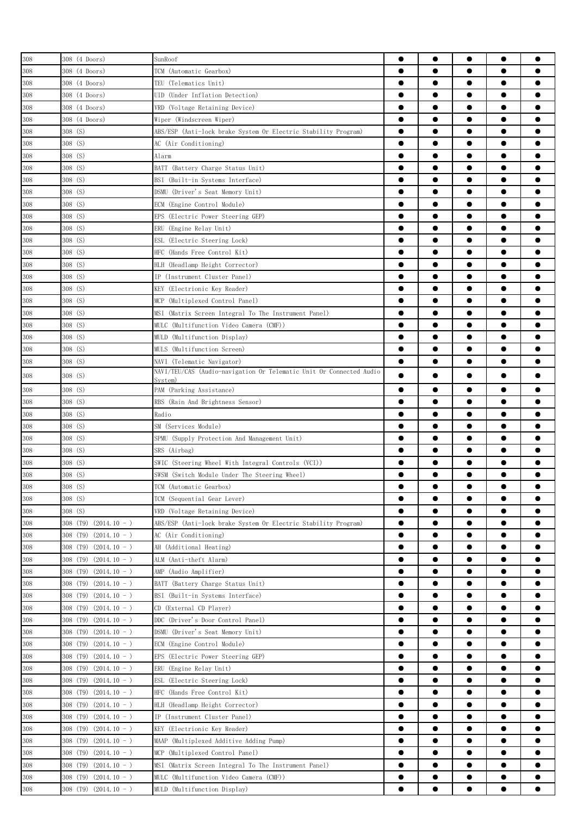| 308 | 308 (4 Doors)              | SunRoof                                                             | $\bullet$ | $\bullet$ | $\bullet$ | $\bullet$ |           |
|-----|----------------------------|---------------------------------------------------------------------|-----------|-----------|-----------|-----------|-----------|
| 308 | 308 (4 Doors)              | TCM (Automatic Gearbox)                                             | $\bullet$ | $\bullet$ |           | $\bullet$ |           |
| 308 | 308 (4 Doors)              | TEU (Telematics Unit)                                               | $\bullet$ | $\bullet$ | $\bullet$ | $\bullet$ |           |
| 308 | 308 (4 Doors)              | UID (Under Inflation Detection)                                     | $\bullet$ | $\bullet$ | $\bullet$ | $\bullet$ |           |
| 308 | 308 (4 Doors)              | VRD (Voltage Retaining Device)                                      | $\bullet$ | $\bullet$ |           | $\bullet$ |           |
| 308 | 308 (4 Doors)              | Wiper (Windscreen Wiper)                                            | $\bullet$ | ●         | ●         | $\bullet$ |           |
| 308 | 308 (S)                    |                                                                     | $\bullet$ | ●         | ●         | $\bullet$ |           |
|     | 308 (S)                    | ABS/ESP (Anti-lock brake System Or Electric Stability Program)      | $\bullet$ |           |           | $\bullet$ |           |
| 308 |                            | AC (Air Conditioning)                                               |           |           |           |           |           |
| 308 | 308 (S)                    | Alarm                                                               | ●         |           |           | $\bullet$ |           |
| 308 | 308 (S)                    | BATT (Battery Charge Status Unit)                                   |           | $\bullet$ |           | $\bullet$ |           |
| 308 | 308 (S)                    | BSI (Built-in Systems Interface)                                    |           |           |           | $\bullet$ |           |
| 308 | 308 (S)                    | DSMU (Driver's Seat Memory Unit)                                    |           | ●         |           | $\bullet$ |           |
| 308 | 308 (S)                    | ECM (Engine Control Module)                                         | $\bullet$ | $\bullet$ | $\bullet$ | $\bullet$ | ●         |
| 308 | 308 (S)                    | EPS (Electric Power Steering GEP)                                   | $\bullet$ | $\bullet$ | $\bullet$ | $\bullet$ |           |
| 308 | 308 (S)                    | ERU (Engine Relay Unit)                                             |           | $\bullet$ |           | $\bullet$ |           |
| 308 | 308 (S)                    | ESL (Electric Steering Lock)                                        | $\bullet$ | $\bullet$ | $\bullet$ | $\bullet$ |           |
| 308 | 308 (S)                    | (Hands Free Control Kit)<br>HFC                                     | $\bullet$ | $\bullet$ | $\bullet$ | $\bullet$ |           |
| 308 | 308 (S)                    | HLH (Headlamp Height Corrector)                                     | $\bullet$ | ●         |           | $\bullet$ |           |
| 308 | 308 (S)                    | IP (Instrument Cluster Panel)                                       |           | ●         |           | $\bullet$ |           |
| 308 | 308 (S)                    | KEY<br>(Electrionic Key Reader)                                     |           |           |           | $\bullet$ |           |
| 308 | 308 (S)                    | (Multiplexed Control Panel)<br>MCP                                  |           |           |           | $\bullet$ |           |
| 308 | 308 (S)                    | MSI (Matrix Screen Integral To The Instrument Panel)                |           |           |           | $\bullet$ |           |
| 308 | 308 (S)                    | MULC (Multifunction Video Camera (CMF))                             | 0         |           |           |           |           |
| 308 | 308 (S)                    | MULD (Multifunction Display)                                        | $\bullet$ | ●         |           | $\bullet$ |           |
| 308 | 308 (S)                    | MULS (Multifunction Screen)                                         | $\bullet$ | $\bullet$ |           | $\bullet$ |           |
| 308 | 308 (S)                    | NAVI (Telematic Navigator)                                          | $\bullet$ | $\bullet$ |           | $\bullet$ |           |
| 308 | 308 (S)                    | NAVI/TEU/CAS (Audio-navigation Or Telematic Unit Or Connected Audio | ●         |           |           | $\bullet$ |           |
|     | 308 (S)                    | Svstem)                                                             | $\bullet$ | ●         |           | $\bullet$ |           |
| 308 |                            | PAM (Parking Assistance)                                            |           |           |           |           |           |
| 308 | 308 (S)                    | RBS (Rain And Brightness Sensor)                                    | $\bullet$ | $\bullet$ | $\bullet$ | $\bullet$ |           |
| 308 | 308 (S)                    | Radio                                                               | $\bullet$ | $\bullet$ | $\bullet$ | $\bullet$ |           |
| 308 | 308 (S)                    | SM (Services Module)                                                | $\bullet$ | $\bullet$ |           | $\bullet$ |           |
| 308 | 308 (S)                    | SPMU (Supply Protection And Management Unit)                        | $\bullet$ | $\bullet$ | $\bullet$ | $\bullet$ |           |
| 308 | 308 (S)                    | SRS (Airbag)                                                        | $\bullet$ | $\bullet$ |           | $\bullet$ |           |
| 308 | 308 (S)                    | SWIC (Steering Wheel With Integral Controls (VCI))                  | $\bullet$ | ●         |           | $\bullet$ |           |
| 308 | 308 (S)                    | SWSM (Switch Module Under The Steering Wheel)                       | ●         | ●         |           | $\bullet$ |           |
| 308 | 308 (S)                    | TCM (Automatic Gearbox)                                             |           |           |           |           |           |
| 308 | 308 (S)                    | TCM (Sequential Gear Lever)                                         |           |           |           |           |           |
| 308 | 308 (S)                    | VRD (Voltage Retaining Device)                                      | $\bullet$ |           |           |           |           |
| 308 | $308$ (T9) $(2014.10 - )$  | ABS/ESP (Anti-lock brake System Or Electric Stability Program)      | $\bullet$ |           |           |           |           |
| 308 | 308 (T9)<br>$(2014.10 - )$ | AC (Air Conditioning)                                               | $\bullet$ | $\bullet$ |           | $\bullet$ |           |
| 308 | $308$ (T9) $(2014.10 - )$  | AH (Additional Heating)                                             | $\bullet$ | $\bullet$ | $\bullet$ | $\bullet$ | $\bullet$ |
| 308 | $(2014.10 - )$<br>308 (T9) | ALM (Anti-theft Alarm)                                              | $\bullet$ | $\bullet$ | $\bullet$ | $\bullet$ | $\bullet$ |
| 308 | $308$ (T9) $(2014.10 - )$  | AMP (Audio Amplifier)                                               | $\bullet$ | $\bullet$ | $\bullet$ | $\bullet$ |           |
| 308 | $308$ (T9) $(2014.10 - )$  | BATT (Battery Charge Status Unit)                                   | $\bullet$ | $\bullet$ | $\bullet$ | $\bullet$ | $\bullet$ |
| 308 | $308$ (T9) $(2014.10 - )$  | BSI (Built-in Systems Interface)                                    | $\bullet$ | $\bullet$ | $\bullet$ | $\bullet$ |           |
| 308 | 308 (T9) $(2014.10 - )$    | CD (External CD Player)                                             | $\bullet$ | $\bullet$ | $\bullet$ | $\bullet$ |           |
| 308 | 308 (T9)<br>$(2014.10 - )$ | DDC (Driver's Door Control Panel)                                   | $\bullet$ | $\bullet$ | $\bullet$ | $\bullet$ |           |
| 308 | $(2014.10 - )$<br>308 (T9) | DSMU (Driver's Seat Memory Unit)                                    | $\bullet$ |           |           | $\bullet$ |           |
| 308 | $308$ (T9) $(2014.10 - )$  | ECM (Engine Control Module)                                         | $\bullet$ |           |           | $\bullet$ |           |
| 308 | $308$ (T9) $(2014.10 - )$  | EPS (Electric Power Steering GEP)                                   | $\bullet$ |           |           |           |           |
| 308 | $308$ (T9) $(2014.10 - )$  | ERU (Engine Relay Unit)                                             |           |           |           |           |           |
| 308 | $308$ (T9) $(2014.10 - )$  | ESL (Electric Steering Lock)                                        |           |           |           |           |           |
| 308 | $308$ (T9) $(2014.10 - )$  | HFC (Hands Free Control Kit)                                        | $\bullet$ | $\bullet$ |           | $\bullet$ |           |
| 308 | $(2014.10 - )$<br>308 (T9) | HLH (Headlamp Height Corrector)                                     | $\bullet$ | $\bullet$ | $\bullet$ | $\bullet$ | $\bullet$ |
| 308 | 308 (T9)<br>$(2014.10 - )$ | IP (Instrument Cluster Panel)                                       | $\bullet$ | $\bullet$ | $\bullet$ | $\bullet$ |           |
| 308 | $308$ (T9) (2014.10 - )    | KEY (Electrionic Key Reader)                                        | $\bullet$ | $\bullet$ | $\bullet$ | $\bullet$ | $\bullet$ |
|     |                            |                                                                     | $\bullet$ | $\bullet$ | $\bullet$ | $\bullet$ | $\bullet$ |
| 308 | $308$ (T9) $(2014.10 - )$  | MAAP (Multiplexed Additive Adding Pump)                             |           | $\bullet$ | $\bullet$ | $\bullet$ |           |
| 308 | $308$ (T9) (2014.10 - )    | MCP (Multiplexed Control Panel)                                     | $\bullet$ | ●         |           |           |           |
| 308 | $308$ (T9) (2014.10 - )    | MSI (Matrix Screen Integral To The Instrument Panel)                | $\bullet$ |           | $\bullet$ | $\bullet$ |           |
| 308 | $308$ (T9) $(2014.10 - )$  | MULC (Multifunction Video Camera (CMF))                             | $\bullet$ | $\bullet$ | $\bullet$ | $\bullet$ | $\bullet$ |
| 308 | $308$ (T9) $(2014.10 - )$  | MULD (Multifunction Display)                                        | $\bullet$ | $\bullet$ |           | $\bullet$ |           |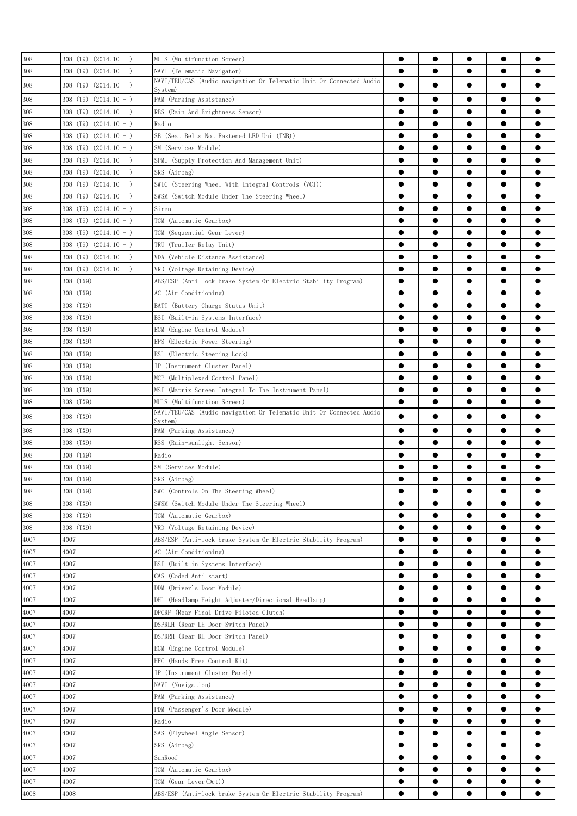| 308               | $308$ (T9) (2014.10 - )   | MULS (Multifunction Screen)                                                    | $\bullet$ | $\bullet$ | $\bullet$ | $\bullet$ |           |
|-------------------|---------------------------|--------------------------------------------------------------------------------|-----------|-----------|-----------|-----------|-----------|
| 308               | $308$ (T9) $(2014.10 - )$ | NAVI (Telematic Navigator)                                                     | $\bullet$ | $\bullet$ |           | $\bullet$ |           |
|                   |                           | NAVI/TEU/CAS (Audio-navigation Or Telematic Unit Or Connected Audio            | ●         |           |           |           |           |
| 308               | $308$ (T9) $(2014.10 - )$ | System)                                                                        |           | ●         |           | $\bullet$ |           |
| 308               | $308$ (T9) $(2014.10 - )$ | PAM (Parking Assistance)                                                       | $\bullet$ |           |           | $\bullet$ |           |
| 308               | $308$ (T9) $(2014.10 - )$ | RBS (Rain And Brightness Sensor)                                               | $\bullet$ | $\bullet$ | $\bullet$ | $\bullet$ |           |
| 308               | $308$ (T9) (2014.10 - )   | Radio                                                                          | $\bullet$ | $\bullet$ | $\bullet$ | $\bullet$ |           |
| 308               | $308$ (T9) (2014.10 - )   | SB (Seat Belts Not Fastened LED Unit(TNB))                                     | $\bullet$ | $\bullet$ | $\bullet$ | $\bullet$ |           |
| 308               | $308$ (T9) $(2014.10 - )$ | SM (Services Module)                                                           | $\bullet$ | $\bullet$ | $\bullet$ | $\bullet$ | $\bullet$ |
| 308               | $308$ (T9) $(2014.10 - )$ | SPMU (Supply Protection And Management Unit)                                   | $\bullet$ | $\bullet$ | $\bullet$ | $\bullet$ |           |
| 308               | $308$ (T9) (2014.10 - )   | SRS (Airbag)                                                                   | $\bullet$ | ●         | ●         | $\bullet$ |           |
| 308               | $308$ (T9) $(2014.10 - )$ | SWIC (Steering Wheel With Integral Controls (VCI))                             | $\bullet$ |           | ●         | $\bullet$ |           |
| 308               | $308$ (T9) (2014.10 - )   | SWSM (Switch Module Under The Steering Wheel)                                  | ●         |           |           | $\bullet$ |           |
| 308               | $308$ (T9) $(2014.10 - )$ | Siren                                                                          | ●         |           |           | $\bullet$ |           |
| 308               | $308$ (T9) $(2014.10 - )$ | TCM (Automatic Gearbox)                                                        | ●         |           |           |           |           |
| 308               | $308$ (T9) $(2014.10 - )$ | TCM (Sequential Gear Lever)                                                    | 0         |           |           |           |           |
| 308               | $308$ (T9) $(2014.10 - )$ | TRU (Trailer Relay Unit)                                                       | ●         | ●         |           | $\bullet$ |           |
| 308               | $308$ (T9) $(2014.10 - )$ | VDA (Vehicle Distance Assistance)                                              | $\bullet$ | $\bullet$ | $\bullet$ | $\bullet$ |           |
| 308               | $308$ (T9) $(2014.10 - )$ | VRD (Voltage Retaining Device)                                                 | $\bullet$ | $\bullet$ | $\bullet$ | $\bullet$ |           |
| 308               | 308 (TX9)                 | ABS/ESP (Anti-lock brake System Or Electric Stability Program)                 | $\bullet$ |           | $\bullet$ | $\bullet$ |           |
| 308               | 308 (TX9)                 | AC (Air Conditioning)                                                          | $\bullet$ | $\bullet$ | $\bullet$ | $\bullet$ | $\bullet$ |
| 308               | 308 (TX9)                 | BATT (Battery Charge Status Unit)                                              | $\bullet$ | $\bullet$ | $\bullet$ | $\bullet$ |           |
|                   |                           |                                                                                | ●         | ●         | ●         | $\bullet$ |           |
| 308<br>308        | 308 (TX9)<br>308 (TX9)    | BSI (Built-in Systems Interface)                                               | $\bullet$ | $\bullet$ | $\bullet$ | $\bullet$ |           |
|                   |                           | ECM (Engine Control Module)                                                    |           |           |           |           |           |
| 308               | 308 (TX9)                 | EPS (Electric Power Steering)                                                  | $\bullet$ |           |           | $\bullet$ |           |
| 308               | 308 (TX9)                 | ESL (Electric Steering Lock)                                                   | ●         |           |           | $\bullet$ |           |
| 308               | 308 (TX9)                 | IP (Instrument Cluster Panel)                                                  | $\bullet$ |           |           | $\bullet$ |           |
| 308               | 308 (TX9)                 | MCP (Multiplexed Control Panel)                                                |           |           |           | $\bullet$ |           |
| 308               | 308 (TX9)                 | MSI (Matrix Screen Integral To The Instrument Panel)                           | $\bullet$ |           |           | $\bullet$ |           |
| 308               | 308 (TX9)                 | MULS (Multifunction Screen)                                                    | $\bullet$ | $\bullet$ |           | $\bullet$ |           |
| 308               | 308 (TX9)                 | NAVI/TEU/CAS (Audio-navigation Or Telematic Unit Or Connected Audio<br>Svstem) | ●         |           | ●         | $\bullet$ |           |
| 308               | 308 (TX9)                 | PAM (Parking Assistance)                                                       | $\bullet$ | ●         |           | $\bullet$ |           |
| 308               | 308 (TX9)                 | RSS (Rain-sunlight Sensor)                                                     | $\bullet$ | $\bullet$ |           | $\bullet$ |           |
| 308               | 308 (TX9)                 | Radio                                                                          | $\bullet$ | $\bullet$ | $\bullet$ | $\bullet$ |           |
| 308               | 308 (TX9)                 | SM (Services Module)                                                           | $\bullet$ |           |           | $\bullet$ |           |
| 308               | 308 (TX9)                 | SRS (Airbag)                                                                   |           | 0         |           | $\bullet$ |           |
|                   | 308 (TX9)                 | SWC (Controls On The Steering Wheel)                                           |           |           |           |           |           |
| $\frac{308}{308}$ | 308 (TX9)                 | SWSM (Switch Module Under The Steering Wheel)                                  | $\bullet$ | ●         |           | $\bullet$ |           |
| 308               | 308 (TX9)                 | TCM (Automatic Gearbox)                                                        | ●         | ●         |           | $\bullet$ |           |
| 308               | 308 (TX9)                 | VRD (Voltage Retaining Device)                                                 | $\bullet$ |           |           | $\bullet$ |           |
| 4007              | 4007                      | ABS/ESP (Anti-lock brake System Or Electric Stability Program)                 |           |           |           | $\bullet$ |           |
| 4007              | 4007                      | AC (Air Conditioning)                                                          | ●         |           |           |           |           |
| 4007              | 4007                      | BSI (Built-in Systems Interface)                                               | $\bullet$ |           |           |           |           |
|                   | 4007                      | CAS (Coded Anti-start)                                                         | $\bullet$ |           |           |           |           |
| 4007              |                           | DDM (Driver's Door Module)                                                     | $\bullet$ |           |           | $\bullet$ | e         |
| 4007              | 4007                      |                                                                                |           |           |           |           |           |
| 4007              | 4007                      | DHL (Headlamp Height Adjuster/Directional Headlamp)                            | $\bullet$ | $\bullet$ | $\bullet$ | $\bullet$ |           |
| 4007              | 4007                      | DPCRF (Rear Final Drive Piloted Clutch)                                        | $\bullet$ | $\bullet$ |           | $\bullet$ |           |
| 4007              | 4007                      | DSPRLH (Rear LH Door Switch Panel)                                             | $\bullet$ | $\bullet$ | $\bullet$ | $\bullet$ |           |
| $4007\,$          | 4007                      | DSPRRH (Rear RH Door Switch Panel)                                             | $\bullet$ | $\bullet$ | $\bullet$ | $\bullet$ | $\bullet$ |
| 4007              | 4007                      | ECM (Engine Control Module)                                                    | $\bullet$ | $\bullet$ | $\bullet$ | $\bullet$ |           |
| 4007              | 4007                      | HFC (Hands Free Control Kit)                                                   | ●         | ●         |           | $\bullet$ |           |
| 4007              | 4007                      | IP (Instrument Cluster Panel)                                                  | $\bullet$ |           | $\bullet$ | $\bullet$ |           |
| 4007              | 4007                      | NAVI (Navigation)                                                              | $\bullet$ |           |           | $\bullet$ |           |
| 4007              | 4007                      | PAM (Parking Assistance)                                                       | ●         |           |           | $\bullet$ |           |
| 4007              | 4007                      | PDM (Passenger's Door Module)                                                  | $\bullet$ |           |           | $\bullet$ |           |
| 4007              | 4007                      | Radio                                                                          | 0         |           |           |           |           |
| 4007              | 4007                      | SAS (Flywheel Angle Sensor)                                                    | $\bullet$ |           |           |           |           |
| 4007              | 4007                      | SRS (Airbag)                                                                   | $\bullet$ | $\bullet$ |           | $\bullet$ | $\bullet$ |
| 4007              | 4007                      | SunRoof                                                                        | $\bullet$ | $\bullet$ | $\bullet$ | $\bullet$ |           |
| 4007              | 4007                      | TCM (Automatic Gearbox)                                                        | $\bullet$ | $\bullet$ | $\bullet$ | $\bullet$ |           |
| 4007              | 4007                      | TCM (Gear Lever(Dct))                                                          | $\bullet$ | $\bullet$ |           | $\bullet$ |           |
| 4008              | 4008                      | ABS/ESP (Anti-lock brake System Or Electric Stability Program)                 | $\bullet$ |           |           |           |           |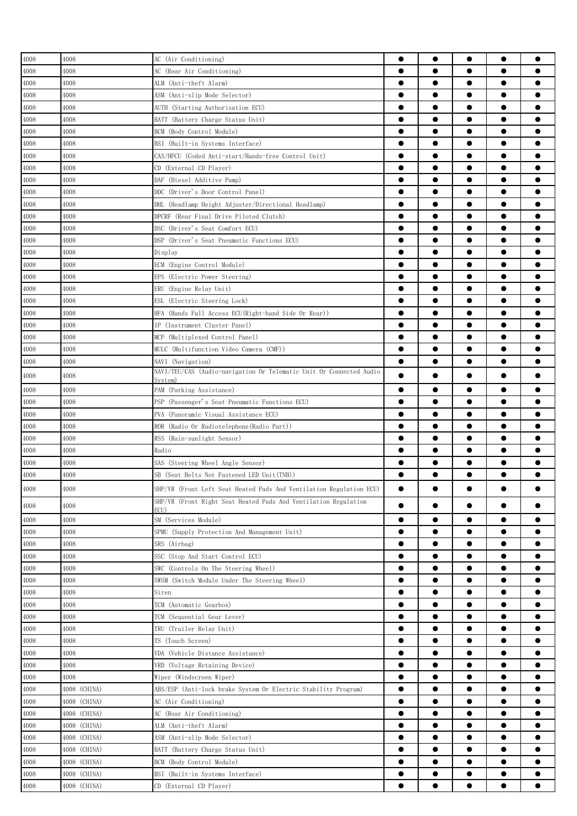| 4008 | 4008         | AC (Air Conditioning)                                                                    |           | $\bullet$ |           | $\bullet$ |           |
|------|--------------|------------------------------------------------------------------------------------------|-----------|-----------|-----------|-----------|-----------|
| 4008 | 4008         | AC (Rear Air Conditioning)                                                               | $\bullet$ | $\bullet$ |           | $\bullet$ |           |
| 4008 | 4008         | ALM (Anti-theft Alarm)                                                                   |           | $\bullet$ | $\bullet$ | $\bullet$ |           |
| 4008 | 4008         | ASM (Anti-slip Mode Selector)                                                            |           | $\bullet$ | $\bullet$ | $\bullet$ |           |
| 4008 | 4008         | AUTH (Starting Authorisation ECU)                                                        | $\bullet$ | $\bullet$ | $\bullet$ | $\bullet$ |           |
|      |              |                                                                                          |           | $\bullet$ |           | $\bullet$ |           |
| 4008 | 4008         | BATT (Battery Charge Status Unit)                                                        |           | ●         | ●         | $\bullet$ |           |
| 4008 | 4008         | BCM (Body Control Module)                                                                |           |           |           |           |           |
| 4008 | 4008         | BSI (Built-in Systems Interface)                                                         | $\bullet$ | ●         |           | $\bullet$ |           |
| 4008 | 4008         | CAS/HFCU (Coded Anti-start/Hands-free Control Unit)                                      |           |           |           | $\bullet$ |           |
| 4008 | 4008         | CD (External CD Player)                                                                  |           |           |           | $\bullet$ |           |
| 4008 | 4008         | DAF (Diesel Additive Pump)                                                               |           |           |           | $\bullet$ |           |
| 4008 | 4008         | DDC (Driver's Door Control Panel)                                                        | $\bullet$ |           |           | $\bullet$ |           |
| 4008 | 4008         | DHL (Headlamp Height Adjuster/Directional Headlamp)                                      |           | $\bullet$ |           | $\bullet$ |           |
| 4008 | 4008         | DPCRF (Rear Final Drive Piloted Clutch)                                                  | $\bullet$ | $\bullet$ | $\bullet$ | $\bullet$ |           |
| 4008 | 4008         | DSC (Driver's Seat Comfort ECU)                                                          | $\bullet$ | $\bullet$ |           | $\bullet$ |           |
| 4008 | 4008         | DSP (Driver's Seat Pneumatic Functions ECU)                                              |           | $\bullet$ |           | $\bullet$ |           |
| 4008 | 4008         | Display                                                                                  | $\bullet$ | $\bullet$ | $\bullet$ | $\bullet$ |           |
| 4008 | 4008         | ECM (Engine Control Module)                                                              | $\bullet$ | $\bullet$ |           | $\bullet$ |           |
| 4008 | 4008         | EPS (Electric Power Steering)                                                            |           | ●         |           | $\bullet$ |           |
| 4008 | 4008         | ERU (Engine Relay Unit)                                                                  | $\bullet$ | ●         |           | $\bullet$ |           |
| 4008 | 4008         | ESL (Electric Steering Lock)                                                             |           |           |           | $\bullet$ |           |
| 4008 | 4008         | HFA (Hands Full Access ECU(Right-hand Side Or Rear))                                     | 0         |           |           | $\bullet$ |           |
| 4008 | 4008         | IP (Instrument Cluster Panel)                                                            |           |           |           | $\bullet$ |           |
| 4008 | 4008         | MCP (Multiplexed Control Panel)                                                          |           |           |           | $\bullet$ |           |
|      |              |                                                                                          |           |           |           | $\bullet$ |           |
| 4008 | 4008         | MULC (Multifunction Video Camera (CMF))                                                  |           |           |           |           |           |
| 4008 | 4008         | NAVI (Navigation)<br>NAVI/TEU/CAS (Audio-navigation Or Telematic Unit Or Connected Audio | $\bullet$ | $\bullet$ |           | $\bullet$ |           |
| 4008 | 4008         | Svstem)                                                                                  | $\bullet$ |           |           | $\bullet$ |           |
| 4008 | 4008         | PAM (Parking Assistance)                                                                 |           |           |           | $\bullet$ |           |
| 4008 | 4008         | PSP (Passenger's Seat Pneumatic Functions ECU)                                           | $\bullet$ | $\bullet$ |           | $\bullet$ |           |
| 4008 | 4008         | PVA (Panoramic Visual Assistance ECU)                                                    | $\bullet$ | $\bullet$ |           | $\bullet$ |           |
| 4008 | 4008         | ROR (Radio Or Radiotelephone(Radio Part))                                                |           | $\bullet$ |           | $\bullet$ |           |
| 4008 | 4008         | RSS (Rain-sunlight Sensor)                                                               |           | $\bullet$ |           | $\bullet$ |           |
| 4008 | 4008         | Radio                                                                                    | $\bullet$ | $\bullet$ |           | $\bullet$ |           |
| 4008 | 4008         | SAS (Steering Wheel Angle Sensor)                                                        | ●         |           |           | $\bullet$ |           |
| 4008 | 4008         | SB (Seat Belts Not Fastened LED Unit(TNB))                                               | ●         | ●         | ●         | $\bullet$ |           |
|      |              |                                                                                          |           |           |           |           |           |
| 4008 | 4008         | SHP/VR (Front Left Seat Heated Pads And Ventilation Regulation ECU)                      |           |           |           |           |           |
| 4008 | 4008         | SHP/VR (Front Right Seat Heated Pads And Ventilation Regulation<br>ECU)                  |           |           |           |           |           |
| 4008 | 4008         | SM (Services Module)                                                                     | $\bullet$ | $\bullet$ | $\bullet$ | $\bullet$ |           |
| 4008 | 4008         | SPMU (Supply Protection And Management Unit)                                             | $\bullet$ | $\bullet$ | $\bullet$ | $\bullet$ |           |
| 4008 | 4008         | SRS (Airbag)                                                                             |           | ●         | $\bullet$ | $\bullet$ |           |
| 4008 | 4008         | SSC (Stop And Start Control ECU)                                                         | $\bullet$ | $\bullet$ | $\bullet$ | $\bullet$ |           |
|      | 4008         | SWC (Controls On The Steering Wheel)                                                     | $\bullet$ |           |           | $\bullet$ |           |
| 4008 |              |                                                                                          |           |           |           |           |           |
| 4008 | 4008         | SWSM (Switch Module Under The Steering Wheel)                                            | $\bullet$ | $\bullet$ |           | $\bullet$ |           |
| 4008 | 4008         | Siren                                                                                    |           |           |           | $\bullet$ |           |
| 4008 | 4008         | TCM (Automatic Gearbox)                                                                  | $\bullet$ |           |           | $\bullet$ |           |
| 4008 | 4008         | TCM (Sequential Gear Lever)                                                              | $\bullet$ | $\bullet$ |           | $\bullet$ |           |
| 4008 | 4008         | TRU (Trailer Relay Unit)                                                                 | $\bullet$ | $\bullet$ | $\bullet$ | $\bullet$ | ●         |
| 4008 | 4008         | TS (Touch Screen)                                                                        | $\bullet$ | $\bullet$ | $\bullet$ | $\bullet$ | $\bullet$ |
| 4008 | 4008         | VDA (Vehicle Distance Assistance)                                                        | $\bullet$ | $\bullet$ | $\bullet$ | $\bullet$ |           |
| 4008 | 4008         | VRD (Voltage Retaining Device)                                                           | $\bullet$ | $\bullet$ | $\bullet$ | $\bullet$ |           |
| 4008 | 4008         | Wiper (Windscreen Wiper)                                                                 | $\bullet$ | $\bullet$ | $\bullet$ | $\bullet$ | $\bullet$ |
| 4008 | 4008 (CHINA) | ABS/ESP (Anti-lock brake System Or Electric Stability Program)                           | $\bullet$ | $\bullet$ | $\bullet$ | $\bullet$ |           |
| 4008 | 4008 (CHINA) | AC (Air Conditioning)                                                                    | $\bullet$ | ●         |           | $\bullet$ |           |
| 4008 | 4008 (CHINA) | AC (Rear Air Conditioning)                                                               | $\bullet$ | $\bullet$ | $\bullet$ | $\bullet$ |           |
| 4008 | 4008 (CHINA) | ALM (Anti-theft Alarm)                                                                   | $\bullet$ |           |           | $\bullet$ |           |
| 4008 | 4008 (CHINA) | ASM (Anti-slip Mode Selector)                                                            | $\bullet$ |           |           | $\bullet$ |           |
| 4008 | 4008 (CHINA) | BATT (Battery Charge Status Unit)                                                        | $\bullet$ |           |           | $\bullet$ |           |
| 4008 | 4008 (CHINA) | BCM (Body Control Module)                                                                | $\bullet$ |           |           |           |           |
| 4008 | 4008 (CHINA) | BSI (Built-in Systems Interface)                                                         | $\bullet$ |           |           |           |           |
| 4008 | 4008 (CHINA) | CD (External CD Player)                                                                  | $\bullet$ | $\bullet$ |           | $\bullet$ |           |
|      |              |                                                                                          |           |           |           |           |           |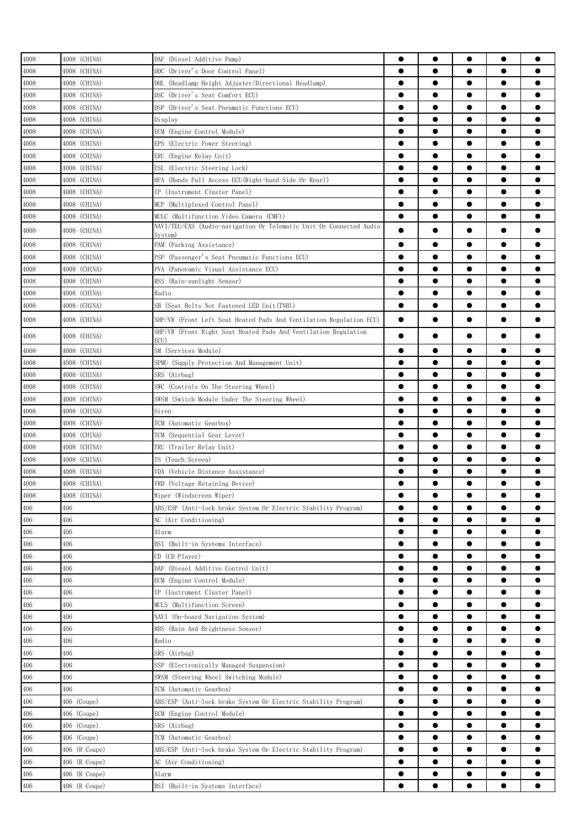| 4008     | 4008 (CHINA)  | DAF (Diesel Additive Pump)                                          |           | $\bullet$ | $\bullet$ | $\bullet$ | 0         |
|----------|---------------|---------------------------------------------------------------------|-----------|-----------|-----------|-----------|-----------|
| 4008     | 4008 (CHINA)  | DDC<br>(Driver's Door Control Panel)                                | $\bullet$ |           | $\bullet$ | $\bullet$ |           |
| 4008     | 4008 (CHINA)  | DHL (Headlamp Height Adjuster/Directional Headlamp)                 | $\bullet$ | $\bullet$ | $\bullet$ | $\bullet$ |           |
| 4008     | 4008 (CHINA)  | DSC (Driver's Seat Comfort ECU)                                     | $\bullet$ | $\bullet$ | $\bullet$ | $\bullet$ |           |
| 4008     | 4008 (CHINA)  | DSP (Driver's Seat Pneumatic Functions ECU)                         | $\bullet$ | $\bullet$ | $\bullet$ | $\bullet$ | $\bullet$ |
| 4008     | 4008 (CHINA)  | Display                                                             | $\bullet$ | ●         | $\bullet$ | $\bullet$ |           |
| 4008     | 4008 (CHINA)  | ECM (Engine Control Module)                                         |           | ●         | $\bullet$ | $\bullet$ | Α         |
| 4008     | 4008 (CHINA)  | EPS (Electric Power Steering)                                       | $\bullet$ | ●         | $\bullet$ | $\bullet$ |           |
| 4008     | 4008 (CHINA)  | ERU (Engine Relay Unit)                                             |           |           |           | $\bullet$ |           |
| 4008     | 4008 (CHINA)  | ESL (Electric Steering Lock)                                        |           |           | $\bullet$ | $\bullet$ |           |
| 4008     | 4008 (CHINA)  | HFA (Hands Full Access ECU(Right-hand Side Or Rear))                |           | ●         | $\bullet$ | $\bullet$ |           |
| 4008     | 4008 (CHINA)  | IP (Instrument Cluster Panel)                                       | $\bullet$ | ●         |           | $\bullet$ |           |
| 4008     | 4008 (CHINA)  | MCP (Multiplexed Control Panel)                                     |           | ●         | $\bullet$ | $\bullet$ |           |
| 4008     | 4008 (CHINA)  | MULC (Multifunction Video Camera (CMF))                             | $\bullet$ | $\bullet$ | $\bullet$ | $\bullet$ |           |
|          |               | NAVI/TEU/CAS (Audio-navigation Or Telematic Unit Or Connected Audio |           |           |           |           |           |
| 4008     | 4008 (CHINA)  | System)                                                             | ●         |           | e         | $\bullet$ |           |
| 4008     | 4008 (CHINA)  | PAM (Parking Assistance)                                            | $\bullet$ | ●         | $\bullet$ | $\bullet$ |           |
| 4008     | 4008 (CHINA)  | PSP (Passenger's Seat Pneumatic Functions ECU)                      | $\bullet$ | $\bullet$ | $\bullet$ | $\bullet$ |           |
| 4008     | 4008 (CHINA)  | PVA (Panoramic Visual Assistance ECU)                               | $\bullet$ | $\bullet$ | $\bullet$ | $\bullet$ |           |
| 4008     | 4008 (CHINA)  | RSS (Rain-sunlight Sensor)                                          | $\bullet$ |           | $\bullet$ | $\bullet$ | ●         |
| 4008     | 4008 (CHINA)  | Radio                                                               | $\bullet$ | $\bullet$ | $\bullet$ | $\bullet$ | ●         |
| 4008     | 4008 (CHINA)  | SB (Seat Belts Not Fastened LED Unit(TNB))                          | $\bullet$ | $\bullet$ | $\bullet$ | $\bullet$ |           |
| 4008     | 4008 (CHINA)  | SHP/VR (Front Left Seat Heated Pads And Ventilation Regulation ECU) | $\bullet$ |           |           | $\bullet$ |           |
|          |               | SHP/VR (Front Right Seat Heated Pads And Ventilation Regulation     |           |           |           |           |           |
| 4008     | 4008 (CHINA)  | ECU)                                                                |           |           | e         | $\bullet$ |           |
| 4008     | 4008 (CHINA)  | SM (Services Module)                                                | $\bullet$ | $\bullet$ | $\bullet$ | $\bullet$ |           |
| 4008     | 4008 (CHINA)  | SPMU (Supply Protection And Management Unit)                        |           |           | $\bullet$ | $\bullet$ |           |
| 4008     | 4008 (CHINA)  | SRS (Airbag)                                                        | $\bullet$ | $\bullet$ | $\bullet$ | $\bullet$ | $\bullet$ |
| 4008     | 4008 (CHINA)  | SWC (Controls On The Steering Wheel)                                | $\bullet$ | $\bullet$ | $\bullet$ | $\bullet$ |           |
| 4008     | 4008 (CHINA)  | SWSM (Switch Module Under The Steering Wheel)                       | ●         |           | $\bullet$ | $\bullet$ |           |
| 4008     | 4008 (CHINA)  | Siren                                                               | $\bullet$ | ●         | $\bullet$ | $\bullet$ |           |
| 4008     | 4008 (CHINA)  | TCM (Automatic Gearbox)                                             | $\bullet$ | $\bullet$ | $\bullet$ | $\bullet$ |           |
| 4008     | 4008 (CHINA)  | TCM (Sequential Gear Lever)                                         |           |           | $\bullet$ | $\bullet$ |           |
| 4008     | 4008 (CHINA)  | TRU (Trailer Relay Unit)                                            |           | $\bullet$ | $\bullet$ | $\bullet$ |           |
| 4008     | 4008 (CHINA)  | TS (Touch Screen)                                                   |           |           |           | $\bullet$ |           |
| 4008     | 4008 (CHINA)  | VDA (Vehicle Distance Assistance)                                   | $\bullet$ |           | $\bullet$ | $\bullet$ |           |
| $4008\,$ | 4008 (CHINA)  | VRD (Voltage Retaining Device)                                      | ●         | ●         | ●         | ●         |           |
| 4008     | 4008 (CHINA)  | Wiper (Windscreen Wiper)                                            | $\bullet$ | $\bullet$ | $\bullet$ | $\bullet$ | $\bullet$ |
| 406      | 406           | ABS/ESP (Anti-lock brake System Or Electric Stability Program)      | $\bullet$ | $\bullet$ | $\bullet$ | $\bullet$ |           |
| 406      | 406           | AC (Air Conditioning)                                               | $\bullet$ | $\bullet$ | $\bullet$ | $\bullet$ |           |
| 406      | 406           | Alarm                                                               | $\bullet$ | $\bullet$ | $\bullet$ | $\bullet$ |           |
| 406      | 406           | BSI (Built-in Systems Interface)                                    | $\bullet$ | $\bullet$ | $\bullet$ | $\bullet$ |           |
| 406      | 406           | CD (CD Player)                                                      | $\bullet$ | $\bullet$ | $\bullet$ | $\bullet$ | А         |
| 406      | 406           | DAF (Diesel Additive Control Unit)                                  | $\bullet$ |           |           | $\bullet$ |           |
| 406      | 406           | ECM (Engine Control Module)                                         | $\bullet$ |           | $\bullet$ | $\bullet$ |           |
| 406      | 406           | IP (Instrument Cluster Panel)                                       |           | $\bullet$ |           | $\bullet$ |           |
| 406      | 406           | MULS (Multifunction Screen)                                         | $\bullet$ | $\bullet$ |           | $\bullet$ |           |
| 406      | 406           | NAVI (On-board Navigation System)                                   | $\bullet$ | $\bullet$ |           | $\bullet$ |           |
| 406      | 406           | RBS (Rain And Brightness Sensor)                                    | $\bullet$ | $\bullet$ |           | $\bullet$ | ●         |
| 406      | 406           | Radio                                                               | $\bullet$ | $\bullet$ | $\bullet$ | $\bullet$ | ●         |
| 406      | 406           | SRS (Airbag)                                                        | $\bullet$ | $\bullet$ | $\bullet$ | $\bullet$ |           |
| 406      | 406           | SSP (Electronically Managed Suspension)                             | $\bullet$ | $\bullet$ | $\bullet$ | $\bullet$ |           |
| 406      | 406           | SWSM (Steering Wheel Switching Module)                              | $\bullet$ | $\bullet$ | $\bullet$ | $\bullet$ |           |
| 406      | 406           | TCM (Automatic Gearbox)                                             | $\bullet$ | $\bullet$ | $\bullet$ | $\bullet$ |           |
| 406      | 406 (Coupe)   | ABS/ESP (Anti-lock brake System Or Electric Stability Program)      | $\bullet$ |           |           | $\bullet$ |           |
| 406      | 406 (Coupe)   |                                                                     | $\bullet$ |           |           | $\bullet$ |           |
|          |               | ECM (Engine Control Module)                                         | $\bullet$ |           |           | $\bullet$ |           |
| 406      | 406 (Coupe)   | SRS (Airbag)                                                        |           |           |           |           |           |
| 406      | 406 (Coupe)   | TCM (Automatic Gearbox)                                             |           |           |           |           |           |
| 406      | 406 (R Coupe) | ABS/ESP (Anti-lock brake System Or Electric Stability Program)      | $\bullet$ |           |           | $\bullet$ |           |
| 406      | 406 (R Coupe) | AC (Air Conditioning)                                               | $\bullet$ | $\bullet$ |           | $\bullet$ |           |
| 406      | 406 (R Coupe) | Alarm                                                               |           | $\bullet$ |           | $\bullet$ |           |
| 406      | 406 (R Coupe) | BSI (Built-in Systems Interface)                                    | $\bullet$ | $\bullet$ |           | $\bullet$ |           |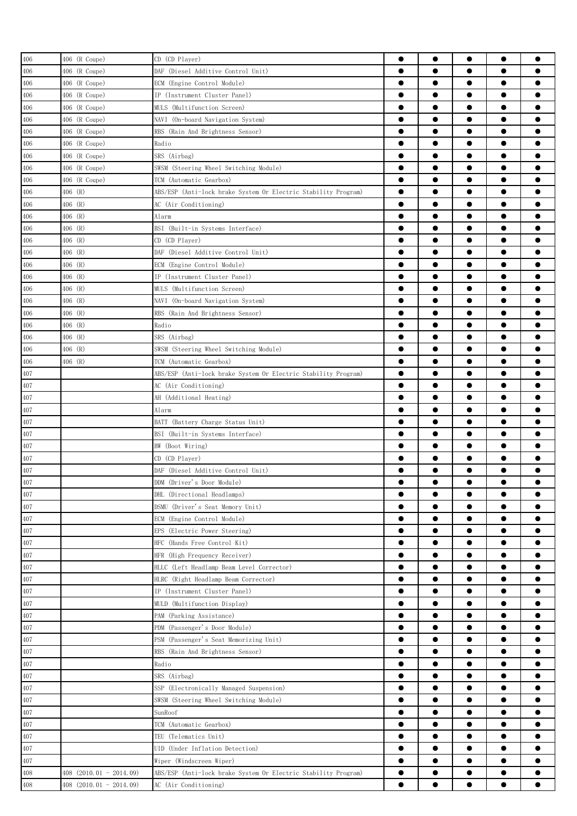| 406     | 406 (R Coupe)           | CD (CD Player)                                                 | $\bullet$ | $\bullet$ | $\bullet$ | $\bullet$ |           |
|---------|-------------------------|----------------------------------------------------------------|-----------|-----------|-----------|-----------|-----------|
| 406     | 406 (R Coupe)           | DAF (Diesel Additive Control Unit)                             | $\bullet$ | $\bullet$ | $\bullet$ | $\bullet$ |           |
| 406     | 406 (R Coupe)           | ECM (Engine Control Module)                                    | $\bullet$ | $\bullet$ | $\bullet$ | $\bullet$ |           |
| 406     | 406 (R Coupe)           | IP (Instrument Cluster Panel)                                  | $\bullet$ | $\bullet$ | $\bullet$ | $\bullet$ |           |
| 406     | 406 (R Coupe)           | MULS (Multifunction Screen)                                    | $\bullet$ | $\bullet$ | $\bullet$ | $\bullet$ | $\bullet$ |
| 406     | 406 (R Coupe)           | NAVI (On-board Navigation System)                              | $\bullet$ | $\bullet$ | $\bullet$ | $\bullet$ |           |
| 406     | 406 (R Coupe)           | RBS (Rain And Brightness Sensor)                               |           | ●         | $\bullet$ | $\bullet$ |           |
| 406     | 406 (R Coupe)           | Radio                                                          | $\bullet$ | $\bullet$ | $\bullet$ | $\bullet$ |           |
| 406     | 406 (R Coupe)           | SRS (Airbag)                                                   | $\bullet$ |           |           | $\bullet$ |           |
| 406     | 406 (R Coupe)           | SWSM (Steering Wheel Switching Module)                         |           | ●         | ∙         | $\bullet$ |           |
| 406     | 406 (R Coupe)           | TCM (Automatic Gearbox)                                        |           | ●         |           | $\bullet$ |           |
|         | 406 (R)                 |                                                                | $\bullet$ |           |           | $\bullet$ |           |
| 406     |                         | ABS/ESP (Anti-lock brake System Or Electric Stability Program) |           | $\bullet$ | $\bullet$ |           | Α         |
| 406     | 406 (R)                 | AC (Air Conditioning)                                          | $\bullet$ |           |           | $\bullet$ |           |
| 406     | 406 (R)                 | Alarm                                                          | $\bullet$ | $\bullet$ | $\bullet$ | $\bullet$ |           |
| 406     | 406 (R)                 | BSI (Built-in Systems Interface)                               | $\bullet$ | $\bullet$ | $\bullet$ | $\bullet$ |           |
| 406     | 406 (R)                 | CD (CD Player)                                                 | $\bullet$ | $\bullet$ | $\bullet$ | $\bullet$ | Α         |
| 406     | 406 (R)                 | DAF (Diesel Additive Control Unit)                             | $\bullet$ | $\bullet$ | $\bullet$ | $\bullet$ | ●         |
| 406     | 406 (R)                 | ECM (Engine Control Module)                                    | $\bullet$ | $\bullet$ | $\bullet$ | $\bullet$ |           |
| 406     | 406 (R)                 | IP (Instrument Cluster Panel)                                  |           | ●         | $\bullet$ | $\bullet$ |           |
| 406     | 406 (R)                 | MULS (Multifunction Screen)                                    | $\bullet$ | ●         | $\bullet$ | $\bullet$ |           |
| 406     | 406 (R)                 | NAVI (On-board Navigation System)                              | $\bullet$ |           |           | $\bullet$ |           |
| 406     | 406 (R)                 | RBS (Rain And Brightness Sensor)                               |           |           |           | $\bullet$ |           |
| 406     | 406 (R)                 | Radio                                                          | $\bullet$ | $\bullet$ |           | $\bullet$ |           |
| 406     | 406 (R)                 | SRS (Airbag)                                                   | $\bullet$ | $\bullet$ |           | $\bullet$ |           |
| 406     | 406 (R)                 | SWSM (Steering Wheel Switching Module)                         | $\bullet$ |           |           | $\bullet$ |           |
| 406     | 406 (R)                 | TCM (Automatic Gearbox)                                        | $\bullet$ | $\bullet$ | $\bullet$ | $\bullet$ |           |
| 407     |                         | ABS/ESP (Anti-lock brake System Or Electric Stability Program) | $\bullet$ | $\bullet$ | $\bullet$ | $\bullet$ |           |
| 407     |                         | AC (Air Conditioning)                                          | $\bullet$ | $\bullet$ | $\bullet$ | $\bullet$ |           |
| 407     |                         | AH (Additional Heating)                                        | $\bullet$ | $\bullet$ | $\bullet$ | $\bullet$ | Α         |
| 407     |                         | Alarm                                                          | $\bullet$ | $\bullet$ | $\bullet$ | $\bullet$ |           |
| 407     |                         | BATT (Battery Charge Status Unit)                              |           | $\bullet$ | $\bullet$ | $\bullet$ |           |
| 407     |                         | BSI (Built-in Systems Interface)                               |           | ●         | $\bullet$ | $\bullet$ |           |
| 407     |                         | BW (Boot Wiring)                                               | $\bullet$ | $\bullet$ | $\bullet$ | $\bullet$ |           |
| 407     |                         | CD (CD Player)                                                 | 0         |           | ●         | $\bullet$ |           |
| 407     |                         | DAF (Diesel Additive Control Unit)                             |           |           |           |           |           |
| $407\,$ |                         | DDM (Driver's Door Module)                                     |           | $\bullet$ |           | $\bullet$ |           |
| 407     |                         | DHL (Directional Headlamps)                                    | $\bullet$ | $\bullet$ | $\bullet$ | $\bullet$ | 0         |
| 407     |                         | DSMU (Driver's Seat Memory Unit)                               | $\bullet$ |           |           | $\bullet$ | ●         |
| 407     |                         | ECM (Engine Control Module)                                    | $\bullet$ | $\bullet$ | $\bullet$ | $\bullet$ | $\bullet$ |
| 407     |                         | EPS (Electric Power Steering)                                  | $\bullet$ | $\bullet$ | $\bullet$ | $\bullet$ |           |
| 407     |                         | HFC (Hands Free Control Kit)                                   | $\bullet$ | $\bullet$ | $\bullet$ | $\bullet$ | ●         |
| 407     |                         | HFR (High Frequency Receiver)                                  | $\bullet$ | $\bullet$ | $\bullet$ | $\bullet$ | $\bullet$ |
| 407     |                         | HLLC (Left Headlamp Beam Level Corrector)                      | $\bullet$ | $\bullet$ | $\bullet$ | $\bullet$ |           |
|         |                         |                                                                | $\bullet$ | $\bullet$ | $\bullet$ | $\bullet$ | ●         |
| 407     |                         | HLRC (Right Headlamp Beam Corrector)                           | $\bullet$ | $\bullet$ | $\bullet$ | $\bullet$ |           |
| 407     |                         | IP (Instrument Cluster Panel)                                  |           |           |           |           |           |
| 407     |                         | MULD (Multifunction Display)                                   | $\bullet$ | $\bullet$ | $\bullet$ | $\bullet$ |           |
| 407     |                         | PAM (Parking Assistance)                                       |           |           |           | $\bullet$ |           |
| $407\,$ |                         | PDM (Passenger's Door Module)                                  | $\bullet$ | $\bullet$ | $\bullet$ | $\bullet$ |           |
| 407     |                         | PSM (Passenger's Seat Memorizing Unit)                         | $\bullet$ |           |           | $\bullet$ |           |
| 407     |                         | RBS (Rain And Brightness Sensor)                               | $\bullet$ | $\bullet$ |           | $\bullet$ | ●         |
| 407     |                         | Radio                                                          | $\bullet$ | $\bullet$ | $\bullet$ | $\bullet$ | ●         |
| 407     |                         | SRS (Airbag)                                                   | $\bullet$ | $\bullet$ | $\bullet$ | $\bullet$ | $\bullet$ |
| 407     |                         | SSP (Electronically Managed Suspension)                        | $\bullet$ | $\bullet$ | $\bullet$ | $\bullet$ | $\bullet$ |
| 407     |                         | SWSM (Steering Wheel Switching Module)                         | $\bullet$ | $\bullet$ | $\bullet$ | $\bullet$ |           |
| 407     |                         | SunRoof                                                        | $\bullet$ | $\bullet$ | $\bullet$ | $\bullet$ |           |
| 407     |                         | TCM (Automatic Gearbox)                                        | $\bullet$ | $\bullet$ | $\bullet$ | $\bullet$ |           |
| 407     |                         | TEU (Telematics Unit)                                          |           | ●         |           | $\bullet$ |           |
| 407     |                         | UID (Under Inflation Detection)                                | $\bullet$ | $\bullet$ |           | $\bullet$ |           |
| 407     |                         | Wiper (Windscreen Wiper)                                       | $\bullet$ |           | $\bullet$ | $\bullet$ |           |
| 408     | 408 (2010.01 - 2014.09) | ABS/ESP (Anti-lock brake System Or Electric Stability Program) | $\bullet$ |           |           | $\bullet$ |           |
| 408     | 408 (2010.01 - 2014.09) | AC (Air Conditioning)                                          |           |           |           |           |           |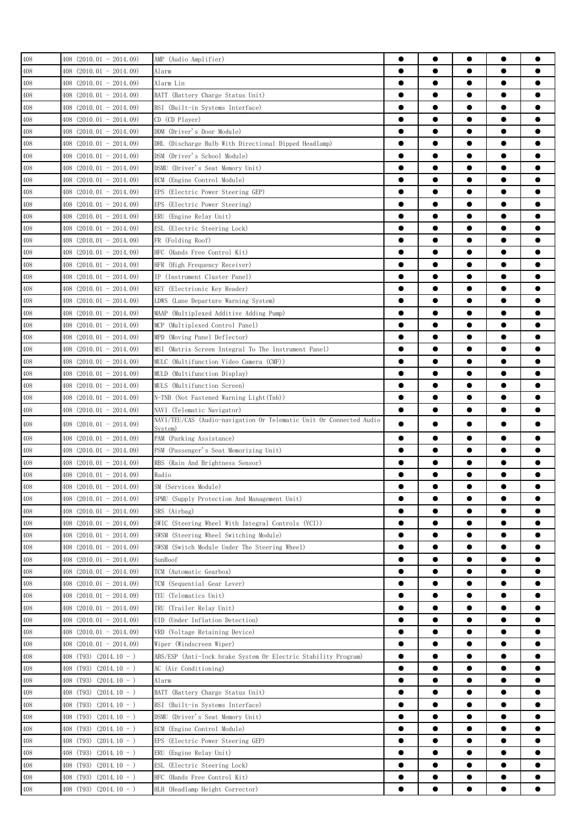| 408 | $408$ $(2010.01 - 2014.09)$   | AMP (Audio Amplifier)                                               | ●         | $\bullet$ | $\bullet$ | $\bullet$ |           |
|-----|-------------------------------|---------------------------------------------------------------------|-----------|-----------|-----------|-----------|-----------|
|     |                               |                                                                     |           |           |           |           |           |
| 408 | 408 (2010.01 - 2014.09)       | Alarm                                                               | $\bullet$ | $\bullet$ |           | $\bullet$ |           |
| 408 | $408$ $(2010.01 - 2014.09)$   | Alarm Lin                                                           | $\bullet$ | $\bullet$ | $\bullet$ | $\bullet$ |           |
| 408 | 408 (2010.01 - 2014.09)       | BATT (Battery Charge Status Unit)                                   | $\bullet$ | $\bullet$ | $\bullet$ | $\bullet$ |           |
| 408 | 408 (2010.01 - 2014.09)       | BSI (Built-in Systems Interface)                                    | $\bullet$ |           |           | $\bullet$ |           |
| 408 | $408$ $(2010, 01 - 2014, 09)$ | CD (CD Player)                                                      | ●         | ●         | ●         | $\bullet$ |           |
| 408 | 408 (2010.01 - 2014.09)       | DDM (Driver's Door Module)                                          |           | ●         | $\bullet$ | $\bullet$ |           |
| 408 | 408 (2010.01 - 2014.09)       | DHL (Discharge Bulb With Directional Dipped Headlamp)               | $\bullet$ |           |           | $\bullet$ |           |
| 408 | 408 (2010.01 - 2014.09)       | DSM (Driver's School Module)                                        |           |           |           |           |           |
| 408 | 408 (2010.01 - 2014.09)       | DSMU (Driver's Seat Memory Unit)                                    |           |           |           | $\bullet$ |           |
|     |                               |                                                                     |           | $\bullet$ |           |           |           |
| 408 | 408 (2010.01 - 2014.09)       | ECM (Engine Control Module)                                         |           | ●         |           |           |           |
| 408 | $408$ $(2010.01 - 2014.09)$   | EPS (Electric Power Steering GEP)                                   | ●         |           |           |           |           |
| 408 | 408 (2010.01 - 2014.09)       | EPS (Electric Power Steering)                                       | $\bullet$ | $\bullet$ | $\bullet$ | $\bullet$ |           |
| 408 | $408$ $(2010.01 - 2014.09)$   | ERU (Engine Relay Unit)                                             | $\bullet$ | $\bullet$ |           | $\bullet$ |           |
| 408 | $408$ $(2010.01 - 2014.09)$   | ESL (Electric Steering Lock)                                        | $\bullet$ | $\bullet$ |           | $\bullet$ |           |
| 408 | $408$ $(2010.01 - 2014.09)$   | FR (Folding Roof)                                                   | ●         | $\bullet$ |           | $\bullet$ |           |
| 408 | 408 (2010.01 - 2014.09)       | HFC (Hands Free Control Kit)                                        | $\bullet$ |           |           | $\bullet$ |           |
| 408 | 408 (2010.01 - 2014.09)       | HFR (High Frequency Receiver)                                       |           |           |           | $\bullet$ |           |
| 408 | 408 (2010.01 - 2014.09)       | IP (Instrument Cluster Panel)                                       | ●         |           |           | $\bullet$ |           |
| 408 | 408 (2010.01 - 2014.09)       | KEY (Electrionic Key Reader)                                        |           |           |           | $\bullet$ |           |
| 408 | $408$ $(2010.01 - 2014.09)$   | LDWS (Lane Departure Warning System)                                | ●         |           |           | $\bullet$ |           |
| 408 | $408$ $(2010.01 - 2014.09)$   | MAAP (Multiplexed Additive Adding Pump)                             |           |           |           |           |           |
| 408 | $408$ $(2010.01 - 2014.09)$   | MCP (Multiplexed Control Panel)                                     |           |           |           |           |           |
|     |                               |                                                                     |           | ●         |           | $\bullet$ |           |
| 408 | $408$ $(2010.01 - 2014.09)$   | MPD (Moving Panel Deflector)                                        |           |           |           |           |           |
| 408 | $408$ $(2010.01 - 2014.09)$   | MSI (Matrix Screen Integral To The Instrument Panel)                | $\bullet$ | ●         |           | $\bullet$ | œ         |
| 408 | $408$ $(2010.01 - 2014.09)$   | MULC (Multifunction Video Camera (CMF))                             | $\bullet$ | $\bullet$ |           | $\bullet$ |           |
| 408 | $408$ $(2010.01 - 2014.09)$   | MULD (Multifunction Display)                                        | $\bullet$ | $\bullet$ | $\bullet$ | $\bullet$ |           |
| 408 | $408$ $(2010.01 - 2014.09)$   | MULS (Multifunction Screen)                                         | $\bullet$ | $\bullet$ | $\bullet$ | $\bullet$ |           |
| 408 | 408 (2010.01 - 2014.09)       | N-TNB (Not Fastened Warning Light(Tnb))                             | $\bullet$ | $\bullet$ | $\bullet$ | $\bullet$ |           |
| 408 | 408 (2010.01 - 2014.09)       | NAVI (Telematic Navigator)                                          | ●         | ●         |           | $\bullet$ |           |
| 408 | 408 (2010.01 - 2014.09)       | NAVI/TEU/CAS (Audio-navigation Or Telematic Unit Or Connected Audio |           |           |           |           |           |
|     |                               | System)                                                             |           |           |           |           |           |
| 408 | $408$ $(2010.01 - 2014.09)$   | PAM (Parking Assistance)                                            | $\bullet$ | $\bullet$ | $\bullet$ | $\bullet$ |           |
| 408 | 408 (2010.01 - 2014.09)       | PSM (Passenger's Seat Memorizing Unit)                              |           | ●         |           | $\bullet$ |           |
| 408 | $408$ $(2010, 01 - 2014, 09)$ | RBS (Rain And Brightness Sensor)                                    | ●         | e         |           | $\bullet$ |           |
| 408 | $408$ $(2010.01 - 2014.09)$   | Radio                                                               | ●         | $\bullet$ |           | $\bullet$ |           |
| 408 | $(2010.01 - 2014.09)$<br>408. | SM (Services Module)                                                |           |           |           |           |           |
| 408 | 408 (2010.01 - 2014.09)       | SPMU (Supply Protection And Management Unit)                        |           |           |           |           |           |
| 408 | $408$ $(2010.01 - 2014.09)$   | SRS (Airbag)                                                        | $\bullet$ | $\bullet$ |           |           |           |
| 408 | $408$ $(2010.01 - 2014.09)$   | SWIC (Steering Wheel With Integral Controls (VCI))                  |           | $\bullet$ |           |           |           |
| 408 | $408$ $(2010.01 - 2014.09)$   | SWSM (Steering Wheel Switching Module)                              | $\bullet$ | $\bullet$ |           | $\bullet$ |           |
| 408 | 408 (2010.01 - 2014.09)       | SWSM (Switch Module Under The Steering Wheel)                       | $\bullet$ | $\bullet$ | $\bullet$ | $\bullet$ | $\bullet$ |
| 408 | $408$ $(2010.01 - 2014.09)$   | SunRoof                                                             | $\bullet$ | $\bullet$ |           | $\bullet$ | $\bullet$ |
| 408 | $408$ $(2010.01 - 2014.09)$   | TCM (Automatic Gearbox)                                             | $\bullet$ | $\bullet$ | $\bullet$ | $\bullet$ |           |
|     |                               |                                                                     | $\bullet$ | $\bullet$ | $\bullet$ | $\bullet$ | $\bullet$ |
| 408 | 408 (2010.01 - 2014.09)       | TCM (Sequential Gear Lever)                                         |           |           |           |           |           |
| 408 | 408 (2010.01 - 2014.09)       | TEU (Telematics Unit)                                               | $\bullet$ | $\bullet$ | $\bullet$ | $\bullet$ |           |
| 408 | 408 (2010.01 - 2014.09)       | TRU (Trailer Relay Unit)                                            | $\bullet$ | $\bullet$ |           | $\bullet$ |           |
| 408 | 408 (2010.01 - 2014.09)       | UID (Under Inflation Detection)                                     | $\bullet$ | $\bullet$ |           | $\bullet$ |           |
| 408 | 408 (2010.01 - 2014.09)       | VRD (Voltage Retaining Device)                                      | $\bullet$ |           |           | $\bullet$ |           |
| 408 | 408 (2010.01 - 2014.09)       | Wiper (Windscreen Wiper)                                            |           |           |           |           |           |
| 408 | 408 (T93) $(2014.10 - )$      | ABS/ESP (Anti-lock brake System Or Electric Stability Program)      |           |           |           |           |           |
| 408 | 408 (T93)<br>$(2014.10 - )$   | AC (Air Conditioning)                                               |           | $\bullet$ |           |           |           |
| 408 | 408 (T93) $(2014.10 - )$      | Alarm                                                               |           |           |           |           | O         |
| 408 | 408 (T93)<br>$(2014.10 - )$   | BATT (Battery Charge Status Unit)                                   | $\bullet$ | ●         |           | $\bullet$ |           |
| 408 | 408 (T93)<br>$(2014.10 - )$   | BSI (Built-in Systems Interface)                                    | $\bullet$ | $\bullet$ |           | $\bullet$ |           |
| 408 | 408 (T93)<br>$(2014.10 - )$   | DSMU (Driver's Seat Memory Unit)                                    | $\bullet$ | $\bullet$ | $\bullet$ | $\bullet$ |           |
|     | 408 (T93)                     |                                                                     | $\bullet$ | $\bullet$ | $\bullet$ | $\bullet$ | 0         |
| 408 | $(2014.10 - )$                | ECM (Engine Control Module)                                         |           |           |           |           |           |
| 408 | 408 (T93)<br>$(2014.10 - )$   | EPS (Electric Power Steering GEP)                                   | $\bullet$ | $\bullet$ | $\bullet$ | $\bullet$ |           |
| 408 | 408 (T93) (2014.10 - )        | ERU (Engine Relay Unit)                                             |           | $\bullet$ | $\bullet$ | $\bullet$ |           |
| 408 | 408 (T93)<br>$(2014.10 - )$   | ESL (Electric Steering Lock)                                        |           | ●         |           | $\bullet$ |           |
| 408 | $408$ (T93) $(2014.10 - )$    | HFC (Hands Free Control Kit)                                        | $\bullet$ | $\bullet$ | $\bullet$ | $\bullet$ | $\bullet$ |
| 408 | 408 (T93) (2014.10 - )        | HLH (Headlamp Height Corrector)                                     |           |           |           |           |           |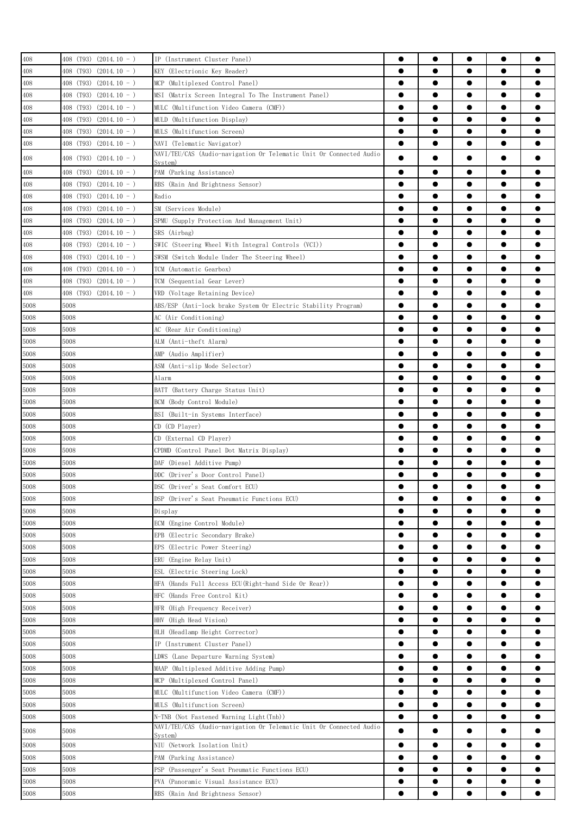| 408  | 408 (T93) (2014.10 - )       | IP (Instrument Cluster Panel)                                                                     | 0         | $\bullet$              | $\bullet$ | $\bullet$              |           |
|------|------------------------------|---------------------------------------------------------------------------------------------------|-----------|------------------------|-----------|------------------------|-----------|
| 408  | 408 (T93)<br>$(2014.10 - )$  | KEY (Electrionic Key Reader)                                                                      | $\bullet$ | $\bullet$              |           | $\bullet$              |           |
| 408  | 408 (T93) (2014.10 - )       | MCP (Multiplexed Control Panel)                                                                   | $\bullet$ |                        | $\bullet$ | $\bullet$              |           |
| 408  | 408 (T93) (2014.10 - )       | MSI (Matrix Screen Integral To The Instrument Panel)                                              | $\bullet$ |                        | $\bullet$ | $\bullet$              |           |
| 408  | $408$ (T93) (2014.10 - )     | MULC (Multifunction Video Camera (CMF))                                                           | $\bullet$ | $\bullet$              | $\bullet$ | $\bullet$              | 0         |
| 408  | 408 (T93) (2014.10 - )       | MULD (Multifunction Display)                                                                      | $\bullet$ | $\bullet$              | $\bullet$ | $\bullet$              |           |
|      |                              |                                                                                                   | $\bullet$ | $\bullet$              | $\bullet$ | $\bullet$              |           |
| 408  | 408 (T93) (2014.10 - )       | MULS (Multifunction Screen)                                                                       | $\bullet$ | $\bullet$              | $\bullet$ | $\bullet$              |           |
| 408  | 408 (T93) (2014.10 - )       | NAVI (Telematic Navigator)<br>NAVI/TEU/CAS (Audio-navigation Or Telematic Unit Or Connected Audio |           |                        |           |                        |           |
| 408  | $408$ (T93) (2014.10 - )     | Svstem)                                                                                           | $\bullet$ |                        |           | $\bullet$              |           |
| 408  | 408 (T93) (2014.10 - )       | PAM (Parking Assistance)                                                                          | $\bullet$ | ●                      |           | $\bullet$              |           |
| 408  | 408 (T93)<br>$(2014.10 - )$  | RBS (Rain And Brightness Sensor)                                                                  | $\bullet$ |                        |           | $\bullet$              |           |
| 408  | 408 (T93)<br>$(2014.10 - )$  | Radio                                                                                             | 0         | ●                      | ●         | $\bullet$              |           |
| 408  | $(2014.10 - )$<br>408 (T93)  | SM (Services Module)                                                                              | 0         |                        |           | $\bullet$              |           |
| 408  | $408$ (T93) (2014.10 - )     | SPMU (Supply Protection And Management Unit)                                                      | 0         |                        |           | $\bullet$              |           |
| 408  | 408 (T93) (2014.10 - )       | SRS (Airbag)                                                                                      |           | ●                      |           | $\bullet$              |           |
| 408  | $(2014.10 - )$<br>408 (T93)  | SWIC (Steering Wheel With Integral Controls (VCI))                                                | $\bullet$ | ●                      |           | $\bullet$              |           |
| 408  | 408 (T93)<br>$(2014.10 - )$  | SWSM (Switch Module Under The Steering Wheel)                                                     | $\bullet$ | $\bullet$              | $\bullet$ | $\bullet$              |           |
| 408  | 408 (T93)<br>$(2014, 10 - )$ | TCM (Automatic Gearbox)                                                                           | $\bullet$ |                        |           | $\bullet$              |           |
| 408  | 408 (T93)<br>$(2014.10 - )$  | TCM (Sequential Gear Lever)                                                                       |           | $\bullet$              | $\bullet$ | $\bullet$              |           |
| 408  | 408 (T93) $(2014.10 - )$     | VRD (Voltage Retaining Device)                                                                    | $\bullet$ | $\bullet$              | $\bullet$ | $\bullet$              | 0         |
| 5008 | 5008                         |                                                                                                   | $\bullet$ |                        | $\bullet$ | $\bullet$              |           |
|      |                              | ABS/ESP (Anti-lock brake System Or Electric Stability Program)                                    |           | ●                      | ●         | $\bullet$              |           |
| 5008 | 5008                         | AC (Air Conditioning)                                                                             |           |                        |           |                        |           |
| 5008 | 5008                         | AC (Rear Air Conditioning)                                                                        |           | $\bullet$              | $\bullet$ | $\bullet$              |           |
| 5008 | 5008                         | ALM (Anti-theft Alarm)                                                                            |           |                        |           | $\bullet$              |           |
| 5008 | 5008                         | AMP (Audio Amplifier)                                                                             | 0         |                        |           | $\bullet$              |           |
| 5008 | 5008                         | ASM (Anti-slip Mode Selector)                                                                     |           |                        |           | $\bullet$              |           |
| 5008 | 5008                         | Alarm                                                                                             |           |                        |           | $\bullet$              |           |
| 5008 | 5008                         | BATT (Battery Charge Status Unit)                                                                 |           |                        |           | $\bullet$              |           |
| 5008 | 5008                         | BCM (Body Control Module)                                                                         | $\bullet$ | $\bullet$              | $\bullet$ | $\bullet$              |           |
| 5008 | 5008                         | BSI (Built-in Systems Interface)                                                                  | $\bullet$ | $\bullet$              |           | $\bullet$              |           |
| 5008 | 5008                         | CD (CD Player)                                                                                    | $\bullet$ |                        | $\bullet$ | $\bullet$              |           |
| 5008 | 5008                         | CD (External CD Player)                                                                           | $\bullet$ | $\bullet$              | $\bullet$ | $\bullet$              |           |
| 5008 | 5008                         | CPDMD (Control Panel Dot Matrix Display)                                                          | $\bullet$ | $\bullet$              | $\bullet$ | $\bullet$              |           |
| 5008 | 5008                         | DAF (Diesel Additive Pump)                                                                        |           | $\bullet$              | ●         | $\bullet$              |           |
| 5008 | 5008                         | DDC (Driver's Door Control Panel)                                                                 | ●         | $\bullet$              | ●         | $\bullet$              |           |
| 5008 | 5008                         | DSC (Driver's Seat Comfort ECU)                                                                   |           |                        |           |                        |           |
| 5008 | 5008                         | DSP (Driver's Seat Pneumatic Functions ECU)                                                       |           |                        |           | $\bullet$              |           |
| 5008 | 5008                         | Display                                                                                           | e         |                        |           |                        |           |
| 5008 | 5008                         | ECM (Engine Control Module)                                                                       |           |                        |           | $\bullet$              |           |
| 5008 | 5008                         | EPB (Electric Secondary Brake)                                                                    | $\bullet$ |                        |           | $\bullet$              |           |
| 5008 | 5008                         | EPS (Electric Power Steering)                                                                     | $\bullet$ | $\bullet$              |           | $\bullet$              |           |
| 5008 | 5008                         | ERU (Engine Relay Unit)                                                                           | $\bullet$ | $\bullet$              | $\bullet$ | $\bullet$              |           |
|      |                              |                                                                                                   | $\bullet$ | $\bullet$              | $\bullet$ | $\bullet$              |           |
| 5008 | 5008                         | ESL (Electric Steering Lock)                                                                      | $\bullet$ | $\bullet$              | $\bullet$ | $\bullet$              |           |
| 5008 | 5008                         | HFA (Hands Full Access ECU(Right-hand Side Or Rear))                                              |           |                        |           |                        |           |
| 5008 | 5008                         | HFC (Hands Free Control Kit)                                                                      | $\bullet$ | $\bullet$              | $\bullet$ | $\bullet$              | $\bullet$ |
| 5008 | 5008                         | HFR (High Frequency Receiver)                                                                     | $\bullet$ | $\bullet$              | $\bullet$ | $\bullet$              |           |
| 5008 | 5008                         | HHV (High Head Vision)                                                                            | $\bullet$ | ●                      |           | $\bullet$              |           |
| 5008 | 5008                         | HLH (Headlamp Height Corrector)                                                                   | $\bullet$ |                        | $\bullet$ | $\bullet$              |           |
| 5008 | 5008                         | IP (Instrument Cluster Panel)                                                                     | $\bullet$ |                        |           | $\bullet$              |           |
| 5008 | 5008                         | LDWS (Lane Departure Warning System)                                                              |           |                        | ●         | $\bullet$              |           |
| 5008 | 5008                         | MAAP (Multiplexed Additive Adding Pump)                                                           | $\bullet$ | ●                      |           | $\bullet$              |           |
| 5008 | 5008                         | MCP (Multiplexed Control Panel)                                                                   |           |                        | 0         |                        |           |
| 5008 | 5008                         | MULC (Multifunction Video Camera (CMF))                                                           |           |                        | ●         | $\bullet$              |           |
| 5008 | 5008                         | MULS (Multifunction Screen)                                                                       | $\bullet$ | $\bullet$              | $\bullet$ | $\bullet$              |           |
| 5008 | 5008                         | N-TNB (Not Fastened Warning Light(Tnb))                                                           | $\bullet$ | $\bullet$              |           | $\bullet$              |           |
| 5008 | 5008                         | NAVI/TEU/CAS (Audio-navigation Or Telematic Unit Or Connected Audio                               | ●         |                        |           | $\bullet$              |           |
| 5008 | 5008                         | System)<br>NIU (Network Isolation Unit)                                                           | $\bullet$ | $\bullet$              | $\bullet$ | $\bullet$              |           |
| 5008 | 5008                         | PAM (Parking Assistance)                                                                          | $\bullet$ | $\bullet$              | $\bullet$ | $\bullet$              |           |
| 5008 | 5008                         | PSP (Passenger's Seat Pneumatic Functions ECU)                                                    | $\bullet$ | $\bullet$              | $\bullet$ | $\bullet$              |           |
|      |                              |                                                                                                   |           |                        |           |                        |           |
| 5008 | 5008                         | PVA (Panoramic Visual Assistance ECU)                                                             | $\bullet$ | $\bullet$<br>$\bullet$ |           | $\bullet$<br>$\bullet$ |           |
| 5008 | 5008                         | RBS (Rain And Brightness Sensor)                                                                  |           |                        |           |                        |           |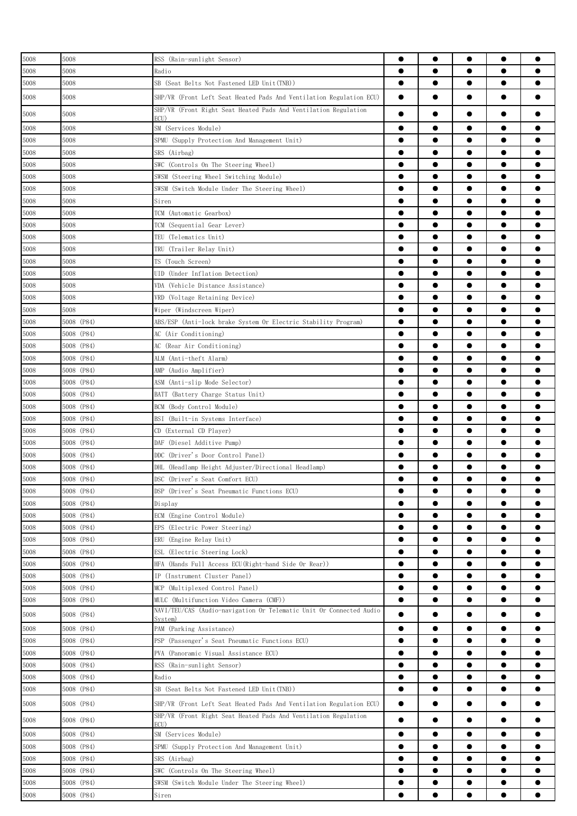| 5008 | 5008       | RSS (Rain-sunlight Sensor)                                          |           | $\bullet$ | $\bullet$ | $\bullet$ |           |
|------|------------|---------------------------------------------------------------------|-----------|-----------|-----------|-----------|-----------|
| 5008 | 5008       | Radio                                                               |           | $\bullet$ | $\bullet$ | $\bullet$ |           |
| 5008 | 5008       | SB (Seat Belts Not Fastened LED Unit(TNB))                          | $\bullet$ | $\bullet$ | $\bullet$ | $\bullet$ |           |
| 5008 | 5008       | SHP/VR (Front Left Seat Heated Pads And Ventilation Regulation ECU) | $\bullet$ | ●         |           |           |           |
| 5008 | 5008       | SHP/VR (Front Right Seat Heated Pads And Ventilation Regulation     |           |           |           | $\bullet$ |           |
|      | 5008       | ECU)                                                                | $\bullet$ | $\bullet$ |           | $\bullet$ |           |
| 5008 |            | SM (Services Module)                                                |           |           |           |           |           |
| 5008 | 5008       | SPMU (Supply Protection And Management Unit)                        | $\bullet$ | $\bullet$ | $\bullet$ | $\bullet$ |           |
| 5008 | 5008       | SRS (Airbag)                                                        |           | $\bullet$ |           | $\bullet$ |           |
| 5008 | 5008       | SWC (Controls On The Steering Wheel)                                | $\bullet$ | $\bullet$ | $\bullet$ | $\bullet$ | $\bullet$ |
| 5008 | 5008       | SWSM (Steering Wheel Switching Module)                              | $\bullet$ | $\bullet$ | $\bullet$ | $\bullet$ |           |
| 5008 | 5008       | SWSM (Switch Module Under The Steering Wheel)                       |           | ●         | ●         | $\bullet$ |           |
| 5008 | 5008       | Siren                                                               |           | ●         | $\bullet$ | $\bullet$ |           |
| 5008 | 5008       | TCM (Automatic Gearbox)                                             |           | $\bullet$ |           | $\bullet$ |           |
| 5008 | 5008       | TCM (Sequential Gear Lever)                                         |           |           |           | $\bullet$ |           |
| 5008 | 5008       | TEU (Telematics Unit)                                               |           | ●         |           | $\bullet$ |           |
| 5008 | 5008       | TRU (Trailer Relay Unit)                                            |           |           |           | $\bullet$ |           |
| 5008 | 5008       | TS (Touch Screen)                                                   |           | ●         |           | $\bullet$ |           |
| 5008 | 5008       | UID (Under Inflation Detection)                                     | $\bullet$ | $\bullet$ |           | $\bullet$ |           |
| 5008 | 5008       | VDA (Vehicle Distance Assistance)                                   | $\bullet$ | $\bullet$ | $\bullet$ | $\bullet$ |           |
| 5008 | 5008       | VRD (Voltage Retaining Device)                                      |           | $\bullet$ | $\bullet$ | $\bullet$ |           |
| 5008 | 5008       | Wiper (Windscreen Wiper)                                            |           | $\bullet$ | $\bullet$ | $\bullet$ |           |
|      |            |                                                                     |           |           |           |           |           |
| 5008 | 5008 (P84) | ABS/ESP (Anti-lock brake System Or Electric Stability Program)      | $\bullet$ | $\bullet$ | $\bullet$ | $\bullet$ |           |
| 5008 | 5008 (P84) | AC (Air Conditioning)                                               |           | ●         | ●         | $\bullet$ |           |
| 5008 | 5008 (P84) | AC (Rear Air Conditioning)                                          |           | ●         | ●         | $\bullet$ |           |
| 5008 | 5008 (P84) | ALM (Anti-theft Alarm)                                              | $\bullet$ | $\bullet$ |           | $\bullet$ |           |
| 5008 | 5008 (P84) | AMP (Audio Amplifier)                                               |           |           |           | $\bullet$ |           |
| 5008 | 5008 (P84) | ASM (Anti-slip Mode Selector)                                       | ●         | ●         |           | $\bullet$ |           |
| 5008 | 5008 (P84) | BATT (Battery Charge Status Unit)                                   |           | ●         |           | $\bullet$ |           |
| 5008 | 5008 (P84) | BCM (Body Control Module)                                           |           | ●         |           | $\bullet$ |           |
| 5008 | 5008 (P84) | BSI (Built-in Systems Interface)                                    |           | ●         |           | $\bullet$ | œ         |
| 5008 | 5008 (P84) | CD (External CD Player)                                             | $\bullet$ | $\bullet$ | $\bullet$ | $\bullet$ |           |
| 5008 | 5008 (P84) | (Diesel Additive Pump)<br>DAF                                       |           | $\bullet$ |           | $\bullet$ |           |
| 5008 | 5008 (P84) | DDC -<br>(Driver's Door Control Panel)                              |           | $\bullet$ | $\bullet$ | $\bullet$ |           |
| 5008 | 5008 (P84) | DHL (Headlamp Height Adjuster/Directional Headlamp)                 | $\bullet$ | $\bullet$ | $\bullet$ | $\bullet$ |           |
| 5008 | 5008 (P84) | DSC (Driver's Seat Comfort ECU)                                     |           |           |           |           |           |
| 5008 | 5008 (P84) | DSP (Driver's Seat Pneumatic Functions ECU)                         |           | ●         |           |           |           |
| 5008 | 5008 (P84) |                                                                     | $\bullet$ |           |           | $\bullet$ |           |
|      |            | Display                                                             |           |           |           |           |           |
| 5008 | 5008 (P84) | ECM (Engine Control Module)                                         | $\bullet$ |           |           | $\bullet$ |           |
| 5008 | 5008 (P84) | EPS (Electric Power Steering)                                       |           |           |           | $\bullet$ |           |
| 5008 | 5008 (P84) | ERU (Engine Relay Unit)                                             | $\bullet$ |           |           | $\bullet$ |           |
| 5008 | 5008 (P84) | ESL (Electric Steering Lock)                                        | $\bullet$ |           |           |           |           |
| 5008 | 5008 (P84) | HFA (Hands Full Access ECU(Right-hand Side Or Rear))                | $\bullet$ |           |           | $\bullet$ |           |
| 5008 | 5008 (P84) | IP (Instrument Cluster Panel)                                       | $\bullet$ | $\bullet$ | $\bullet$ | $\bullet$ | $\bullet$ |
| 5008 | 5008 (P84) | MCP (Multiplexed Control Panel)                                     | $\bullet$ | $\bullet$ | $\bullet$ | $\bullet$ |           |
| 5008 | 5008 (P84) | MULC (Multifunction Video Camera (CMF))                             | $\bullet$ | $\bullet$ | $\bullet$ | $\bullet$ |           |
| 5008 | 5008 (P84) | NAVI/TEU/CAS (Audio-navigation Or Telematic Unit Or Connected Audio |           |           |           |           |           |
| 5008 | 5008 (P84) | Svstem)<br>PAM (Parking Assistance)                                 | $\bullet$ | $\bullet$ | $\bullet$ | $\bullet$ |           |
| 5008 | 5008 (P84) | PSP (Passenger's Seat Pneumatic Functions ECU)                      | $\bullet$ | $\bullet$ | $\bullet$ | $\bullet$ |           |
|      |            |                                                                     |           |           |           |           |           |
| 5008 | 5008 (P84) | PVA (Panoramic Visual Assistance ECU)                               | $\bullet$ | $\bullet$ | $\bullet$ | $\bullet$ |           |
| 5008 | 5008 (P84) | RSS (Rain-sunlight Sensor)                                          | $\bullet$ | $\bullet$ | $\bullet$ | $\bullet$ |           |
| 5008 | 5008 (P84) | Radio                                                               |           | ●         |           | $\bullet$ |           |
| 5008 | 5008 (P84) | SB (Seat Belts Not Fastened LED Unit(TNB))                          | $\bullet$ | ●         | $\bullet$ | $\bullet$ |           |
| 5008 | 5008 (P84) | SHP/VR (Front Left Seat Heated Pads And Ventilation Regulation ECU) | $\bullet$ | $\bullet$ | $\bullet$ | $\bullet$ |           |
| 5008 | 5008 (P84) | SHP/VR (Front Right Seat Heated Pads And Ventilation Regulation     | $\bullet$ |           |           |           |           |
| 5008 | 5008 (P84) | ECU).<br>SM (Services Module)                                       | $\bullet$ | $\bullet$ | $\bullet$ | $\bullet$ |           |
| 5008 | 5008 (P84) | SPMU (Supply Protection And Management Unit)                        | $\bullet$ | $\bullet$ | $\bullet$ | $\bullet$ |           |
| 5008 | 5008 (P84) | SRS (Airbag)                                                        |           |           |           | $\bullet$ |           |
| 5008 | 5008 (P84) | SWC (Controls On The Steering Wheel)                                |           | $\bullet$ |           | $\bullet$ |           |
|      |            |                                                                     | $\bullet$ | $\bullet$ |           | $\bullet$ |           |
| 5008 | 5008 (P84) | SWSM (Switch Module Under The Steering Wheel)                       |           |           |           |           |           |
| 5008 | 5008 (P84) | Siren                                                               |           |           |           |           |           |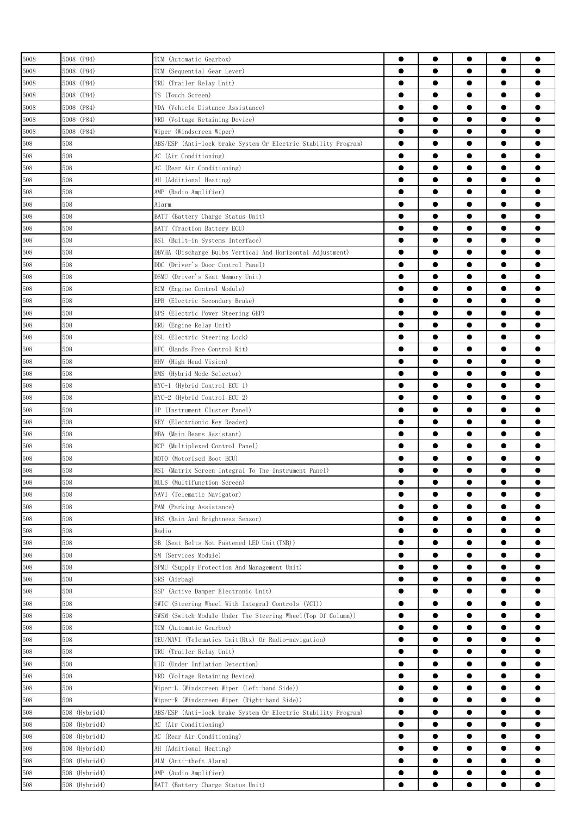| 5008    | 5008 (P84)    | TCM (Automatic Gearbox)                                        | $\bullet$ | $\bullet$ | $\bullet$ | $\bullet$ |           |
|---------|---------------|----------------------------------------------------------------|-----------|-----------|-----------|-----------|-----------|
| 5008    | 5008 (P84)    | TCM (Sequential Gear Lever)                                    | $\bullet$ | $\bullet$ |           | $\bullet$ |           |
| 5008    | 5008 (P84)    | TRU (Trailer Relay Unit)                                       | $\bullet$ | $\bullet$ | $\bullet$ | $\bullet$ |           |
| 5008    | 5008 (P84)    | TS (Touch Screen)                                              | $\bullet$ | $\bullet$ | $\bullet$ | $\bullet$ |           |
| 5008    | 5008 (P84)    | VDA (Vehicle Distance Assistance)                              | $\bullet$ | $\bullet$ | $\bullet$ | $\bullet$ | Α         |
| 5008    | 5008 (P84)    | VRD (Voltage Retaining Device)                                 | $\bullet$ | $\bullet$ | $\bullet$ | $\bullet$ |           |
| 5008    | 5008 (P84)    | Wiper (Windscreen Wiper)                                       | $\bullet$ | $\bullet$ | $\bullet$ | $\bullet$ |           |
| 508     | 508           | ABS/ESP (Anti-lock brake System Or Electric Stability Program) |           | $\bullet$ | $\bullet$ | $\bullet$ |           |
| 508     | 508           | AC (Air Conditioning)                                          | $\bullet$ |           | $\bullet$ | $\bullet$ |           |
| 508     | 508           | AC (Rear Air Conditioning)                                     | $\bullet$ | $\bullet$ | $\bullet$ | $\bullet$ |           |
| 508     | 508           | AH (Additional Heating)                                        | ●         | ●         | e         | $\bullet$ |           |
| 508     | 508           | AMP (Radio Amplifier)                                          |           | $\bullet$ |           | $\bullet$ |           |
|         | 508           |                                                                | $\bullet$ | $\bullet$ | $\bullet$ | $\bullet$ |           |
| 508     |               | Alarm                                                          |           | $\bullet$ | $\bullet$ | $\bullet$ | ●         |
| 508     | 508<br>508    | BATT (Battery Charge Status Unit)                              | $\bullet$ | $\bullet$ | $\bullet$ | $\bullet$ |           |
| 508     |               | BATT (Traction Battery ECU)                                    |           |           |           |           |           |
| 508     | 508           | BSI (Built-in Systems Interface)                               | $\bullet$ | $\bullet$ | $\bullet$ | $\bullet$ |           |
| 508     | 508           | DBVHA (Discharge Bulbs Vertical And Horizontal Adjustment)     | $\bullet$ | $\bullet$ | $\bullet$ | $\bullet$ | ●         |
| 508     | 508           | DDC (Driver's Door Control Panel)                              | $\bullet$ | $\bullet$ | $\bullet$ | $\bullet$ | ●         |
| 508     | 508           | DSMU (Driver's Seat Memory Unit)                               | $\bullet$ | $\bullet$ |           | $\bullet$ |           |
| 508     | 508           | ECM (Engine Control Module)                                    |           | ●         | $\bullet$ | $\bullet$ |           |
| 508     | 508           | (Electric Secondary Brake)<br>EPB                              | $\bullet$ | ●         | $\bullet$ | $\bullet$ |           |
| 508     | 508           | EPS (Electric Power Steering GEP)                              |           |           |           | $\bullet$ |           |
| 508     | 508           | ERU (Engine Relay Unit)                                        | 0         | ●         | ●         | $\bullet$ |           |
| 508     | 508           | ESL<br>(Electric Steering Lock)                                |           | $\bullet$ |           | $\bullet$ |           |
| 508     | 508           | HFC (Hands Free Control Kit)                                   |           | $\bullet$ | $\bullet$ | $\bullet$ |           |
| 508     | 508           | HHV (High Head Vision)                                         |           | $\bullet$ |           | $\bullet$ |           |
| 508     | 508           | HMS (Hybrid Mode Selector)                                     | $\bullet$ | $\bullet$ | $\bullet$ | $\bullet$ | ●         |
| 508     | 508           | HYC-1 (Hybrid Control ECU 1)                                   | $\bullet$ | $\bullet$ | $\bullet$ | $\bullet$ |           |
| 508     | 508           | HYC-2 (Hybrid Control ECU 2)                                   | $\bullet$ | $\bullet$ | $\bullet$ | $\bullet$ |           |
| 508     | 508           | IP (Instrument Cluster Panel)                                  | $\bullet$ | $\bullet$ | $\bullet$ | $\bullet$ | 0         |
| 508     | 508           | KEY (Electrionic Key Reader)                                   | $\bullet$ | $\bullet$ | $\bullet$ | $\bullet$ |           |
| 508     | 508           | MBA (Main Beams Assistant)                                     |           | $\bullet$ | $\bullet$ | $\bullet$ |           |
| 508     | 508           | MCP<br>(Multiplexed Control Panel)                             |           | $\bullet$ | ●         | $\bullet$ |           |
| 508     | 508           | MOTO (Motorised Boot ECU)                                      |           | $\bullet$ |           | $\bullet$ |           |
| 508     | 508           | MSI (Matrix Screen Integral To The Instrument Panel)           | 0         |           |           |           |           |
| 508     | 508           | MULS (Multifunction Screen)                                    |           |           |           |           |           |
| 508     | 508           | NAVI (Telematic Navigator)                                     | $\bullet$ | $\bullet$ | $\bullet$ | $\bullet$ |           |
| 508     | 508           | PAM (Parking Assistance)                                       | $\bullet$ |           |           | $\bullet$ |           |
| 508     | 508           | RBS (Rain And Brightness Sensor)                               | $\bullet$ | $\bullet$ |           | $\bullet$ | ●         |
| 508     | 508           | Radio                                                          | $\bullet$ | $\bullet$ | $\bullet$ | $\bullet$ |           |
| 508     | 508           | SB (Seat Belts Not Fastened LED Unit(TNB))                     | $\bullet$ | $\bullet$ | $\bullet$ | $\bullet$ | $\bullet$ |
| 508     | 508           | SM (Services Module)                                           | $\bullet$ | $\bullet$ | $\bullet$ | $\bullet$ | ●         |
| 508     | 508           | SPMU (Supply Protection And Management Unit)                   | $\bullet$ | $\bullet$ | $\bullet$ | $\bullet$ | $\bullet$ |
| 508     | 508           | SRS (Airbag)                                                   | $\bullet$ | $\bullet$ | $\bullet$ | $\bullet$ |           |
| 508     | 508           | SSP (Active Damper Electronic Unit)                            | $\bullet$ | $\bullet$ | $\bullet$ | $\bullet$ | ●         |
| $508\,$ | 508           | SWIC (Steering Wheel With Integral Controls (VCI))             | $\bullet$ | $\bullet$ | $\bullet$ | $\bullet$ |           |
| 508     | 508           | SWSM (Switch Module Under The Steering Wheel(Top Of Column))   | $\bullet$ |           |           | $\bullet$ |           |
| 508     | 508           | TCM (Automatic Gearbox)                                        |           | $\bullet$ |           | $\bullet$ |           |
| 508     | 508           | TEU/NAVI (Telematics Unit(Rtx) Or Radio-navigation)            | $\bullet$ | $\bullet$ |           | $\bullet$ |           |
| 508     | 508           | TRU (Trailer Relay Unit)                                       | $\bullet$ |           |           | $\bullet$ |           |
|         |               |                                                                | $\bullet$ | $\bullet$ | $\bullet$ | $\bullet$ | ●         |
| 508     | 508           | UID (Under Inflation Detection)                                |           |           |           |           |           |
| 508     | 508           | VRD (Voltage Retaining Device)                                 | $\bullet$ | $\bullet$ | $\bullet$ | $\bullet$ | ●         |
| 508     | 508           | Wiper-L (Windscreen Wiper (Left-hand Side))                    | $\bullet$ | $\bullet$ | $\bullet$ | $\bullet$ | $\bullet$ |
| 508     | 508           | Wiper-R (Windscreen Wiper (Right-hand Side))                   | $\bullet$ | $\bullet$ | $\bullet$ | $\bullet$ | ●         |
| 508     | 508 (Hybrid4) | ABS/ESP (Anti-lock brake System Or Electric Stability Program) | $\bullet$ | $\bullet$ | $\bullet$ | $\bullet$ | $\bullet$ |
| 508     | 508 (Hybrid4) | AC (Air Conditioning)                                          | $\bullet$ | $\bullet$ | $\bullet$ | $\bullet$ |           |
| 508     | 508 (Hybrid4) | AC (Rear Air Conditioning)                                     | $\bullet$ | $\bullet$ | $\bullet$ | $\bullet$ |           |
| 508     | 508 (Hybrid4) | AH (Additional Heating)                                        | $\bullet$ | $\bullet$ | $\bullet$ | $\bullet$ |           |
| 508     | 508 (Hybrid4) | ALM (Anti-theft Alarm)                                         | $\bullet$ |           |           | $\bullet$ |           |
| 508     | 508 (Hybrid4) | AMP (Audio Amplifier)                                          |           |           |           | $\bullet$ |           |
| 508     | 508 (Hybrid4) | BATT (Battery Charge Status Unit)                              |           |           |           |           |           |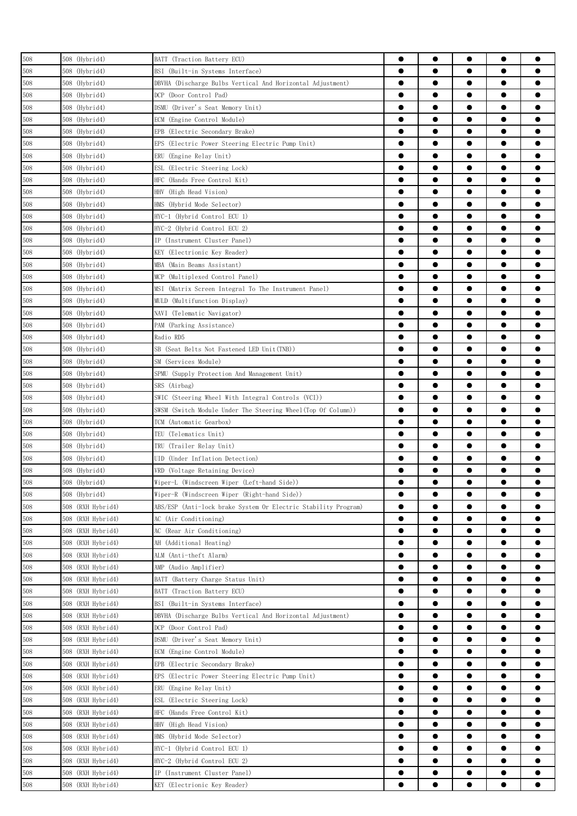| 508 | 508 (Hybrid4)     | BATT (Traction Battery ECU)                                                          | ●         | $\bullet$ |           | $\bullet$ |           |
|-----|-------------------|--------------------------------------------------------------------------------------|-----------|-----------|-----------|-----------|-----------|
| 508 | 508 (Hybrid4)     | BSI (Built-in Systems Interface)                                                     | $\bullet$ |           |           | $\bullet$ |           |
| 508 | 508 (Hybrid4)     |                                                                                      | $\bullet$ |           |           | $\bullet$ |           |
|     |                   | DBVHA (Discharge Bulbs Vertical And Horizontal Adjustment)<br>DCP (Door Control Pad) | $\bullet$ | $\bullet$ | $\bullet$ | $\bullet$ |           |
| 508 | 508 (Hybrid4)     |                                                                                      | $\bullet$ | $\bullet$ | $\bullet$ | $\bullet$ |           |
| 508 | 508 (Hybrid4)     | DSMU (Driver's Seat Memory Unit)                                                     | $\bullet$ |           |           | $\bullet$ |           |
| 508 | 508 (Hybrid4)     | ECM (Engine Control Module)                                                          |           | ●         | ●         |           |           |
| 508 | 508 (Hybrid4)     | EPB (Electric Secondary Brake)                                                       | ●         |           |           | $\bullet$ |           |
| 508 | 508 (Hybrid4)     | EPS (Electric Power Steering Electric Pump Unit)                                     | ●         |           |           | $\bullet$ |           |
| 508 | 508 (Hybrid4)     | ERU (Engine Relay Unit)                                                              | ●         |           |           | $\bullet$ |           |
| 508 | 508 (Hybrid4)     | ESL (Electric Steering Lock)                                                         | ●         |           | e         | $\bullet$ |           |
| 508 | 508 (Hybrid4)     | HFC (Hands Free Control Kit)                                                         | ●         |           |           |           |           |
| 508 | 508 (Hybrid4)     | HHV (High Head Vision)                                                               | 0         |           |           |           |           |
| 508 | 508 (Hybrid4)     | HMS (Hybrid Mode Selector)                                                           | ●         | ●         | ●         | $\bullet$ |           |
| 508 | 508 (Hybrid4)     | HYC-1 (Hybrid Control ECU 1)                                                         | $\bullet$ | $\bullet$ | $\bullet$ | $\bullet$ |           |
| 508 | 508 (Hybrid4)     | HYC-2 (Hybrid Control ECU 2)                                                         | $\bullet$ | $\bullet$ |           | $\bullet$ |           |
| 508 | 508 (Hybrid4)     | IP (Instrument Cluster Panel)                                                        | ●         |           |           | $\bullet$ |           |
| 508 | 508 (Hybrid4)     | KEY (Electrionic Key Reader)                                                         | $\bullet$ | $\bullet$ | $\bullet$ | $\bullet$ | 0         |
| 508 | 508 (Hybrid4)     | MBA (Main Beams Assistant)                                                           | $\bullet$ | $\bullet$ |           | $\bullet$ |           |
| 508 | 508 (Hybrid4)     | MCP (Multiplexed Control Panel)                                                      | ●         |           |           | $\bullet$ |           |
| 508 | 508 (Hybrid4)     | MSI (Matrix Screen Integral To The Instrument Panel)                                 | ●         |           |           | $\bullet$ |           |
| 508 | 508 (Hybrid4)     | MULD (Multifunction Display)                                                         | $\bullet$ |           |           | $\bullet$ |           |
| 508 | 508 (Hybrid4)     | NAVI (Telematic Navigator)                                                           | ●         |           |           | $\bullet$ |           |
| 508 | 508 (Hybrid4)     | PAM (Parking Assistance)                                                             | ●         |           |           | $\bullet$ |           |
| 508 | 508 (Hybrid4)     | Radio RD5                                                                            | 0         |           |           |           |           |
| 508 | 508 (Hybrid4)     | SB (Seat Belts Not Fastened LED Unit(TNB))                                           | $\bullet$ |           |           |           |           |
| 508 | 508 (Hybrid4)     | SM (Services Module)                                                                 | $\bullet$ | $\bullet$ |           | $\bullet$ |           |
| 508 | 508 (Hybrid4)     | SPMU (Supply Protection And Management Unit)                                         | $\bullet$ |           |           | $\bullet$ |           |
| 508 | 508 (Hybrid4)     | SRS (Airbag)                                                                         | $\bullet$ |           | $\bullet$ | $\bullet$ |           |
| 508 | 508 (Hybrid4)     | SWIC (Steering Wheel With Integral Controls (VCI))                                   | $\bullet$ | $\bullet$ |           | $\bullet$ |           |
|     |                   |                                                                                      | $\bullet$ | $\bullet$ | $\bullet$ | $\bullet$ |           |
| 508 | 508 (Hybrid4)     | SWSM (Switch Module Under The Steering Wheel(Top Of Column))                         | ●         |           |           | $\bullet$ |           |
| 508 | 508 (Hybrid4)     | TCM (Automatic Gearbox)                                                              | ●         |           | ●         | $\bullet$ |           |
| 508 | 508 (Hybrid4)     | TEU (Telematics Unit)                                                                |           |           |           |           |           |
| 508 | 508 (Hybrid4)     | TRU (Trailer Relay Unit)                                                             | ●         |           |           | $\bullet$ |           |
| 508 | 508 (Hybrid4)     | UID (Under Inflation Detection)                                                      | ●         |           |           |           |           |
| 508 | 508 (Hybrid4)     | VRD (Voltage Retaining Device)                                                       |           |           |           |           |           |
| 508 | 508 (Hybrid4)     | Wiper-L (Windscreen Wiper (Left-hand Side))                                          | ●         | ●         |           |           |           |
| 508 | 508 (Hybrid4)     | Wiper-R (Windscreen Wiper (Right-hand Side))                                         | $\bullet$ | $\bullet$ |           | $\bullet$ |           |
| 508 | 508 (RXH Hybrid4) | ABS/ESP (Anti-lock brake System Or Electric Stability Program)                       | $\bullet$ |           |           |           |           |
| 508 | 508 (RXH Hybrid4) | AC (Air Conditioning)                                                                | $\bullet$ | $\bullet$ | $\bullet$ | $\bullet$ | $\bullet$ |
| 508 | 508 (RXH Hybrid4) | AC (Rear Air Conditioning)                                                           | $\bullet$ |           |           | $\bullet$ |           |
| 508 | 508 (RXH Hybrid4) | AH (Additional Heating)                                                              | $\bullet$ | $\bullet$ | $\bullet$ | $\bullet$ | 0         |
| 508 | 508 (RXH Hybrid4) | ALM (Anti-theft Alarm)                                                               | $\bullet$ | $\bullet$ | $\bullet$ | $\bullet$ | $\bullet$ |
| 508 | 508 (RXH Hybrid4) | AMP (Audio Amplifier)                                                                | $\bullet$ | $\bullet$ | $\bullet$ | $\bullet$ |           |
| 508 | 508 (RXH Hybrid4) | BATT (Battery Charge Status Unit)                                                    | $\bullet$ | ●         |           | $\bullet$ | 0         |
| 508 | 508 (RXH Hybrid4) | BATT (Traction Battery ECU)                                                          | $\bullet$ | $\bullet$ | $\bullet$ | $\bullet$ |           |
| 508 | 508 (RXH Hybrid4) | BSI (Built-in Systems Interface)                                                     | $\bullet$ |           |           | $\bullet$ |           |
| 508 | 508 (RXH Hybrid4) | DBVHA (Discharge Bulbs Vertical And Horizontal Adjustment)                           |           |           |           | $\bullet$ |           |
| 508 | 508 (RXH Hybrid4) | DCP (Door Control Pad)                                                               | $\bullet$ |           |           | $\bullet$ |           |
| 508 | 508 (RXH Hybrid4) | DSMU (Driver's Seat Memory Unit)                                                     | $\bullet$ |           |           |           |           |
| 508 | 508 (RXH Hybrid4) | ECM (Engine Control Module)                                                          | $\bullet$ |           |           |           | O         |
| 508 | 508 (RXH Hybrid4) | EPB (Electric Secondary Brake)                                                       | $\bullet$ | $\bullet$ | $\bullet$ | $\bullet$ | $\bullet$ |
| 508 | 508 (RXH Hybrid4) | (Electric Power Steering Electric Pump Unit)<br>EPS                                  | $\bullet$ | $\bullet$ | $\bullet$ | $\bullet$ | $\bullet$ |
| 508 | 508 (RXH Hybrid4) | ERU (Engine Relay Unit)                                                              | $\bullet$ | $\bullet$ | $\bullet$ | $\bullet$ |           |
|     |                   |                                                                                      | $\bullet$ | $\bullet$ | $\bullet$ | $\bullet$ | 0         |
| 508 | 508 (RXH Hybrid4) | ESL (Electric Steering Lock)                                                         | $\bullet$ | $\bullet$ | $\bullet$ | $\bullet$ |           |
| 508 | 508 (RXH Hybrid4) | HFC<br>(Hands Free Control Kit)                                                      |           |           |           |           |           |
| 508 | 508 (RXH Hybrid4) | HHV (High Head Vision)                                                               | $\bullet$ | $\bullet$ |           | $\bullet$ |           |
| 508 | 508 (RXH Hybrid4) | HMS (Hybrid Mode Selector)                                                           | ●         | ●         |           | $\bullet$ |           |
| 508 | 508 (RXH Hybrid4) | HYC-1 (Hybrid Control ECU 1)                                                         | $\bullet$ |           |           | $\bullet$ |           |
| 508 | 508 (RXH Hybrid4) | HYC-2 (Hybrid Control ECU 2)                                                         |           |           |           | $\bullet$ |           |
| 508 | 508 (RXH Hybrid4) | IP (Instrument Cluster Panel)                                                        | 0         |           |           |           |           |
| 508 | 508 (RXH Hybrid4) | KEY (Electrionic Key Reader)                                                         | $\bullet$ |           |           |           |           |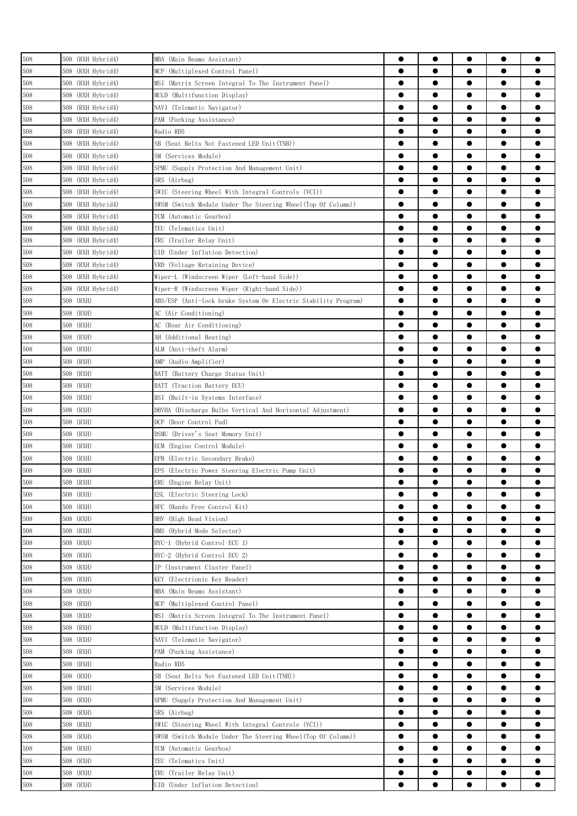| 508 | 508 (RXH Hybrid4) | MBA (Main Beams Assistant)                                     |           | $\bullet$ | $\bullet$ | $\bullet$ |           |
|-----|-------------------|----------------------------------------------------------------|-----------|-----------|-----------|-----------|-----------|
| 508 | 508 (RXH Hybrid4) | (Multiplexed Control Panel)<br>MCP                             |           |           | ●         | $\bullet$ |           |
| 508 | 508 (RXH Hybrid4) | MSI<br>(Matrix Screen Integral To The Instrument Panel)        | $\bullet$ | $\bullet$ | $\bullet$ | $\bullet$ |           |
| 508 | 508 (RXH Hybrid4) | MULD (Multifunction Display)                                   | $\bullet$ |           |           | $\bullet$ |           |
| 508 | 508 (RXH Hybrid4) | NAVI (Telematic Navigator)                                     | $\bullet$ | $\bullet$ | $\bullet$ | $\bullet$ |           |
| 508 | 508 (RXH Hybrid4) | PAM (Parking Assistance)                                       | $\bullet$ | $\bullet$ | $\bullet$ | $\bullet$ | $\bullet$ |
| 508 | 508 (RXH Hybrid4) | Radio RD5                                                      | $\bullet$ | $\bullet$ | $\bullet$ | $\bullet$ |           |
| 508 | 508 (RXH Hybrid4) | SB (Seat Belts Not Fastened LED Unit(TNB))                     |           | $\bullet$ | $\bullet$ | $\bullet$ |           |
| 508 | 508 (RXH Hybrid4) | SM (Services Module)                                           | ●         |           | ●         | $\bullet$ |           |
| 508 | 508 (RXH Hybrid4) | SPMU (Supply Protection And Management Unit)                   | $\bullet$ |           |           | $\bullet$ |           |
| 508 | 508 (RXH Hybrid4) | SRS (Airbag)                                                   |           |           |           | $\bullet$ |           |
| 508 | 508 (RXH Hybrid4) | SWIC (Steering Wheel With Integral Controls (VCI))             |           |           |           | $\bullet$ |           |
| 508 | 508 (RXH Hybrid4) | SWSM (Switch Module Under The Steering Wheel(Top Of Column))   |           |           |           |           |           |
| 508 | 508 (RXH Hybrid4) | TCM (Automatic Gearbox)                                        |           | ●         |           | $\bullet$ |           |
| 508 | 508 (RXH Hybrid4) | TEU (Telematics Unit)                                          |           | ●         |           | $\bullet$ |           |
| 508 | 508 (RXH Hybrid4) | TRU (Trailer Relay Unit)                                       | $\bullet$ | $\bullet$ | $\bullet$ | $\bullet$ |           |
| 508 | 508 (RXH Hybrid4) | UID (Under Inflation Detection)                                | $\bullet$ |           | $\bullet$ | $\bullet$ |           |
| 508 | 508 (RXH Hybrid4) | VRD (Voltage Retaining Device)                                 | $\bullet$ | $\bullet$ | $\bullet$ | $\bullet$ |           |
| 508 | 508 (RXH Hybrid4) | Wiper-L (Windscreen Wiper (Left-hand Side))                    | $\bullet$ | $\bullet$ | $\bullet$ | $\bullet$ |           |
| 508 | 508 (RXH Hybrid4) | Wiper-R (Windscreen Wiper (Right-hand Side))                   | $\bullet$ | $\bullet$ | $\bullet$ | $\bullet$ |           |
| 508 | 508 (RXH)         | ABS/ESP (Anti-lock brake System Or Electric Stability Program) | $\bullet$ | ●         | ●         | $\bullet$ |           |
| 508 | 508 (RXH)         | AC (Air Conditioning)                                          |           | ●         | $\bullet$ | $\bullet$ |           |
| 508 | 508 (RXH)         | AC (Rear Air Conditioning)                                     |           |           |           | $\bullet$ |           |
| 508 | 508 (RXH)         | AH (Additional Heating)                                        | 0         |           |           | $\bullet$ |           |
| 508 | 508 (RXH)         | ALM (Anti-theft Alarm)                                         |           |           |           | $\bullet$ |           |
| 508 | 508 (RXH)         | AMP (Audio Amplifier)                                          |           | ●         |           | $\bullet$ |           |
| 508 | 508 (RXH)         | BATT (Battery Charge Status Unit)                              |           | ●         |           | $\bullet$ | e         |
| 508 | 508 (RXH)         | BATT (Traction Battery ECU)                                    | $\bullet$ | $\bullet$ | $\bullet$ | $\bullet$ |           |
| 508 | 508 (RXH)         | BSI (Built-in Systems Interface)                               | $\bullet$ |           | $\bullet$ | $\bullet$ |           |
| 508 | 508 (RXH)         | DBVHA (Discharge Bulbs Vertical And Horizontal Adjustment)     | $\bullet$ |           | $\bullet$ | $\bullet$ | 0         |
| 508 | 508 (RXH)         | DCP (Door Control Pad)                                         | $\bullet$ | $\bullet$ | $\bullet$ | $\bullet$ | $\bullet$ |
| 508 | 508 (RXH)         | DSMU (Driver's Seat Memory Unit)                               | $\bullet$ | $\bullet$ | $\bullet$ | $\bullet$ |           |
| 508 | 508 (RXH)         | ECM (Engine Control Module)                                    |           | ●         | ●         | $\bullet$ |           |
| 508 | 508 (RXH)         | EPB (Electric Secondary Brake)                                 |           | $\bullet$ | $\bullet$ | $\bullet$ |           |
| 508 | 508 (RXH)         | EPS (Electric Power Steering Electric Pump Unit)               | 0         |           |           | $\bullet$ |           |
| 508 | 508 (RXH)         | ERU (Engine Relay Unit)                                        | e         | ●         |           |           |           |
| 508 | 508 (RXH)         | ESL (Electric Steering Lock)                                   | $\bullet$ | $\bullet$ | $\bullet$ | $\bullet$ |           |
| 508 | 508 (RXH)         | HFC (Hands Free Control Kit)                                   |           |           | 0         |           |           |
| 508 | 508 (RXH)         | HHV (High Head Vision)                                         |           |           |           | $\bullet$ |           |
| 508 | 508 (RXH)         | HMS (Hybrid Mode Selector)                                     |           | $\bullet$ | $\bullet$ | $\bullet$ | 0         |
| 508 | 508 (RXH)         | HYC-1 (Hybrid Control ECU 1)                                   | $\bullet$ |           |           | $\bullet$ | 0         |
| 508 | 508 (RXH)         | HYC-2 (Hybrid Control ECU 2)                                   | $\bullet$ |           | $\bullet$ | $\bullet$ | 0         |
| 508 | 508 (RXH)         | IP (Instrument Cluster Panel)                                  | $\bullet$ | $\bullet$ | $\bullet$ | $\bullet$ | ●         |
| 508 | 508 (RXH)         | KEY (Electrionic Key Reader)                                   | $\bullet$ |           | $\bullet$ | $\bullet$ |           |
| 508 | 508 (RXH)         | MBA (Main Beams Assistant)                                     | $\bullet$ | $\bullet$ | $\bullet$ | $\bullet$ | ●         |
| 508 | 508 (RXH)         | MCP (Multiplexed Control Panel)                                |           | $\bullet$ | $\bullet$ | $\bullet$ | ●         |
| 508 | 508 (RXH)         | (Matrix Screen Integral To The Instrument Panel)<br>MSI        |           |           |           | $\bullet$ |           |
| 508 | 508 (RXH)         | MULD (Multifunction Display)                                   |           |           |           | $\bullet$ |           |
| 508 | 508 (RXH)         | NAVI (Telematic Navigator)                                     | 0         | $\bullet$ |           | $\bullet$ |           |
| 508 | 508 (RXH)         | PAM (Parking Assistance)                                       | 0         |           |           | $\bullet$ |           |
| 508 | 508 (RXH)         | Radio RD5                                                      |           |           |           |           |           |
| 508 | 508 (RXH)         | SB (Seat Belts Not Fastened LED Unit(TNB))                     |           | $\bullet$ | ●         | $\bullet$ | ●         |
| 508 | 508 (RXH)         | SM (Services Module)                                           | $\bullet$ | $\bullet$ | $\bullet$ | $\bullet$ | ●         |
| 508 | 508 (RXH)         | SPMU (Supply Protection And Management Unit)                   | $\bullet$ | $\bullet$ |           | $\bullet$ |           |
| 508 | 508 (RXH)         | SRS (Airbag)                                                   | $\bullet$ | $\bullet$ | $\bullet$ | $\bullet$ |           |
| 508 | 508 (RXH)         | SWIC (Steering Wheel With Integral Controls (VCI))             | $\bullet$ | $\bullet$ | $\bullet$ | $\bullet$ | $\bullet$ |
| 508 | 508 (RXH)         | SWSM (Switch Module Under The Steering Wheel(Top Of Column))   | $\bullet$ | $\bullet$ | $\bullet$ | $\bullet$ |           |
| 508 | 508 (RXH)         | TCM (Automatic Gearbox)                                        |           |           |           | $\bullet$ |           |
| 508 | 508 (RXH)         | TEU (Telematics Unit)                                          |           |           |           | $\bullet$ |           |
| 508 | 508 (RXH)         | TRU (Trailer Relay Unit)                                       |           |           |           |           |           |
| 508 | 508 (RXH)         | UID (Under Inflation Detection)                                |           |           |           |           |           |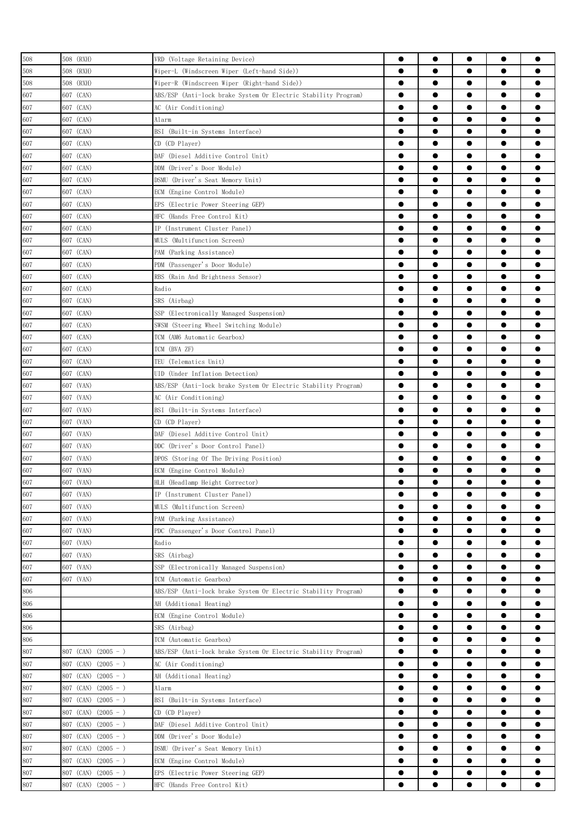| 508     | 508 (RXH)                | VRD (Voltage Retaining Device)                                 | $\bullet$ | $\bullet$ | $\bullet$ | $\bullet$ |           |
|---------|--------------------------|----------------------------------------------------------------|-----------|-----------|-----------|-----------|-----------|
| 508     | 508 (RXH)                | Wiper-L (Windscreen Wiper (Left-hand Side))                    | $\bullet$ |           |           | $\bullet$ |           |
| 508     | 508 (RXH)                | Wiper-R (Windscreen Wiper (Right-hand Side))                   | $\bullet$ |           | $\bullet$ | $\bullet$ |           |
| 607     | 607 (CAN)                | ABS/ESP (Anti-lock brake System Or Electric Stability Program) | $\bullet$ | $\bullet$ | $\bullet$ | $\bullet$ |           |
| 607     | 607 (CAN)                | AC (Air Conditioning)                                          | $\bullet$ | $\bullet$ | $\bullet$ | $\bullet$ | 0         |
| 607     | 607 (CAN)                | Alarm                                                          | $\bullet$ | $\bullet$ | $\bullet$ | $\bullet$ |           |
| 607     | 607 (CAN)                | BSI (Built-in Systems Interface)                               |           | ●         | ●         | $\bullet$ |           |
| 607     | 607 (CAN)                | CD (CD Player)                                                 | $\bullet$ |           |           | $\bullet$ |           |
| 607     | 607 (CAN)                | DAF (Diesel Additive Control Unit)                             |           |           | ●         | $\bullet$ |           |
| 607     | 607 (CAN)                | DDM (Driver's Door Module)                                     | e         |           |           | $\bullet$ |           |
| 607     | 607 (CAN)                | DSMU (Driver's Seat Memory Unit)                               | 0         | ●         |           | $\bullet$ |           |
| 607     | 607 (CAN)                | ECM (Engine Control Module)                                    |           |           |           | $\bullet$ |           |
|         |                          |                                                                |           | ●         |           | $\bullet$ |           |
| 607     | 607 (CAN)                | EPS (Electric Power Steering GEP)                              | $\bullet$ | $\bullet$ | $\bullet$ | $\bullet$ |           |
| 607     | 607 (CAN)                | HFC (Hands Free Control Kit)                                   |           |           |           |           |           |
| 607     | 607 (CAN)                | IP (Instrument Cluster Panel)                                  | $\bullet$ | $\bullet$ |           | $\bullet$ |           |
| 607     | 607 (CAN)                | MULS (Multifunction Screen)                                    |           |           | $\bullet$ | $\bullet$ |           |
| 607     | 607 (CAN)                | PAM (Parking Assistance)                                       | $\bullet$ | $\bullet$ | $\bullet$ | $\bullet$ | ●         |
| 607     | 607 (CAN)                | PDM (Passenger's Door Module)                                  | $\bullet$ | $\bullet$ | $\bullet$ | $\bullet$ |           |
| 607     | 607 (CAN)                | RBS (Rain And Brightness Sensor)                               |           |           |           | $\bullet$ |           |
| 607     | 607 (CAN)                | Radio                                                          | $\bullet$ |           | $\bullet$ | $\bullet$ |           |
| 607     | 607 (CAN)                | SRS (Airbag)                                                   | $\bullet$ |           | ●         | $\bullet$ |           |
| 607     | 607 (CAN)                | SSP (Electronically Managed Suspension)                        |           | ●         | ●         | $\bullet$ |           |
| 607     | 607 (CAN)                | SWSM (Steering Wheel Switching Module)                         | $\bullet$ |           |           | $\bullet$ |           |
| 607     | 607 (CAN)                | TCM (AM6 Automatic Gearbox)                                    |           |           | 0         | $\bullet$ |           |
| 607     | 607 (CAN)                | TCM (BVA ZF)                                                   |           |           | ●         | $\bullet$ |           |
| 607     | 607 (CAN)                | TEU (Telematics Unit)                                          | $\bullet$ | $\bullet$ | $\bullet$ | $\bullet$ |           |
| 607     | 607 (CAN)                | UID (Under Inflation Detection)                                | $\bullet$ |           |           | $\bullet$ |           |
| 607     | 607 (VAN)                | ABS/ESP (Anti-lock brake System Or Electric Stability Program) | $\bullet$ |           | $\bullet$ | $\bullet$ |           |
| 607     | 607 (VAN)                | AC (Air Conditioning)                                          | $\bullet$ | $\bullet$ | $\bullet$ | $\bullet$ | Α         |
| 607     | 607 (VAN)                | BSI (Built-in Systems Interface)                               | $\bullet$ | $\bullet$ | $\bullet$ | $\bullet$ |           |
| 607     | 607 (VAN)                | CD (CD Player)                                                 |           | ●         |           | $\bullet$ |           |
| 607     | 607 (VAN)                | DAF (Diesel Additive Control Unit)                             |           | ●         | ●         | $\bullet$ |           |
| 607     | 607 (VAN)                | DDC (Driver's Door Control Panel)                              |           |           |           | $\bullet$ |           |
| 607     | 607 (VAN)                | DPOS (Storing Of The Driving Position)                         | 0         |           |           | $\bullet$ |           |
| 607     | 607 (VAN)                | ECM (Engine Control Module)                                    | e         |           |           |           |           |
| 607     | 607 (VAN)                | HLH (Headlamp Height Corrector)                                | 0         | $\bullet$ |           |           |           |
| 607     | 607 (VAN)                | IP (Instrument Cluster Panel)                                  | $\bullet$ | $\bullet$ | $\bullet$ | $\bullet$ |           |
| 607     | 607 (VAN)                | MULS (Multifunction Screen)                                    | $\bullet$ |           |           | $\bullet$ | ●         |
| 607     | 607 (VAN)                | PAM (Parking Assistance)                                       | $\bullet$ | $\bullet$ | $\bullet$ | $\bullet$ | 0         |
| 607     | 607 (VAN)                | PDC (Passenger's Door Control Panel)                           | $\bullet$ |           | $\bullet$ | $\bullet$ |           |
| 607     | 607 (VAN)                | Radio                                                          | $\bullet$ |           | $\bullet$ | $\bullet$ |           |
| 607     | 607 (VAN)                | SRS (Airbag)                                                   | $\bullet$ | $\bullet$ | $\bullet$ | $\bullet$ | $\bullet$ |
| 607     | 607 (VAN)                | SSP (Electronically Managed Suspension)                        | $\bullet$ |           | $\bullet$ | $\bullet$ | 0         |
| 607     | 607 (VAN)                | TCM (Automatic Gearbox)                                        | $\bullet$ | $\bullet$ | $\bullet$ | $\bullet$ |           |
| 806     |                          |                                                                | $\bullet$ | $\bullet$ | $\bullet$ | $\bullet$ |           |
| 806     |                          | ABS/ESP (Anti-lock brake System Or Electric Stability Program) | $\bullet$ |           | $\bullet$ | $\bullet$ |           |
|         |                          | AH (Additional Heating)                                        |           |           |           |           |           |
| $806\,$ |                          | ECM (Engine Control Module)                                    |           | $\bullet$ |           | $\bullet$ |           |
| 806     |                          | SRS (Airbag)                                                   | $\bullet$ |           |           | $\bullet$ |           |
| 806     |                          | TCM (Automatic Gearbox)                                        |           |           |           | $\bullet$ |           |
| 807     | 807 (CAN) (2005 - )      | ABS/ESP (Anti-lock brake System Or Electric Stability Program) |           |           |           | $\bullet$ | O         |
| 807     | 807 (CAN)<br>$(2005 - )$ | AC (Air Conditioning)                                          | $\bullet$ | $\bullet$ | $\bullet$ | $\bullet$ | $\bullet$ |
| 807     | 807 (CAN)<br>$(2005 - )$ | AH (Additional Heating)                                        | $\bullet$ | $\bullet$ | $\bullet$ | $\bullet$ | $\bullet$ |
| 807     | $(2005 - )$<br>807 (CAN) | Alarm                                                          | $\bullet$ | $\bullet$ | $\bullet$ | $\bullet$ |           |
| $807\,$ | 807 (CAN) $(2005 - )$    | BSI (Built-in Systems Interface)                               | $\bullet$ | $\bullet$ | $\bullet$ | $\bullet$ |           |
| 807     | 807 (CAN) $(2005 - )$    | CD (CD Player)                                                 | $\bullet$ | $\bullet$ | $\bullet$ | $\bullet$ |           |
| 807     | 807 (CAN) $(2005 - )$    | DAF (Diesel Additive Control Unit)                             | $\bullet$ | $\bullet$ | $\bullet$ | $\bullet$ |           |
| 807     | 807 (CAN) (2005 - )      | DDM (Driver's Door Module)                                     |           | $\bullet$ |           | $\bullet$ |           |
| 807     | 807 (CAN)<br>$(2005 - )$ | DSMU (Driver's Seat Memory Unit)                               |           |           |           | $\bullet$ |           |
| 807     | $(2005 - )$<br>807 (CAN) | ECM (Engine Control Module)                                    |           |           |           | $\bullet$ |           |
| 807     | 807 (CAN) $(2005 - )$    | EPS (Electric Power Steering GEP)                              | 0         |           |           | $\bullet$ |           |
| 807     | 807 (CAN) (2005 - )      | HFC (Hands Free Control Kit)                                   | $\bullet$ |           |           |           |           |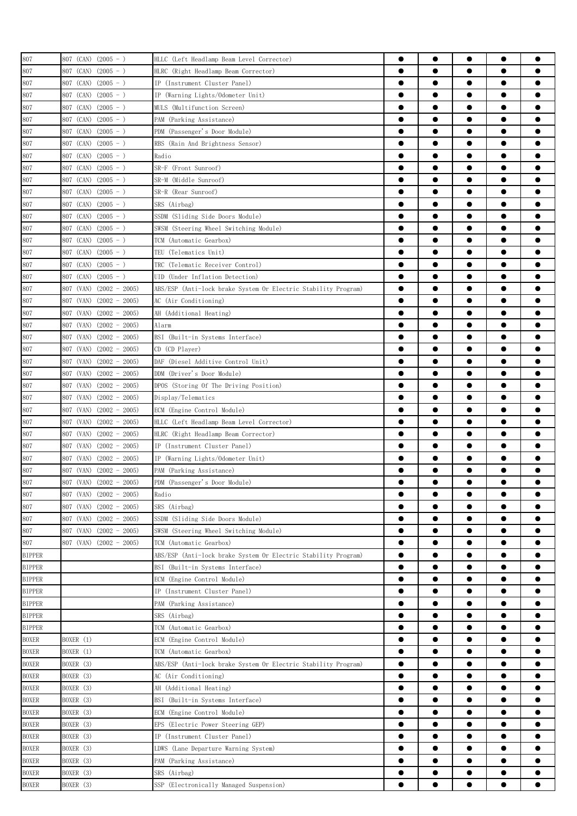| 807           | 807 (CAN) $(2005 - )$        | HLLC (Left Headlamp Beam Level Corrector)                      |           |           |           |           |           |
|---------------|------------------------------|----------------------------------------------------------------|-----------|-----------|-----------|-----------|-----------|
| 807           | 807 (CAN)<br>$(2005 - )$     | HLRC (Right Headlamp Beam Corrector)                           | $\bullet$ |           |           | $\bullet$ |           |
| 807           | $(2005 - )$<br>807 (CAN)     | IP (Instrument Cluster Panel)                                  | $\bullet$ | $\bullet$ | $\bullet$ | $\bullet$ |           |
| 807           | 807 (CAN)<br>$(2005 - )$     | IP (Warning Lights/Odometer Unit)                              | $\bullet$ |           |           | $\bullet$ |           |
| 807           | 807 (CAN)<br>$(2005 - )$     | MULS (Multifunction Screen)                                    | $\bullet$ | $\bullet$ | $\bullet$ | $\bullet$ |           |
| 807           | 807 (CAN)<br>$(2005 - )$     | PAM (Parking Assistance)                                       | $\bullet$ | ●         |           | $\bullet$ | 0         |
| 807           | 807 (CAN)<br>$(2005 - )$     | PDM (Passenger's Door Module)                                  | $\bullet$ | ●         |           | $\bullet$ |           |
| 807           | $(2005 - )$<br>807 (CAN)     | RBS (Rain And Brightness Sensor)                               | $\bullet$ | ●         |           | $\bullet$ | ●         |
|               | $(2005 - )$                  |                                                                |           |           |           | $\bullet$ |           |
| 807           | 807 (CAN)                    | Radio                                                          |           |           |           |           |           |
| 807           | 807 (CAN)<br>$(2005 - )$     | SR-F (Front Sunroof)                                           |           |           |           | $\bullet$ |           |
| 807           | $(2005 - )$<br>807 (CAN)     | SR-M (Middle Sunroof)                                          | 0         |           |           | $\bullet$ |           |
| 807           | 807 (CAN)<br>$(2005 - )$     | SR-R (Rear Sunroof)                                            |           |           |           | $\bullet$ |           |
| 807           | $(2005 - )$<br>807 (CAN)     | SRS (Airbag)                                                   |           |           |           | $\bullet$ |           |
| 807           | 807 (CAN)<br>$(2005 - )$     | SSDM (Sliding Side Doors Module)                               |           | ●         |           | $\bullet$ |           |
| 807           | 807 (CAN)<br>$(2005 - )$     | SWSM (Steering Wheel Switching Module)                         | $\bullet$ | $\bullet$ | $\bullet$ | $\bullet$ | $\bullet$ |
| 807           | 807 (CAN)<br>$(2005 - )$     | TCM (Automatic Gearbox)                                        | $\bullet$ | $\bullet$ |           | $\bullet$ |           |
| 807           | 807 (CAN)<br>$(2005 - )$     | TEU (Telematics Unit)                                          |           | $\bullet$ | $\bullet$ | $\bullet$ |           |
| 807           | $(2005 - )$<br>807 (CAN)     | TRC (Telematic Receiver Control)                               | $\bullet$ | $\bullet$ | $\bullet$ | $\bullet$ | $\bullet$ |
| 807           | 807 (CAN) $(2005 - )$        | UID (Under Inflation Detection)                                | $\bullet$ | ●         | ●         | $\bullet$ |           |
| 807           | 807 (VAN)<br>$(2002 - 2005)$ | ABS/ESP (Anti-lock brake System Or Electric Stability Program) | $\bullet$ | ●         | ●         | $\bullet$ |           |
| 807           | 807 (VAN)<br>$(2002 - 2005)$ | AC (Air Conditioning)                                          | $\bullet$ | ●         | $\bullet$ | $\bullet$ |           |
| 807           | 807 (VAN)<br>$(2002 - 2005)$ | AH (Additional Heating)                                        | $\bullet$ |           |           | $\bullet$ |           |
| 807           | 807 (VAN)<br>$(2002 - 2005)$ | Alarm                                                          | 0         |           |           | $\bullet$ |           |
| 807           | $(2002 - 2005)$<br>807 (VAN) | BSI (Built-in Systems Interface)                               | $\bullet$ |           |           | $\bullet$ |           |
| 807           | 807 (VAN)<br>$(2002 - 2005)$ | CD (CD Player)                                                 |           |           |           |           |           |
| 807           | 807 (VAN)<br>$(2002 - 2005)$ | DAF (Diesel Additive Control Unit)                             |           | ●         |           | $\bullet$ | 0         |
| 807           | 807 (VAN)<br>$(2002 - 2005)$ | DDM (Driver's Door Module)                                     | $\bullet$ | $\bullet$ | $\bullet$ | $\bullet$ |           |
| 807           | 807 (VAN)<br>$(2002 - 2005)$ | DPOS (Storing Of The Driving Position)                         | $\bullet$ | $\bullet$ | $\bullet$ | $\bullet$ |           |
| 807           | 807 (VAN)<br>$(2002 - 2005)$ | Display/Telematics                                             | $\bullet$ | $\bullet$ | $\bullet$ | $\bullet$ |           |
| 807           | $(2002 - 2005)$<br>807 (VAN) | ECM (Engine Control Module)                                    | $\bullet$ | $\bullet$ | $\bullet$ | $\bullet$ |           |
| 807           | 807 (VAN)<br>$(2002 - 2005)$ | HLLC (Left Headlamp Beam Level Corrector)                      | $\bullet$ | $\bullet$ | $\bullet$ | $\bullet$ |           |
| 807           | 807 (VAN)<br>$(2002 - 2005)$ | HLRC (Right Headlamp Beam Corrector)                           |           | ●         |           | $\bullet$ |           |
| 807           | $(2002 - 2005)$<br>807 (VAN) | IP (Instrument Cluster Panel)                                  |           | $\bullet$ | ●         | $\bullet$ |           |
|               |                              |                                                                |           | $\bullet$ |           | $\bullet$ |           |
| 807           | 807 (VAN)<br>$(2002 - 2005)$ | IP (Warning Lights/Odometer Unit)                              |           |           |           |           |           |
| 807           | 807 (VAN)<br>$(2002 - 2005)$ | PAM (Parking Assistance)                                       | ●         | e         |           |           |           |
| 807           | 807 (VAN) (2002 - 2005)      | PDM (Passenger's Door Module)                                  |           |           |           | ●         |           |
| 807           | $(2002 - 2005)$<br>807 (VAN) | Radio                                                          | $\bullet$ | $\bullet$ | $\bullet$ | $\bullet$ |           |
| 807           | 807 (VAN)<br>$(2002 - 2005)$ | SRS (Airbag)                                                   | $\bullet$ |           |           |           |           |
| 807           | 807 (VAN)<br>$(2002 - 2005)$ | SSDM (Sliding Side Doors Module)                               | $\bullet$ | $\bullet$ |           | $\bullet$ |           |
| 807           | 807 (VAN)<br>$(2002 - 2005)$ | SWSM (Steering Wheel Switching Module)                         | $\bullet$ | $\bullet$ | $\bullet$ | $\bullet$ | $\bullet$ |
| 807           | $(2002 - 2005)$<br>807 (VAN) | TCM (Automatic Gearbox)                                        | $\bullet$ | $\bullet$ | $\bullet$ | $\bullet$ | $\bullet$ |
| <b>BIPPER</b> |                              | ABS/ESP (Anti-lock brake System Or Electric Stability Program) | $\bullet$ | $\bullet$ | $\bullet$ | $\bullet$ | $\bullet$ |
| <b>BIPPER</b> |                              | BSI (Built-in Systems Interface)                               | $\bullet$ | $\bullet$ | $\bullet$ | $\bullet$ | $\bullet$ |
| <b>BIPPER</b> |                              | ECM (Engine Control Module)                                    | $\bullet$ | $\bullet$ | $\bullet$ | $\bullet$ | $\bullet$ |
| <b>BIPPER</b> |                              | IP (Instrument Cluster Panel)                                  | $\bullet$ | $\bullet$ | $\bullet$ | $\bullet$ | $\bullet$ |
| <b>BIPPER</b> |                              | PAM (Parking Assistance)                                       | $\bullet$ | $\bullet$ | $\bullet$ | $\bullet$ |           |
| <b>BIPPER</b> |                              | SRS (Airbag)                                                   | $\bullet$ |           |           | $\bullet$ |           |
| <b>BIPPER</b> |                              | TCM (Automatic Gearbox)                                        |           |           |           | $\bullet$ |           |
| <b>BOXER</b>  | BOXER (1)                    | ECM (Engine Control Module)                                    | $\bullet$ |           |           | $\bullet$ |           |
| <b>BOXER</b>  | BOXER (1)                    | TCM (Automatic Gearbox)                                        | $\bullet$ |           |           | $\bullet$ |           |
| <b>BOXER</b>  | BOXER (3)                    | ABS/ESP (Anti-lock brake System Or Electric Stability Program) | $\bullet$ | $\bullet$ |           | $\bullet$ |           |
| <b>BOXER</b>  | BOXER (3)                    | AC (Air Conditioning)                                          | $\bullet$ | $\bullet$ | $\bullet$ | $\bullet$ | $\bullet$ |
| <b>BOXER</b>  | BOXER (3)                    | AH (Additional Heating)                                        | $\bullet$ | $\bullet$ | $\bullet$ | $\bullet$ | $\bullet$ |
| <b>BOXER</b>  | BOXER (3)                    | BSI (Built-in Systems Interface)                               | $\bullet$ | $\bullet$ | $\bullet$ | $\bullet$ |           |
|               | BOXER (3)                    | ECM (Engine Control Module)                                    | $\bullet$ | $\bullet$ | $\bullet$ | $\bullet$ | $\bullet$ |
| <b>BOXER</b>  |                              |                                                                | $\bullet$ | $\bullet$ | $\bullet$ | $\bullet$ |           |
| <b>BOXER</b>  | BOXER (3)                    | EPS (Electric Power Steering GEP)                              |           |           |           |           |           |
| <b>BOXER</b>  | BOXER (3)                    | IP (Instrument Cluster Panel)                                  | $\bullet$ | $\bullet$ |           | $\bullet$ |           |
| <b>BOXER</b>  | BOXER (3)                    | LDWS (Lane Departure Warning System)                           | $\bullet$ | $\bullet$ | $\bullet$ | $\bullet$ |           |
| <b>BOXER</b>  | BOXER (3)                    | PAM (Parking Assistance)                                       | $\bullet$ |           |           | $\bullet$ |           |
| <b>BOXER</b>  | BOXER (3)                    | SRS (Airbag)                                                   | $\bullet$ |           |           | $\bullet$ |           |
| <b>BOXER</b>  | BOXER (3)                    | SSP (Electronically Managed Suspension)                        |           |           |           |           |           |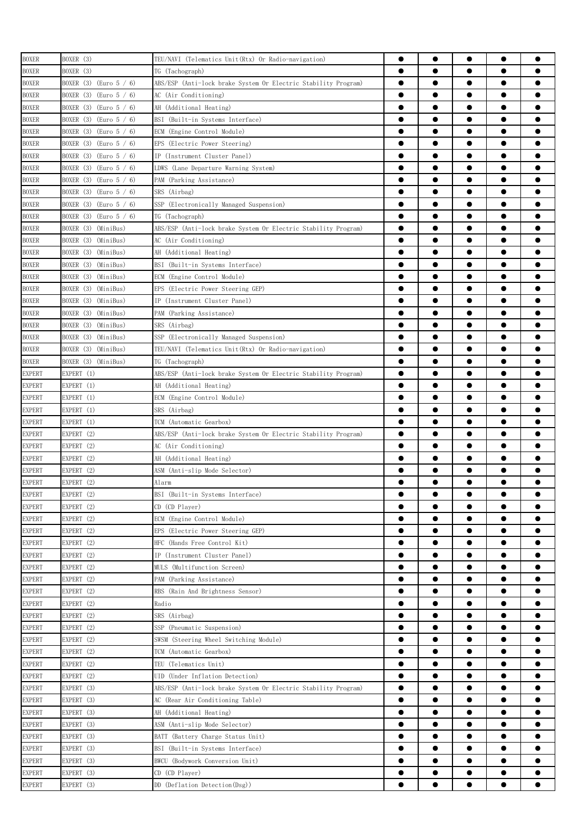| <b>BOXER</b>  | BOXER (3)                                                  | TEU/NAVI (Telematics Unit(Rtx) Or Radio-navigation)            |           | $\bullet$ | $\bullet$ | $\bullet$              |           |
|---------------|------------------------------------------------------------|----------------------------------------------------------------|-----------|-----------|-----------|------------------------|-----------|
| <b>BOXER</b>  | BOXER (3)                                                  | TG (Tachograph)                                                | $\bullet$ |           | $\bullet$ | $\bullet$              |           |
| <b>BOXER</b>  | BOXER (3)<br>$\text{(Euro 5 / 6)}$                         | ABS/ESP (Anti-lock brake System Or Electric Stability Program) | $\bullet$ | $\bullet$ | $\bullet$ | $\bullet$              |           |
| <b>BOXER</b>  | BOXER $(3)$ (Euro $5 / 6$ )                                | AC (Air Conditioning)                                          | $\bullet$ | $\bullet$ | $\bullet$ | $\bullet$              | 0         |
| <b>BOXER</b>  | BOXER $(3)$ (Euro $5 / 6$ )                                | AH (Additional Heating)                                        | $\bullet$ | $\bullet$ | $\bullet$ | $\bullet$              | $\bullet$ |
| <b>BOXER</b>  | BOXER $(3)$ (Euro $5 / 6$ )                                | BSI (Built-in Systems Interface)                               | $\bullet$ | ●         | $\bullet$ | $\bullet$              |           |
| <b>BOXER</b>  | BOXER $(3)$ (Euro $5 / 6$ )                                | ECM (Engine Control Module)                                    |           | ●         | ●         | $\bullet$              | ●         |
|               | BOXER (3) (Euro 5 / 6)                                     |                                                                | $\bullet$ | ●         | ●         | $\bullet$              |           |
| <b>BOXER</b>  |                                                            | EPS (Electric Power Steering)                                  |           |           |           |                        |           |
| <b>BOXER</b>  | BOXER $(3)$ (Euro 5 / 6)                                   | IP (Instrument Cluster Panel)                                  |           |           |           | $\bullet$<br>$\bullet$ |           |
| <b>BOXER</b>  | BOXER $(3)$ (Euro $5 / 6$ )<br>BOXER $(3)$ (Euro $5 / 6$ ) | LDWS (Lane Departure Warning System)                           |           |           |           |                        |           |
| <b>BOXER</b>  |                                                            | PAM (Parking Assistance)                                       | $\bullet$ |           |           | $\bullet$              |           |
| <b>BOXER</b>  | BOXER (3) (Euro 5 / 6)                                     | SRS (Airbag)                                                   | $\bullet$ |           |           | $\bullet$              |           |
| <b>BOXER</b>  | BOXER $(3)$ (Euro $5 / 6$ )                                | SSP (Electronically Managed Suspension)                        | $\bullet$ | ●         |           | $\bullet$              |           |
| <b>BOXER</b>  | BOXER (3)<br>$\text{(Euro 5 / 6)}$                         | TG (Tachograph)                                                | $\bullet$ | $\bullet$ | $\bullet$ | $\bullet$              | $\bullet$ |
| <b>BOXER</b>  | (MiniBus)<br>BOXER (3)                                     | ABS/ESP (Anti-lock brake System Or Electric Stability Program) | $\bullet$ | $\bullet$ | $\bullet$ | $\bullet$              |           |
| <b>BOXER</b>  | BOXER (3)<br>(MiniBus)                                     | AC (Air Conditioning)                                          | $\bullet$ | $\bullet$ | $\bullet$ | $\bullet$              |           |
| <b>BOXER</b>  | BOXER (3) (MiniBus)                                        | AH (Additional Heating)                                        | $\bullet$ | $\bullet$ | $\bullet$ | $\bullet$              | $\bullet$ |
| <b>BOXER</b>  | (MiniBus)<br>BOXER (3)                                     | BSI (Built-in Systems Interface)                               | $\bullet$ | ●         |           | $\bullet$              |           |
| <b>BOXER</b>  | BOXER (3)<br>(MiniBus)                                     | ECM (Engine Control Module)                                    |           | ●         | ●         | $\bullet$              | e         |
| <b>BOXER</b>  | BOXER (3)<br>(MiniBus)                                     | EPS<br>(Electric Power Steering GEP)                           | $\bullet$ | ●         | ●         | $\bullet$              |           |
| <b>BOXER</b>  | BOXER (3)<br>(MiniBus)                                     | IP (Instrument Cluster Panel)                                  | $\bullet$ |           |           | $\bullet$              |           |
| <b>BOXER</b>  | BOXER (3)<br>(MiniBus)                                     | PAM (Parking Assistance)                                       |           |           |           | $\bullet$              |           |
| <b>BOXER</b>  | BOXER (3)<br>(MiniBus)                                     | SRS (Airbag)                                                   | $\bullet$ |           |           | $\bullet$              |           |
| <b>BOXER</b>  | BOXER (3)<br>(MiniBus)                                     | SSP (Electronically Managed Suspension)                        | $\bullet$ |           |           | $\bullet$              |           |
| <b>BOXER</b>  | BOXER (3) (MiniBus)                                        | TEU/NAVI (Telematics Unit(Rtx) Or Radio-navigation)            | $\bullet$ |           |           | $\bullet$              | 0         |
| <b>BOXER</b>  | BOXER (3) (MiniBus)                                        | TG (Tachograph)                                                | $\bullet$ | $\bullet$ | $\bullet$ | $\bullet$              | $\bullet$ |
| <b>EXPERT</b> | EXPERT (1)                                                 | ABS/ESP (Anti-lock brake System Or Electric Stability Program) | $\bullet$ | $\bullet$ | $\bullet$ | $\bullet$              | $\bullet$ |
| <b>EXPERT</b> | EXPERT (1)                                                 | AH (Additional Heating)                                        | $\bullet$ | $\bullet$ | $\bullet$ | $\bullet$              |           |
| <b>EXPERT</b> | EXPERT (1)                                                 | ECM (Engine Control Module)                                    | $\bullet$ | $\bullet$ | $\bullet$ | $\bullet$              |           |
| <b>EXPERT</b> | EXPERT (1)                                                 | SRS (Airbag)                                                   | $\bullet$ | $\bullet$ | $\bullet$ | $\bullet$              |           |
| <b>EXPERT</b> | EXPERT (1)                                                 | TCM (Automatic Gearbox)                                        |           |           |           | $\bullet$              |           |
| <b>EXPERT</b> | EXPERT (2)                                                 | ABS/ESP (Anti-lock brake System Or Electric Stability Program) |           | ●         | ●         | $\bullet$              |           |
| <b>EXPERT</b> | EXPERT (2)                                                 | AC (Air Conditioning)                                          | $\bullet$ | $\bullet$ | ●         | $\bullet$              |           |
| <b>EXPERT</b> | EXPERT (2)                                                 | AH (Additional Heating)                                        |           |           |           | $\bullet$              |           |
| <b>EXPERT</b> | EXPERT (2)                                                 | ASM (Anti-slip Mode Selector)                                  | ●         |           |           | e                      |           |
| <b>EXPERT</b> | EXPERT (2)                                                 | $\Lambda1\text{arm}$                                           |           |           |           | e                      |           |
| <b>EXPERT</b> | EXPERT (2)                                                 | BSI (Built-in Systems Interface)                               | $\bullet$ | $\bullet$ | $\bullet$ | $\bullet$              |           |
| <b>EXPERT</b> | EXPERT (2)                                                 | CD (CD Player)                                                 | $\bullet$ |           |           | $\bullet$              | ●         |
| <b>EXPERT</b> | EXPERT (2)                                                 | ECM (Engine Control Module)                                    | $\bullet$ | $\bullet$ | $\bullet$ | $\bullet$              | $\bullet$ |
| <b>EXPERT</b> | EXPERT (2)                                                 | EPS (Electric Power Steering GEP)                              | $\bullet$ | $\bullet$ | $\bullet$ | $\bullet$              |           |
| <b>EXPERT</b> | EXPERT (2)                                                 | HFC (Hands Free Control Kit)                                   | $\bullet$ | $\bullet$ | $\bullet$ | $\bullet$              | ●         |
| <b>EXPERT</b> | EXPERT (2)                                                 | IP (Instrument Cluster Panel)                                  | $\bullet$ | $\bullet$ | $\bullet$ | $\bullet$              | $\bullet$ |
| <b>EXPERT</b> | EXPERT (2)                                                 | MULS (Multifunction Screen)                                    | $\bullet$ | $\bullet$ | $\bullet$ | $\bullet$              | $\bullet$ |
| <b>EXPERT</b> | EXPERT (2)                                                 | PAM (Parking Assistance)                                       |           | ●         | ●         | $\bullet$              | $\bullet$ |
| <b>EXPERT</b> | EXPERT (2)                                                 | RBS (Rain And Brightness Sensor)                               | $\bullet$ | $\bullet$ | $\bullet$ | $\bullet$              | $\bullet$ |
| <b>EXPERT</b> | EXPERT (2)                                                 | Radio                                                          | $\bullet$ |           | $\bullet$ | $\bullet$              |           |
| <b>EXPERT</b> | EXPERT (2)                                                 | SRS (Airbag)                                                   | $\bullet$ |           | $\bullet$ | $\bullet$              |           |
| <b>EXPERT</b> | EXPERT (2)                                                 | SSP (Pneumatic Suspension)                                     | $\bullet$ |           |           | $\bullet$              |           |
| <b>EXPERT</b> | EXPERT (2)                                                 | SWSM (Steering Wheel Switching Module)                         | $\bullet$ |           |           | $\bullet$              |           |
| <b>EXPERT</b> | EXPERT (2)                                                 | TCM (Automatic Gearbox)                                        | $\bullet$ | $\bullet$ |           | $\bullet$              |           |
| <b>EXPERT</b> | EXPERT (2)                                                 | TEU (Telematics Unit)                                          | $\bullet$ | $\bullet$ | $\bullet$ | $\bullet$              | $\bullet$ |
| <b>EXPERT</b> | EXPERT (2)                                                 | UID (Under Inflation Detection)                                | $\bullet$ | $\bullet$ | $\bullet$ | $\bullet$              | $\bullet$ |
| <b>EXPERT</b> | EXPERT (3)                                                 | ABS/ESP (Anti-lock brake System Or Electric Stability Program) | $\bullet$ | $\bullet$ | $\bullet$ | $\bullet$              | $\bullet$ |
|               |                                                            |                                                                |           |           |           |                        |           |
| <b>EXPERT</b> | EXPERT (3)                                                 | AC (Rear Air Conditioning Table)                               | $\bullet$ | $\bullet$ | $\bullet$ | $\bullet$              |           |
| <b>EXPERT</b> | EXPERT (3)                                                 | AH (Additional Heating)                                        | $\bullet$ | $\bullet$ | $\bullet$ | $\bullet$              |           |
| <b>EXPERT</b> | EXPERT (3)                                                 | ASM (Anti-slip Mode Selector)                                  |           | ●         |           | $\bullet$              |           |
| <b>EXPERT</b> | EXPERT (3)                                                 | BATT (Battery Charge Status Unit)                              |           | ●         |           | $\bullet$              |           |
| <b>EXPERT</b> | EXPERT (3)                                                 | BSI (Built-in Systems Interface)                               | $\bullet$ | $\bullet$ |           | $\bullet$              |           |
| <b>EXPERT</b> | EXPERT (3)                                                 | BWCU (Bodywork Conversion Unit)                                |           |           |           | $\bullet$              |           |
| <b>EXPERT</b> | EXPERT (3)                                                 | CD (CD Player)                                                 | $\bullet$ |           |           | $\bullet$              |           |
| <b>EXPERT</b> | EXPERT (3)                                                 | DD (Deflation Detection(Dsg))                                  |           |           |           |                        |           |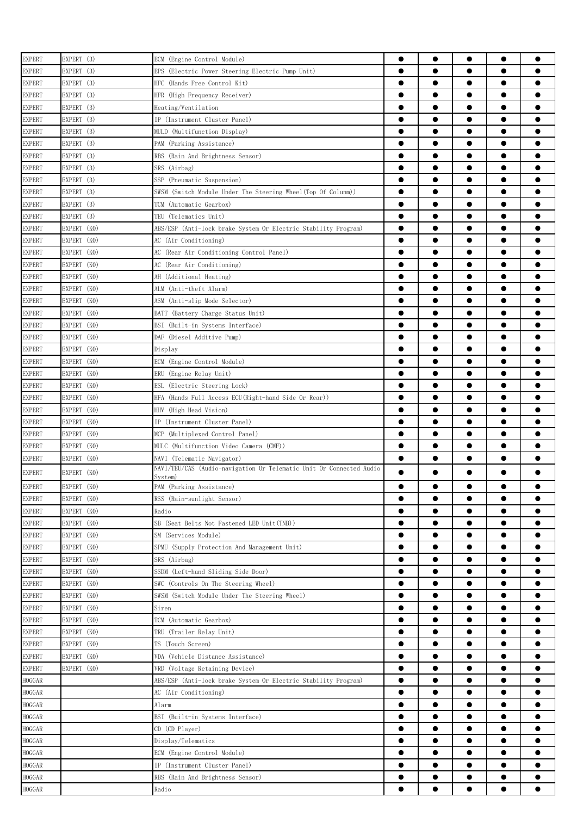| <b>EXPERT</b> | EXPERT (3)  | ECM (Engine Control Module)                                                    | $\bullet$ | $\bullet$ | $\bullet$ | $\bullet$ | $\bullet$ |
|---------------|-------------|--------------------------------------------------------------------------------|-----------|-----------|-----------|-----------|-----------|
| <b>EXPERT</b> | EXPERT (3)  | EPS (Electric Power Steering Electric Pump Unit)                               | $\bullet$ | $\bullet$ |           | $\bullet$ | $\bullet$ |
| <b>EXPERT</b> | EXPERT (3)  | HFC (Hands Free Control Kit)                                                   | $\bullet$ | $\bullet$ | $\bullet$ | $\bullet$ | $\bullet$ |
| <b>EXPERT</b> | EXPERT (3)  | HFR (High Frequency Receiver)                                                  | $\bullet$ | $\bullet$ | $\bullet$ | $\bullet$ | $\bullet$ |
| <b>EXPERT</b> | EXPERT (3)  | Heating/Ventilation                                                            | $\bullet$ | $\bullet$ | $\bullet$ | $\bullet$ | $\bullet$ |
| <b>EXPERT</b> | EXPERT (3)  | IP (Instrument Cluster Panel)                                                  | $\bullet$ | $\bullet$ | $\bullet$ | $\bullet$ | $\bullet$ |
| <b>EXPERT</b> | EXPERT (3)  | MULD (Multifunction Display)                                                   | $\bullet$ | $\bullet$ | $\bullet$ | $\bullet$ | ●         |
| <b>EXPERT</b> | EXPERT (3)  | PAM (Parking Assistance)                                                       | $\bullet$ | $\bullet$ | $\bullet$ | $\bullet$ |           |
| <b>EXPERT</b> | EXPERT (3)  | RBS (Rain And Brightness Sensor)                                               | 0         | $\bullet$ | $\bullet$ | $\bullet$ |           |
| <b>EXPERT</b> | EXPERT (3)  | SRS (Airbag)                                                                   | ●         | $\bullet$ |           | $\bullet$ |           |
| <b>EXPERT</b> | EXPERT (3)  | SSP (Pneumatic Suspension)                                                     | $\bullet$ | $\bullet$ | $\bullet$ | $\bullet$ |           |
| <b>EXPERT</b> | EXPERT (3)  | SWSM (Switch Module Under The Steering Wheel(Top Of Colunm))                   | $\bullet$ | $\bullet$ |           | $\bullet$ |           |
| <b>EXPERT</b> | EXPERT (3)  | TCM (Automatic Gearbox)                                                        | $\bullet$ | $\bullet$ | ●         | $\bullet$ | ●         |
| <b>EXPERT</b> | EXPERT (3)  | TEU (Telematics Unit)                                                          | $\bullet$ | $\bullet$ | $\bullet$ | $\bullet$ | $\bullet$ |
| <b>EXPERT</b> | EXPERT (KO) | ABS/ESP (Anti-lock brake System Or Electric Stability Program)                 | $\bullet$ | $\bullet$ | $\bullet$ | $\bullet$ | $\bullet$ |
| <b>EXPERT</b> | EXPERT (KO) | AC (Air Conditioning)                                                          | $\bullet$ | $\bullet$ | $\bullet$ | $\bullet$ | $\bullet$ |
| <b>EXPERT</b> | EXPERT (KO) | AC (Rear Air Conditioning Control Panel)                                       | $\bullet$ | $\bullet$ | $\bullet$ | $\bullet$ | $\bullet$ |
| EXPERT        | EXPERT (KO) | AC (Rear Air Conditioning)                                                     | $\bullet$ | $\bullet$ | $\bullet$ | $\bullet$ | $\bullet$ |
| <b>EXPERT</b> | EXPERT (KO) | AH (Additional Heating)                                                        | ●         | $\bullet$ | $\bullet$ | $\bullet$ | ●         |
| <b>EXPERT</b> | EXPERT (KO) | ALM (Anti-theft Alarm)                                                         | $\bullet$ | $\bullet$ | $\bullet$ | $\bullet$ | $\bullet$ |
| <b>EXPERT</b> | EXPERT (KO) | ASM (Anti-slip Mode Selector)                                                  | 0         | $\bullet$ | $\bullet$ | $\bullet$ | $\bullet$ |
| <b>EXPERT</b> | EXPERT (KO) | BATT (Battery Charge Status Unit)                                              |           | $\bullet$ |           |           |           |
| <b>EXPERT</b> | EXPERT (KO) | BSI (Built-in Systems Interface)                                               | $\bullet$ | $\bullet$ | $\bullet$ | $\bullet$ | $\bullet$ |
| <b>EXPERT</b> | EXPERT (KO) | DAF (Diesel Additive Pump)                                                     |           | $\bullet$ |           | $\bullet$ | $\bullet$ |
|               | EXPERT (KO) |                                                                                | $\bullet$ | $\bullet$ | $\bullet$ | $\bullet$ | $\bullet$ |
| <b>EXPERT</b> |             | Display                                                                        |           | $\bullet$ | $\bullet$ | $\bullet$ | $\bullet$ |
| <b>EXPERT</b> | EXPERT (KO) | ECM (Engine Control Module)                                                    | $\bullet$ |           |           |           |           |
| <b>EXPERT</b> | EXPERT (KO) | ERU (Engine Relay Unit)                                                        | $\bullet$ | $\bullet$ | $\bullet$ | $\bullet$ | $\bullet$ |
| <b>EXPERT</b> | EXPERT (KO) | ESL (Electric Steering Lock)                                                   | $\bullet$ | $\bullet$ | $\bullet$ | $\bullet$ | $\bullet$ |
| <b>EXPERT</b> | EXPERT (KO) | HFA (Hands Full Access ECU(Right-hand Side Or Rear))                           | $\bullet$ | $\bullet$ | $\bullet$ | $\bullet$ | $\bullet$ |
| <b>EXPERT</b> | EXPERT (KO) | HHV (High Head Vision)                                                         | $\bullet$ | $\bullet$ | $\bullet$ | $\bullet$ | $\bullet$ |
| <b>EXPERT</b> | EXPERT (KO) | IP (Instrument Cluster Panel)                                                  | $\bullet$ | $\bullet$ | $\bullet$ | $\bullet$ | $\bullet$ |
| <b>EXPERT</b> | EXPERT (KO) | MCP (Multiplexed Control Panel)                                                | $\bullet$ | $\bullet$ | $\bullet$ | $\bullet$ | ●         |
| <b>EXPERT</b> | EXPERT (KO) | MULC (Multifunction Video Camera (CMF))                                        | $\bullet$ | $\bullet$ | $\bullet$ | $\bullet$ | ●         |
| <b>EXPERT</b> | EXPERT (KO) | NAVI (Telematic Navigator)                                                     | $\bullet$ | $\bullet$ | $\bullet$ | $\bullet$ |           |
| <b>EXPERT</b> | EXPERT (KO) | NAVI/TEU/CAS (Audio-navigation Or Telematic Unit Or Connected Audio<br>System) | $\bullet$ | $\bullet$ | $\bullet$ | $\bullet$ | $\bullet$ |
| EXPERT        | EXPERT (KO) | PAM (Parking Assistance)                                                       |           |           |           |           |           |
| <b>EXPERT</b> | EXPERT (KO) | RSS (Rain-sunlight Sensor)                                                     | $\bullet$ | $\bullet$ | $\bullet$ | $\bullet$ | $\bullet$ |
| <b>EXPERT</b> | EXPERT (KO) | Radio                                                                          |           | $\bullet$ |           | $\bullet$ | $\bullet$ |
| <b>EXPERT</b> | EXPERT (KO) | SB (Seat Belts Not Fastened LED Unit(TNB))                                     | $\bullet$ | $\bullet$ |           | $\bullet$ | $\bullet$ |
| <b>EXPERT</b> | EXPERT (KO) | SM (Services Module)                                                           | $\bullet$ | $\bullet$ | $\bullet$ | $\bullet$ | $\bullet$ |
| <b>EXPERT</b> | EXPERT (KO) | SPMU (Supply Protection And Management Unit)                                   | $\bullet$ | $\bullet$ |           | $\bullet$ | $\bullet$ |
| <b>EXPERT</b> | EXPERT (KO) | SRS (Airbag)                                                                   | $\bullet$ | $\bullet$ | $\bullet$ | $\bullet$ | $\bullet$ |
| <b>EXPERT</b> | EXPERT (KO) | SSDM (Left-hand Sliding Side Door)                                             | $\bullet$ | $\bullet$ | $\bullet$ | $\bullet$ | $\bullet$ |
| <b>EXPERT</b> | EXPERT (KO) | SWC (Controls On The Steering Wheel)                                           | $\bullet$ | $\bullet$ | $\bullet$ | $\bullet$ | $\bullet$ |
| <b>EXPERT</b> | EXPERT (KO) | SWSM (Switch Module Under The Steering Wheel)                                  | $\bullet$ | $\bullet$ | $\bullet$ | $\bullet$ | $\bullet$ |
| <b>EXPERT</b> | EXPERT (KO) | Siren                                                                          | $\bullet$ | $\bullet$ | $\bullet$ | $\bullet$ | $\bullet$ |
| <b>EXPERT</b> | EXPERT (KO) | TCM (Automatic Gearbox)                                                        | ●         | $\bullet$ |           | $\bullet$ | $\bullet$ |
| <b>EXPERT</b> | EXPERT (KO) | TRU (Trailer Relay Unit)                                                       | $\bullet$ | $\bullet$ | $\bullet$ | $\bullet$ | $\bullet$ |
| <b>EXPERT</b> | EXPERT (KO) | TS (Touch Screen)                                                              |           | $\bullet$ |           | $\bullet$ | $\bullet$ |
|               |             | VDA (Vehicle Distance Assistance)                                              |           | $\bullet$ |           |           |           |
| <b>EXPERT</b> | EXPERT (KO) |                                                                                |           | $\bullet$ | $\bullet$ | $\bullet$ | $\bullet$ |
| <b>EXPERT</b> | EXPERT (KO) | VRD (Voltage Retaining Device)                                                 |           |           |           |           |           |
| HOGGAR        |             | ABS/ESP (Anti-lock brake System Or Electric Stability Program)                 |           | $\bullet$ |           |           | $\bullet$ |
| HOGGAR        |             | AC (Air Conditioning)                                                          |           | $\bullet$ |           |           |           |
| HOGGAR        |             | Alarm                                                                          | $\bullet$ | $\bullet$ | $\bullet$ | $\bullet$ | $\bullet$ |
| HOGGAR        |             | BSI (Built-in Systems Interface)                                               | $\bullet$ | $\bullet$ | $\bullet$ | $\bullet$ | $\bullet$ |
| HOGGAR        |             | CD (CD Player)                                                                 | $\bullet$ | $\bullet$ | $\bullet$ | $\bullet$ | $\bullet$ |
| HOGGAR        |             | Display/Telematics                                                             | $\bullet$ | $\bullet$ | $\bullet$ | $\bullet$ | $\bullet$ |
| HOGGAR        |             | ECM (Engine Control Module)                                                    | $\bullet$ | $\bullet$ | $\bullet$ | $\bullet$ | $\bullet$ |
| HOGGAR        |             | IP (Instrument Cluster Panel)                                                  | $\bullet$ | $\bullet$ | $\bullet$ | $\bullet$ | $\bullet$ |
| HOGGAR        |             | RBS (Rain And Brightness Sensor)                                               | ●         | $\bullet$ | $\bullet$ | $\bullet$ | $\bullet$ |
| HOGGAR        |             | Radio                                                                          | ●         | $\bullet$ | $\bullet$ | $\bullet$ | $\bullet$ |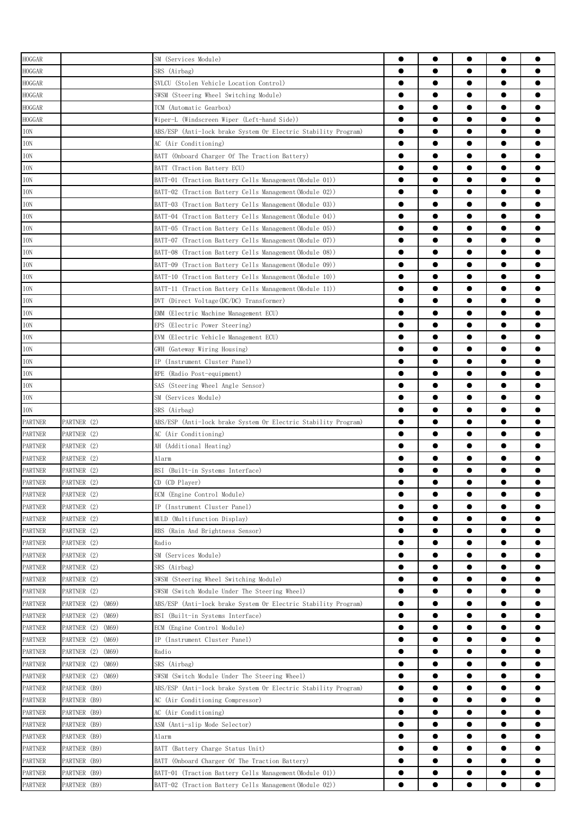| <b>HOGGAR</b>  |                      | SM (Services Module)                                           | 0         | $\bullet$ |           | $\bullet$ |           |
|----------------|----------------------|----------------------------------------------------------------|-----------|-----------|-----------|-----------|-----------|
| <b>HOGGAR</b>  |                      | SRS (Airbag)                                                   | $\bullet$ |           |           | $\bullet$ |           |
| HOGGAR         |                      | SVLCU (Stolen Vehicle Location Control)                        | $\bullet$ | $\bullet$ | $\bullet$ | $\bullet$ |           |
| HOGGAR         |                      | SWSM (Steering Wheel Switching Module)                         | $\bullet$ | $\bullet$ | $\bullet$ | $\bullet$ |           |
| HOGGAR         |                      | TCM (Automatic Gearbox)                                        | $\bullet$ | $\bullet$ | $\bullet$ | $\bullet$ | 0         |
|                |                      | Wiper-L (Windscreen Wiper (Left-hand Side))                    | $\bullet$ | ●         | $\bullet$ | $\bullet$ |           |
| HOGGAR         |                      |                                                                |           | ●         | ●         | $\bullet$ |           |
| ION            |                      | ABS/ESP (Anti-lock brake System Or Electric Stability Program) | $\bullet$ |           |           |           |           |
| ION            |                      | AC (Air Conditioning)                                          | $\bullet$ | ●         | ●         | $\bullet$ |           |
| ION            |                      | BATT (Onboard Charger Of The Traction Battery)                 |           |           |           | $\bullet$ |           |
| ION            |                      | BATT (Traction Battery ECU)                                    | ●         |           |           | $\bullet$ |           |
| ION            |                      | BATT-01 (Traction Battery Cells Management(Module 01))         |           |           |           | $\bullet$ |           |
| ION            |                      | BATT-02 (Traction Battery Cells Management(Module 02))         |           |           |           | $\bullet$ |           |
| ION            |                      | BATT-03 (Traction Battery Cells Management(Module 03))         | $\bullet$ | ●         | ●         | $\bullet$ |           |
| ION            |                      | BATT-04 (Traction Battery Cells Management(Module 04))         | $\bullet$ | $\bullet$ | $\bullet$ | $\bullet$ |           |
| ION            |                      | BATT-05 (Traction Battery Cells Management(Module 05))         | $\bullet$ | $\bullet$ | $\bullet$ | $\bullet$ |           |
| ION            |                      | BATT-07 (Traction Battery Cells Management(Module 07))         | $\bullet$ | $\bullet$ | $\bullet$ | $\bullet$ |           |
| ION            |                      | BATT-08 (Traction Battery Cells Management (Module 08))        | $\bullet$ | $\bullet$ | $\bullet$ | $\bullet$ | 0         |
| ION            |                      | BATT-09 (Traction Battery Cells Management(Module 09))         | $\bullet$ | $\bullet$ |           | $\bullet$ |           |
| ION            |                      | BATT-10 (Traction Battery Cells Management(Module 10))         | $\bullet$ | ●         |           | $\bullet$ |           |
| ION            |                      | BATT-11 (Traction Battery Cells Management(Module 11))         | $\bullet$ | ●         |           | $\bullet$ |           |
| ION            |                      | DVT (Direct Voltage(DC/DC) Transformer)                        | $\bullet$ |           |           | $\bullet$ |           |
| ION            |                      | EMM (Electric Machine Management ECU)                          |           |           |           | $\bullet$ |           |
| ION            |                      | EPS (Electric Power Steering)                                  |           |           |           | $\bullet$ |           |
|                |                      |                                                                | $\bullet$ |           |           | $\bullet$ |           |
| ION            |                      | EVM (Electric Vehicle Management ECU)                          |           |           |           |           |           |
| ION            |                      | GWH (Gateway Wiring Housing)                                   |           |           |           | $\bullet$ |           |
| ION            |                      | IP (Instrument Cluster Panel)                                  | $\bullet$ | $\bullet$ |           | $\bullet$ |           |
| ION            |                      | RPE (Radio Post-equipment)                                     | $\bullet$ | $\bullet$ | $\bullet$ | $\bullet$ |           |
| ION            |                      | SAS (Steering Wheel Angle Sensor)                              | $\bullet$ | $\bullet$ | $\bullet$ | $\bullet$ |           |
| ION            |                      | SM (Services Module)                                           | $\bullet$ | $\bullet$ | $\bullet$ | $\bullet$ |           |
| ION            |                      | SRS (Airbag)                                                   | $\bullet$ | $\bullet$ | $\bullet$ | $\bullet$ |           |
| PARTNER        | PARTNER (2)          | ABS/ESP (Anti-lock brake System Or Electric Stability Program) | $\bullet$ | ●         |           | $\bullet$ |           |
| <b>PARTNER</b> | PARTNER (2)          | AC (Air Conditioning)                                          | $\bullet$ | ●         | ●         | $\bullet$ |           |
| <b>PARTNER</b> | PARTNER (2)          | AH (Additional Heating)                                        | $\bullet$ | $\bullet$ |           | $\bullet$ |           |
| <b>PARTNER</b> | PARTNER (2)          | Alarm                                                          | 0         |           |           | $\bullet$ |           |
| <b>PARTNER</b> | PARTNER (2)          | BSI (Built-in Systems Interface)                               |           |           |           |           |           |
| <b>PARTNER</b> | PARTNER (2)          | CD (CD Player)                                                 | ●         |           |           |           |           |
| <b>PARTNER</b> | PARTNER (2)          | ECM (Engine Control Module)                                    | $\bullet$ | $\bullet$ | $\bullet$ | $\bullet$ |           |
| <b>PARTNER</b> | PARTNER (2)          | IP (Instrument Cluster Panel)                                  | $\bullet$ | ●         |           | $\bullet$ | ●         |
| <b>PARTNER</b> | PARTNER (2)          | MULD (Multifunction Display)                                   | $\bullet$ | $\bullet$ | $\bullet$ | $\bullet$ | $\bullet$ |
|                |                      |                                                                |           |           |           |           |           |
| <b>PARTNER</b> | PARTNER (2)          | RBS (Rain And Brightness Sensor)                               | $\bullet$ | $\bullet$ | $\bullet$ | $\bullet$ |           |
| <b>PARTNER</b> | PARTNER (2)          | Radio                                                          | $\bullet$ | $\bullet$ | $\bullet$ | $\bullet$ |           |
| PARTNER        | PARTNER (2)          | SM (Services Module)                                           | $\bullet$ | $\bullet$ | $\bullet$ | $\bullet$ | $\bullet$ |
| PARTNER        | PARTNER (2)          | SRS (Airbag)                                                   | $\bullet$ | $\bullet$ | $\bullet$ | $\bullet$ |           |
| <b>PARTNER</b> | PARTNER (2)          | SWSM (Steering Wheel Switching Module)                         | $\bullet$ | ●         | ●         | $\bullet$ | ●         |
| <b>PARTNER</b> | PARTNER (2)          | SWSM (Switch Module Under The Steering Wheel)                  | $\bullet$ | $\bullet$ | $\bullet$ | $\bullet$ |           |
| <b>PARTNER</b> | PARTNER (2) (M69)    | ABS/ESP (Anti-lock brake System Or Electric Stability Program) | $\bullet$ |           | $\bullet$ | $\bullet$ |           |
| <b>PARTNER</b> | PARTNER (2) (M69)    | BSI (Built-in Systems Interface)                               | $\bullet$ |           |           | $\bullet$ |           |
| <b>PARTNER</b> | PARTNER (2) (M69)    | ECM (Engine Control Module)                                    | $\bullet$ |           |           | $\bullet$ |           |
| <b>PARTNER</b> | PARTNER (2) (M69)    | IP (Instrument Cluster Panel)                                  | $\bullet$ |           |           |           |           |
| <b>PARTNER</b> | PARTNER (2) (M69)    | Radio                                                          |           |           |           |           | 0         |
| <b>PARTNER</b> | PARTNER (2)<br>(M69) | SRS (Airbag)                                                   | $\bullet$ | $\bullet$ | $\bullet$ | $\bullet$ | $\bullet$ |
| <b>PARTNER</b> | PARTNER (2)<br>(M69) | SWSM (Switch Module Under The Steering Wheel)                  | $\bullet$ | $\bullet$ | $\bullet$ | $\bullet$ | $\bullet$ |
| <b>PARTNER</b> | PARTNER (B9)         | ABS/ESP (Anti-lock brake System Or Electric Stability Program) | $\bullet$ | $\bullet$ | $\bullet$ | $\bullet$ |           |
| PARTNER        | PARTNER (B9)         | AC (Air Conditioning Compressor)                               | $\bullet$ | $\bullet$ | $\bullet$ | $\bullet$ | 0         |
| <b>PARTNER</b> | PARTNER (B9)         | AC (Air Conditioning)                                          | $\bullet$ | $\bullet$ | $\bullet$ | $\bullet$ | $\bullet$ |
| <b>PARTNER</b> | PARTNER (B9)         | ASM (Anti-slip Mode Selector)                                  | $\bullet$ | ●         |           | $\bullet$ |           |
|                |                      |                                                                | $\bullet$ | ●         | ●         | $\bullet$ |           |
| <b>PARTNER</b> | PARTNER (B9)         | Alarm                                                          |           |           |           |           |           |
| PARTNER        | PARTNER (B9)         | BATT (Battery Charge Status Unit)                              | $\bullet$ |           |           | $\bullet$ |           |
| <b>PARTNER</b> | PARTNER (B9)         | BATT (Onboard Charger Of The Traction Battery)                 | $\bullet$ |           |           | $\bullet$ |           |
| <b>PARTNER</b> | PARTNER (B9)         | BATT-01 (Traction Battery Cells Management(Module 01))         |           |           |           |           |           |
| <b>PARTNER</b> | PARTNER (B9)         | BATT-02 (Traction Battery Cells Management (Module 02))        |           |           |           |           |           |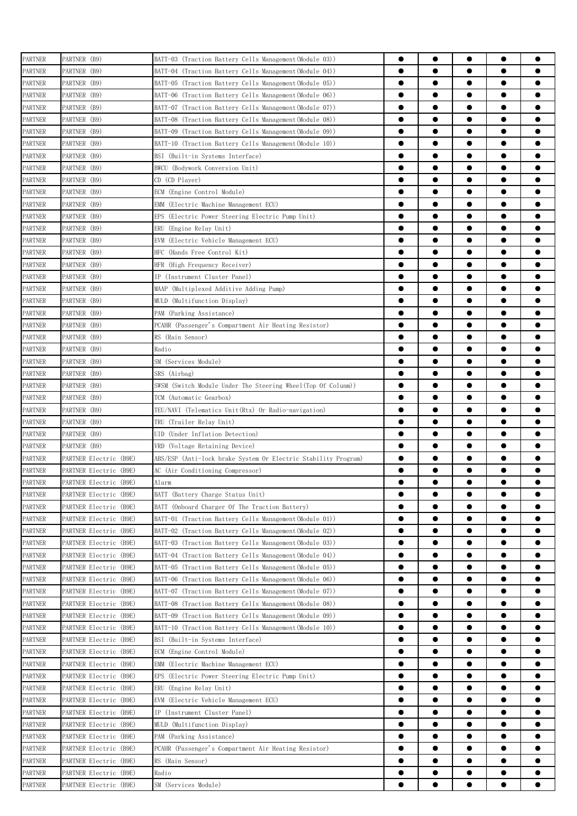| <b>PARTNER</b> | PARTNER (B9)           | BATT-03 (Traction Battery Cells Management(Module 03))         |           | $\bullet$ | $\bullet$ | $\bullet$ | 0         |
|----------------|------------------------|----------------------------------------------------------------|-----------|-----------|-----------|-----------|-----------|
| <b>PARTNER</b> | PARTNER (B9)           | BATT-04 (Traction Battery Cells Management(Module 04))         | $\bullet$ | $\bullet$ | $\bullet$ | $\bullet$ |           |
| <b>PARTNER</b> | PARTNER (B9)           | BATT-05 (Traction Battery Cells Management(Module 05))         |           |           | $\bullet$ | $\bullet$ |           |
| PARTNER        | PARTNER (B9)           | BATT-06 (Traction Battery Cells Management(Module 06))         | $\bullet$ | $\bullet$ | $\bullet$ | $\bullet$ | 0         |
| PARTNER        | PARTNER (B9)           | BATT-07 (Traction Battery Cells Management(Module 07))         | $\bullet$ | $\bullet$ | $\bullet$ | $\bullet$ |           |
| <b>PARTNER</b> | PARTNER (B9)           | BATT-08 (Traction Battery Cells Management(Module 08))         | ●         |           | ●         | $\bullet$ |           |
| <b>PARTNER</b> | PARTNER (B9)           | BATT-09 (Traction Battery Cells Management(Module 09))         | ●         |           | $\bullet$ | $\bullet$ |           |
| PARTNER        | PARTNER (B9)           | BATT-10 (Traction Battery Cells Management(Module 10))         |           |           | $\bullet$ | $\bullet$ |           |
| <b>PARTNER</b> | PARTNER (B9)           | BSI (Built-in Systems Interface)                               | ●         |           |           | $\bullet$ |           |
| <b>PARTNER</b> | PARTNER (B9)           | BWCU (Bodywork Conversion Unit)                                |           | ●         | $\bullet$ | $\bullet$ |           |
| PARTNER        | PARTNER (B9)           | CD (CD Player)                                                 |           |           |           | $\bullet$ |           |
| <b>PARTNER</b> | PARTNER (B9)           | ECM (Engine Control Module)                                    |           | ●         |           | $\bullet$ |           |
|                |                        |                                                                | $\bullet$ | ●         |           | $\bullet$ |           |
| <b>PARTNER</b> | PARTNER (B9)           | EMM (Electric Machine Management ECU)                          |           |           | $\bullet$ |           |           |
| PARTNER        | PARTNER (B9)           | EPS<br>(Electric Power Steering Electric Pump Unit)            | $\bullet$ |           | $\bullet$ | $\bullet$ |           |
| PARTNER        | PARTNER (B9)           | ERU<br>(Engine Relay Unit)                                     |           |           | $\bullet$ | $\bullet$ |           |
| PARTNER        | PARTNER (B9)           | EVM<br>(Electric Vehicle Management ECU)                       |           | $\bullet$ | $\bullet$ | $\bullet$ |           |
| PARTNER        | PARTNER (B9)           | (Hands Free Control Kit)<br>HFC                                | $\bullet$ |           | ●         | $\bullet$ |           |
| PARTNER        | PARTNER (B9)           | HFR (High Frequency Receiver)                                  |           | ●         | ●         | $\bullet$ |           |
| <b>PARTNER</b> | PARTNER (B9)           | IP (Instrument Cluster Panel)                                  | ●         |           |           | $\bullet$ |           |
| <b>PARTNER</b> | PARTNER (B9)           | MAAP (Multiplexed Additive Adding Pump)                        |           |           |           | $\bullet$ |           |
| <b>PARTNER</b> | PARTNER (B9)           | MULD (Multifunction Display)                                   |           |           |           | $\bullet$ |           |
| <b>PARTNER</b> | PARTNER (B9)           | PAM (Parking Assistance)                                       | ●         |           |           | $\bullet$ |           |
| <b>PARTNER</b> | PARTNER (B9)           | PCAHR (Passenger's Compartment Air Heating Resistor)           | $\bullet$ |           | $\bullet$ | $\bullet$ |           |
| <b>PARTNER</b> | PARTNER (B9)           | RS (Rain Sensor)                                               | ●         | ●         | ●         |           |           |
| <b>PARTNER</b> | PARTNER (B9)           | Radio                                                          |           | ●         | ●         | $\bullet$ |           |
| <b>PARTNER</b> | PARTNER (B9)           | SM (Services Module)                                           | $\bullet$ | $\bullet$ | $\bullet$ | $\bullet$ |           |
| PARTNER        | PARTNER (B9)           | SRS (Airbag)                                                   | $\bullet$ | $\bullet$ | $\bullet$ | $\bullet$ |           |
| PARTNER        | PARTNER (B9)           | SWSM (Switch Module Under The Steering Wheel(Top Of Colunm))   |           |           | $\bullet$ | $\bullet$ |           |
| <b>PARTNER</b> | PARTNER (B9)           | TCM (Automatic Gearbox)                                        | $\bullet$ | $\bullet$ | $\bullet$ | $\bullet$ | 0         |
|                |                        |                                                                | ●         | ●         | ●         | $\bullet$ |           |
| PARTNER        | PARTNER (B9)           | TEU/NAVI (Telematics Unit(Rtx) Or Radio-navigation)            | ●         |           |           | $\bullet$ |           |
| PARTNER        | PARTNER (B9)           | TRU (Trailer Relay Unit)                                       | $\bullet$ | ●         |           | $\bullet$ |           |
| <b>PARTNER</b> | PARTNER (B9)           | (Under Inflation Detection)<br>UID                             |           |           | $\bullet$ |           |           |
| <b>PARTNER</b> | PARTNER (B9)           | VRD (Voltage Retaining Device)                                 |           | ●         |           | $\bullet$ |           |
| <b>PARTNER</b> | PARTNER Electric (B9E) | ABS/ESP (Anti-lock brake System Or Electric Stability Program) |           |           |           |           |           |
| <b>PARTNER</b> | PARTNER Electric (B9E) | AC (Air Conditioning Compressor)                               | $\bullet$ |           |           |           |           |
| <b>PARTNER</b> | PARTNER Electric (B9E) | Alarm                                                          |           | $\bullet$ |           |           |           |
| <b>PARTNER</b> | PARTNER Electric (B9E) | BATT (Battery Charge Status Unit)                              |           | $\bullet$ | $\bullet$ | $\bullet$ |           |
| <b>PARTNER</b> | PARTNER Electric (B9E) | BATT (Onboard Charger Of The Traction Battery)                 | $\bullet$ | $\bullet$ | $\bullet$ | $\bullet$ | 0         |
| <b>PARTNER</b> | PARTNER Electric (B9E) | BATT-01 (Traction Battery Cells Management(Module 01))         | $\bullet$ |           | $\bullet$ | $\bullet$ |           |
| <b>PARTNER</b> | PARTNER Electric (B9E) | BATT-02 (Traction Battery Cells Management(Module 02))         | $\bullet$ | $\bullet$ | $\bullet$ | $\bullet$ | 0         |
| <b>PARTNER</b> | PARTNER Electric (B9E) | BATT-03 (Traction Battery Cells Management(Module 03))         | $\bullet$ | $\bullet$ | $\bullet$ | $\bullet$ | $\bullet$ |
| PARTNER        | PARTNER Electric (B9E) | BATT-04 (Traction Battery Cells Management(Module 04))         | $\bullet$ | $\bullet$ | $\bullet$ | $\bullet$ | 0         |
| <b>PARTNER</b> | PARTNER Electric (B9E) | BATT-05 (Traction Battery Cells Management(Module 05))         |           | $\bullet$ | $\bullet$ | $\bullet$ | 0         |
| <b>PARTNER</b> | PARTNER Electric (B9E) | BATT-06 (Traction Battery Cells Management(Module 06))         | $\bullet$ |           | $\bullet$ | $\bullet$ |           |
| PARTNER        | PARTNER Electric (B9E) | BATT-07 (Traction Battery Cells Management(Module 07))         | $\bullet$ |           |           | $\bullet$ |           |
| <b>PARTNER</b> | PARTNER Electric (B9E) | BATT-08 (Traction Battery Cells Management(Module 08))         | $\bullet$ | $\bullet$ |           | $\bullet$ |           |
| <b>PARTNER</b> | PARTNER Electric (B9E) | BATT-09 (Traction Battery Cells Management(Module 09))         |           |           |           | $\bullet$ |           |
| PARTNER        | PARTNER Electric (B9E) | BATT-10 (Traction Battery Cells Management(Module 10))         |           |           |           |           |           |
| <b>PARTNER</b> | PARTNER Electric (B9E) | BSI (Built-in Systems Interface)                               | $\bullet$ |           |           | $\bullet$ | 0         |
| <b>PARTNER</b> | PARTNER Electric (B9E) | ECM (Engine Control Module)                                    |           | ●         | ●         | $\bullet$ | ●         |
|                |                        |                                                                | $\bullet$ |           | $\bullet$ |           |           |
| <b>PARTNER</b> | PARTNER Electric (B9E) | EMM<br>(Electric Machine Management ECU)                       |           |           |           | $\bullet$ |           |
| <b>PARTNER</b> | PARTNER Electric (B9E) | EPS<br>(Electric Power Steering Electric Pump Unit)            | $\bullet$ | $\bullet$ | $\bullet$ | $\bullet$ | $\bullet$ |
| <b>PARTNER</b> | PARTNER Electric (B9E) | ERU (Engine Relay Unit)                                        | $\bullet$ | $\bullet$ | $\bullet$ | $\bullet$ | 0         |
| PARTNER        | PARTNER Electric (B9E) | EVM<br>(Electric Vehicle Management ECU)                       | $\bullet$ | $\bullet$ | $\bullet$ | $\bullet$ |           |
| <b>PARTNER</b> | PARTNER Electric (B9E) | IP (Instrument Cluster Panel)                                  |           | ●         | $\bullet$ | $\bullet$ |           |
| <b>PARTNER</b> | PARTNER Electric (B9E) | MULD (Multifunction Display)                                   |           |           | ●         | $\bullet$ |           |
| <b>PARTNER</b> | PARTNER Electric (B9E) | PAM (Parking Assistance)                                       | $\bullet$ | $\bullet$ | $\bullet$ | $\bullet$ |           |
| PARTNER        | PARTNER Electric (B9E) | PCAHR (Passenger's Compartment Air Heating Resistor)           | $\bullet$ | $\bullet$ |           | $\bullet$ |           |
| <b>PARTNER</b> | PARTNER Electric (B9E) | RS (Rain Sensor)                                               |           | ●         |           |           |           |
| <b>PARTNER</b> | PARTNER Electric (B9E) | Radio                                                          |           |           |           |           |           |
| <b>PARTNER</b> | PARTNER Electric (B9E) | SM (Services Module)                                           | ●         | ●         |           |           |           |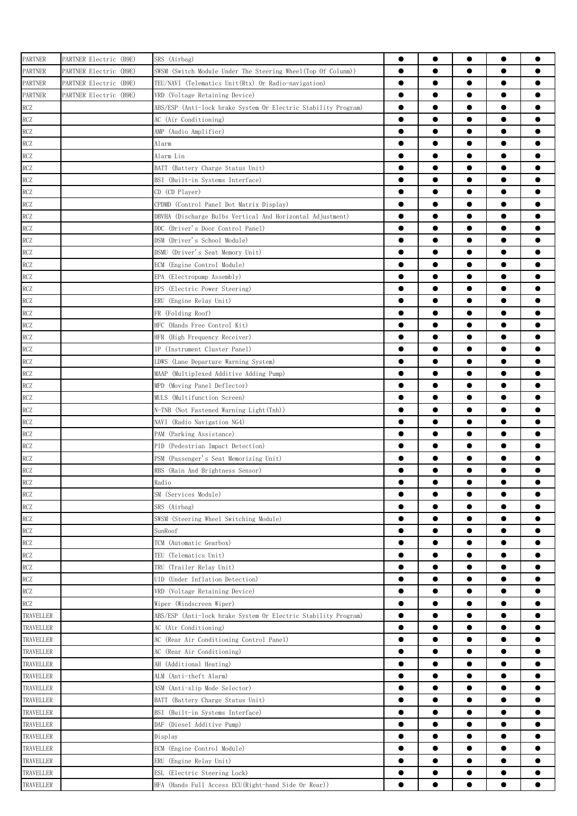| PARTNER        | PARTNER Electric (B9E) | SRS (Airbag)                                                   | $\bullet$ | $\bullet$ | $\bullet$ | $\bullet$ |           |
|----------------|------------------------|----------------------------------------------------------------|-----------|-----------|-----------|-----------|-----------|
| <b>PARTNER</b> | PARTNER Electric (B9E) | SWSM (Switch Module Under The Steering Wheel(Top Of Colunm))   | $\bullet$ | $\bullet$ |           | $\bullet$ |           |
| <b>PARTNER</b> | PARTNER Electric (B9E) | TEU/NAVI (Telematics Unit(Rtx) Or Radio-navigation)            | $\bullet$ | $\bullet$ | $\bullet$ | $\bullet$ |           |
| <b>PARTNER</b> | PARTNER Electric (B9E) | VRD (Voltage Retaining Device)                                 | $\bullet$ | $\bullet$ | $\bullet$ | $\bullet$ |           |
| RCZ            |                        | ABS/ESP (Anti-lock brake System Or Electric Stability Program) | $\bullet$ | $\bullet$ | $\bullet$ | $\bullet$ | 0         |
| <b>RCZ</b>     |                        |                                                                | $\bullet$ | $\bullet$ | $\bullet$ | $\bullet$ |           |
|                |                        | AC (Air Conditioning)                                          | $\bullet$ | $\bullet$ |           | $\bullet$ |           |
| RCZ            |                        | AMP (Audio Amplifier)                                          | $\bullet$ | $\bullet$ | $\bullet$ | $\bullet$ |           |
| RCZ            |                        | Alarm                                                          |           |           |           |           |           |
| RCZ            |                        | Alarm Lin                                                      | $\bullet$ |           |           | $\bullet$ |           |
| <b>RCZ</b>     |                        | BATT (Battery Charge Status Unit)                              |           |           |           | $\bullet$ |           |
| RCZ            |                        | BSI (Built-in Systems Interface)                               | $\bullet$ |           |           | $\bullet$ |           |
| RCZ            |                        | CD (CD Player)                                                 | $\bullet$ |           |           | $\bullet$ |           |
| RCZ            |                        | CPDMD (Control Panel Dot Matrix Display)                       | $\bullet$ | $\bullet$ |           | $\bullet$ |           |
| RCZ            |                        | DBVHA (Discharge Bulbs Vertical And Horizontal Adjustment)     | $\bullet$ | $\bullet$ | $\bullet$ | $\bullet$ | ●         |
| RCZ            |                        | DDC (Driver's Door Control Panel)                              | $\bullet$ | $\bullet$ | $\bullet$ | $\bullet$ |           |
| RCZ            |                        | DSM (Driver's School Module)                                   | $\bullet$ | $\bullet$ | $\bullet$ | $\bullet$ |           |
| RCZ            |                        | DSMU (Driver's Seat Memory Unit)                               | $\bullet$ | $\bullet$ | $\bullet$ | $\bullet$ | $\bullet$ |
| <b>RCZ</b>     |                        | ECM (Engine Control Module)                                    | $\bullet$ | $\bullet$ | $\bullet$ | $\bullet$ |           |
| RCZ            |                        | EPA (Electropump Assembly)                                     | $\bullet$ | ●         | ●         | $\bullet$ |           |
| RCZ            |                        | EPS (Electric Power Steering)                                  | $\bullet$ | $\bullet$ |           | $\bullet$ |           |
| RCZ            |                        | ERU (Engine Relay Unit)                                        | $\bullet$ |           |           | $\bullet$ |           |
| RCZ            |                        | FR (Folding Roof)                                              | $\bullet$ |           |           | $\bullet$ |           |
| RCZ            |                        | HFC (Hands Free Control Kit)                                   | $\bullet$ |           |           | $\bullet$ |           |
| <b>RCZ</b>     |                        | HFR (High Frequency Receiver)                                  | $\bullet$ |           |           | $\bullet$ |           |
| <b>RCZ</b>     |                        | IP (Instrument Cluster Panel)                                  | $\bullet$ | ●         |           | $\bullet$ |           |
| RCZ            |                        | LDWS (Lane Departure Warning System)                           | $\bullet$ | $\bullet$ |           | $\bullet$ |           |
| RCZ            |                        | MAAP (Multiplexed Additive Adding Pump)                        | $\bullet$ | $\bullet$ | $\bullet$ | $\bullet$ |           |
| <b>RCZ</b>     |                        | MPD (Moving Panel Deflector)                                   | $\bullet$ | $\bullet$ | $\bullet$ | $\bullet$ |           |
| <b>RCZ</b>     |                        | MULS (Multifunction Screen)                                    | $\bullet$ | $\bullet$ | $\bullet$ | $\bullet$ |           |
| RCZ            |                        | N-TNB (Not Fastened Warning Light(Tnb))                        | $\bullet$ | $\bullet$ | $\bullet$ | $\bullet$ |           |
| RCZ            |                        | NAVI (Radio Navigation NG4)                                    | $\bullet$ | $\bullet$ |           | $\bullet$ |           |
| RCZ            |                        | PAM (Parking Assistance)                                       | $\bullet$ | ●         | ●         | $\bullet$ |           |
| RCZ            |                        | PID (Pedestrian Impact Detection)                              | $\bullet$ | $\bullet$ |           | $\bullet$ |           |
| RCZ            |                        | PSM (Passenger's Seat Memorizing Unit)                         |           |           |           | $\bullet$ |           |
| RCZ            |                        | RBS (Rain And Brightness Sensor)                               | 0         |           |           | $\bullet$ |           |
| <b>RCZ</b>     |                        | Radio                                                          |           | $\bullet$ |           | $\bullet$ |           |
| <b>RCZ</b>     |                        |                                                                | $\bullet$ | $\bullet$ | $\bullet$ | $\bullet$ |           |
|                |                        | SM (Services Module)                                           |           |           |           |           | ●         |
| RCZ            |                        | SRS (Airbag)                                                   |           |           |           | $\bullet$ |           |
| RCZ            |                        | SWSM (Steering Wheel Switching Module)                         | $\bullet$ | $\bullet$ | $\bullet$ | $\bullet$ |           |
| <b>RCZ</b>     |                        | SunRoof                                                        | $\bullet$ | $\bullet$ |           | $\bullet$ |           |
| <b>RCZ</b>     |                        | TCM (Automatic Gearbox)                                        | $\bullet$ | $\bullet$ | $\bullet$ | $\bullet$ |           |
| RCZ            |                        | TEU (Telematics Unit)                                          | $\bullet$ | $\bullet$ | $\bullet$ | $\bullet$ | $\bullet$ |
| RCZ            |                        | TRU (Trailer Relay Unit)                                       | $\bullet$ | $\bullet$ | $\bullet$ | $\bullet$ |           |
| RCZ            |                        | UID (Under Inflation Detection)                                | $\bullet$ | $\bullet$ |           | $\bullet$ |           |
| RCZ            |                        | VRD (Voltage Retaining Device)                                 | $\bullet$ | $\bullet$ | $\bullet$ | $\bullet$ |           |
| RCZ            |                        | Wiper (Windscreen Wiper)                                       | $\bullet$ |           |           | $\bullet$ |           |
| TRAVELLER      |                        | ABS/ESP (Anti-lock brake System Or Electric Stability Program) | $\bullet$ |           |           | $\bullet$ |           |
| TRAVELLER      |                        | AC (Air Conditioning)                                          | $\bullet$ |           |           | $\bullet$ |           |
| TRAVELLER      |                        | AC (Rear Air Conditioning Control Panel)                       | $\bullet$ |           |           |           |           |
| TRAVELLER      |                        | AC (Rear Air Conditioning)                                     |           |           |           |           |           |
| TRAVELLER      |                        | AH (Additional Heating)                                        | $\bullet$ | $\bullet$ | $\bullet$ | $\bullet$ | $\bullet$ |
| TRAVELLER      |                        | ALM (Anti-theft Alarm)                                         | $\bullet$ | $\bullet$ | $\bullet$ | $\bullet$ | $\bullet$ |
| TRAVELLER      |                        | ASM (Anti-slip Mode Selector)                                  | $\bullet$ | $\bullet$ | $\bullet$ | $\bullet$ |           |
| TRAVELLER      |                        | BATT (Battery Charge Status Unit)                              | $\bullet$ | $\bullet$ | $\bullet$ | $\bullet$ |           |
| TRAVELLER      |                        | BSI (Built-in Systems Interface)                               | $\bullet$ | $\bullet$ | $\bullet$ | $\bullet$ |           |
| TRAVELLER      |                        | DAF (Diesel Additive Pump)                                     | $\bullet$ | $\bullet$ |           | $\bullet$ |           |
| TRAVELLER      |                        | Display                                                        | $\bullet$ | ●         |           | $\bullet$ |           |
| TRAVELLER      |                        | ECM (Engine Control Module)                                    | $\bullet$ |           |           | $\bullet$ |           |
| TRAVELLER      |                        | ERU (Engine Relay Unit)                                        | $\bullet$ |           |           | $\bullet$ |           |
| TRAVELLER      |                        | ESL (Electric Steering Lock)                                   |           |           |           |           |           |
| TRAVELLER      |                        | HFA (Hands Full Access ECU(Right-hand Side Or Rear))           | $\bullet$ |           |           |           |           |
|                |                        |                                                                |           |           |           |           |           |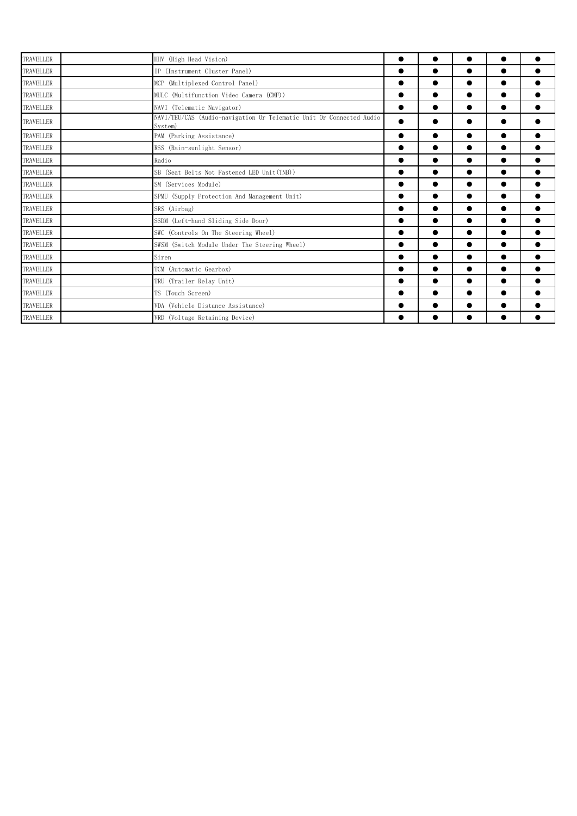| <b>TRAVELLER</b> | HHV (High Head Vision)                                                         | $\bullet$ | $\bullet$ | $\bullet$ | $\bullet$ |  |
|------------------|--------------------------------------------------------------------------------|-----------|-----------|-----------|-----------|--|
| TRAVELLER        | IP (Instrument Cluster Panel)                                                  | $\bullet$ | $\bullet$ | $\bullet$ | $\bullet$ |  |
| TRAVELLER        | MCP (Multiplexed Control Panel)                                                | ●         | ●         | $\bullet$ | $\bullet$ |  |
| TRAVELLER        | MULC (Multifunction Video Camera (CMF))                                        | $\bullet$ | ●         | $\bullet$ | $\bullet$ |  |
| TRAVELLER        | NAVI (Telematic Navigator)                                                     | ●         | $\bullet$ | $\bullet$ | $\bullet$ |  |
| TRAVELLER        | NAVI/TEU/CAS (Audio-navigation Or Telematic Unit Or Connected Audio<br>System) |           |           |           |           |  |
| <b>TRAVELLER</b> | PAM (Parking Assistance)                                                       | $\bullet$ | $\bullet$ | $\bullet$ | $\bullet$ |  |
| TRAVELLER        | RSS (Rain-sunlight Sensor)                                                     | $\bullet$ | $\bullet$ | $\bullet$ | $\bullet$ |  |
| TRAVELLER        | Radio                                                                          |           | $\bullet$ |           | $\bullet$ |  |
| TRAVELLER        | SB (Seat Belts Not Fastened LED Unit(TNB))                                     | ●         | ●         | $\bullet$ | $\bullet$ |  |
| TRAVELLER        | SM (Services Module)                                                           | $\bullet$ | $\bullet$ | $\bullet$ | $\bullet$ |  |
| TRAVELLER        | SPMU (Supply Protection And Management Unit)                                   | $\bullet$ | $\bullet$ | $\bullet$ | $\bullet$ |  |
| TRAVELLER        | SRS (Airbag)                                                                   | $\bullet$ | ●         | $\bullet$ | $\bullet$ |  |
| TRAVELLER        | SSDM (Left-hand Sliding Side Door)                                             | $\bullet$ | $\bullet$ | $\bullet$ | $\bullet$ |  |
| TRAVELLER        | SWC (Controls On The Steering Wheel)                                           | $\bullet$ | $\bullet$ | $\bullet$ | $\bullet$ |  |
| TRAVELLER        | SWSM (Switch Module Under The Steering Wheel)                                  | $\bullet$ | $\bullet$ | $\bullet$ | $\bullet$ |  |
| <b>TRAVELLER</b> | Siren                                                                          | ●         | $\bullet$ | $\bullet$ | $\bullet$ |  |
| TRAVELLER        | TCM (Automatic Gearbox)                                                        | $\bullet$ | $\bullet$ | $\bullet$ | $\bullet$ |  |
| TRAVELLER        | TRU (Trailer Relay Unit)                                                       | $\bullet$ | ●         | $\bullet$ | $\bullet$ |  |
| <b>TRAVELLER</b> | TS (Touch Screen)                                                              |           | $\bullet$ | $\bullet$ | $\bullet$ |  |
| TRAVELLER        | VDA (Vehicle Distance Assistance)                                              | $\bullet$ | $\bullet$ | $\bullet$ | $\bullet$ |  |
| TRAVELLER        | VRD (Voltage Retaining Device)                                                 |           |           |           |           |  |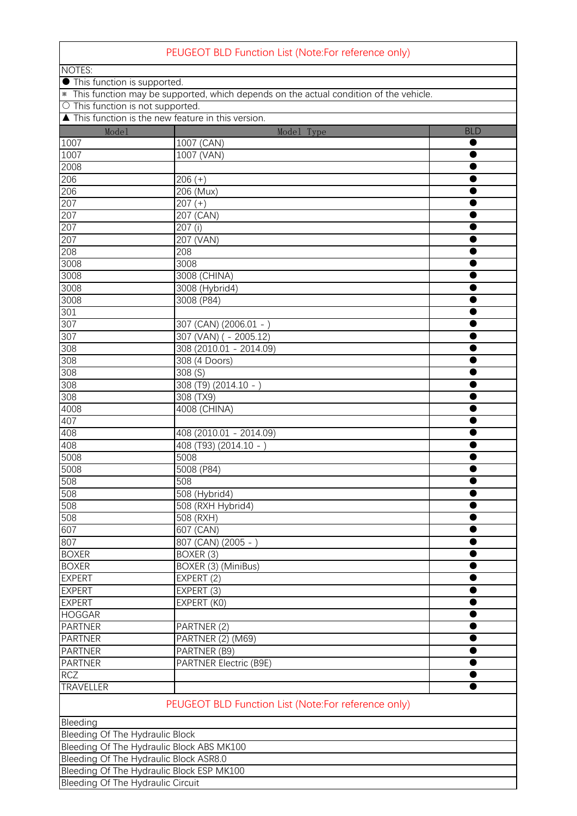| PEUGEOT BLD Function List (Note:For reference only)                                     |                                                     |            |  |  |  |  |  |  |
|-----------------------------------------------------------------------------------------|-----------------------------------------------------|------------|--|--|--|--|--|--|
| <b>NOTES:</b>                                                                           |                                                     |            |  |  |  |  |  |  |
| • This function is supported.                                                           |                                                     |            |  |  |  |  |  |  |
| * This function may be supported, which depends on the actual condition of the vehicle. |                                                     |            |  |  |  |  |  |  |
|                                                                                         | O This function is not supported.                   |            |  |  |  |  |  |  |
|                                                                                         | ▲ This function is the new feature in this version. |            |  |  |  |  |  |  |
| Mode1                                                                                   | Model Type                                          | <b>BLD</b> |  |  |  |  |  |  |
| 1007                                                                                    | 1007 (CAN)                                          |            |  |  |  |  |  |  |
| 1007                                                                                    | 1007 (VAN)                                          |            |  |  |  |  |  |  |
| 2008                                                                                    |                                                     |            |  |  |  |  |  |  |
| 206                                                                                     | $206 (+)$                                           |            |  |  |  |  |  |  |
| 206                                                                                     | 206 (Mux)                                           |            |  |  |  |  |  |  |
| 207                                                                                     | $\overline{2}07 (+)$                                |            |  |  |  |  |  |  |
| 207                                                                                     | 207 (CAN)                                           |            |  |  |  |  |  |  |
| 207                                                                                     | 207 (i)                                             |            |  |  |  |  |  |  |
| 207                                                                                     | 207 (VAN)                                           |            |  |  |  |  |  |  |
| 208                                                                                     | 208                                                 |            |  |  |  |  |  |  |
| 3008                                                                                    | 3008                                                |            |  |  |  |  |  |  |
| 3008                                                                                    | 3008 (CHINA)                                        |            |  |  |  |  |  |  |
| 3008                                                                                    | 3008 (Hybrid4)                                      |            |  |  |  |  |  |  |
| 3008                                                                                    | 3008 (P84)                                          |            |  |  |  |  |  |  |
| 301                                                                                     |                                                     |            |  |  |  |  |  |  |
| 307                                                                                     | 307 (CAN) (2006.01 - )                              |            |  |  |  |  |  |  |
| 307                                                                                     | 307 (VAN) ( - 2005.12)                              |            |  |  |  |  |  |  |
| 308                                                                                     | 308 (2010.01 - 2014.09)                             |            |  |  |  |  |  |  |
| 308                                                                                     | 308 (4 Doors)                                       |            |  |  |  |  |  |  |
| 308                                                                                     | 308(S)                                              |            |  |  |  |  |  |  |
| 308                                                                                     | 308 (T9) (2014.10 - )                               |            |  |  |  |  |  |  |
| 308                                                                                     | 308 (TX9)                                           |            |  |  |  |  |  |  |
| 4008                                                                                    | 4008 (CHINA)                                        |            |  |  |  |  |  |  |
| 407                                                                                     |                                                     |            |  |  |  |  |  |  |
| 408                                                                                     | 408 (2010.01 - 2014.09)                             |            |  |  |  |  |  |  |
| 408                                                                                     | 408 (T93) (2014.10 - )                              |            |  |  |  |  |  |  |
| 5008                                                                                    | 5008                                                |            |  |  |  |  |  |  |
| 5008                                                                                    | 5008 (P84)                                          |            |  |  |  |  |  |  |
| 508                                                                                     | 508                                                 |            |  |  |  |  |  |  |
| 508                                                                                     | 508 (Hybrid4)                                       |            |  |  |  |  |  |  |
| 508                                                                                     | 508 (RXH Hybrid4)                                   |            |  |  |  |  |  |  |
| 508                                                                                     | 508 (RXH)                                           |            |  |  |  |  |  |  |
| 607                                                                                     | 607 (CAN)                                           |            |  |  |  |  |  |  |
| 807                                                                                     | 807 (CAN) (2005 - )                                 |            |  |  |  |  |  |  |
| <b>BOXER</b>                                                                            | BOXER (3)                                           |            |  |  |  |  |  |  |
| <b>BOXER</b>                                                                            | BOXER (3) (MiniBus)                                 |            |  |  |  |  |  |  |
| <b>EXPERT</b>                                                                           | EXPERT (2)                                          |            |  |  |  |  |  |  |
| <b>EXPERT</b>                                                                           | EXPERT (3)                                          |            |  |  |  |  |  |  |
| <b>EXPERT</b>                                                                           | EXPERT (KO)                                         |            |  |  |  |  |  |  |
| <b>HOGGAR</b>                                                                           |                                                     |            |  |  |  |  |  |  |
| <b>PARTNER</b>                                                                          | PARTNER (2)                                         |            |  |  |  |  |  |  |
| <b>PARTNER</b>                                                                          | PARTNER (2) (M69)                                   |            |  |  |  |  |  |  |
| <b>PARTNER</b>                                                                          | PARTNER (B9)                                        |            |  |  |  |  |  |  |
| <b>PARTNER</b>                                                                          | <b>PARTNER Electric (B9E)</b>                       |            |  |  |  |  |  |  |
| <b>RCZ</b>                                                                              |                                                     |            |  |  |  |  |  |  |
| <b>TRAVELLER</b>                                                                        |                                                     |            |  |  |  |  |  |  |
|                                                                                         | PEUGEOT BLD Function List (Note:For reference only) |            |  |  |  |  |  |  |
| Bleeding                                                                                |                                                     |            |  |  |  |  |  |  |
| Bleeding Of The Hydraulic Block                                                         |                                                     |            |  |  |  |  |  |  |
| Bleeding Of The Hydraulic Block ABS MK100                                               |                                                     |            |  |  |  |  |  |  |
| Bleeding Of The Hydraulic Block ASR8.0                                                  |                                                     |            |  |  |  |  |  |  |
| Bleeding Of The Hydraulic Block ESP MK100                                               |                                                     |            |  |  |  |  |  |  |

**Bleeding Of The Hydraulic Circuit**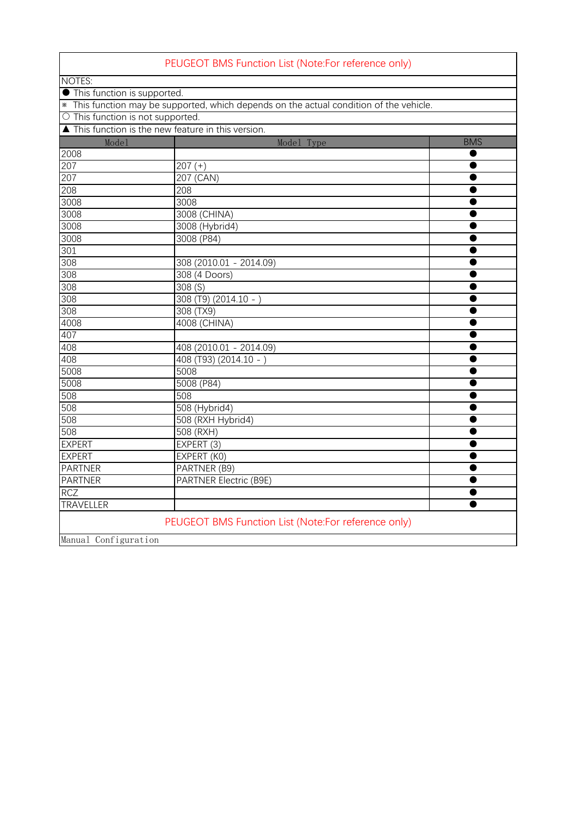|                                                     | PEUGEOT BMS Function List (Note:For reference only)                                     |            |
|-----------------------------------------------------|-----------------------------------------------------------------------------------------|------------|
| NOTES:                                              |                                                                                         |            |
| • This function is supported.                       |                                                                                         |            |
|                                                     | * This function may be supported, which depends on the actual condition of the vehicle. |            |
| $\circ$ This function is not supported.             |                                                                                         |            |
| ▲ This function is the new feature in this version. |                                                                                         |            |
| Mode1                                               | Model Type                                                                              | <b>BMS</b> |
| 2008                                                |                                                                                         |            |
| 207                                                 | $207 (+)$                                                                               |            |
| 207                                                 | 207 (CAN)                                                                               |            |
| 208                                                 | 208                                                                                     |            |
| 3008                                                | 3008                                                                                    |            |
| 3008                                                | 3008 (CHINA)                                                                            |            |
| 3008                                                | 3008 (Hybrid4)                                                                          |            |
| 3008                                                | 3008 (P84)                                                                              |            |
| 301                                                 |                                                                                         |            |
| 308                                                 | 308 (2010.01 - 2014.09)                                                                 |            |
| 308                                                 | 308 (4 Doors)                                                                           |            |
| 308                                                 | 308(S)                                                                                  |            |
| 308                                                 | 308 (T9) (2014.10 - )                                                                   |            |
| 308                                                 | 308 (TX9)                                                                               | Œ          |
| 4008                                                | 4008 (CHINA)                                                                            |            |
| 407                                                 |                                                                                         |            |
| 408                                                 | 408 (2010.01 - 2014.09)                                                                 |            |
| 408                                                 | 408 (T93) (2014.10 -                                                                    |            |
| 5008                                                | 5008                                                                                    |            |
| 5008                                                | 5008 (P84)                                                                              |            |
| 508                                                 | 508                                                                                     |            |
| 508                                                 | 508 (Hybrid4)                                                                           |            |
| 508                                                 | 508 (RXH Hybrid4)                                                                       |            |
| 508                                                 | 508 (RXH)                                                                               |            |
| <b>EXPERT</b>                                       | EXPERT (3)                                                                              |            |
| <b>EXPERT</b>                                       | EXPERT (KO)                                                                             |            |
| <b>PARTNER</b>                                      | PARTNER (B9)                                                                            |            |
| <b>PARTNER</b>                                      | <b>PARTNER Electric (B9E)</b>                                                           |            |
| <b>RCZ</b>                                          |                                                                                         |            |
| <b>TRAVELLER</b>                                    |                                                                                         |            |
|                                                     | PEUGEOT BMS Function List (Note:For reference only)                                     |            |
| Manual Configuration                                |                                                                                         |            |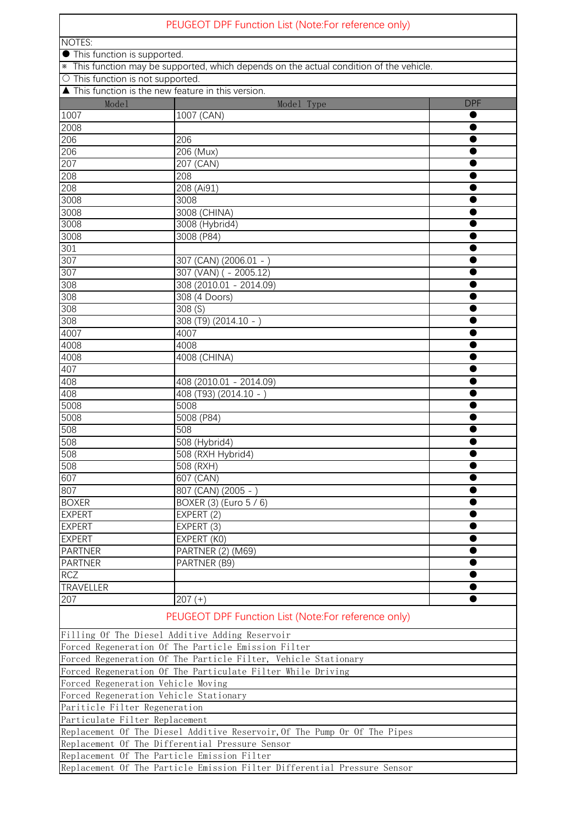| PEUGEOT DPF Function List (Note:For reference only)                                     |                                                                           |            |  |  |  |  |
|-----------------------------------------------------------------------------------------|---------------------------------------------------------------------------|------------|--|--|--|--|
| NOTES:                                                                                  |                                                                           |            |  |  |  |  |
| • This function is supported.                                                           |                                                                           |            |  |  |  |  |
| * This function may be supported, which depends on the actual condition of the vehicle. |                                                                           |            |  |  |  |  |
| O This function is not supported.                                                       |                                                                           |            |  |  |  |  |
|                                                                                         | ▲ This function is the new feature in this version.                       |            |  |  |  |  |
| Model                                                                                   | Model Type                                                                | <b>DPF</b> |  |  |  |  |
| 1007                                                                                    | 1007 (CAN)                                                                |            |  |  |  |  |
| 2008                                                                                    |                                                                           |            |  |  |  |  |
| 206                                                                                     | 206                                                                       |            |  |  |  |  |
| 206                                                                                     | 206 (Mux)                                                                 |            |  |  |  |  |
| 207                                                                                     | 207 (CAN)                                                                 |            |  |  |  |  |
| 208                                                                                     | 208                                                                       |            |  |  |  |  |
| 208<br>3008                                                                             | 208 (Ai91)<br>3008                                                        |            |  |  |  |  |
| 3008                                                                                    |                                                                           |            |  |  |  |  |
| 3008                                                                                    | 3008 (CHINA)<br>3008 (Hybrid4)                                            |            |  |  |  |  |
| 3008                                                                                    | 3008(P84)                                                                 |            |  |  |  |  |
| 301                                                                                     |                                                                           |            |  |  |  |  |
| 307                                                                                     | 307 (CAN) (2006.01 -                                                      |            |  |  |  |  |
| 307                                                                                     | 307 (VAN) ( - 2005.12)                                                    |            |  |  |  |  |
| 308                                                                                     | 308 (2010.01 - 2014.09)                                                   |            |  |  |  |  |
| 308                                                                                     | 308 (4 Doors)                                                             |            |  |  |  |  |
| 308                                                                                     | 308(S)                                                                    |            |  |  |  |  |
| 308                                                                                     | $308(79)(2014.10 - )$                                                     |            |  |  |  |  |
| 4007                                                                                    | 4007                                                                      |            |  |  |  |  |
| 4008                                                                                    | 4008                                                                      |            |  |  |  |  |
| 4008                                                                                    | 4008 (CHINA)                                                              |            |  |  |  |  |
| 407                                                                                     |                                                                           |            |  |  |  |  |
| 408                                                                                     | 408 (2010.01 - 2014.09)                                                   |            |  |  |  |  |
| 408                                                                                     | 408 (T93) (2014.10 - )                                                    |            |  |  |  |  |
| 5008                                                                                    | 5008                                                                      |            |  |  |  |  |
| 5008                                                                                    | 5008 (P84)                                                                |            |  |  |  |  |
| 508                                                                                     | 508                                                                       |            |  |  |  |  |
| 508                                                                                     | 508 (Hybrid4)                                                             |            |  |  |  |  |
| 508                                                                                     | 508 (RXH Hybrid4)                                                         |            |  |  |  |  |
| 508                                                                                     | 508 (RXH)                                                                 |            |  |  |  |  |
| 607                                                                                     | 607 (CAN)                                                                 |            |  |  |  |  |
| 807                                                                                     | 807 (CAN) (2005 - )                                                       |            |  |  |  |  |
| <b>BOXER</b>                                                                            | BOXER (3) (Euro 5 / 6)                                                    |            |  |  |  |  |
| <b>EXPERT</b>                                                                           | EXPERT (2)                                                                |            |  |  |  |  |
| <b>EXPERT</b>                                                                           | EXPERT (3)                                                                |            |  |  |  |  |
| <b>EXPERT</b>                                                                           | EXPERT (KO)                                                               |            |  |  |  |  |
| <b>PARTNER</b>                                                                          | PARTNER (2) (M69)                                                         |            |  |  |  |  |
| <b>PARTNER</b>                                                                          | PARTNER (B9)                                                              | ●          |  |  |  |  |
| <b>RCZ</b>                                                                              |                                                                           |            |  |  |  |  |
| <b>TRAVELLER</b>                                                                        |                                                                           |            |  |  |  |  |
| 207                                                                                     | $207 (+)$                                                                 |            |  |  |  |  |
|                                                                                         | PEUGEOT DPF Function List (Note:For reference only)                       |            |  |  |  |  |
|                                                                                         | Filling Of The Diesel Additive Adding Reservoir                           |            |  |  |  |  |
|                                                                                         | Forced Regeneration Of The Particle Emission Filter                       |            |  |  |  |  |
|                                                                                         | Forced Regeneration Of The Particle Filter, Vehicle Stationary            |            |  |  |  |  |
|                                                                                         | Forced Regeneration Of The Particulate Filter While Driving               |            |  |  |  |  |
| Forced Regeneration Vehicle Moving                                                      |                                                                           |            |  |  |  |  |
| Forced Regeneration Vehicle Stationary                                                  |                                                                           |            |  |  |  |  |
| Pariticle Filter Regeneration                                                           |                                                                           |            |  |  |  |  |
| Particulate Filter Replacement                                                          |                                                                           |            |  |  |  |  |
|                                                                                         | Replacement Of The Diesel Additive Reservoir, Of The Pump Or Of The Pipes |            |  |  |  |  |
|                                                                                         | Replacement Of The Differential Pressure Sensor                           |            |  |  |  |  |
|                                                                                         | Replacement Of The Particle Emission Filter                               |            |  |  |  |  |
|                                                                                         | Replacement Of The Particle Emission Filter Differential Pressure Sensor  |            |  |  |  |  |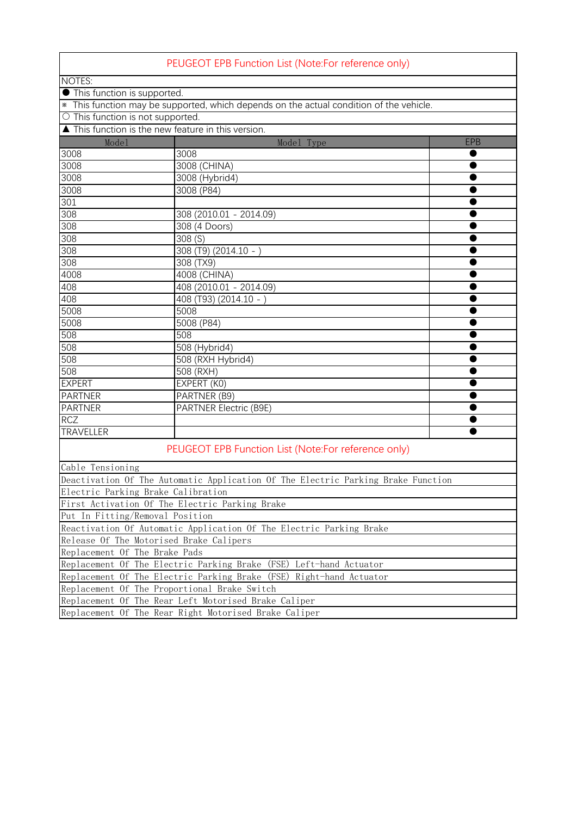|                                   | PEUGEOT EPB Function List (Note:For reference only)                                     |            |
|-----------------------------------|-----------------------------------------------------------------------------------------|------------|
| NOTES:                            |                                                                                         |            |
| • This function is supported.     |                                                                                         |            |
|                                   | * This function may be supported, which depends on the actual condition of the vehicle. |            |
| O This function is not supported. |                                                                                         |            |
|                                   | ▲ This function is the new feature in this version.                                     |            |
| Mode1                             | Model Type                                                                              | <b>EPB</b> |
| 3008                              | 3008                                                                                    |            |
| 3008                              | 3008 (CHINA)                                                                            |            |
| 3008                              | 3008 (Hybrid4)                                                                          |            |
| 3008                              | 3008 (P84)                                                                              |            |
| 301                               |                                                                                         |            |
| 308                               | 308 (2010.01 - 2014.09)                                                                 |            |
| 308                               | 308 (4 Doors)                                                                           |            |
| 308                               | 308(5)                                                                                  |            |
| 308                               | $308(T9) (2014.10 - )$                                                                  |            |
| $\overline{308}$                  | 308 (TX9)                                                                               |            |
| 4008                              | 4008 (CHINA)                                                                            |            |
| 408                               | 408 (2010.01 - 2014.09)                                                                 |            |
| 408                               | 408 (T93) (2014.10 -                                                                    |            |
| 5008                              | 5008                                                                                    |            |
| 5008                              | 5008 (P84)                                                                              |            |
| 508                               | 508                                                                                     |            |
| 508                               | 508 (Hybrid4)                                                                           |            |
| 508                               | 508 (RXH Hybrid4)                                                                       |            |
| 508                               | $\overline{50}8$ (RXH)                                                                  |            |
| <b>EXPERT</b>                     | EXPERT (KO)                                                                             |            |
| <b>PARTNER</b>                    | PARTNER (B9)                                                                            |            |
| <b>PARTNER</b>                    | <b>PARTNER Electric (B9E)</b>                                                           |            |
| <b>RCZ</b>                        |                                                                                         |            |
| TRAVELLER                         |                                                                                         |            |
|                                   | PEUGEOT EPB Function List (Note:For reference only)                                     |            |
| Cable Tensioning                  |                                                                                         |            |
|                                   | Deactivation Of The Automatic Application Of The Electric Parking Brake Function        |            |
|                                   | Electric Parking Brake Calibration                                                      |            |
|                                   | First Activation Of The Electric Parking Brake                                          |            |
| Put In Fitting/Removal Position   |                                                                                         |            |
|                                   | Reactivation Of Automatic Application Of The Electric Parking Brake                     |            |
|                                   | Release Of The Motorised Brake Calipers                                                 |            |
| Replacement Of The Brake Pads     |                                                                                         |            |
|                                   | Replacement Of The Electric Parking Brake (FSE) Left-hand Actuator                      |            |
|                                   | Replacement Of The Electric Parking Brake (FSE) Right-hand Actuator                     |            |
|                                   | Replacement Of The Proportional Brake Switch                                            |            |
|                                   | Replacement Of The Rear Left Motorised Brake Caliper                                    |            |
|                                   | Replacement Of The Rear Right Motorised Brake Caliper                                   |            |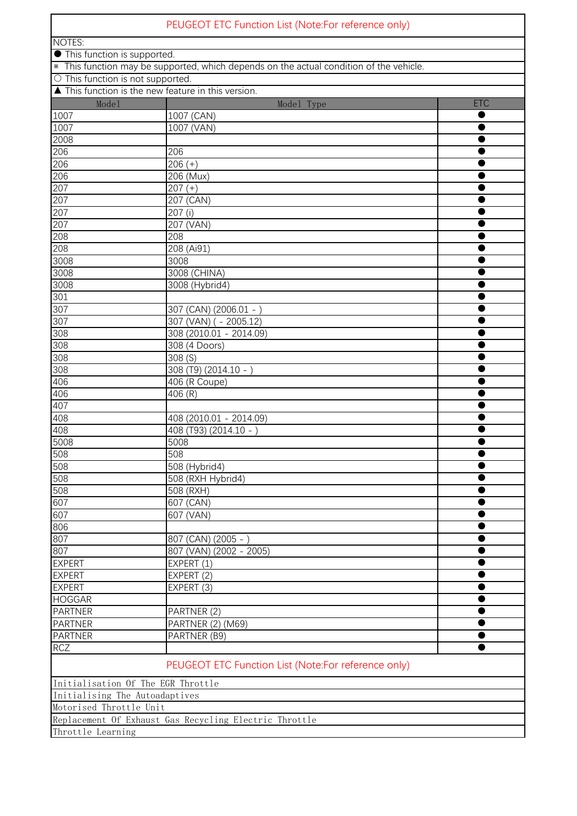|                                         | PEUGEOT ETC Function List (Note:For reference only)                                     |            |
|-----------------------------------------|-----------------------------------------------------------------------------------------|------------|
| <b>NOTES:</b>                           |                                                                                         |            |
| <b>•</b> This function is supported.    |                                                                                         |            |
|                                         | * This function may be supported, which depends on the actual condition of the vehicle. |            |
| $\circ$ This function is not supported. |                                                                                         |            |
|                                         | ▲ This function is the new feature in this version.                                     |            |
| Mode1                                   | Model Type                                                                              | <b>ETC</b> |
| 1007                                    | $1007$ (CAN)                                                                            |            |
| 1007                                    | 1007 (VAN)                                                                              |            |
| 2008                                    |                                                                                         |            |
| 206                                     | 206                                                                                     |            |
| 206<br>206                              | $206 (+)$<br>206 (Mux)                                                                  |            |
| 207                                     | $207 (+)$                                                                               |            |
| 207                                     | 207 (CAN)                                                                               |            |
| 207                                     | 207(i)                                                                                  |            |
| 207                                     | 207 (VAN)                                                                               |            |
| 208                                     | 208                                                                                     |            |
| 208                                     | 208 (Ai91)                                                                              |            |
| 3008                                    | 3008                                                                                    |            |
| 3008                                    | 3008 (CHINA)                                                                            |            |
| 3008                                    | 3008 (Hybrid4)                                                                          |            |
| 301                                     |                                                                                         |            |
| 307                                     | 307 (CAN) (2006.01 -                                                                    |            |
| 307                                     | 307 (VAN) ( - 2005.12)                                                                  |            |
| 308                                     | 308 (2010.01 - 2014.09)                                                                 |            |
| 308                                     | 308 (4 Doors)                                                                           |            |
| 308                                     | 308 (S)                                                                                 |            |
| 308                                     | $308(T9) (2014.10 - )$                                                                  |            |
| 406                                     | 406 (R Coupe)                                                                           |            |
| 406<br>407                              | 406 (R)                                                                                 |            |
| 408                                     | 408 (2010.01 - 2014.09)                                                                 |            |
| 408                                     | 408 (T93) (2014.10 -                                                                    |            |
| 5008                                    | 5008                                                                                    |            |
| 508                                     | 508                                                                                     |            |
| 508                                     | 508 (Hybrid4)                                                                           |            |
| 508                                     | 508 (RXH Hybrid4)                                                                       |            |
| 508                                     | 508 (RXH)                                                                               |            |
| 607                                     | $\overline{607}$ (CAN)                                                                  |            |
| 607                                     | 607 (VAN)                                                                               |            |
| 806                                     |                                                                                         |            |
| 807                                     | 807 (CAN) (2005 - )                                                                     |            |
| 807                                     | 807 (VAN) (2002 - 2005)                                                                 |            |
| <b>EXPERT</b>                           | EXPERT (1)                                                                              |            |
| <b>EXPERT</b>                           | EXPERT (2)                                                                              |            |
| <b>EXPERT</b>                           | EXPERT (3)                                                                              |            |
| <b>HOGGAR</b>                           |                                                                                         |            |
| <b>PARTNER</b>                          | PARTNER (2)                                                                             |            |
| <b>PARTNER</b><br><b>PARTNER</b>        | PARTNER (2) (M69)                                                                       |            |
| <b>RCZ</b>                              | PARTNER (B9)                                                                            |            |
|                                         |                                                                                         |            |
|                                         | PEUGEOT ETC Function List (Note:For reference only)                                     |            |
| Initialisation Of The EGR Throttle      |                                                                                         |            |
| Initialising The Autoadaptives          |                                                                                         |            |
| Motorised Throttle Unit                 |                                                                                         |            |
|                                         | Replacement Of Exhaust Gas Recycling Electric Throttle                                  |            |
| Throttle Learning                       |                                                                                         |            |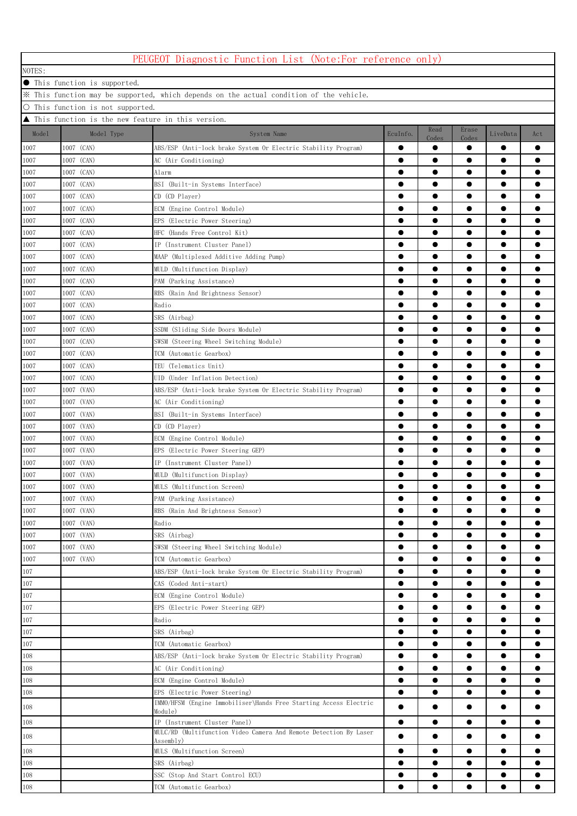| PEUGEOT Diagnostic Function List (Note:For reference only)                              |                          |                                                                                           |                        |                        |                        |                        |           |  |  |
|-----------------------------------------------------------------------------------------|--------------------------|-------------------------------------------------------------------------------------------|------------------------|------------------------|------------------------|------------------------|-----------|--|--|
| NOTES:                                                                                  |                          |                                                                                           |                        |                        |                        |                        |           |  |  |
| <b>• This function is supported.</b>                                                    |                          |                                                                                           |                        |                        |                        |                        |           |  |  |
| * This function may be supported, which depends on the actual condition of the vehicle. |                          |                                                                                           |                        |                        |                        |                        |           |  |  |
| $\circ$ This function is not supported.                                                 |                          |                                                                                           |                        |                        |                        |                        |           |  |  |
| ▲ This function is the new feature in this version.                                     |                          |                                                                                           |                        |                        |                        |                        |           |  |  |
| Model                                                                                   | Model Type               | System Name                                                                               | EcuInfo.               | Read                   | Erase                  | LiveData               | Act       |  |  |
|                                                                                         |                          |                                                                                           |                        | Codes                  | Codes                  |                        |           |  |  |
| 1007                                                                                    | 1007 (CAN)               | ABS/ESP (Anti-lock brake System Or Electric Stability Program)                            |                        | $\bullet$              | $\bullet$              | $\bullet$              |           |  |  |
| 1007                                                                                    | 1007 (CAN)               | AC (Air Conditioning)                                                                     | $\bullet$              |                        | $\bullet$              |                        |           |  |  |
| 1007                                                                                    | 1007 (CAN)               | Alarm                                                                                     | $\bullet$              | $\bullet$              | $\bullet$              | $\bullet$              | ●         |  |  |
| 1007                                                                                    | 1007 (CAN)               | BSI (Built-in Systems Interface)                                                          | $\bullet$              | $\bullet$              | $\bullet$              | $\bullet$              |           |  |  |
| 1007                                                                                    | 1007 (CAN)               | $CD$ $(CD$ $Player)$                                                                      |                        | $\bullet$              | $\bullet$              | $\bullet$              |           |  |  |
| 1007                                                                                    | 1007 (CAN)               | ECM (Engine Control Module)                                                               |                        | $\bullet$              | $\bullet$              | $\bullet$              |           |  |  |
| 1007                                                                                    | 1007 (CAN)               | EPS (Electric Power Steering)                                                             | $\bullet$              | $\bullet$              | $\bullet$              | $\bullet$              |           |  |  |
| 1007                                                                                    | 1007 (CAN)               | HFC (Hands Free Control Kit)                                                              | ●                      |                        | $\bullet$              | $\bullet$              |           |  |  |
| 1007                                                                                    | 1007 (CAN)               | IP (Instrument Cluster Panel)                                                             |                        | $\bullet$              | $\bullet$              | $\bullet$              |           |  |  |
| 1007                                                                                    | 1007 (CAN)               | MAAP (Multiplexed Additive Adding Pump)                                                   | $\bullet$              | ●                      | $\bullet$              | $\bullet$              |           |  |  |
| 1007                                                                                    | 1007 (CAN)               | MULD (Multifunction Display)                                                              |                        |                        |                        |                        |           |  |  |
| 1007                                                                                    | 1007 (CAN)               | PAM (Parking Assistance)                                                                  | ●                      | 0                      |                        |                        |           |  |  |
| 1007                                                                                    | 1007 (CAN)               | RBS (Rain And Brightness Sensor)                                                          |                        | e                      |                        |                        |           |  |  |
| 1007                                                                                    | 1007 (CAN)               | Radio                                                                                     |                        | 0                      |                        |                        |           |  |  |
| 1007                                                                                    | 1007 (CAN)               | SRS (Airbag)                                                                              | $\bullet$              | $\bullet$              | $\bullet$              | $\bullet$              |           |  |  |
| 1007                                                                                    | 1007 (CAN)               | SSDM (Sliding Side Doors Module)                                                          | $\bullet$              | $\bullet$              | $\bullet$              | $\bullet$              |           |  |  |
| 1007                                                                                    | 1007 (CAN)               | SWSM (Steering Wheel Switching Module)                                                    | $\bullet$              | $\bullet$              | $\bullet$              | $\bullet$              |           |  |  |
| 1007                                                                                    | 1007 (CAN)               | TCM (Automatic Gearbox)                                                                   | $\bullet$              | $\bullet$              | $\bullet$              | $\bullet$              |           |  |  |
| 1007                                                                                    | 1007 (CAN)               | TEU (Telematics Unit)                                                                     | $\bullet$              | $\bullet$              | $\bullet$              | $\bullet$              |           |  |  |
| 1007                                                                                    | 1007 (CAN)               | UID (Under Inflation Detection)                                                           | $\bullet$              | $\bullet$              | $\bullet$              | $\bullet$              |           |  |  |
| 1007                                                                                    | 1007 (VAN)               | ABS/ESP (Anti-lock brake System Or Electric Stability Program)                            |                        |                        | $\bullet$              | $\bullet$              |           |  |  |
| 1007                                                                                    | 1007 (VAN)               | AC (Air Conditioning)                                                                     | $\bullet$              | $\bullet$              | $\bullet$              | $\bullet$              |           |  |  |
| 1007                                                                                    | 1007 (VAN)               | BSI (Built-in Systems Interface)                                                          |                        | $\bullet$              | $\bullet$              | $\bullet$              |           |  |  |
| 1007                                                                                    | 1007 (VAN)               | CD (CD Player)                                                                            |                        |                        |                        |                        |           |  |  |
| 1007                                                                                    | 1007 (VAN)               | ECM (Engine Control Module)                                                               |                        |                        |                        |                        |           |  |  |
| 1007                                                                                    | 1007 (VAN)               | EPS (Electric Power Steering GEP)                                                         |                        |                        |                        | $\bullet$              |           |  |  |
| 1007                                                                                    | 1007 (VAN)               | IP (Instrument Cluster Panel)                                                             | 0                      |                        |                        |                        |           |  |  |
| 1007                                                                                    | 1007 (VAN)               | MULD (Multifunction Display)                                                              | $\bullet$              | $\bullet$              | $\bullet$              | $\bullet$              |           |  |  |
| $1007\,$                                                                                | 1007 (VAN)               | MULS (Multifunction Screen)                                                               |                        | $\bullet$              | ●                      | ●                      |           |  |  |
| 1007                                                                                    | 1007 (VAN)               | PAM (Parking Assistance)                                                                  | $\bullet$              | $\bullet$              | $\bullet$              | $\bullet$              | $\bullet$ |  |  |
| 1007                                                                                    | 1007 (VAN)               | RBS (Rain And Brightness Sensor)                                                          | $\bullet$              | $\bullet$              | $\bullet$              | $\bullet$              |           |  |  |
| 1007                                                                                    | 1007 (VAN)<br>1007 (VAN) | Radio<br>SRS (Airbag)                                                                     | $\bullet$<br>$\bullet$ | $\bullet$              | $\bullet$<br>$\bullet$ | $\bullet$<br>$\bullet$ | $\bullet$ |  |  |
| 1007<br>1007                                                                            | 1007 (VAN)               |                                                                                           | $\bullet$              | $\bullet$              | $\bullet$              | $\bullet$              |           |  |  |
|                                                                                         | 1007 (VAN)               | SWSM (Steering Wheel Switching Module)<br>TCM (Automatic Gearbox)                         | $\bullet$              |                        | $\bullet$              | $\bullet$              |           |  |  |
| 1007                                                                                    |                          |                                                                                           | $\bullet$              |                        |                        | $\bullet$              |           |  |  |
| 107<br>107                                                                              |                          | ABS/ESP (Anti-lock brake System Or Electric Stability Program)<br>CAS (Coded Anti-start)  | $\bullet$              |                        |                        |                        |           |  |  |
| 107                                                                                     |                          | ECM (Engine Control Module)                                                               | $\bullet$              |                        |                        | $\bullet$              |           |  |  |
|                                                                                         |                          |                                                                                           |                        |                        | $\bullet$              | $\bullet$              |           |  |  |
| 107<br>107                                                                              |                          | EPS (Electric Power Steering GEP)<br>Radio                                                | $\bullet$              | $\bullet$              | $\bullet$              | $\bullet$              |           |  |  |
| 107                                                                                     |                          | SRS (Airbag)                                                                              | $\bullet$              | $\bullet$              | $\bullet$              | $\bullet$              |           |  |  |
|                                                                                         |                          |                                                                                           |                        |                        |                        |                        |           |  |  |
| 107<br>108                                                                              |                          | TCM (Automatic Gearbox)<br>ABS/ESP (Anti-lock brake System Or Electric Stability Program) | $\bullet$<br>$\bullet$ | $\bullet$<br>$\bullet$ | $\bullet$<br>$\bullet$ | $\bullet$<br>$\bullet$ |           |  |  |
| 108                                                                                     |                          | AC (Air Conditioning)                                                                     | $\bullet$              | $\bullet$              | $\bullet$              | $\bullet$              |           |  |  |
| 108                                                                                     |                          | ECM (Engine Control Module)                                                               | $\bullet$              |                        | $\bullet$              | $\bullet$              |           |  |  |
| 108                                                                                     |                          | EPS (Electric Power Steering)                                                             | $\bullet$              | $\bullet$              | $\bullet$              | $\bullet$              |           |  |  |
|                                                                                         |                          | IMMO/HFSM (Engine Immobiliser\Hands Free Starting Access Electric                         |                        |                        |                        |                        |           |  |  |
| 108                                                                                     |                          | Module)                                                                                   | $\bullet$              | $\bullet$              | $\bullet$              | $\bullet$              |           |  |  |
| 108                                                                                     |                          | IP (Instrument Cluster Panel)                                                             | $\bullet$              |                        | $\bullet$              |                        |           |  |  |
| 108                                                                                     |                          | MULC/RD (Multifunction Video Camera And Remote Detection By Laser<br>Assembly)            | $\bullet$              | $\bullet$              | $\bullet$              | $\bullet$              |           |  |  |
| 108                                                                                     |                          | MULS (Multifunction Screen)                                                               | $\bullet$              |                        | $\bullet$              | $\bullet$              |           |  |  |
| 108                                                                                     |                          | SRS (Airbag)                                                                              | $\bullet$              |                        |                        |                        |           |  |  |
| 108                                                                                     |                          | SSC (Stop And Start Control ECU)                                                          |                        |                        |                        | $\bullet$              |           |  |  |

**ICM** (Automatic Gearbox) **● ● ● ● ● ● ●**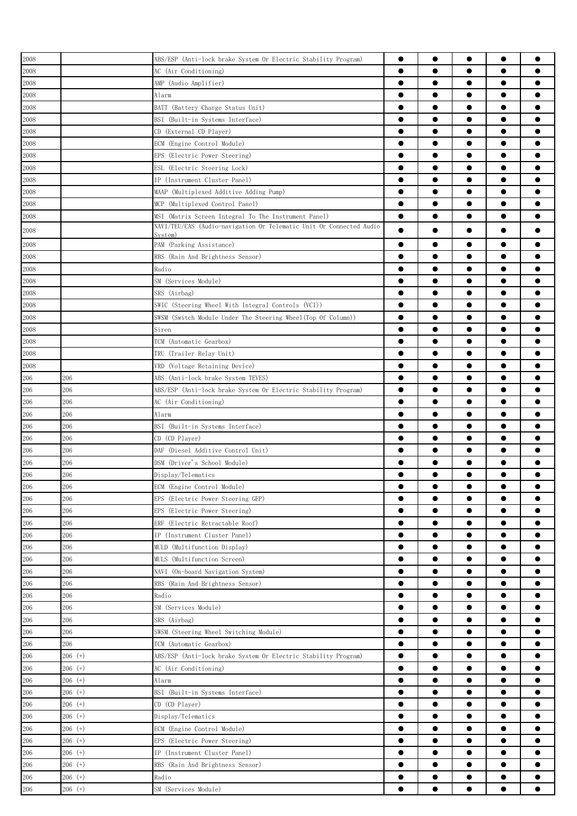| 2008     |           | ABS/ESP (Anti-lock brake System Or Electric Stability Program)      | $\bullet$ | $\bullet$ |           | $\bullet$ |           |
|----------|-----------|---------------------------------------------------------------------|-----------|-----------|-----------|-----------|-----------|
| 2008     |           | AC (Air Conditioning)                                               | $\bullet$ |           | 0         | $\bullet$ |           |
|          |           | AMP (Audio Amplifier)                                               | $\bullet$ | $\bullet$ |           | $\bullet$ |           |
| 2008     |           |                                                                     |           |           |           |           |           |
| 2008     |           | Alarm                                                               | $\bullet$ | $\bullet$ | $\bullet$ | $\bullet$ |           |
| 2008     |           | BATT (Battery Charge Status Unit)                                   |           |           |           | $\bullet$ |           |
| 2008     |           | BSI (Built-in Systems Interface)                                    | $\bullet$ | $\bullet$ | ●         | $\bullet$ |           |
| 2008     |           | CD (External CD Player)                                             | $\bullet$ | ●         |           | $\bullet$ |           |
| 2008     |           | ECM (Engine Control Module)                                         | $\bullet$ |           |           | $\bullet$ |           |
| 2008     |           | EPS (Electric Power Steering)                                       | ●         | 0         |           | $\bullet$ |           |
| 2008     |           | ESL (Electric Steering Lock)                                        | ●         | 0         |           | $\bullet$ |           |
| $2008\,$ |           | IP (Instrument Cluster Panel)                                       | $\bullet$ |           |           | $\bullet$ |           |
| 2008     |           | MAAP (Multiplexed Additive Adding Pump)                             | $\bullet$ | $\bullet$ |           | $\bullet$ |           |
| 2008     |           | MCP (Multiplexed Control Panel)                                     | $\bullet$ | $\bullet$ | ●         | $\bullet$ |           |
| 2008     |           | MSI (Matrix Screen Integral To The Instrument Panel)                | $\bullet$ | $\bullet$ |           | $\bullet$ |           |
|          |           | NAVI/TEU/CAS (Audio-navigation Or Telematic Unit Or Connected Audio | ●         |           |           | $\bullet$ |           |
| 2008     |           | System)                                                             |           |           |           |           |           |
| 2008     |           | PAM (Parking Assistance)                                            | $\bullet$ |           |           | $\bullet$ |           |
| 2008     |           | RBS (Rain And Brightness Sensor)                                    | $\bullet$ | $\bullet$ |           | $\bullet$ |           |
| 2008     |           | Radio                                                               | $\bullet$ | $\bullet$ | $\bullet$ | $\bullet$ |           |
| 2008     |           | SM (Services Module)                                                | $\bullet$ | $\bullet$ | $\bullet$ | $\bullet$ |           |
| 2008     |           | SRS (Airbag)                                                        | $\bullet$ | $\bullet$ |           | $\bullet$ |           |
| 2008     |           | SWIC (Steering Wheel With Integral Controls (VCI))                  | $\bullet$ | $\bullet$ |           | $\bullet$ |           |
| 2008     |           | SWSM (Switch Module Under The Steering Wheel(Top Of Column))        | $\bullet$ | $\bullet$ | ●         | $\bullet$ |           |
| 2008     |           | Siren                                                               | $\bullet$ | $\bullet$ |           | $\bullet$ |           |
| 2008     |           | TCM (Automatic Gearbox)                                             | ●         |           |           | $\bullet$ |           |
|          |           |                                                                     | 0         |           |           |           |           |
| 2008     |           | TRU (Trailer Relay Unit)                                            |           |           |           | $\bullet$ |           |
| 2008     |           | VRD (Voltage Retaining Device)                                      | $\bullet$ |           |           | $\bullet$ |           |
| 206      | 206       | ABS (Anti-lock brake System TEVES)                                  | $\bullet$ | $\bullet$ | 0         | $\bullet$ |           |
| $206\,$  | 206       | ABS/ESP (Anti-lock brake System Or Electric Stability Program)      | $\bullet$ | ●         | ●         | $\bullet$ |           |
| 206      | 206       | AC (Air Conditioning)                                               | $\bullet$ | $\bullet$ |           | $\bullet$ |           |
| 206      | 206       | Alarm                                                               | $\bullet$ | $\bullet$ |           | $\bullet$ |           |
| 206      | 206       | BSI (Built-in Systems Interface)                                    | $\bullet$ | $\bullet$ |           | $\bullet$ |           |
| 206      | 206       | CD (CD Player)                                                      | $\bullet$ | $\bullet$ | $\bullet$ | $\bullet$ |           |
| 206      | 206       | DAF (Diesel Additive Control Unit)                                  | ●         |           |           | $\bullet$ |           |
| 206      | 206       | DSM (Driver's School Module)                                        |           | ●         |           | $\bullet$ |           |
| 206      | 206       | Display/Telematics                                                  | $\bullet$ |           |           | $\bullet$ |           |
| 206      | 206       | ECM (Engine Control Module)                                         |           |           |           |           |           |
| $206\,$  | 206       | EPS (Electric Power Steering GEP)                                   | ●         |           |           | $\bullet$ |           |
|          |           |                                                                     |           |           |           |           |           |
| 206      | 206       | EPS (Electric Power Steering)                                       | $\bullet$ | $\bullet$ |           | $\bullet$ |           |
| 206      | 206       | ERF (Electric Retractable Roof)                                     |           |           |           | $\bullet$ |           |
| $206\,$  | 206       | IP (Instrument Cluster Panel)                                       | $\bullet$ | $\bullet$ |           | $\bullet$ | ●         |
| 206      | 206       | MULD (Multifunction Display)                                        | $\bullet$ | $\bullet$ | $\bullet$ | $\bullet$ | $\bullet$ |
| 206      | 206       | MULS (Multifunction Screen)                                         | $\bullet$ | $\bullet$ | $\bullet$ | $\bullet$ |           |
| 206      | 206       | NAVI (On-board Navigation System)                                   | $\bullet$ | $\bullet$ | $\bullet$ | $\bullet$ |           |
| 206      | 206       | RBS (Rain And Brightness Sensor)                                    | $\bullet$ | $\bullet$ | $\bullet$ | $\bullet$ | 0         |
| 206      | 206       | Radio                                                               | $\bullet$ | $\bullet$ |           | $\bullet$ |           |
| 206      | 206       | SM (Services Module)                                                | $\bullet$ | $\bullet$ |           | $\bullet$ |           |
| 206      | 206       | SRS (Airbag)                                                        | $\bullet$ |           |           | $\bullet$ |           |
| 206      | 206       | SWSM (Steering Wheel Switching Module)                              | $\bullet$ |           |           | $\bullet$ |           |
| 206      | 206       | TCM (Automatic Gearbox)                                             | $\bullet$ |           |           | $\bullet$ |           |
| 206      | $206$ (+) | ABS/ESP (Anti-lock brake System Or Electric Stability Program)      | $\bullet$ |           |           |           |           |
|          |           |                                                                     |           |           |           |           |           |
| 206      | $206$ (+) | AC (Air Conditioning)                                               | $\bullet$ |           |           | $\bullet$ |           |
| 206      | $206$ (+) | Alarm                                                               | $\bullet$ | $\bullet$ |           | $\bullet$ | ●         |
| $206\,$  | $206$ (+) | BSI (Built-in Systems Interface)                                    | $\bullet$ | $\bullet$ | $\bullet$ | $\bullet$ |           |
| 206      | $206$ (+) | CD (CD Player)                                                      | $\bullet$ | $\bullet$ | $\bullet$ | $\bullet$ | $\bullet$ |
| 206      | $206$ (+) | Display/Telematics                                                  | $\bullet$ | $\bullet$ | $\bullet$ | $\bullet$ |           |
| 206      | $206$ (+) | ECM (Engine Control Module)                                         | $\bullet$ | $\bullet$ | $\bullet$ | $\bullet$ | $\bullet$ |
| 206      | $206$ (+) | EPS (Electric Power Steering)                                       | $\bullet$ | $\bullet$ | $\bullet$ | $\bullet$ |           |
| 206      | $206$ (+) | IP (Instrument Cluster Panel)                                       |           | $\bullet$ |           | $\bullet$ |           |
| 206      | $206$ (+) | RBS (Rain And Brightness Sensor)                                    | $\bullet$ | $\bullet$ |           | $\bullet$ |           |
| 206      | $206$ (+) | Radio                                                               | $\bullet$ | $\bullet$ |           | $\bullet$ |           |
| 206      | $206$ (+) | SM (Services Module)                                                |           |           |           |           |           |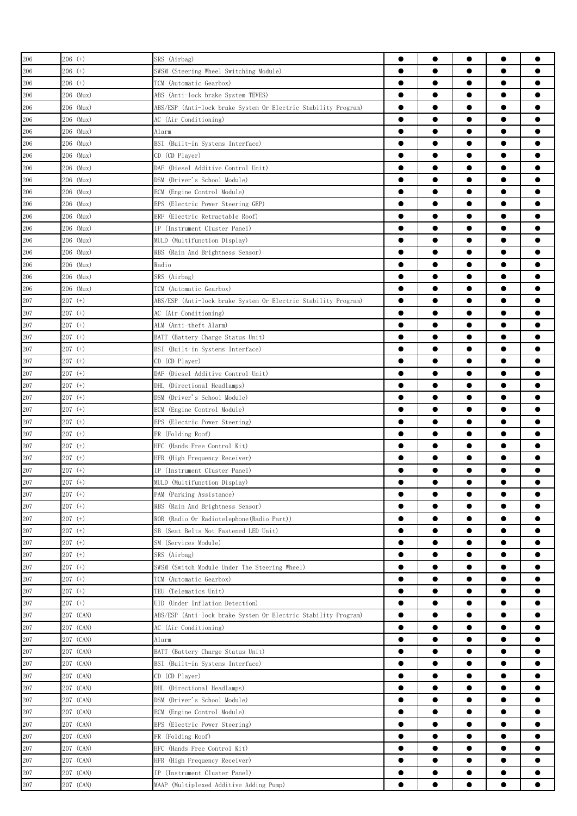| 206     | $206$ (+) | SRS (Airbag)                                                   | $\bullet$ | $\bullet$ | $\bullet$ | $\bullet$ |           |
|---------|-----------|----------------------------------------------------------------|-----------|-----------|-----------|-----------|-----------|
| 206     | $206$ (+) | SWSM (Steering Wheel Switching Module)                         | $\bullet$ |           |           | $\bullet$ |           |
| 206     | $206$ (+) | TCM (Automatic Gearbox)                                        | $\bullet$ |           | $\bullet$ | $\bullet$ |           |
| 206     | 206 (Mux) | ABS (Anti-lock brake System TEVES)                             | $\bullet$ | $\bullet$ | $\bullet$ | $\bullet$ |           |
| 206     | 206 (Mux) | ABS/ESP (Anti-lock brake System Or Electric Stability Program) | $\bullet$ | $\bullet$ | $\bullet$ | $\bullet$ |           |
| 206     | 206 (Mux) | AC (Air Conditioning)                                          | $\bullet$ | $\bullet$ |           | $\bullet$ |           |
| 206     | 206 (Mux) | Alarm                                                          | $\bullet$ | $\bullet$ | ●         | $\bullet$ |           |
| 206     | 206 (Mux) | BSI (Built-in Systems Interface)                               | $\bullet$ | $\bullet$ | ●         | $\bullet$ |           |
|         |           |                                                                | ●         |           |           |           |           |
| 206     | 206 (Mux) | CD (CD Player)                                                 |           |           |           | $\bullet$ |           |
| 206     | 206 (Mux) | DAF (Diesel Additive Control Unit)                             | 0         | 0         | ●         | $\bullet$ |           |
| 206     | 206 (Mux) | DSM (Driver's School Module)                                   | 0         | 0         | 0         | $\bullet$ |           |
| 206     | 206 (Mux) | ECM (Engine Control Module)                                    | 0         | 0         |           | $\bullet$ |           |
| 206     | 206 (Mux) | EPS (Electric Power Steering GEP)                              | $\bullet$ | ●         | ●         | $\bullet$ | o         |
| 206     | 206 (Mux) | ERF (Electric Retractable Roof)                                | $\bullet$ | $\bullet$ | $\bullet$ | $\bullet$ | ●         |
| 206     | 206 (Mux) | IP (Instrument Cluster Panel)                                  | $\bullet$ | $\bullet$ |           | $\bullet$ |           |
| 206     | 206 (Mux) | MULD (Multifunction Display)                                   | $\bullet$ | $\bullet$ | $\bullet$ | $\bullet$ |           |
| 206     | 206 (Mux) | RBS (Rain And Brightness Sensor)                               | $\bullet$ | $\bullet$ | $\bullet$ | $\bullet$ | ●         |
| 206     | 206 (Mux) | Radio                                                          | $\bullet$ | $\bullet$ | $\bullet$ | $\bullet$ |           |
| 206     | 206 (Mux) | SRS (Airbag)                                                   | $\bullet$ | $\bullet$ | ●         | $\bullet$ |           |
| 206     | 206 (Mux) | TCM (Automatic Gearbox)                                        | $\bullet$ | $\bullet$ | 0         | $\bullet$ |           |
| 207     | $207$ (+) | ABS/ESP (Anti-lock brake System Or Electric Stability Program) | $\bullet$ |           |           | $\bullet$ |           |
| 207     | 207 (+)   | AC (Air Conditioning)                                          | 0         | 0         |           | $\bullet$ |           |
| 207     | $207$ (+) | ALM (Anti-theft Alarm)                                         | 0         | 0         |           | $\bullet$ |           |
| 207     | 207 (+)   | BATT (Battery Charge Status Unit)                              | 0         |           |           | $\bullet$ |           |
| 207     | $207$ (+) | BSI (Built-in Systems Interface)                               |           | $\bullet$ |           | $\bullet$ |           |
| 207     | $207$ (+) | CD (CD Player)                                                 | $\bullet$ | $\bullet$ | $\bullet$ | $\bullet$ |           |
| 207     | $207$ (+) | DAF<br>(Diesel Additive Control Unit)                          | $\bullet$ |           | $\bullet$ | $\bullet$ |           |
| 207     | $207$ (+) | DHL (Directional Headlamps)                                    | $\bullet$ |           | $\bullet$ | $\bullet$ |           |
| 207     | 207 (+)   | DSM (Driver's School Module)                                   | $\bullet$ | $\bullet$ | $\bullet$ | $\bullet$ |           |
| 207     | 207 (+)   | ECM (Engine Control Module)                                    | $\bullet$ |           | $\bullet$ | $\bullet$ |           |
| 207     | 207 (+)   |                                                                | 0         | ●         |           | $\bullet$ |           |
|         |           | EPS (Electric Power Steering)                                  | ●         |           | ●         | $\bullet$ |           |
| 207     | $207$ (+) | FR (Folding Roof)                                              |           |           |           |           |           |
| 207     | 207 (+)   | HFC (Hands Free Control Kit)                                   | $\bullet$ |           |           | $\bullet$ |           |
| 207     | 207 (+)   | HFR (High Frequency Receiver)                                  | 0         | 0         |           | $\bullet$ |           |
| 207     | 207 (+)   | IP (Instrument Cluster Panel)                                  |           |           |           | e         |           |
| 207     | $207$ (+) | MULD (Multifunction Display)                                   | $\bullet$ | $\bullet$ |           |           |           |
| 207     | $207$ (+) | PAM (Parking Assistance)                                       | $\bullet$ | $\bullet$ | $\bullet$ | $\bullet$ |           |
| 207     | $207$ (+) | RBS (Rain And Brightness Sensor)                               | $\bullet$ |           |           | $\bullet$ | ●         |
| 207     | $207$ (+) | ROR (Radio Or Radiotelephone (Radio Part))                     | $\bullet$ | $\bullet$ | $\bullet$ | $\bullet$ |           |
| 207     | $207$ (+) | SB (Seat Belts Not Fastened LED Unit)                          | $\bullet$ | $\bullet$ | $\bullet$ | $\bullet$ |           |
| 207     | $207$ (+) | SM (Services Module)                                           | $\bullet$ | $\bullet$ | $\bullet$ | $\bullet$ |           |
| $207\,$ | $207$ (+) | SRS (Airbag)                                                   | $\bullet$ | $\bullet$ | $\bullet$ | $\bullet$ | $\bullet$ |
| 207     | $207$ (+) | SWSM (Switch Module Under The Steering Wheel)                  | $\bullet$ | $\bullet$ |           | $\bullet$ |           |
| 207     | $207$ (+) | TCM (Automatic Gearbox)                                        | $\bullet$ | $\bullet$ | $\bullet$ | $\bullet$ | ●         |
| 207     | $207$ (+) | TEU (Telematics Unit)                                          | $\bullet$ | $\bullet$ | $\bullet$ | $\bullet$ |           |
| 207     | 207 (+)   | UID (Under Inflation Detection)                                | $\bullet$ | 0         | 0         | $\bullet$ |           |
| 207     | 207 (CAN) | ABS/ESP (Anti-lock brake System Or Electric Stability Program) | $\bullet$ |           | 0         | $\bullet$ |           |
| 207     | 207 (CAN) | AC (Air Conditioning)                                          | $\bullet$ |           |           | $\bullet$ |           |
| 207     | 207 (CAN) | Alarm                                                          | $\bullet$ |           | 0         |           |           |
| 207     | 207 (CAN) | BATT (Battery Charge Status Unit)                              | $\bullet$ |           |           | $\bullet$ | ●         |
| 207     | 207 (CAN) | BSI (Built-in Systems Interface)                               | $\bullet$ | $\bullet$ | $\bullet$ | $\bullet$ | $\bullet$ |
| 207     | 207 (CAN) | CD (CD Player)                                                 | $\bullet$ | $\bullet$ | $\bullet$ | $\bullet$ | $\bullet$ |
|         |           |                                                                | $\bullet$ | $\bullet$ | $\bullet$ | $\bullet$ | Ω         |
| 207     | 207 (CAN) | DHL (Directional Headlamps)                                    |           |           |           |           |           |
| 207     | 207 (CAN) | DSM (Driver's School Module)                                   | $\bullet$ | $\bullet$ | $\bullet$ | $\bullet$ |           |
| 207     | 207 (CAN) | ECM (Engine Control Module)                                    | $\bullet$ | $\bullet$ | $\bullet$ | $\bullet$ |           |
| 207     | 207 (CAN) | EPS (Electric Power Steering)                                  | $\bullet$ | $\bullet$ | $\bullet$ | $\bullet$ |           |
| 207     | 207 (CAN) | FR (Folding Roof)                                              | $\bullet$ | $\bullet$ |           | $\bullet$ |           |
| 207     | 207 (CAN) | HFC (Hands Free Control Kit)                                   | $\bullet$ |           |           | $\bullet$ |           |
| 207     | 207 (CAN) | HFR (High Frequency Receiver)                                  | 0         |           |           |           |           |
| $207\,$ | 207 (CAN) | IP (Instrument Cluster Panel)                                  | $\bullet$ |           |           | $\bullet$ |           |
| 207     | 207 (CAN) | MAAP (Multiplexed Additive Adding Pump)                        | ●         |           |           |           |           |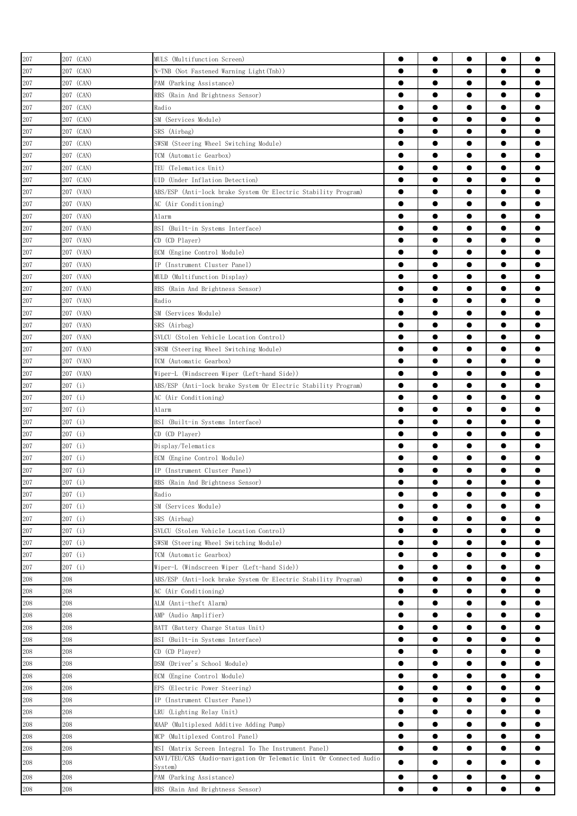| 207 | 207 (CAN) | MULS (Multifunction Screen)                                         | 0         | $\bullet$ |           | $\bullet$ |           |
|-----|-----------|---------------------------------------------------------------------|-----------|-----------|-----------|-----------|-----------|
| 207 | 207 (CAN) | N-TNB (Not Fastened Warning Light(Tnb))                             | $\bullet$ | ●         |           | $\bullet$ | e         |
| 207 | 207 (CAN) | PAM (Parking Assistance)                                            | $\bullet$ | $\bullet$ | $\bullet$ | $\bullet$ |           |
| 207 | 207 (CAN) | RBS (Rain And Brightness Sensor)                                    | $\bullet$ | $\bullet$ |           | $\bullet$ |           |
| 207 | 207 (CAN) | Radio                                                               | $\bullet$ | $\bullet$ | $\bullet$ | $\bullet$ |           |
| 207 | 207 (CAN) | SM (Services Module)                                                | $\bullet$ | $\bullet$ | $\bullet$ | $\bullet$ | 0         |
|     |           |                                                                     | $\bullet$ | $\bullet$ | $\bullet$ | $\bullet$ |           |
| 207 | 207 (CAN) | SRS (Airbag)                                                        |           | $\bullet$ |           | $\bullet$ |           |
| 207 | 207 (CAN) | SWSM (Steering Wheel Switching Module)                              | $\bullet$ |           |           |           |           |
| 207 | 207 (CAN) | TCM (Automatic Gearbox)                                             | $\bullet$ | $\bullet$ | ●         | $\bullet$ |           |
| 207 | 207 (CAN) | TEU (Telematics Unit)                                               | $\bullet$ |           |           | $\bullet$ |           |
| 207 | 207 (CAN) | UID (Under Inflation Detection)                                     |           |           | 0         | $\bullet$ |           |
| 207 | 207 (VAN) | ABS/ESP (Anti-lock brake System Or Electric Stability Program)      | $\bullet$ | 0         |           | $\bullet$ |           |
| 207 | 207 (VAN) | AC (Air Conditioning)                                               | 0         |           |           | $\bullet$ |           |
| 207 | 207 (VAN) | Alarm                                                               | 0         |           |           | $\bullet$ |           |
| 207 | 207 (VAN) | BSI (Built-in Systems Interface)                                    | $\bullet$ | ●         |           | $\bullet$ | ●         |
| 207 | 207 (VAN) | CD (CD Player)                                                      | $\bullet$ | $\bullet$ |           | $\bullet$ |           |
| 207 | 207 (VAN) | ECM (Engine Control Module)                                         | $\bullet$ | $\bullet$ | $\bullet$ | $\bullet$ |           |
| 207 | 207 (VAN) | IP (Instrument Cluster Panel)                                       | $\bullet$ | $\bullet$ | $\bullet$ | $\bullet$ |           |
| 207 | 207 (VAN) | MULD (Multifunction Display)                                        | $\bullet$ | $\bullet$ | $\bullet$ | $\bullet$ |           |
| 207 | 207 (VAN) | RBS (Rain And Brightness Sensor)                                    | $\bullet$ | $\bullet$ |           | $\bullet$ |           |
| 207 | 207 (VAN) | Radio                                                               | $\bullet$ | $\bullet$ | ●         | $\bullet$ |           |
| 207 | 207 (VAN) | SM (Services Module)                                                | $\bullet$ |           |           | $\bullet$ |           |
| 207 | 207 (VAN) | SRS (Airbag)                                                        | 0         |           | 0         | $\bullet$ |           |
| 207 | 207 (VAN) | SVLCU (Stolen Vehicle Location Control)                             | 0         |           |           | $\bullet$ |           |
| 207 | 207 (VAN) | SWSM (Steering Wheel Switching Module)                              | 0         | 0         | 0         | $\bullet$ |           |
| 207 | 207 (VAN) | TCM (Automatic Gearbox)                                             |           |           |           | $\bullet$ |           |
| 207 | 207 (VAN) | Wiper-L (Windscreen Wiper (Left-hand Side))                         | $\bullet$ | $\bullet$ |           | $\bullet$ | e         |
| 207 | 207 (i)   | ABS/ESP (Anti-lock brake System Or Electric Stability Program)      | $\bullet$ | $\bullet$ | $\bullet$ | $\bullet$ |           |
| 207 | 207(i)    | AC (Air Conditioning)                                               | $\bullet$ |           |           | $\bullet$ |           |
| 207 | 207 (i)   | Alarm                                                               | $\bullet$ | $\bullet$ | $\bullet$ | $\bullet$ | Α         |
| 207 | 207(i)    | BSI (Built-in Systems Interface)                                    | $\bullet$ | $\bullet$ | $\bullet$ | $\bullet$ | ●         |
| 207 | 207 (i)   | CD (CD Player)                                                      | $\bullet$ |           |           | $\bullet$ |           |
|     |           |                                                                     | ●         | ●         | ●         | $\bullet$ |           |
| 207 | 207 (i)   | Display/Telematics                                                  | ●         | $\bullet$ | $\bullet$ | $\bullet$ |           |
| 207 | 207(i)    | ECM (Engine Control Module)                                         |           |           |           |           |           |
| 207 | 207 (i)   | IP (Instrument Cluster Panel)                                       | $\bullet$ |           |           | $\bullet$ |           |
| 207 | 207(i)    | RBS (Rain And Brightness Sensor)                                    |           | ●         |           | ●         |           |
| 207 | 207(i)    | Radio                                                               | $\bullet$ | $\bullet$ | $\bullet$ | $\bullet$ |           |
| 207 | 207 (i)   | SM (Services Module)                                                | 0         |           | 0         |           |           |
| 207 | 207(i)    | SRS (Airbag)                                                        | $\bullet$ | $\bullet$ |           | $\bullet$ | ●         |
| 207 | 207(i)    | SVLCU (Stolen Vehicle Location Control)                             | $\bullet$ | $\bullet$ | $\bullet$ | $\bullet$ | $\bullet$ |
| 207 | 207(i)    | SWSM (Steering Wheel Switching Module)                              | $\bullet$ | $\bullet$ | $\bullet$ | $\bullet$ | $\bullet$ |
| 207 | 207(i)    | TCM (Automatic Gearbox)                                             | $\bullet$ | $\bullet$ | $\bullet$ | $\bullet$ |           |
| 207 | 207(i)    | Wiper-L (Windscreen Wiper (Left-hand Side))                         | $\bullet$ | $\bullet$ | $\bullet$ | $\bullet$ | $\bullet$ |
| 208 | 208       | ABS/ESP (Anti-lock brake System Or Electric Stability Program)      | $\bullet$ | $\bullet$ | $\bullet$ | $\bullet$ | $\bullet$ |
| 208 | 208       | AC (Air Conditioning)                                               | $\bullet$ | $\bullet$ | $\bullet$ | $\bullet$ |           |
| 208 | 208       | ALM (Anti-theft Alarm)                                              | $\bullet$ | $\bullet$ |           | $\bullet$ |           |
| 208 | 208       | AMP (Audio Amplifier)                                               | $\bullet$ |           |           | $\bullet$ |           |
| 208 | 208       | BATT (Battery Charge Status Unit)                                   | $\bullet$ |           | 0         | $\bullet$ |           |
| 208 | 208       | BSI (Built-in Systems Interface)                                    | ●         |           | ●         | $\bullet$ |           |
| 208 | 208       | CD (CD Player)                                                      | $\bullet$ |           | 0         | $\bullet$ |           |
| 208 | 208       | DSM (Driver's School Module)                                        | $\bullet$ |           |           | $\bullet$ |           |
| 208 | 208       | ECM (Engine Control Module)                                         | $\bullet$ | $\bullet$ |           | $\bullet$ | ●         |
| 208 | 208       | EPS (Electric Power Steering)                                       | $\bullet$ | $\bullet$ | $\bullet$ | $\bullet$ |           |
| 208 | 208       | IP (Instrument Cluster Panel)                                       | $\bullet$ | $\bullet$ | $\bullet$ | $\bullet$ |           |
| 208 | 208       | LRU (Lighting Relay Unit)                                           | $\bullet$ | $\bullet$ | $\bullet$ | $\bullet$ |           |
| 208 | 208       | MAAP (Multiplexed Additive Adding Pump)                             | $\bullet$ | $\bullet$ | $\bullet$ | $\bullet$ |           |
| 208 | 208       | MCP (Multiplexed Control Panel)                                     | $\bullet$ | $\bullet$ |           | $\bullet$ |           |
| 208 | 208       | MSI (Matrix Screen Integral To The Instrument Panel)                | $\bullet$ | $\bullet$ | $\bullet$ | $\bullet$ |           |
|     |           | NAVI/TEU/CAS (Audio-navigation Or Telematic Unit Or Connected Audio |           |           |           |           |           |
| 208 | 208       | System)                                                             | $\bullet$ | $\bullet$ |           | $\bullet$ |           |
| 208 | 208       | PAM (Parking Assistance)                                            | $\bullet$ | $\bullet$ |           | $\bullet$ |           |
| 208 | 208       | RBS (Rain And Brightness Sensor)                                    |           |           |           | $\bullet$ |           |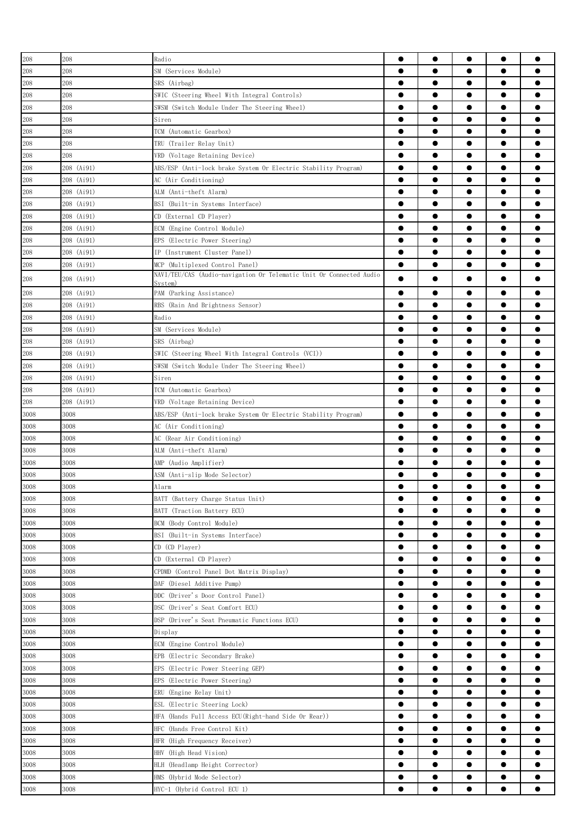| 208      | 208        | Radio                                                               | $\bullet$ | $\bullet$ | $\bullet$ | $\bullet$ |   |
|----------|------------|---------------------------------------------------------------------|-----------|-----------|-----------|-----------|---|
| 208      | 208        | SM (Services Module)                                                |           | $\bullet$ |           | $\bullet$ |   |
| 208      | 208        | SRS (Airbag)                                                        | $\bullet$ | $\bullet$ | $\bullet$ | $\bullet$ |   |
| 208      | 208        | SWIC (Steering Wheel With Integral Controls)                        | $\bullet$ | $\bullet$ |           | $\bullet$ |   |
| 208      | 208        | SWSM (Switch Module Under The Steering Wheel)                       | $\bullet$ | $\bullet$ | ●         | $\bullet$ |   |
| 208      | 208        | Siren                                                               | $\bullet$ | $\bullet$ | ●         | $\bullet$ |   |
| 208      | 208        | TCM (Automatic Gearbox)                                             | $\bullet$ | $\bullet$ |           | $\bullet$ |   |
| 208      | 208        | TRU (Trailer Relay Unit)                                            | ●         |           |           | $\bullet$ |   |
| 208      | 208        | VRD (Voltage Retaining Device)                                      | ●         | 0         |           | $\bullet$ |   |
| 208      | 208 (Ai91) | ABS/ESP (Anti-lock brake System Or Electric Stability Program)      | $\bullet$ |           |           | $\bullet$ |   |
| 208      | 208 (Ai91) | AC (Air Conditioning)                                               |           | $\bullet$ |           | $\bullet$ |   |
| 208      | 208 (Ai91) | ALM (Anti-theft Alarm)                                              | $\bullet$ | $\bullet$ |           | $\bullet$ |   |
| 208      | 208 (Ai91) | BSI<br>(Built-in Systems Interface)                                 | $\bullet$ | $\bullet$ |           | $\bullet$ |   |
| 208      | 208 (Ai91) | CD (External CD Player)                                             | $\bullet$ | $\bullet$ |           | $\bullet$ |   |
| 208      | 208 (Ai91) | ECM (Engine Control Module)                                         |           | $\bullet$ |           | $\bullet$ |   |
| 208      | 208 (Ai91) | EPS (Electric Power Steering)                                       | $\bullet$ | $\bullet$ |           | $\bullet$ |   |
| 208      | 208 (Ai91) | IP (Instrument Cluster Panel)                                       |           |           |           | $\bullet$ |   |
| 208      | 208 (Ai91) | MCP (Multiplexed Control Panel)                                     | $\bullet$ | $\bullet$ | ●         | $\bullet$ |   |
| 208      | 208 (Ai91) | NAVI/TEU/CAS (Audio-navigation Or Telematic Unit Or Connected Audio |           | $\bullet$ |           | $\bullet$ |   |
|          |            | Svstem)                                                             |           |           |           |           |   |
| 208      | 208 (Ai91) | PAM (Parking Assistance)                                            |           | ●         |           | $\bullet$ |   |
| 208      | 208 (Ai91) | RBS (Rain And Brightness Sensor)                                    | ●         | $\bullet$ | ●         | $\bullet$ |   |
| 208      | 208 (Ai91) | Radio                                                               | $\bullet$ |           |           | $\bullet$ |   |
| 208      | 208 (Ai91) | SM (Services Module)                                                | ●         |           |           | $\bullet$ |   |
| 208      | 208 (Ai91) | SRS (Airbag)                                                        | ●         | 0         |           | $\bullet$ |   |
| 208      | 208 (Ai91) | SWIC (Steering Wheel With Integral Controls (VCI))                  | 0         |           |           | $\bullet$ |   |
| 208      | 208 (Ai91) | SWSM (Switch Module Under The Steering Wheel)                       |           | ●         | e         | $\bullet$ |   |
| 208      | 208 (Ai91) | Siren                                                               |           | ●         | ●         | $\bullet$ |   |
| 208      | 208 (Ai91) | TCM (Automatic Gearbox)                                             | $\bullet$ | $\bullet$ |           | $\bullet$ |   |
| 208      | 208 (Ai91) | VRD (Voltage Retaining Device)                                      | $\bullet$ | $\bullet$ |           | $\bullet$ |   |
| 3008     | 3008       | ABS/ESP (Anti-lock brake System Or Electric Stability Program)      | $\bullet$ | $\bullet$ |           | $\bullet$ |   |
| 3008     | 3008       | AC (Air Conditioning)                                               | $\bullet$ | $\bullet$ | $\bullet$ | $\bullet$ |   |
| 3008     | 3008       | AC (Rear Air Conditioning)                                          | ●         | ●         |           | $\bullet$ |   |
| 3008     | 3008       | ALM (Anti-theft Alarm)                                              | ●         | ●         |           | $\bullet$ |   |
| 3008     | 3008       | AMP (Audio Amplifier)                                               | ●         |           |           | $\bullet$ |   |
| 3008     | 3008       | ASM (Anti-slip Mode Selector)                                       |           |           |           |           |   |
| 3008     | 3008       | Alarm                                                               |           |           |           |           |   |
| 3008     | 3008       | BATT (Battery Charge Status Unit)                                   | $\bullet$ |           |           |           |   |
| 3008     | 3008       | BATT (Traction Battery ECU)                                         | $\bullet$ |           |           | $\bullet$ |   |
| 3008     | 3008       | BCM (Body Control Module)                                           | $\bullet$ | $\bullet$ |           | $\bullet$ |   |
| 3008     | 3008       | BSI (Built-in Systems Interface)                                    | $\bullet$ | $\bullet$ | $\bullet$ | $\bullet$ | ● |
| 3008     | 3008       | CD (CD Player)                                                      | $\bullet$ | $\bullet$ | $\bullet$ | $\bullet$ |   |
| 3008     | 3008       | CD (External CD Player)                                             | $\bullet$ | $\bullet$ | $\bullet$ | $\bullet$ |   |
| 3008     | 3008       | CPDMD (Control Panel Dot Matrix Display)                            | $\bullet$ | $\bullet$ | $\bullet$ | $\bullet$ | 0 |
| 3008     | 3008       | DAF (Diesel Additive Pump)                                          | $\bullet$ | $\bullet$ | $\bullet$ | $\bullet$ |   |
| 3008     | 3008       | DDC (Driver's Door Control Panel)                                   | $\bullet$ | $\bullet$ | $\bullet$ | $\bullet$ |   |
| 3008     | 3008       | DSC (Driver's Seat Comfort ECU)                                     | $\bullet$ | $\bullet$ |           | $\bullet$ |   |
| 3008     | 3008       | DSP (Driver's Seat Pneumatic Functions ECU)                         | $\bullet$ |           |           | $\bullet$ |   |
| 3008     | 3008       | Display                                                             | $\bullet$ |           |           | $\bullet$ |   |
| 3008     | 3008       | ECM (Engine Control Module)                                         | $\bullet$ |           |           | $\bullet$ |   |
| $3008\,$ | 3008       | EPB (Electric Secondary Brake)                                      | $\bullet$ |           | 0         | $\bullet$ |   |
| 3008     | 3008       | EPS (Electric Power Steering GEP)                                   | $\bullet$ |           |           | $\bullet$ |   |
| 3008     | 3008       | EPS (Electric Power Steering)                                       | $\bullet$ | $\bullet$ |           | $\bullet$ |   |
| 3008     | 3008       | ERU (Engine Relay Unit)                                             | $\bullet$ | $\bullet$ | $\bullet$ | $\bullet$ |   |
| 3008     | 3008       | ESL (Electric Steering Lock)                                        | $\bullet$ | $\bullet$ | $\bullet$ | $\bullet$ |   |
| 3008     | 3008       | HFA (Hands Full Access ECU(Right-hand Side Or Rear))                | $\bullet$ | $\bullet$ | $\bullet$ | $\bullet$ |   |
| 3008     | 3008       | HFC (Hands Free Control Kit)                                        | $\bullet$ | $\bullet$ | $\bullet$ | $\bullet$ |   |
| 3008     | 3008       | HFR (High Frequency Receiver)                                       | $\bullet$ | $\bullet$ |           | $\bullet$ |   |
| 3008     | 3008       | HHV (High Head Vision)                                              | $\bullet$ | $\bullet$ |           | $\bullet$ |   |
| 3008     | 3008       | HLH (Headlamp Height Corrector)                                     | $\bullet$ | $\bullet$ |           | $\bullet$ |   |
| 3008     | 3008       | HMS (Hybrid Mode Selector)                                          | $\bullet$ | $\bullet$ |           | $\bullet$ |   |
| 3008     | 3008       | HYC-1 (Hybrid Control ECU 1)                                        |           |           |           | $\bullet$ |   |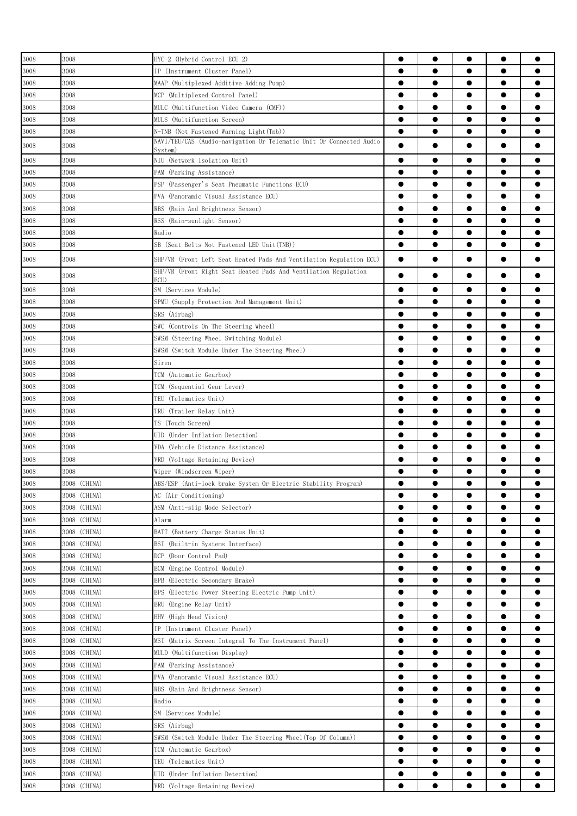| $3008\,$ | 3008         | HYC-2 (Hybrid Control ECU 2)                                             | ●         | $\bullet$ |           | $\bullet$ |           |
|----------|--------------|--------------------------------------------------------------------------|-----------|-----------|-----------|-----------|-----------|
|          |              |                                                                          |           |           |           |           |           |
| 3008     | 3008         | IP (Instrument Cluster Panel)                                            |           |           |           | $\bullet$ |           |
| 3008     | 3008         | MAAP (Multiplexed Additive Adding Pump)                                  |           | $\bullet$ |           | $\bullet$ |           |
| 3008     | 3008         | MCP (Multiplexed Control Panel)                                          | $\bullet$ | $\bullet$ | $\bullet$ | $\bullet$ |           |
| 3008     | 3008         | MULC (Multifunction Video Camera (CMF))                                  |           | ●         | ●         | $\bullet$ |           |
| 3008     | 3008         | MULS (Multifunction Screen)                                              |           | $\bullet$ | ●         | $\bullet$ |           |
| 3008     | 3008         | N-TNB (Not Fastened Warning Light(Tnb))                                  | $\bullet$ | ●         | ●         | $\bullet$ |           |
| $3008\,$ | 3008         | NAVI/TEU/CAS (Audio-navigation Or Telematic Unit Or Connected Audio      | $\bullet$ | ●         |           | $\bullet$ |           |
|          |              | Svstem)                                                                  |           |           |           |           |           |
| 3008     | 3008         | NIU (Network Isolation Unit)                                             | $\bullet$ | $\bullet$ | ●         | $\bullet$ |           |
| 3008     | 3008         | PAM (Parking Assistance)                                                 | $\bullet$ |           |           | $\bullet$ |           |
| 3008     | 3008         | PSP (Passenger's Seat Pneumatic Functions ECU)                           | ●         |           |           | $\bullet$ |           |
| 3008     | 3008         | PVA (Panoramic Visual Assistance ECU)                                    |           |           |           | $\bullet$ |           |
| 3008     | 3008         | RBS (Rain And Brightness Sensor)                                         |           |           |           | $\bullet$ |           |
| 3008     | 3008         | RSS (Rain-sunlight Sensor)                                               | $\bullet$ |           |           | $\bullet$ |           |
| 3008     | 3008         | Radio                                                                    | $\bullet$ | $\bullet$ |           | $\bullet$ |           |
| 3008     | 3008         | SB (Seat Belts Not Fastened LED Unit(TNB))                               | $\bullet$ | $\bullet$ |           | $\bullet$ |           |
|          |              |                                                                          |           |           |           |           |           |
| $3008\,$ | 3008         | SHP/VR (Front Left Seat Heated Pads And Ventilation Regulation ECU)      | $\bullet$ |           | œ         | $\bullet$ |           |
| 3008     | 3008         | SHP/VR (Front Right Seat Heated Pads And Ventilation Regulation<br>ECII) |           |           |           | $\bullet$ |           |
| 3008     | 3008         | SM (Services Module)                                                     | ●         | 0         |           | $\bullet$ |           |
| 3008     | 3008         | SPMU (Supply Protection And Management Unit)                             | ●         | 0         |           | $\bullet$ |           |
|          |              |                                                                          |           | ●         | ●         | $\bullet$ |           |
| $3008\,$ | 3008         | SRS (Airbag)                                                             |           |           |           |           |           |
| 3008     | 3008         | SWC (Controls On The Steering Wheel)                                     | $\bullet$ | $\bullet$ |           | $\bullet$ |           |
| 3008     | 3008         | SWSM (Steering Wheel Switching Module)                                   | $\bullet$ | $\bullet$ | $\bullet$ | $\bullet$ |           |
| $3008\,$ | 3008         | SWSM (Switch Module Under The Steering Wheel)                            |           | $\bullet$ | $\bullet$ | $\bullet$ |           |
| 3008     | 3008         | Siren                                                                    | $\bullet$ | $\bullet$ | $\bullet$ | $\bullet$ | 0         |
| 3008     | 3008         | TCM (Automatic Gearbox)                                                  | $\bullet$ | $\bullet$ |           | $\bullet$ |           |
| 3008     | 3008         | TCM (Sequential Gear Lever)                                              |           | $\bullet$ | ●         | $\bullet$ |           |
| 3008     | 3008         | TEU (Telematics Unit)                                                    | $\bullet$ | $\bullet$ | ●         | $\bullet$ |           |
| 3008     | 3008         | TRU (Trailer Relay Unit)                                                 | ●         |           |           | $\bullet$ |           |
| 3008     | 3008         | TS (Touch Screen)                                                        | 0         | 0         |           | $\bullet$ |           |
|          |              | UID (Under Inflation Detection)                                          | ●         | 0         |           | $\bullet$ |           |
| 3008     | 3008         |                                                                          |           |           |           |           |           |
| 3008     | 3008         | VDA (Vehicle Distance Assistance)                                        | $\bullet$ |           |           | $\bullet$ |           |
| 3008     | 3008         | VRD (Voltage Retaining Device)                                           | 0         |           | 0         | $\bullet$ |           |
| 3008     | 3008         | Wiper (Windscreen Wiper)                                                 | $\bullet$ | $\bullet$ |           | $\bullet$ |           |
| $3008\,$ | 3008 (CHINA) | ABS/ESP (Anti-lock brake System Or Electric Stability Program)           |           |           |           |           |           |
| 3008     | 3008 (CHINA) | AC (Air Conditioning)                                                    | $\bullet$ | $\bullet$ | $\bullet$ | $\bullet$ |           |
| 3008     | 3008 (CHINA) | ASM (Anti-slip Mode Selector)                                            | $\bullet$ | $\bullet$ | $\bullet$ | $\bullet$ |           |
| 3008     | 3008 (CHINA) | Alarm                                                                    | $\bullet$ | $\bullet$ | $\bullet$ | $\bullet$ |           |
| 3008     | 3008 (CHINA) | BATT (Battery Charge Status Unit)                                        | $\bullet$ | $\bullet$ |           | $\bullet$ |           |
| 3008     | 3008 (CHINA) | BSI (Built-in Systems Interface)                                         | $\bullet$ | $\bullet$ |           | $\bullet$ | ●         |
| 3008     | 3008 (CHINA) | DCP (Door Control Pad)                                                   | $\bullet$ |           |           | $\bullet$ |           |
|          | 3008 (CHINA) |                                                                          | $\bullet$ |           |           |           |           |
| 3008     |              | ECM (Engine Control Module)                                              |           |           |           | $\bullet$ |           |
| 3008     | 3008 (CHINA) | EPB (Electric Secondary Brake)                                           | $\bullet$ |           |           | $\bullet$ |           |
| $3008\,$ | 3008 (CHINA) | EPS (Electric Power Steering Electric Pump Unit)                         | $\bullet$ |           |           | $\bullet$ |           |
| 3008     | 3008 (CHINA) | ERU (Engine Relay Unit)                                                  | $\bullet$ | ●         |           | $\bullet$ |           |
| 3008     | 3008 (CHINA) | HHV (High Head Vision)                                                   | $\bullet$ |           |           | $\bullet$ |           |
| 3008     | 3008 (CHINA) | IP (Instrument Cluster Panel)                                            | $\bullet$ | $\bullet$ | $\bullet$ | $\bullet$ | $\bullet$ |
| 3008     | 3008 (CHINA) | (Matrix Screen Integral To The Instrument Panel)<br>MSI                  | $\bullet$ | $\bullet$ | $\bullet$ | $\bullet$ | $\bullet$ |
| 3008     | 3008 (CHINA) | MULD (Multifunction Display)                                             | $\bullet$ | $\bullet$ | $\bullet$ | $\bullet$ | 0         |
| 3008     | 3008 (CHINA) | PAM (Parking Assistance)                                                 | $\bullet$ | $\bullet$ | $\bullet$ | $\bullet$ | 0         |
| 3008     | 3008 (CHINA) | PVA (Panoramic Visual Assistance ECU)                                    | $\bullet$ | ●         |           | $\bullet$ |           |
| 3008     | 3008 (CHINA) | RBS (Rain And Brightness Sensor)                                         |           | ●         |           | $\bullet$ |           |
|          |              |                                                                          |           |           |           |           |           |
| 3008     | 3008 (CHINA) | Radio                                                                    | $\bullet$ |           |           | $\bullet$ |           |
| 3008     | 3008 (CHINA) | SM (Services Module)                                                     | $\bullet$ |           |           | $\bullet$ |           |
| $3008\,$ | 3008 (CHINA) | SRS (Airbag)                                                             | ●         |           | e         | $\bullet$ |           |
| 3008     | 3008 (CHINA) | SWSM (Switch Module Under The Steering Wheel(Top Of Column))             | $\bullet$ |           |           | $\bullet$ |           |
| $3008\,$ | 3008 (CHINA) | TCM (Automatic Gearbox)                                                  | $\bullet$ |           |           | $\bullet$ |           |
| 3008     | 3008 (CHINA) | TEU (Telematics Unit)                                                    | $\bullet$ |           |           | $\bullet$ |           |
| $3008\,$ | 3008 (CHINA) | UID (Under Inflation Detection)                                          | $\bullet$ | $\bullet$ | $\bullet$ | $\bullet$ | $\bullet$ |
| 3008     | 3008 (CHINA) | VRD (Voltage Retaining Device)                                           | $\bullet$ | $\bullet$ |           | $\bullet$ |           |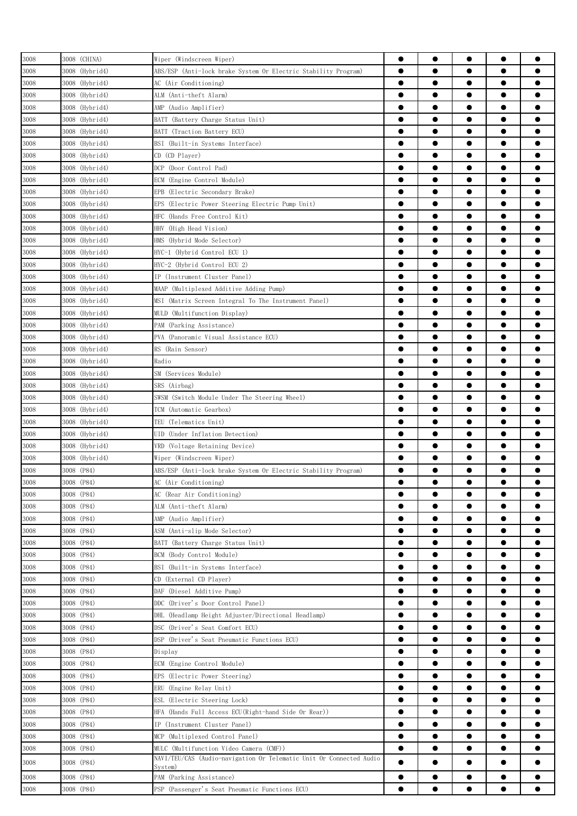| 3008     | 3008 (CHINA)   | Wiper (Windscreen Wiper)                                                       | $\bullet$ | $\bullet$ | $\bullet$ | $\bullet$ |           |
|----------|----------------|--------------------------------------------------------------------------------|-----------|-----------|-----------|-----------|-----------|
| 3008     | 3008 (Hybrid4) | ABS/ESP (Anti-lock brake System Or Electric Stability Program)                 | $\bullet$ |           |           | $\bullet$ |           |
| 3008     | 3008 (Hybrid4) | AC (Air Conditioning)                                                          | $\bullet$ | $\bullet$ | $\bullet$ | $\bullet$ |           |
| 3008     | 3008 (Hybrid4) | ALM (Anti-theft Alarm)                                                         | $\bullet$ |           |           | $\bullet$ |           |
|          |                |                                                                                |           |           |           |           |           |
| 3008     | 3008 (Hybrid4) | AMP (Audio Amplifier)                                                          |           | $\bullet$ | ●         | $\bullet$ |           |
| 3008     | 3008 (Hybrid4) | BATT (Battery Charge Status Unit)                                              | $\bullet$ |           | ●         | $\bullet$ |           |
| 3008     | 3008 (Hybrid4) | BATT (Traction Battery ECU)                                                    | $\bullet$ |           |           | $\bullet$ |           |
| 3008     | 3008 (Hybrid4) | BSI (Built-in Systems Interface)                                               | ●         | 0         |           | $\bullet$ |           |
| 3008     | 3008 (Hybrid4) | CD (CD Player)                                                                 | ●         |           |           | $\bullet$ |           |
| 3008     | 3008 (Hybrid4) | (Door Control Pad)<br>DCP -                                                    | 0         |           |           |           |           |
| 3008     | 3008 (Hybrid4) | ECM (Engine Control Module)                                                    | ●         | ●         | 0         | $\bullet$ |           |
|          |                |                                                                                | $\bullet$ | ●         |           | $\bullet$ |           |
| 3008     | 3008 (Hybrid4) | EPB<br>(Electric Secondary Brake)                                              |           |           |           |           |           |
| 3008     | 3008 (Hybrid4) | EPS<br>(Electric Power Steering Electric Pump Unit)                            | $\bullet$ | $\bullet$ |           | $\bullet$ |           |
| 3008     | 3008 (Hybrid4) | HFC<br>(Hands Free Control Kit)                                                |           |           |           | $\bullet$ |           |
| 3008     | 3008 (Hybrid4) | HHV<br>(High Head Vision)                                                      |           |           |           | $\bullet$ |           |
| 3008     | 3008 (Hybrid4) | HMS (Hybrid Mode Selector)                                                     | $\bullet$ |           |           | $\bullet$ |           |
| 3008     | 3008 (Hybrid4) | HYC-1 (Hybrid Control ECU 1)                                                   | ●         |           |           | $\bullet$ |           |
| 3008     | 3008 (Hybrid4) | HYC-2 (Hybrid Control ECU 2)                                                   |           | ●         | ●         | $\bullet$ |           |
| 3008     | 3008 (Hybrid4) | IP (Instrument Cluster Panel)                                                  | $\bullet$ |           |           | $\bullet$ |           |
|          |                |                                                                                | ●         |           |           | $\bullet$ |           |
| 3008     | 3008 (Hybrid4) | MAAP (Multiplexed Additive Adding Pump)                                        |           |           |           |           |           |
| 3008     | 3008 (Hybrid4) | MSI (Matrix Screen Integral To The Instrument Panel)                           | ●         |           |           | $\bullet$ |           |
| 3008     | 3008 (Hybrid4) | MULD (Multifunction Display)                                                   | 0         |           |           |           |           |
| 3008     | 3008 (Hybrid4) | PAM (Parking Assistance)                                                       | 0         |           | e         |           |           |
| $3008\,$ | 3008 (Hybrid4) | PVA (Panoramic Visual Assistance ECU)                                          |           |           | ●         | $\bullet$ |           |
| 3008     | 3008 (Hybrid4) | RS (Rain Sensor)                                                               | $\bullet$ |           |           | $\bullet$ | ●         |
| 3008     | 3008 (Hybrid4) | Radio                                                                          |           |           |           | $\bullet$ |           |
|          |                |                                                                                |           |           |           | $\bullet$ |           |
| 3008     | 3008 (Hybrid4) | SM (Services Module)                                                           |           |           |           |           |           |
| 3008     | 3008 (Hybrid4) | SRS (Airbag)                                                                   | $\bullet$ | $\bullet$ | $\bullet$ | $\bullet$ | 0         |
| 3008     | 3008 (Hybrid4) | SWSM (Switch Module Under The Steering Wheel)                                  |           |           |           | $\bullet$ |           |
| 3008     | 3008 (Hybrid4) | TCM (Automatic Gearbox)                                                        |           |           | ●         | $\bullet$ |           |
| 3008     | 3008 (Hybrid4) | TEU (Telematics Unit)                                                          | $\bullet$ | $\bullet$ | ●         | $\bullet$ |           |
| 3008     | 3008 (Hybrid4) | UID (Under Inflation Detection)                                                | ●         |           |           | $\bullet$ |           |
| 3008     | 3008 (Hybrid4) | VRD (Voltage Retaining Device)                                                 |           |           |           | $\bullet$ |           |
| 3008     | 3008 (Hybrid4) | Wiper (Windscreen Wiper)                                                       | 0         | 0         |           |           |           |
|          |                |                                                                                |           |           |           |           |           |
| 3008     | 3008 (P84)     | ABS/ESP (Anti-lock brake System Or Electric Stability Program)                 | 0         | 0         |           |           |           |
| 3008     | 3008 (P84)     | AC (Air Conditioning)                                                          | ●         | ●         |           | ●         |           |
| $3008\,$ | 3008 (P84)     | AC (Rear Air Conditioning)                                                     | $\bullet$ | $\bullet$ | $\bullet$ | $\bullet$ | $\bullet$ |
| 3008     | 3008 (P84)     | ALM (Anti-theft Alarm)                                                         | $\bullet$ |           | $\bullet$ | $\bullet$ |           |
| 3008     | 3008 (P84)     | AMP (Audio Amplifier)                                                          | $\bullet$ | $\bullet$ | $\bullet$ | $\bullet$ |           |
| 3008     | 3008 (P84)     | ASM (Anti-slip Mode Selector)                                                  | $\bullet$ | $\bullet$ | $\bullet$ | $\bullet$ | $\bullet$ |
| 3008     | 3008 (P84)     | BATT (Battery Charge Status Unit)                                              | $\bullet$ | $\bullet$ | $\bullet$ | $\bullet$ |           |
| 3008     | 3008 (P84)     | BCM (Body Control Module)                                                      | $\bullet$ | $\bullet$ | $\bullet$ | $\bullet$ |           |
|          |                |                                                                                |           |           |           |           |           |
| 3008     | 3008 (P84)     | BSI (Built-in Systems Interface)                                               | $\bullet$ | $\bullet$ |           | $\bullet$ |           |
| 3008     | 3008 (P84)     | CD (External CD Player)                                                        | $\bullet$ |           |           | $\bullet$ |           |
| 3008     | 3008 (P84)     | DAF (Diesel Additive Pump)                                                     |           |           |           | $\bullet$ |           |
| 3008     | 3008 (P84)     | DDC (Driver's Door Control Panel)                                              | $\bullet$ |           |           | $\bullet$ |           |
| 3008     | 3008 (P84)     | DHL (Headlamp Height Adjuster/Directional Headlamp)                            | $\bullet$ |           | 0         | $\bullet$ |           |
| 3008     | 3008 (P84)     | DSC (Driver's Seat Comfort ECU)                                                | $\bullet$ |           |           | $\bullet$ |           |
| 3008     | 3008 (P84)     | DSP (Driver's Seat Pneumatic Functions ECU)                                    | $\bullet$ | ●         |           | $\bullet$ | ●         |
|          | 3008 (P84)     |                                                                                | $\bullet$ | $\bullet$ | $\bullet$ | $\bullet$ |           |
| 3008     |                | Display                                                                        |           |           |           |           |           |
| 3008     | 3008 (P84)     | ECM (Engine Control Module)                                                    | $\bullet$ | $\bullet$ | $\bullet$ | $\bullet$ |           |
| 3008     | 3008 (P84)     | EPS (Electric Power Steering)                                                  | $\bullet$ | $\bullet$ | $\bullet$ | $\bullet$ |           |
| 3008     | 3008 (P84)     | ERU (Engine Relay Unit)                                                        | $\bullet$ | $\bullet$ | $\bullet$ | $\bullet$ |           |
| 3008     | 3008 (P84)     | ESL (Electric Steering Lock)                                                   |           | $\bullet$ |           | $\bullet$ |           |
| 3008     | 3008 (P84)     | HFA (Hands Full Access ECU(Right-hand Side Or Rear))                           |           | ●         |           | $\bullet$ |           |
| 3008     | 3008 (P84)     | IP (Instrument Cluster Panel)                                                  | $\bullet$ | $\bullet$ |           | $\bullet$ |           |
|          | 3008 (P84)     |                                                                                | ●         | 0         |           | $\bullet$ |           |
| 3008     |                | MCP (Multiplexed Control Panel)                                                |           |           |           |           |           |
| 3008     | 3008 (P84)     | MULC (Multifunction Video Camera (CMF))                                        | $\bullet$ |           |           | $\bullet$ |           |
| 3008     | 3008 (P84)     | NAVI/TEU/CAS (Audio-navigation Or Telematic Unit Or Connected Audio<br>System) | $\bullet$ |           |           | $\bullet$ |           |
| 3008     | 3008 (P84)     | PAM (Parking Assistance)                                                       | $\bullet$ |           |           | $\bullet$ |           |
| 3008     | 3008 (P84)     | PSP (Passenger's Seat Pneumatic Functions ECU)                                 | $\bullet$ |           | 0         | $\bullet$ |           |
|          |                |                                                                                |           |           |           |           |           |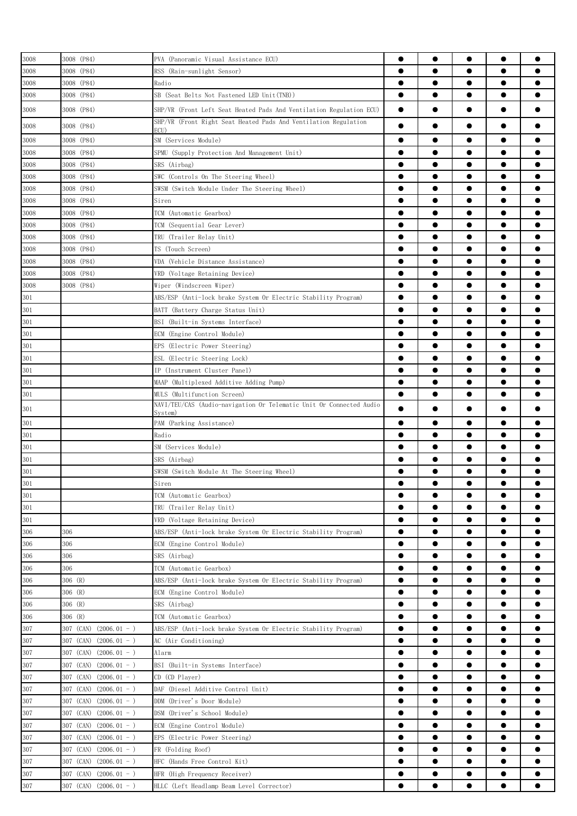| 3008    | 3008 (P84)                  | PVA (Panoramic Visual Assistance ECU)                                   | ●         | $\bullet$ | $\bullet$ | $\bullet$ |           |
|---------|-----------------------------|-------------------------------------------------------------------------|-----------|-----------|-----------|-----------|-----------|
| 3008    | 3008 (P84)                  |                                                                         | ●         |           |           | $\bullet$ |           |
|         |                             | RSS (Rain-sunlight Sensor)                                              |           |           |           |           |           |
| 3008    | 3008 (P84)                  | Radio                                                                   | $\bullet$ | $\bullet$ | $\bullet$ | $\bullet$ |           |
| 3008    | 3008 (P84)                  | SB (Seat Belts Not Fastened LED Unit(TNB))                              | $\bullet$ | $\bullet$ | $\bullet$ | $\bullet$ |           |
| 3008    | 3008 (P84)                  | SHP/VR (Front Left Seat Heated Pads And Ventilation Regulation ECU)     | $\bullet$ | 0         |           |           |           |
| 3008    | 3008 (P84)                  | SHP/VR (Front Right Seat Heated Pads And Ventilation Regulation<br>ECU) |           |           |           | $\bullet$ |           |
| 3008    | 3008 (P84)                  | SM (Services Module)                                                    | $\bullet$ | $\bullet$ | $\bullet$ | $\bullet$ |           |
| 3008    | 3008 (P84)                  | SPMU (Supply Protection And Management Unit)                            | $\bullet$ | $\bullet$ | $\bullet$ | $\bullet$ |           |
| 3008    | 3008 (P84)                  | SRS (Airbag)                                                            | $\bullet$ | $\bullet$ | $\bullet$ | $\bullet$ |           |
| 3008    | 3008 (P84)                  | SWC (Controls On The Steering Wheel)                                    | $\bullet$ | $\bullet$ | $\bullet$ | $\bullet$ |           |
| 3008    | 3008 (P84)                  | SWSM (Switch Module Under The Steering Wheel)                           | $\bullet$ | $\bullet$ |           | $\bullet$ |           |
| 3008    | 3008 (P84)                  | Siren                                                                   | $\bullet$ | $\bullet$ |           | $\bullet$ |           |
|         | 3008 (P84)                  |                                                                         | $\bullet$ | ●         | ●         | $\bullet$ |           |
| 3008    |                             | TCM (Automatic Gearbox)                                                 |           |           |           |           |           |
| 3008    | 3008 (P84)                  | TCM (Sequential Gear Lever)                                             | ●         |           |           | $\bullet$ |           |
| 3008    | 3008 (P84)                  | TRU (Trailer Relay Unit)                                                | 0         | 0         |           | $\bullet$ |           |
| 3008    | 3008 (P84)                  | TS (Touch Screen)                                                       | 0         | 0         |           | $\bullet$ |           |
| 3008    | 3008 (P84)                  | VDA (Vehicle Distance Assistance)                                       | $\bullet$ |           |           | $\bullet$ |           |
| 3008    | 3008 (P84)                  | VRD (Voltage Retaining Device)                                          | $\bullet$ | $\bullet$ |           | $\bullet$ |           |
| 3008    | 3008 (P84)                  | Wiper (Windscreen Wiper)                                                | $\bullet$ | $\bullet$ | $\bullet$ | $\bullet$ |           |
| 301     |                             | ABS/ESP (Anti-lock brake System Or Electric Stability Program)          | $\bullet$ | $\bullet$ | $\bullet$ | $\bullet$ |           |
| 301     |                             | BATT (Battery Charge Status Unit)                                       | $\bullet$ | $\bullet$ | $\bullet$ | $\bullet$ |           |
| 301     |                             | BSI (Built-in Systems Interface)                                        | $\bullet$ | $\bullet$ | $\bullet$ | $\bullet$ |           |
| 301     |                             | ECM (Engine Control Module)                                             | $\bullet$ | $\bullet$ | $\bullet$ | $\bullet$ |           |
|         |                             |                                                                         | $\bullet$ | $\bullet$ |           | $\bullet$ |           |
| 301     |                             | EPS (Electric Power Steering)                                           |           |           |           |           |           |
| 301     |                             | ESL (Electric Steering Lock)                                            | $\bullet$ | $\bullet$ |           | $\bullet$ |           |
| 301     |                             | IP (Instrument Cluster Panel)                                           |           | $\bullet$ |           | $\bullet$ |           |
| 301     |                             | MAAP (Multiplexed Additive Adding Pump)                                 | ●         | 0         |           | $\bullet$ |           |
| 301     |                             | MULS (Multifunction Screen)                                             | $\bullet$ |           |           | $\bullet$ |           |
| 301     |                             | NAVI/TEU/CAS (Audio-navigation Or Telematic Unit Or Connected Audio     |           | $\bullet$ |           | $\bullet$ |           |
| 301     |                             | Svstem)<br>PAM (Parking Assistance)                                     | ●         | 0         |           | $\bullet$ |           |
|         |                             |                                                                         |           | $\bullet$ |           | $\bullet$ |           |
| 301     |                             | Radio                                                                   |           |           |           |           |           |
| 301     |                             | SM (Services Module)                                                    | $\bullet$ | $\bullet$ |           | $\bullet$ |           |
| 301     |                             | SRS (Airbag)                                                            | $\bullet$ | $\bullet$ |           | $\bullet$ |           |
| 301     |                             | SWSM (Switch Module At The Steering Wheel)                              | $\bullet$ | $\bullet$ |           | $\bullet$ |           |
| $301\,$ |                             | Siren                                                                   |           | $\bullet$ |           |           |           |
| 301     |                             | TCM (Automatic Gearbox)                                                 | $\bullet$ | $\bullet$ | $\bullet$ | $\bullet$ |           |
| 301     |                             | TRU (Trailer Relay Unit)                                                | $\bullet$ | $\bullet$ | $\bullet$ | $\bullet$ |           |
| 301     |                             | VRD (Voltage Retaining Device)                                          | $\bullet$ | $\bullet$ | $\bullet$ | $\bullet$ |           |
| 306     | 306                         | ABS/ESP (Anti-lock brake System Or Electric Stability Program)          | $\bullet$ | $\bullet$ |           | $\bullet$ |           |
| 306     | 306                         | ECM (Engine Control Module)                                             | $\bullet$ | $\bullet$ | $\bullet$ | $\bullet$ | Ω         |
| 306     | 306                         | SRS (Airbag)                                                            | $\bullet$ |           |           | $\bullet$ |           |
| 306     | 306                         | TCM (Automatic Gearbox)                                                 | $\bullet$ |           | 0         | $\bullet$ |           |
| 306     | 306 (R)                     | ABS/ESP (Anti-lock brake System Or Electric Stability Program)          | $\bullet$ |           | 0         | $\bullet$ |           |
| 306     | 306 (R)                     | ECM (Engine Control Module)                                             | $\bullet$ |           |           | $\bullet$ |           |
|         |                             |                                                                         |           |           |           |           |           |
| 306     | 306 (R)                     | SRS (Airbag)                                                            |           |           |           |           |           |
| 306     | 306 (R)                     | TCM (Automatic Gearbox)                                                 | $\bullet$ | $\bullet$ |           | $\bullet$ |           |
| 307     | 307 (CAN)<br>$(2006.01 - )$ | ABS/ESP (Anti-lock brake System Or Electric Stability Program)          | $\bullet$ | $\bullet$ | $\bullet$ | $\bullet$ | $\bullet$ |
| 307     | 307 (CAN)<br>$(2006.01 - )$ | AC (Air Conditioning)                                                   | $\bullet$ | $\bullet$ | $\bullet$ | $\bullet$ |           |
| 307     | $(2006.01 - )$<br>307 (CAN) | Alarm                                                                   | $\bullet$ | $\bullet$ | $\bullet$ | $\bullet$ |           |
| 307     | 307 (CAN)<br>$(2006.01 - )$ | BSI (Built-in Systems Interface)                                        | $\bullet$ | $\bullet$ | $\bullet$ | $\bullet$ | $\bullet$ |
| 307     | 307 (CAN) $(2006.01 - )$    | CD (CD Player)                                                          | $\bullet$ | $\bullet$ |           | $\bullet$ |           |
| 307     | 307 (CAN)<br>$(2006.01 - )$ | DAF (Diesel Additive Control Unit)                                      | $\bullet$ | $\bullet$ |           | $\bullet$ |           |
| 307     | 307 (CAN)<br>$(2006.01 - )$ | DDM (Driver's Door Module)                                              | $\bullet$ |           | $\bullet$ | $\bullet$ |           |
| 307     | 307 (CAN)<br>$(2006.01 - )$ | DSM (Driver's School Module)                                            | $\bullet$ |           |           | $\bullet$ |           |
| 307     | 307 (CAN)<br>$(2006.01 - )$ | ECM (Engine Control Module)                                             | $\bullet$ |           |           | $\bullet$ |           |
|         |                             |                                                                         | $\bullet$ |           |           |           |           |
| 307     | 307 (CAN)<br>$(2006.01 - )$ | EPS (Electric Power Steering)                                           |           |           | 0         | $\bullet$ |           |
| 307     | 307 (CAN)<br>$(2006.01 - )$ | FR (Folding Roof)                                                       | 0         |           | 0         | $\bullet$ |           |
| 307     | 307 (CAN) $(2006.01 - )$    | HFC (Hands Free Control Kit)                                            | $\bullet$ | $\bullet$ |           | $\bullet$ |           |
| 307     | 307 (CAN)<br>$(2006.01 - )$ | HFR (High Frequency Receiver)                                           | $\bullet$ | $\bullet$ | $\bullet$ | $\bullet$ | $\bullet$ |
| $307\,$ | 307 (CAN) $(2006.01 - )$    | HLLC (Left Headlamp Beam Level Corrector)                               | $\bullet$ | $\bullet$ |           | $\bullet$ |           |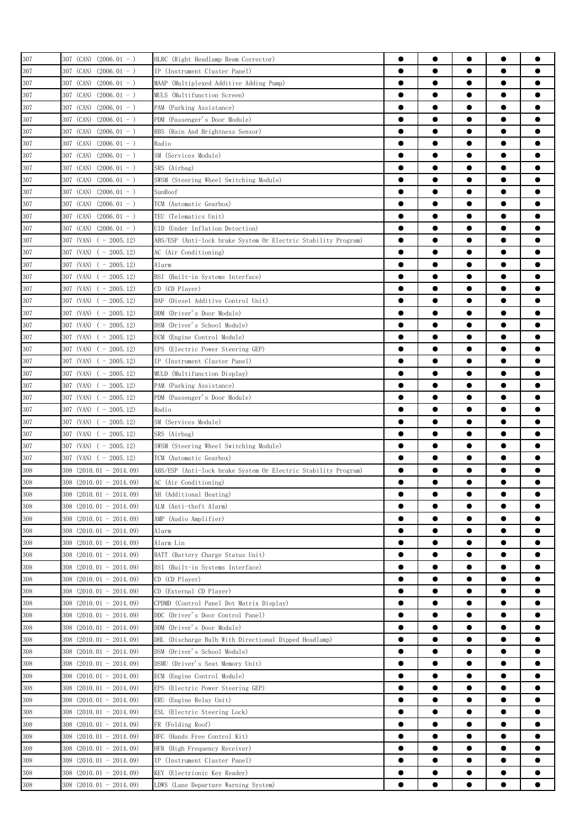| 307     | $307$ (CAN) $(2006.01 - )$   | HLRC (Right Headlamp Beam Corrector)                           | 0         | 0         |           |           |           |
|---------|------------------------------|----------------------------------------------------------------|-----------|-----------|-----------|-----------|-----------|
| 307     | 307 (CAN)<br>$(2006.01 - )$  | IP (Instrument Cluster Panel)                                  | 0         |           |           | $\bullet$ |           |
| 307     | 307 (CAN)<br>$(2006.01 - )$  | MAAP (Multiplexed Additive Adding Pump)                        | $\bullet$ |           |           | $\bullet$ |           |
| 307     | 307 (CAN)<br>$(2006.01 - )$  | MULS (Multifunction Screen)                                    |           |           |           | $\bullet$ |           |
| 307     | $(2006.01 - )$<br>307 (CAN)  | PAM (Parking Assistance)                                       | ●         |           | $\bullet$ | $\bullet$ |           |
| 307     |                              |                                                                | 0         | 0         | $\bullet$ | $\bullet$ |           |
|         | 307 (CAN) (2006.01 - )       | PDM (Passenger's Door Module)                                  |           |           |           |           |           |
| 307     | 307 (CAN) (2006.01 - )       | RBS (Rain And Brightness Sensor)                               |           | 0         |           |           |           |
| 307     | 307 (CAN) (2006.01 - )       | Radio                                                          | ●         | ●         | ●         | $\bullet$ |           |
| 307     | 307 (CAN)<br>$(2006, 01 - )$ | SM (Services Module)                                           | $\bullet$ |           |           | $\bullet$ |           |
| 307     | 307 (CAN)<br>$(2006.01 - )$  | SRS (Airbag)                                                   |           |           | 0         | $\bullet$ |           |
| 307     | 307 (CAN)<br>$(2006.01 - )$  | SWSM (Steering Wheel Switching Module)                         | e         |           | ●         | $\bullet$ |           |
| 307     | 307 (CAN) $(2006.01 - )$     | SunRoof                                                        | 0         |           | 0         |           |           |
| 307     | 307 (CAN) (2006.01 - )       | TCM (Automatic Gearbox)                                        | 0         | 0         |           |           |           |
| 307     | 307 (CAN)<br>$(2006.01 - )$  | TEU (Telematics Unit)                                          | 0         | ●         |           | $\bullet$ |           |
| 307     | 307 (CAN)<br>$(2006.01 - )$  | UID (Under Inflation Detection)                                | $\bullet$ | $\bullet$ | $\bullet$ | $\bullet$ |           |
| 307     | 307 (VAN) $(-2005.12)$       | ABS/ESP (Anti-lock brake System Or Electric Stability Program) | $\bullet$ |           |           | $\bullet$ |           |
| 307     | $307$ (VAN) ( - 2005.12)     | AC (Air Conditioning)                                          | $\bullet$ |           | $\bullet$ | $\bullet$ |           |
| 307     | $307$ (VAN) ( - 2005.12)     | Alarm                                                          | $\bullet$ | $\bullet$ | $\bullet$ | $\bullet$ | ●         |
| 307     | $307$ (VAN) ( - 2005.12)     | BSI (Built-in Systems Interface)                               | ●         | ●         |           |           |           |
| 307     | 307 (VAN) ( - 2005.12)       | CD (CD Player)                                                 | $\bullet$ |           | ●         |           |           |
| $307\,$ | 307 (VAN)<br>$(-2005.12)$    | DAF (Diesel Additive Control Unit)                             | $\bullet$ |           | 0         | $\bullet$ |           |
| 307     | $307$ (VAN) ( - 2005.12)     | DDM (Driver's Door Module)                                     | 0         |           |           | $\bullet$ |           |
| 307     | $307$ (VAN) ( - 2005.12)     | DSM (Driver's School Module)                                   |           |           |           | $\bullet$ |           |
| 307     | $307$ (VAN) ( - 2005.12)     | ECM (Engine Control Module)                                    |           |           |           |           |           |
| 307     | $307$ (VAN) ( - 2005.12)     | EPS (Electric Power Steering GEP)                              | 0         |           | 0         |           |           |
|         | $307$ (VAN) ( - 2005.12)     | IP (Instrument Cluster Panel)                                  | 0         | ●         |           | $\bullet$ | e         |
| 307     |                              |                                                                | $\bullet$ | $\bullet$ | $\bullet$ | $\bullet$ |           |
| 307     | $307$ (VAN) ( - 2005.12)     | MULD (Multifunction Display)                                   |           |           |           |           |           |
| 307     | $307$ (VAN) ( - 2005.12)     | PAM (Parking Assistance)                                       | $\bullet$ | $\bullet$ |           | $\bullet$ |           |
| 307     | 307 (VAN) $(-2005.12)$       | PDM (Passenger's Door Module)                                  |           |           | $\bullet$ | $\bullet$ | O         |
| 307     | $307$ (VAN) ( - 2005.12)     | Radio                                                          | $\bullet$ | $\bullet$ | $\bullet$ | $\bullet$ | 0         |
| 307     | 307 (VAN) ( - 2005.12)       | SM (Services Module)                                           | $\bullet$ |           | $\bullet$ | $\bullet$ |           |
| 307     | 307 (VAN) ( - 2005.12)       | SRS (Airbag)                                                   | 0         | 0         |           |           |           |
| 307     | 307 (VAN)<br>$(-2005.12)$    | SWSM (Steering Wheel Switching Module)                         | $\bullet$ | ●         |           | $\bullet$ |           |
| 307     | $307$ (VAN) ( - 2005.12)     | TCM (Automatic Gearbox)                                        |           |           |           | $\bullet$ |           |
| 308     | 308 (2010.01 - 2014.09)      | ABS/ESP (Anti-lock brake System Or Electric Stability Program) | 0         |           |           | 0         |           |
| 308     | 308 (2010.01 - 2014.09)      | AC (Air Conditioning)                                          |           |           |           |           |           |
| 308     | $308$ (2010.01 - 2014.09)    | AH (Additional Heating)                                        | $\bullet$ | $\bullet$ |           | $\bullet$ |           |
| 308     | 308 (2010.01 - 2014.09)      | ALM (Anti-theft Alarm)                                         | 0         |           |           |           |           |
| 308     | $308$ (2010.01 - 2014.09)    | AMP (Audio Amplifier)                                          | $\bullet$ | $\bullet$ | $\bullet$ | $\bullet$ |           |
| 308     | $308$ (2010.01 - 2014.09)    | Alarm                                                          | $\bullet$ | $\bullet$ | $\bullet$ | $\bullet$ | $\bullet$ |
| 308     | $308$ (2010, 01 - 2014, 09)  | Alarm Lin                                                      | $\bullet$ | $\bullet$ | $\bullet$ | $\bullet$ |           |
| 308     | $308$ $(2010.01 - 2014.09)$  | BATT (Battery Charge Status Unit)                              | $\bullet$ |           | $\bullet$ | $\bullet$ |           |
| 308     | $308$ (2010.01 - 2014.09)    | BSI (Built-in Systems Interface)                               | $\bullet$ | $\bullet$ | $\bullet$ | $\bullet$ |           |
| 308     | 308 (2010.01 - 2014.09)      | CD (CD Player)                                                 | $\bullet$ | $\bullet$ | $\bullet$ | $\bullet$ |           |
| 308     | 308 (2010.01 - 2014.09)      | CD (External CD Player)                                        | $\bullet$ | $\bullet$ | $\bullet$ | $\bullet$ |           |
| 308     | $308$ (2010.01 - 2014.09)    | CPDMD (Control Panel Dot Matrix Display)                       | $\bullet$ |           |           | $\bullet$ |           |
| 308     | 308 (2010.01 - 2014.09)      | DDC (Driver's Door Control Panel)                              | $\bullet$ |           |           | $\bullet$ |           |
| 308     | $308$ $(2010.01 - 2014.09)$  | DDM (Driver's Door Module)                                     |           | 0         | 0         | $\bullet$ |           |
| 308     | $308$ $(2010.01 - 2014.09)$  | DHL (Discharge Bulb With Directional Dipped Headlamp)          |           | 0         |           | $\bullet$ |           |
|         |                              |                                                                |           |           |           |           |           |
| 308     | $308$ (2010.01 - 2014.09)    | DSM (Driver's School Module)                                   |           |           |           |           |           |
| 308     | $308$ $(2010.01 - 2014.09)$  | DSMU (Driver's Seat Memory Unit)                               | $\bullet$ | $\bullet$ |           | $\bullet$ |           |
| 308     | $308$ $(2010.01 - 2014.09)$  | ECM (Engine Control Module)                                    | $\bullet$ | $\bullet$ | $\bullet$ | $\bullet$ | $\bullet$ |
| 308     | $308$ (2010.01 - 2014.09)    | EPS (Electric Power Steering GEP)                              | $\bullet$ | $\bullet$ | $\bullet$ | $\bullet$ |           |
| 308     | $308$ $(2010.01 - 2014.09)$  | ERU (Engine Relay Unit)                                        | $\bullet$ | $\bullet$ | $\bullet$ | $\bullet$ |           |
| 308     | $308$ $(2010.01 - 2014.09)$  | ESL (Electric Steering Lock)                                   | $\bullet$ | $\bullet$ | $\bullet$ | $\bullet$ | $\bullet$ |
| 308     | $308$ (2010.01 - 2014.09)    | FR (Folding Roof)                                              | $\bullet$ | $\bullet$ |           | $\bullet$ |           |
| 308     | 308 (2010.01 - 2014.09)      | HFC (Hands Free Control Kit)                                   | $\bullet$ |           |           | $\bullet$ |           |
| 308     | $308$ (2010.01 - 2014.09)    | HFR (High Frequency Receiver)                                  | $\bullet$ |           |           | $\bullet$ |           |
| 308     | $308$ $(2010.01 - 2014.09)$  | IP (Instrument Cluster Panel)                                  |           |           |           | $\bullet$ |           |
| 308     | $308$ $(2010.01 - 2014.09)$  | KEY (Electrionic Key Reader)                                   | 0         |           |           | $\bullet$ |           |
| 308     | 308 (2010.01 - 2014.09)      | LDWS (Lane Departure Warning System)                           | $\bullet$ | $\bullet$ |           | $\bullet$ |           |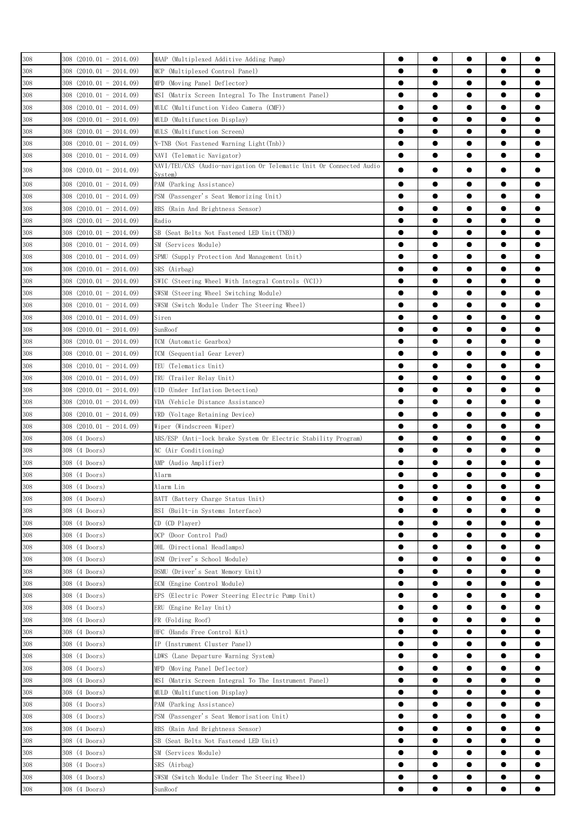| 308               | $308$ (2010.01 - 2014.09)   | MAAP (Multiplexed Additive Adding Pump)                                                           |           | $\bullet$ |           |           |           |
|-------------------|-----------------------------|---------------------------------------------------------------------------------------------------|-----------|-----------|-----------|-----------|-----------|
| 308               | 308 (2010.01 - 2014.09)     | MCP (Multiplexed Control Panel)                                                                   | 0         | ●         |           | $\bullet$ |           |
| 308               | $308$ (2010, 01 - 2014, 09) | MPD (Moving Panel Deflector)                                                                      | $\bullet$ | $\bullet$ | $\bullet$ | $\bullet$ |           |
| 308               | $308$ (2010.01 - 2014.09)   | MSI (Matrix Screen Integral To The Instrument Panel)                                              | $\bullet$ | $\bullet$ |           | $\bullet$ |           |
| 308               | $308$ (2010.01 - 2014.09)   | MULC (Multifunction Video Camera (CMF))                                                           |           |           | $\bullet$ | $\bullet$ |           |
| 308               | $308$ (2010.01 - 2014.09)   | MULD (Multifunction Display)                                                                      | $\bullet$ | $\bullet$ | $\bullet$ | $\bullet$ | 0         |
|                   |                             |                                                                                                   | $\bullet$ |           | $\bullet$ | $\bullet$ |           |
| 308               | 308 (2010.01 - 2014.09)     | MULS (Multifunction Screen)                                                                       | $\bullet$ | $\bullet$ |           |           |           |
| 308               | 308 (2010.01 - 2014.09)     | N-TNB (Not Fastened Warning Light(Tnb))                                                           |           |           |           |           |           |
| 308               | 308 (2010.01 - 2014.09)     | NAVI (Telematic Navigator)<br>NAVI/TEU/CAS (Audio-navigation Or Telematic Unit Or Connected Audio | $\bullet$ |           | $\bullet$ | $\bullet$ |           |
| 308               | 308 (2010.01 - 2014.09)     | Svstem)                                                                                           | $\bullet$ |           |           | $\bullet$ |           |
| 308               | $308$ (2010.01 - 2014.09)   | PAM (Parking Assistance)                                                                          | $\bullet$ | $\bullet$ | $\bullet$ | $\bullet$ |           |
| 308               | $308$ $(2010.01 - 2014.09)$ | PSM (Passenger's Seat Memorizing Unit)                                                            | $\bullet$ |           |           | $\bullet$ |           |
| 308               | $308$ (2010.01 - 2014.09)   | RBS (Rain And Brightness Sensor)                                                                  | $\bullet$ |           |           | $\bullet$ |           |
| 308               | $308$ (2010.01 - 2014.09)   | Radio                                                                                             |           |           | 0         | $\bullet$ |           |
| 308               | $308$ $(2010.01 - 2014.09)$ | SB (Seat Belts Not Fastened LED Unit(TNB))                                                        |           |           |           | $\bullet$ |           |
| 308               | $308$ (2010.01 - 2014.09)   | SM (Services Module)                                                                              | 0         |           | 0         |           |           |
| 308               | 308 (2010.01 - 2014.09)     | SPMU (Supply Protection And Management Unit)                                                      |           | 0         |           |           |           |
| 308               | $308$ (2010.01 - 2014.09)   | SRS (Airbag)                                                                                      | $\bullet$ | $\bullet$ |           | $\bullet$ |           |
| 308               | $308$ (2010, 01 - 2014, 09) | SWIC (Steering Wheel With Integral Controls (VCI))                                                | $\bullet$ | $\bullet$ |           | $\bullet$ |           |
| 308               | $308$ $(2010.01 - 2014.09)$ | SWSM (Steering Wheel Switching Module)                                                            | $\bullet$ |           |           | $\bullet$ |           |
| 308               | $308$ $(2010.01 - 2014.09)$ | SWSM (Switch Module Under The Steering Wheel)                                                     | $\bullet$ |           | $\bullet$ | $\bullet$ | Α         |
|                   | $308$ (2010.01 - 2014.09)   | Siren                                                                                             | $\bullet$ |           | $\bullet$ | $\bullet$ |           |
| 308<br>308        | $308$ $(2010.01 - 2014.09)$ | SunRoof                                                                                           | 0         | 0         |           |           |           |
|                   |                             |                                                                                                   | $\bullet$ |           | ●         | $\bullet$ |           |
| 308               | 308 (2010.01 - 2014.09)     | TCM (Automatic Gearbox)                                                                           |           |           |           |           |           |
| 308               | $308$ (2010.01 - 2014.09)   | TCM (Sequential Gear Lever)                                                                       | $\bullet$ |           |           | $\bullet$ |           |
| 308               | 308 (2010.01 - 2014.09)     | TEU (Telematics Unit)                                                                             |           | 0         | 0         | $\bullet$ |           |
| 308               | $308$ (2010.01 - 2014.09)   | TRU (Trailer Relay Unit)                                                                          |           |           |           | $\bullet$ |           |
| 308               | $308$ (2010.01 - 2014.09)   | UID (Under Inflation Detection)                                                                   |           | 0         |           | $\bullet$ |           |
| 308               | 308 (2010.01 - 2014.09)     | VDA (Vehicle Distance Assistance)                                                                 |           | 0         |           | $\bullet$ |           |
| 308               | $308$ (2010.01 - 2014.09)   | VRD (Voltage Retaining Device)                                                                    |           | ●         |           | $\bullet$ | e         |
| 308               | $308$ (2010.01 - 2014.09)   | Wiper (Windscreen Wiper)                                                                          | $\bullet$ | $\bullet$ | $\bullet$ | $\bullet$ |           |
| 308               | 308 (4 Doors)               | ABS/ESP (Anti-lock brake System Or Electric Stability Program)                                    | $\bullet$ |           |           | $\bullet$ |           |
| 308               | 308 (4 Doors)               | AC (Air Conditioning)                                                                             | $\bullet$ |           | $\bullet$ | $\bullet$ |           |
| 308               | 308 (4 Doors)               | AMP (Audio Amplifier)                                                                             | $\bullet$ | $\bullet$ | $\bullet$ | $\bullet$ |           |
| 308               | 308 (4 Doors)               | Alarm                                                                                             | 0         | $\bullet$ | $\bullet$ | $\bullet$ |           |
| $\frac{308}{308}$ | 308 (4 Doors)               | Alarm Lin                                                                                         |           |           |           |           |           |
|                   | 308 (4 Doors)               | BATT (Battery Charge Status Unit)                                                                 | $\bullet$ | $\bullet$ |           | $\bullet$ | ●         |
| 308               | 308 (4 Doors)               | BSI (Built-in Systems Interface)                                                                  | $\bullet$ |           |           | $\bullet$ |           |
| 308               | 308 (4 Doors)               | CD (CD Player)                                                                                    |           |           |           | $\bullet$ |           |
| 308               | 308 (4 Doors)               | DCP (Door Control Pad)                                                                            |           | 0         |           | $\bullet$ |           |
| 308               | 308 (4 Doors)               | DHL (Directional Headlamps)                                                                       |           |           | 0         | $\bullet$ |           |
| 308               | 308 (4 Doors)               | DSM (Driver's School Module)                                                                      |           | $\bullet$ |           | $\bullet$ | ●         |
| 308               | 308 (4 Doors)               | DSMU (Driver's Seat Memory Unit)                                                                  | $\bullet$ | $\bullet$ | $\bullet$ | $\bullet$ | $\bullet$ |
| 308               | 308 (4 Doors)               | ECM (Engine Control Module)                                                                       | $\bullet$ | $\bullet$ | $\bullet$ | $\bullet$ |           |
| 308               | 308 (4 Doors)               | EPS (Electric Power Steering Electric Pump Unit)                                                  | $\bullet$ | $\bullet$ | $\bullet$ | $\bullet$ |           |
| 308               | 308 (4 Doors)               | ERU (Engine Relay Unit)                                                                           | $\bullet$ | $\bullet$ | $\bullet$ | $\bullet$ | $\bullet$ |
| 308               | 308 (4 Doors)               | FR (Folding Roof)                                                                                 | $\bullet$ | $\bullet$ | $\bullet$ | $\bullet$ |           |
| 308               | 308 (4 Doors)               | HFC (Hands Free Control Kit)                                                                      | $\bullet$ | $\bullet$ |           |           |           |
| 308               | 308 (4 Doors)               | IP (Instrument Cluster Panel)                                                                     | $\bullet$ |           |           | $\bullet$ |           |
|                   |                             |                                                                                                   | $\bullet$ |           |           | $\bullet$ |           |
| 308               | 308 (4 Doors)               | LDWS (Lane Departure Warning System)                                                              |           |           |           |           |           |
| 308               | 308 (4 Doors)               | MPD (Moving Panel Deflector)                                                                      |           | 0         |           | $\bullet$ |           |
| 308               | 308 (4 Doors)               | MSI (Matrix Screen Integral To The Instrument Panel)                                              | 0         |           |           |           |           |
| 308               | 308 (4 Doors)               | MULD (Multifunction Display)                                                                      | 0         |           | 0         | $\bullet$ |           |
| 308               | 308 (4 Doors)               | PAM (Parking Assistance)                                                                          |           |           |           |           |           |
| 308               | 308 (4 Doors)               | PSM (Passenger's Seat Memorisation Unit)                                                          | $\bullet$ |           |           | $\bullet$ | ●         |
| 308               | 308 (4 Doors)               | RBS (Rain And Brightness Sensor)                                                                  | $\bullet$ | $\bullet$ | $\bullet$ | $\bullet$ |           |
| 308               | 308 (4 Doors)               | SB (Seat Belts Not Fastened LED Unit)                                                             | $\bullet$ |           | $\bullet$ | $\bullet$ |           |
| 308               | 308 (4 Doors)               | SM (Services Module)                                                                              | $\bullet$ |           | $\bullet$ | $\bullet$ | 0         |
| 308               | 308 (4 Doors)               | SRS (Airbag)                                                                                      | $\bullet$ | $\bullet$ | $\bullet$ | $\bullet$ |           |
| 308               | 308 (4 Doors)               | SWSM (Switch Module Under The Steering Wheel)                                                     | 0         | $\bullet$ |           | $\bullet$ |           |
| 308               | 308 (4 Doors)               | SunRoof                                                                                           |           | $\bullet$ |           | $\bullet$ |           |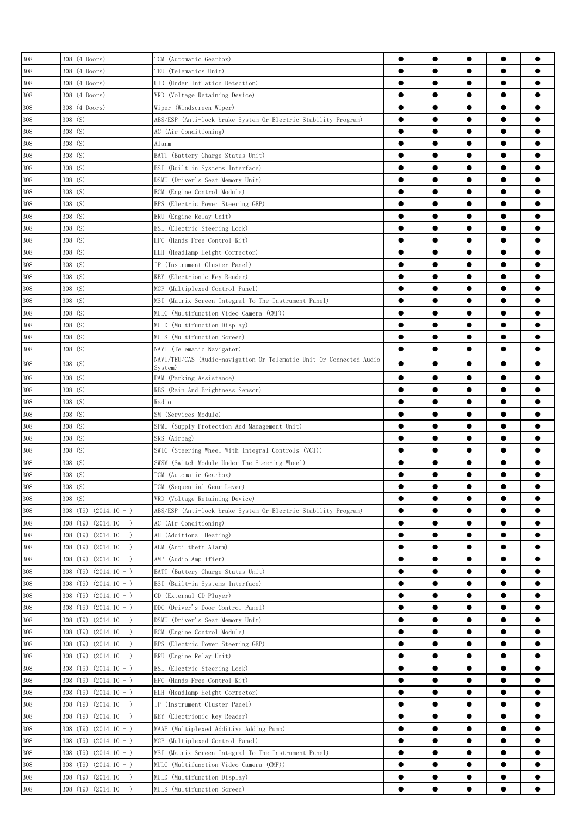| 308     | 308 (4 Doors)                           | TCM (Automatic Gearbox)                                             | 0         | $\bullet$ | $\bullet$ | $\bullet$              |           |
|---------|-----------------------------------------|---------------------------------------------------------------------|-----------|-----------|-----------|------------------------|-----------|
| 308     | 308 (4 Doors)                           | TEU (Telematics Unit)                                               | $\bullet$ |           | $\bullet$ | $\bullet$              |           |
| 308     | 308 (4 Doors)                           | UID (Under Inflation Detection)                                     | ●         | $\bullet$ | $\bullet$ | $\bullet$              |           |
| 308     | 308 (4 Doors)                           | VRD (Voltage Retaining Device)                                      | $\bullet$ | 0         | $\bullet$ | $\bullet$              |           |
| 308     | 308 (4 Doors)                           | Wiper (Windscreen Wiper)                                            | $\bullet$ | $\bullet$ | ●         | $\bullet$              |           |
| 308     | $308$ (S)                               | ABS/ESP (Anti-lock brake System Or Electric Stability Program)      | $\bullet$ |           | ●         | $\bullet$              |           |
| 308     | $308$ (S)                               | AC (Air Conditioning)                                               |           |           |           | $\bullet$              |           |
| 308     | 308 (S)                                 | Alarm                                                               | 0         |           |           | $\bullet$              |           |
| 308     | $308$ (S)                               | BATT (Battery Charge Status Unit)                                   |           | 0         |           | $\bullet$              |           |
| 308     | 308(S)                                  | BSI (Built-in Systems Interface)                                    | 0         |           |           | $\bullet$              |           |
| 308     | $308$ (S)                               | DSMU (Driver's Seat Memory Unit)                                    | 0         | 0         |           |                        |           |
|         | $308$ (S)                               |                                                                     | $\bullet$ | $\bullet$ |           | $\bullet$              |           |
| 308     |                                         | ECM (Engine Control Module)                                         |           |           |           |                        |           |
| 308     | 308(S)                                  | EPS (Electric Power Steering GEP)                                   | $\bullet$ | $\bullet$ |           | $\bullet$              |           |
| 308     | $308$ (S)                               | ERU (Engine Relay Unit)                                             | $\bullet$ |           |           | $\bullet$              |           |
| 308     | $308$ (S)                               | ESL (Electric Steering Lock)                                        | 0         |           | $\bullet$ | $\bullet$              |           |
| 308     | 308(S)                                  | HFC (Hands Free Control Kit)                                        | $\bullet$ | $\bullet$ |           | $\bullet$              |           |
| 308     | 308 (S)                                 | HLH (Headlamp Height Corrector)                                     | $\bullet$ | $\bullet$ |           | $\bullet$              |           |
| 308     | 308 (S)                                 | IP (Instrument Cluster Panel)                                       | $\bullet$ | ●         | ●         | $\bullet$              |           |
| 308     | $308$ (S)                               | KEY (Electrionic Key Reader)                                        |           |           |           | $\bullet$              |           |
| 308     | $308$ (S)                               | MCP (Multiplexed Control Panel)                                     |           | 0         | 0         | $\bullet$              |           |
| 308     | $308$ (S)                               | MSI (Matrix Screen Integral To The Instrument Panel)                |           |           |           | $\bullet$              |           |
| 308     | 308(S)                                  | MULC (Multifunction Video Camera (CMF))                             | 0         | 0         |           |                        |           |
| 308     | 308 (S)                                 | MULD (Multifunction Display)                                        |           | 0         | 0         |                        |           |
| 308     | $308$ (S)                               | MULS (Multifunction Screen)                                         |           |           |           | $\bullet$              | e         |
| 308     | $308$ (S)                               | NAVI (Telematic Navigator)                                          | $\bullet$ | $\bullet$ | $\bullet$ | $\bullet$              |           |
| 308     | $308$ (S)                               | NAVI/TEU/CAS (Audio-navigation Or Telematic Unit Or Connected Audio | ●         |           |           | $\bullet$              |           |
|         |                                         | Svstem)                                                             |           |           |           |                        |           |
| 308     | $308$ (S)                               | PAM (Parking Assistance)                                            | $\bullet$ | $\bullet$ |           | $\bullet$              |           |
| 308     | $308$ (S)                               | RBS (Rain And Brightness Sensor)                                    | $\bullet$ | $\bullet$ | $\bullet$ | $\bullet$              |           |
| 308     | $308$ (S)                               | Radio                                                               |           | $\bullet$ |           | $\bullet$              |           |
| 308     | $308$ (S)                               | SM (Services Module)                                                | $\bullet$ | $\bullet$ | $\bullet$ | $\bullet$              |           |
| 308     | $308$ (S)                               | SPMU (Supply Protection And Management Unit)                        | $\bullet$ | $\bullet$ | $\bullet$ | $\bullet$              |           |
| 308     | $308$ (S)                               | SRS (Airbag)                                                        | 0         | 0         |           |                        |           |
| 308     | 308 (S)                                 | SWIC (Steering Wheel With Integral Controls (VCI))                  | ●         | ●         | ●         |                        |           |
| 308     | 308 (S)                                 | SWSM (Switch Module Under The Steering Wheel)                       | ●         |           |           | $\bullet$              |           |
| 308     | $308$ (S)                               | TCM (Automatic Gearbox)                                             |           |           |           |                        |           |
| 308     | $308$ (S)                               | TCM (Sequential Gear Lever)                                         |           |           |           |                        |           |
| 308     | $308$ (S)                               | VRD (Voltage Retaining Device)                                      | $\bullet$ |           |           |                        |           |
| 308     | 308 (T9)<br>$(2014.10 - )$              | ABS/ESP (Anti-lock brake System Or Electric Stability Program)      |           | 0         | 0         |                        |           |
| 308     | 308 (T <sub>9</sub> )<br>$(2014.10 - )$ | AC (Air Conditioning)                                               | $\bullet$ | $\bullet$ |           | $\bullet$              |           |
| 308     | 308 (T9)<br>$(2014.10 - )$              | AH (Additional Heating)                                             | $\bullet$ | $\bullet$ | $\bullet$ | $\bullet$              | $\bullet$ |
| 308     | 308 (T9)<br>$(2014.10 - )$              | ALM (Anti-theft Alarm)                                              | $\bullet$ | $\bullet$ | $\bullet$ | $\bullet$              | $\bullet$ |
|         |                                         |                                                                     |           |           |           |                        |           |
| 308     | 308 (T9)<br>$(2014.10 - )$              | AMP (Audio Amplifier)                                               |           | $\bullet$ | $\bullet$ | $\bullet$<br>$\bullet$ |           |
| 308     | $(2014.10 - )$<br>308 (T9)              | BATT (Battery Charge Status Unit)                                   | $\bullet$ | $\bullet$ | $\bullet$ |                        | $\bullet$ |
| 308     | $(2014.10 - )$<br>308 (T9)              | BSI (Built-in Systems Interface)                                    | $\bullet$ | $\bullet$ | $\bullet$ | $\bullet$              |           |
| 308     | 308 (T9)<br>$(2014.10 - )$              | CD (External CD Player)                                             | $\bullet$ | $\bullet$ | $\bullet$ | $\bullet$              |           |
| 308     | 308 (T9)<br>$(2014.10 - )$              | DDC (Driver's Door Control Panel)                                   | $\bullet$ |           | $\bullet$ | $\bullet$              |           |
| 308     | 308 (T9)<br>$(2014.10 - )$              | DSMU (Driver's Seat Memory Unit)                                    | $\bullet$ |           |           | $\bullet$              |           |
| 308     | 308 (T <sub>9</sub> )<br>$(2014.10 - )$ | ECM (Engine Control Module)                                         |           | 0         |           | $\bullet$              |           |
| 308     | 308 (T9)<br>$(2014.10 - )$              | EPS (Electric Power Steering GEP)                                   | 0         |           | 0         |                        |           |
| 308     | 308 (T <sub>9</sub> )<br>$(2014.10 - )$ | ERU (Engine Relay Unit)                                             | 0         |           | 0         | $\bullet$              |           |
| 308     | 308 (T9)<br>$(2014.10 - )$              | ESL (Electric Steering Lock)                                        |           |           |           |                        | O         |
| 308     | 308 (T9)<br>$(2014.10 - )$              | HFC (Hands Free Control Kit)                                        | $\bullet$ | $\bullet$ | $\bullet$ | $\bullet$              |           |
| 308     | 308 (T <sub>9</sub> )<br>$(2014.10 - )$ | HLH (Headlamp Height Corrector)                                     | $\bullet$ | $\bullet$ | $\bullet$ | $\bullet$              |           |
| 308     | $(2014.10 - )$<br>308 (T9)              | IP (Instrument Cluster Panel)                                       | $\bullet$ | $\bullet$ | $\bullet$ | $\bullet$              |           |
| 308     | 308 (T9)<br>$(2014.10 - )$              | KEY (Electrionic Key Reader)                                        | $\bullet$ |           | $\bullet$ | $\bullet$              |           |
| 308     | 308 (T9)<br>$(2014.10 - )$              | MAAP (Multiplexed Additive Adding Pump)                             | $\bullet$ | $\bullet$ | $\bullet$ | $\bullet$              |           |
| 308     | 308 (T9)<br>$(2014.10 - )$              | MCP (Multiplexed Control Panel)                                     |           | $\bullet$ |           |                        | ●         |
| 308     | 308 (T9)<br>$(2014.10 - )$              | MSI (Matrix Screen Integral To The Instrument Panel)                | $\bullet$ | $\bullet$ |           | $\bullet$              |           |
| 308     | 308 (T <sub>9</sub> )<br>$(2014.10 - )$ | MULC (Multifunction Video Camera (CMF))                             | $\bullet$ |           |           | $\bullet$              |           |
| 308     | 308 (T9)<br>$(2014.10 - )$              | MULD (Multifunction Display)                                        |           | $\bullet$ |           | $\bullet$              |           |
| $308\,$ | $308$ (T9) (2014.10 - )                 | MULS (Multifunction Screen)                                         |           | $\bullet$ | 0         | $\bullet$              |           |
|         |                                         |                                                                     |           |           |           |                        |           |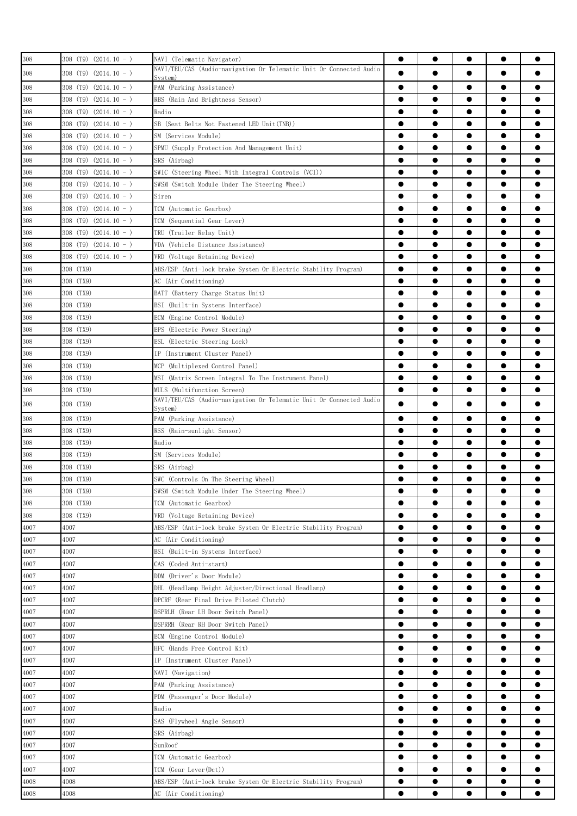| 308     | $308$ (T9) $(2014.10 - )$               | NAVI (Telematic Navigator)                                                     |           | $\bullet$ |           |           |   |
|---------|-----------------------------------------|--------------------------------------------------------------------------------|-----------|-----------|-----------|-----------|---|
|         |                                         | NAVI/TEU/CAS (Audio-navigation Or Telematic Unit Or Connected Audio            | $\bullet$ |           |           |           |   |
| 308     | $308$ (T9) (2014.10 - )                 | Svstem)                                                                        |           |           |           |           |   |
| 308     | $308$ (T9) (2014.10 - )                 | PAM (Parking Assistance)                                                       |           |           |           | $\bullet$ |   |
| 308     | $308$ (T9) (2014.10 - )                 | RBS (Rain And Brightness Sensor)                                               |           | $\bullet$ |           | $\bullet$ |   |
| 308     | $308$ (T9) $(2014.10 - )$               | Radio                                                                          | $\bullet$ | $\bullet$ | $\bullet$ | $\bullet$ | 0 |
| 308     | 308 (T9)<br>$(2014.10 - )$              | SB (Seat Belts Not Fastened LED Unit(TNB))                                     | $\bullet$ | $\bullet$ | $\bullet$ | $\bullet$ | 0 |
| 308     | $308$ (T9) $(2014.10 - )$               | SM (Services Module)                                                           | $\bullet$ | $\bullet$ | $\bullet$ | $\bullet$ |   |
| 308     | $308$ (T9) $(2014.10 - )$               | SPMU (Supply Protection And Management Unit)                                   | $\bullet$ | $\bullet$ | $\bullet$ | $\bullet$ |   |
| 308     | $308$ (T9) (2014.10 - )                 | SRS (Airbag)                                                                   | $\bullet$ | $\bullet$ | $\bullet$ | $\bullet$ |   |
| 308     | $308$ (T9) (2014.10 - )                 | SWIC (Steering Wheel With Integral Controls (VCI))                             | $\bullet$ | $\bullet$ | $\bullet$ | $\bullet$ |   |
| 308     | $308$ (T9) $(2014.10 - )$               | SWSM (Switch Module Under The Steering Wheel)                                  | ●         | ●         | ●         | $\bullet$ |   |
| 308     | 308 (T <sub>9</sub> )<br>$(2014.10 - )$ | Siren                                                                          | $\bullet$ |           | 0         | $\bullet$ |   |
| 308     | 308 (T9)<br>$(2014.10 - )$              | TCM (Automatic Gearbox)                                                        |           |           | 0         | $\bullet$ |   |
| 308     | $308$ (T9) $(2014.10 - )$               | TCM (Sequential Gear Lever)                                                    |           | 0         | 0         | $\bullet$ |   |
| 308     | $308$ (T9) (2014.10 - )                 | TRU (Trailer Relay Unit)                                                       | 0         | 0         | 0         |           |   |
| 308     | $308$ (T9) $(2014.10 - )$               | VDA (Vehicle Distance Assistance)                                              |           |           | 0         | $\bullet$ |   |
| 308     | $308$ (T9) $(2014.10 - )$               | VRD (Voltage Retaining Device)                                                 | $\bullet$ | $\bullet$ |           | $\bullet$ | e |
| 308     | 308 (TX9)                               | ABS/ESP (Anti-lock brake System Or Electric Stability Program)                 | $\bullet$ | $\bullet$ | $\bullet$ | $\bullet$ |   |
| 308     | 308 (TX9)                               | AC (Air Conditioning)                                                          | $\bullet$ |           | $\bullet$ | $\bullet$ |   |
| 308     | 308 (TX9)                               | BATT (Battery Charge Status Unit)                                              | $\bullet$ |           | $\bullet$ | $\bullet$ | 0 |
| 308     | 308 (TX9)                               | BSI (Built-in Systems Interface)                                               | $\bullet$ | $\bullet$ | $\bullet$ | $\bullet$ |   |
| 308     | 308 (TX9)                               | ECM (Engine Control Module)                                                    |           | $\bullet$ | $\bullet$ | $\bullet$ |   |
| 308     | 308 (TX9)                               | EPS (Electric Power Steering)                                                  | $\bullet$ | $\bullet$ | ●         | $\bullet$ | ● |
| 308     | 308 (TX9)                               |                                                                                | $\bullet$ | $\bullet$ | $\bullet$ | $\bullet$ |   |
|         |                                         | ESL (Electric Steering Lock)                                                   |           |           |           |           |   |
| 308     | 308 (TX9)                               | IP (Instrument Cluster Panel)                                                  |           |           | 0         | $\bullet$ |   |
| 308     | 308 (TX9)                               | MCP (Multiplexed Control Panel)                                                |           |           |           | $\bullet$ |   |
| 308     | 308 (TX9)                               | MSI (Matrix Screen Integral To The Instrument Panel)                           | $\bullet$ | 0         |           | $\bullet$ |   |
| 308     | 308 (TX9)                               | MULS (Multifunction Screen)                                                    | $\bullet$ | $\bullet$ |           | $\bullet$ |   |
| 308     | 308 (TX9)                               | NAVI/TEU/CAS (Audio-navigation Or Telematic Unit Or Connected Audio<br>Svstem) | $\bullet$ | $\bullet$ | 0         | $\bullet$ |   |
| $308\,$ | 308 (TX9)                               | PAM (Parking Assistance)                                                       | $\bullet$ |           |           | $\bullet$ |   |
| 308     | 308 (TX9)                               | RSS (Rain-sunlight Sensor)                                                     | 0         |           |           | $\bullet$ |   |
| 308     | 308 (TX9)                               | Radio                                                                          | $\bullet$ | $\bullet$ |           | $\bullet$ | e |
| 308     | 308 (TX9)                               | SM (Services Module)                                                           | $\bullet$ | $\bullet$ | $\bullet$ | $\bullet$ | 0 |
| 308     | 308 (TX9)                               | SRS (Airbag)                                                                   | $\bullet$ | $\bullet$ |           | $\bullet$ |   |
| $308\,$ | 308 (TX9)                               | SWC (Controls On The Steering Wheel)                                           |           |           |           | $\bullet$ |   |
| 308     | 308 (TX9)                               | SWSM (Switch Module Under The Steering Wheel)                                  |           |           |           |           |   |
| 308     | 308 (TX9)                               | TCM (Automatic Gearbox)                                                        | $\bullet$ | $\bullet$ |           | $\bullet$ |   |
| 308     | 308 (TX9)                               | VRD (Voltage Retaining Device)                                                 | $\bullet$ | $\bullet$ |           | $\bullet$ |   |
| 4007    | 4007                                    | ABS/ESP (Anti-lock brake System Or Electric Stability Program)                 | $\bullet$ |           | 0         | $\bullet$ |   |
| 4007    | 4007                                    | AC (Air Conditioning)                                                          | $\bullet$ |           |           | $\bullet$ |   |
| 4007    | 4007                                    | BSI (Built-in Systems Interface)                                               |           |           |           | $\bullet$ |   |
| 4007    | 4007                                    | CAS (Coded Anti-start)                                                         |           |           | 0         |           |   |
| 4007    | 4007                                    | DDM (Driver's Door Module)                                                     |           |           | 0         |           |   |
| 4007    | 4007                                    | DHL (Headlamp Height Adjuster/Directional Headlamp)                            |           |           |           |           |   |
| 4007    | 4007                                    | DPCRF (Rear Final Drive Piloted Clutch)                                        | $\bullet$ | $\bullet$ | $\bullet$ | $\bullet$ |   |
| 4007    | 4007                                    | DSPRLH (Rear LH Door Switch Panel)                                             | $\bullet$ | $\bullet$ | $\bullet$ | $\bullet$ |   |
| 4007    | 4007                                    |                                                                                | $\bullet$ | $\bullet$ | $\bullet$ | $\bullet$ |   |
|         |                                         | DSPRRH (Rear RH Door Switch Panel)                                             | $\bullet$ | $\bullet$ | $\bullet$ | $\bullet$ |   |
| 4007    | 4007                                    | ECM (Engine Control Module)                                                    |           |           |           |           |   |
| 4007    | 4007                                    | HFC (Hands Free Control Kit)                                                   | $\bullet$ | $\bullet$ | $\bullet$ | $\bullet$ |   |
| 4007    | 4007                                    | IP (Instrument Cluster Panel)                                                  | $\bullet$ | $\bullet$ |           |           |   |
| 4007    | 4007                                    | NAVI (Navigation)                                                              | ●         | ●         |           |           |   |
| 4007    | 4007                                    | PAM (Parking Assistance)                                                       | $\bullet$ |           |           | $\bullet$ |   |
| 4007    | 4007                                    | PDM (Passenger's Door Module)                                                  | $\bullet$ |           |           | $\bullet$ |   |
| 4007    | 4007                                    | Radio                                                                          |           | 0         |           | $\bullet$ |   |
| 4007    | 4007                                    | SAS (Flywheel Angle Sensor)                                                    |           | 0         | 0         | $\bullet$ |   |
| 4007    | 4007                                    | SRS (Airbag)                                                                   |           |           |           | $\bullet$ |   |
| 4007    | 4007                                    | SunRoof                                                                        |           | $\bullet$ |           | $\bullet$ | ● |
| 4007    | 4007                                    | TCM (Automatic Gearbox)                                                        | $\bullet$ | $\bullet$ | $\bullet$ | $\bullet$ |   |
| 4007    | 4007                                    | TCM (Gear Lever(Dct))                                                          | $\bullet$ | $\bullet$ | $\bullet$ | $\bullet$ |   |
| 4008    | 4008                                    | ABS/ESP (Anti-lock brake System Or Electric Stability Program)                 | $\bullet$ |           | $\bullet$ | $\bullet$ |   |
| 4008    | 4008                                    | AC (Air Conditioning)                                                          | $\bullet$ | $\bullet$ |           | $\bullet$ |   |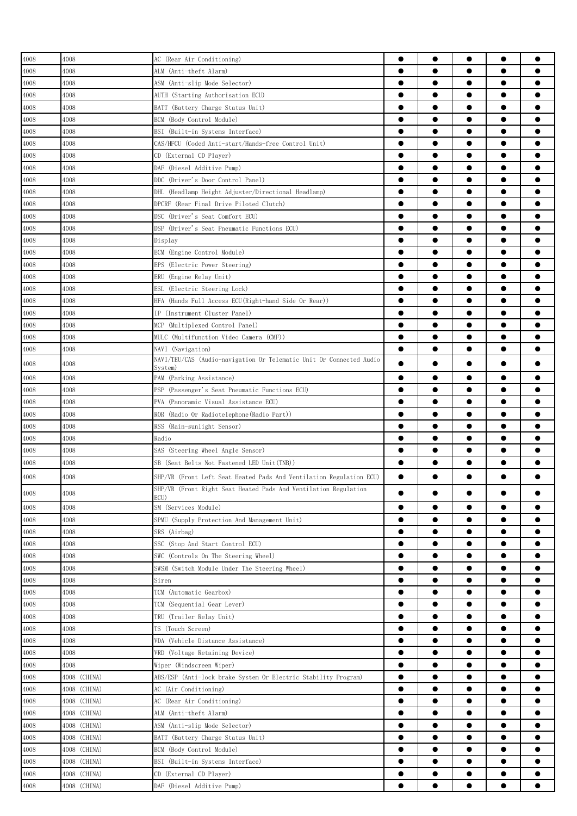| 4008     | 4008         | AC (Rear Air Conditioning)                                                               |           | $\bullet$ | $\bullet$ | $\bullet$ |           |
|----------|--------------|------------------------------------------------------------------------------------------|-----------|-----------|-----------|-----------|-----------|
| 4008     | 4008         | ALM (Anti-theft Alarm)                                                                   |           | $\bullet$ | $\bullet$ | $\bullet$ |           |
| 4008     | 4008         | ASM (Anti-slip Mode Selector)                                                            |           | $\bullet$ | $\bullet$ | $\bullet$ | $\bullet$ |
| 4008     | 4008         | AUTH (Starting Authorisation ECU)                                                        | $\bullet$ | $\bullet$ | $\bullet$ | $\bullet$ | $\bullet$ |
| 4008     | 4008         | BATT (Battery Charge Status Unit)                                                        |           | $\bullet$ |           | $\bullet$ | ●         |
| 4008     | 4008         | BCM (Body Control Module)                                                                | $\bullet$ | $\bullet$ |           | $\bullet$ | $\bullet$ |
| 4008     | 4008         | BSI (Built-in Systems Interface)                                                         | $\bullet$ | $\bullet$ |           | $\bullet$ | ●         |
| 4008     | 4008         | CAS/HFCU (Coded Anti-start/Hands-free Control Unit)                                      | $\bullet$ |           | $\bullet$ | $\bullet$ | e         |
| 4008     | 4008         | CD (External CD Player)                                                                  |           |           | 0         | ●         | e         |
| 4008     | 4008         | DAF (Diesel Additive Pump)                                                               |           |           |           |           | 0         |
| 4008     | 4008         | DDC (Driver's Door Control Panel)                                                        |           |           | 0         | $\bullet$ | 0         |
| 4008     | 4008         | DHL (Headlamp Height Adjuster/Directional Headlamp)                                      | $\bullet$ | $\bullet$ |           | $\bullet$ | $\bullet$ |
| 4008     | 4008         | DPCRF (Rear Final Drive Piloted Clutch)                                                  | $\bullet$ | $\bullet$ | $\bullet$ | $\bullet$ | $\bullet$ |
| 4008     | 4008         | DSC (Driver's Seat Comfort ECU)                                                          | $\bullet$ | $\bullet$ | $\bullet$ | $\bullet$ | $\bullet$ |
| 4008     | 4008         | DSP (Driver's Seat Pneumatic Functions ECU)                                              |           | $\bullet$ | $\bullet$ | $\bullet$ | $\bullet$ |
| 4008     | 4008         | Display                                                                                  | $\bullet$ | $\bullet$ | $\bullet$ | $\bullet$ | $\bullet$ |
| 4008     | 4008         | ECM (Engine Control Module)                                                              | $\bullet$ | $\bullet$ | $\bullet$ | $\bullet$ | $\bullet$ |
| 4008     | 4008         | EPS (Electric Power Steering)                                                            |           | $\bullet$ |           | $\bullet$ | ●         |
| 4008     | 4008         | ERU (Engine Relay Unit)                                                                  |           |           |           | $\bullet$ | ●         |
| 4008     | 4008         | ESL (Electric Steering Lock)                                                             | $\bullet$ |           |           | $\bullet$ | e         |
| 4008     | 4008         | HFA (Hands Full Access ECU(Right-hand Side Or Rear))                                     |           |           | 0         | $\bullet$ |           |
| 4008     | 4008         | IP (Instrument Cluster Panel)                                                            |           |           |           | $\bullet$ | 0         |
|          |              |                                                                                          |           |           |           | $\bullet$ | 0         |
| 4008     | 4008         | MCP (Multiplexed Control Panel)                                                          | $\bullet$ |           | 0         | $\bullet$ | 0         |
| 4008     | 4008         | MULC (Multifunction Video Camera (CMF))                                                  | $\bullet$ | $\bullet$ |           | $\bullet$ | ●         |
| 4008     | 4008         | NAVI (Navigation)<br>NAVI/TEU/CAS (Audio-navigation Or Telematic Unit Or Connected Audio |           |           |           |           |           |
| 4008     | 4008         | System)                                                                                  | $\bullet$ |           |           | ●         | $\bullet$ |
| 4008     | 4008         | PAM (Parking Assistance)                                                                 | $\bullet$ | $\bullet$ |           | $\bullet$ | $\bullet$ |
| 4008     | 4008         | PSP (Passenger's Seat Pneumatic Functions ECU)                                           | ●         | $\bullet$ |           | $\bullet$ | ●         |
| 4008     | 4008         | PVA (Panoramic Visual Assistance ECU)                                                    | $\bullet$ | $\bullet$ | $\bullet$ | $\bullet$ | $\bullet$ |
| 4008     | 4008         | ROR (Radio Or Radiotelephone (Radio Part))                                               |           | $\bullet$ | $\bullet$ | $\bullet$ | $\bullet$ |
| 4008     | 4008         | RSS (Rain-sunlight Sensor)                                                               |           | $\bullet$ | $\bullet$ | $\bullet$ | $\bullet$ |
| 4008     | 4008         | Radio                                                                                    | $\bullet$ | $\bullet$ | $\bullet$ | $\bullet$ | $\bullet$ |
| 4008     | 4008         | SAS (Steering Wheel Angle Sensor)                                                        |           | $\bullet$ |           | $\bullet$ | ●         |
| 4008     | 4008         | SB (Seat Belts Not Fastened LED Unit(TNB))                                               | $\bullet$ | $\bullet$ |           | $\bullet$ | $\bullet$ |
| $4008\,$ | 4008         | SHP/VR (Front Left Seat Heated Pads And Ventilation Regulation ECU)                      |           |           |           |           |           |
|          |              | SHP/VR (Front Right Seat Heated Pads And Ventilation Regulation                          |           |           |           |           |           |
| 4008     | 4008         | ECU)                                                                                     |           |           |           |           |           |
| 4008     | 4008         | SM (Services Module)                                                                     | $\bullet$ | $\bullet$ | $\bullet$ | $\bullet$ | $\bullet$ |
| 4008     | 4008         | SPMU (Supply Protection And Management Unit)                                             | $\bullet$ | $\bullet$ | $\bullet$ | $\bullet$ | $\bullet$ |
| 4008     | 4008         | SRS (Airbag)                                                                             | $\bullet$ | $\bullet$ | $\bullet$ | $\bullet$ | $\bullet$ |
| 4008     | 4008         | SSC (Stop And Start Control ECU)                                                         | $\bullet$ | $\bullet$ | $\bullet$ | $\bullet$ | $\bullet$ |
| 4008     | 4008         | SWC (Controls On The Steering Wheel)                                                     | $\bullet$ | $\bullet$ | $\bullet$ | $\bullet$ | $\bullet$ |
| 4008     | 4008         | SWSM (Switch Module Under The Steering Wheel)                                            | $\bullet$ | $\bullet$ | $\bullet$ | $\bullet$ | $\bullet$ |
| 4008     | 4008         | Siren                                                                                    |           |           | $\bullet$ | $\bullet$ | $\bullet$ |
| 4008     | 4008         | TCM (Automatic Gearbox)                                                                  | $\bullet$ | $\bullet$ |           | $\bullet$ | $\bullet$ |
| 4008     | 4008         | TCM (Sequential Gear Lever)                                                              | $\bullet$ | $\bullet$ | $\bullet$ | $\bullet$ | $\bullet$ |
| 4008     | 4008         | TRU (Trailer Relay Unit)                                                                 | $\bullet$ | $\bullet$ | $\bullet$ | $\bullet$ | $\bullet$ |
| 4008     | 4008         | TS (Touch Screen)                                                                        | $\bullet$ | $\bullet$ | $\bullet$ | $\bullet$ | $\bullet$ |
| 4008     | 4008         | VDA (Vehicle Distance Assistance)                                                        | $\bullet$ | $\bullet$ | $\bullet$ | $\bullet$ | $\bullet$ |
| 4008     | 4008         | VRD (Voltage Retaining Device)                                                           | $\bullet$ | $\bullet$ | $\bullet$ | $\bullet$ | $\bullet$ |
| 4008     | 4008         | Wiper (Windscreen Wiper)                                                                 | $\bullet$ | $\bullet$ | $\bullet$ | $\bullet$ | $\bullet$ |
| 4008     | 4008 (CHINA) | ABS/ESP (Anti-lock brake System Or Electric Stability Program)                           | $\bullet$ | $\bullet$ | $\bullet$ | $\bullet$ | ●         |
| 4008     | 4008 (CHINA) | AC (Air Conditioning)                                                                    | $\bullet$ | $\bullet$ |           | $\bullet$ | $\bullet$ |
| 4008     | 4008 (CHINA) | AC (Rear Air Conditioning)                                                               | $\bullet$ | $\bullet$ | $\bullet$ | $\bullet$ | $\bullet$ |
| 4008     | 4008 (CHINA) | ALM (Anti-theft Alarm)                                                                   | $\bullet$ |           | $\bullet$ | $\bullet$ | ●         |
| 4008     | 4008 (CHINA) | ASM (Anti-slip Mode Selector)                                                            |           |           |           | $\bullet$ |           |
| 4008     | 4008 (CHINA) | BATT (Battery Charge Status Unit)                                                        |           |           |           | $\bullet$ | 0         |
| 4008     | 4008 (CHINA) | BCM (Body Control Module)                                                                | $\bullet$ |           |           | $\bullet$ | $\bullet$ |
| 4008     | 4008 (CHINA) | BSI (Built-in Systems Interface)                                                         | $\bullet$ | $\bullet$ | $\bullet$ | $\bullet$ | $\bullet$ |
| 4008     | 4008 (CHINA) | CD (External CD Player)                                                                  | $\bullet$ | $\bullet$ | $\bullet$ | $\bullet$ | $\bullet$ |
|          |              |                                                                                          | $\bullet$ |           | $\bullet$ | $\bullet$ | $\bullet$ |
| 4008     | 4008 (CHINA) | DAF (Diesel Additive Pump)                                                               |           | $\bullet$ |           |           |           |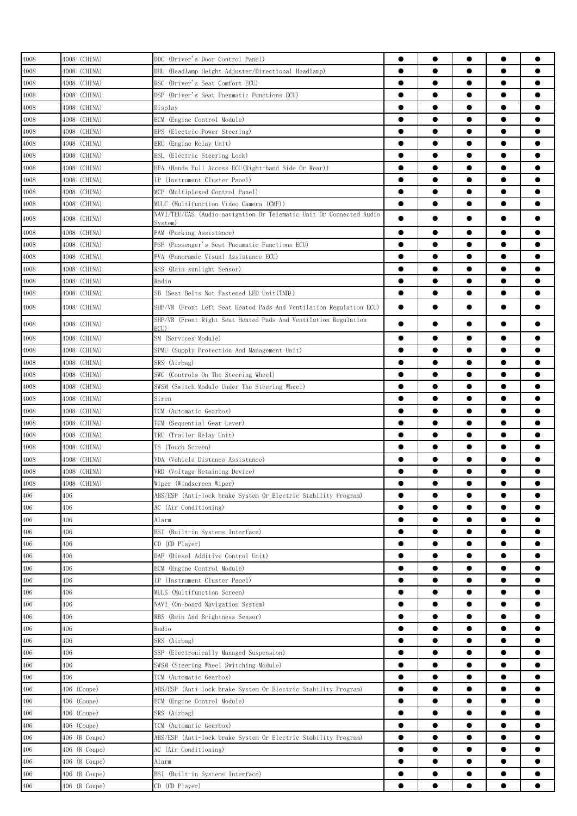| 4008<br>4008 (CHINA)<br>$\bullet$<br>DHL (Headlamp Height Adjuster/Directional Headlamp)<br>$\bullet$<br>4008<br>4008 (CHINA)<br>$\bullet$<br>$\bullet$<br>DSC (Driver's Seat Comfort ECU)<br>$\bullet$<br>4008<br>4008 (CHINA)<br>DSP (Driver's Seat Pneumatic Functions ECU)<br>$\bullet$<br>$\bullet$<br>$\bullet$<br>4008<br>4008 (CHINA)<br>$\bullet$<br>$\bullet$<br>$\bullet$<br>Display<br>$\bullet$<br>$\bullet$<br>4008<br>4008 (CHINA)<br>ECM (Engine Control Module)<br>$\bullet$<br>$\bullet$<br>4008<br>4008 (CHINA)<br>EPS (Electric Power Steering)<br>$\bullet$<br>$\bullet$<br>4008 (CHINA)<br>4008<br>ERU (Engine Relay Unit)<br>$\bullet$<br>$\bullet$<br>4008<br>4008 (CHINA)<br>ESL (Electric Steering Lock)<br>$\bullet$<br>$\bullet$<br>4008 (CHINA)<br>4008<br>HFA (Hands Full Access ECU(Right-hand Side Or Rear))<br>$\bullet$<br>4008 (CHINA)<br>IP (Instrument Cluster Panel)<br>4008<br>$\bullet$<br>4008 (CHINA)<br>4008<br>MCP (Multiplexed Control Panel)<br>4008 (CHINA)<br>4008<br>MULC (Multifunction Video Camera (CMF))<br>$\bullet$<br>$\bullet$<br>NAVI/TEU/CAS (Audio-navigation Or Telematic Unit Or Connected Audio<br>$\bullet$<br>4008<br>4008 (CHINA)<br>$\bullet$<br>System)<br>4008 (CHINA)<br>4008<br>PAM (Parking Assistance)<br>4008 (CHINA)<br>4008<br>PSP (Passenger's Seat Pneumatic Functions ECU)<br>$\bullet$<br>$\bullet$<br>$\bullet$<br>4008 (CHINA)<br>PVA (Panoramic Visual Assistance ECU)<br>$\bullet$<br>$\bullet$<br>$\bullet$<br>4008<br>4008 (CHINA)<br>$\bullet$<br>$\bullet$<br>RSS (Rain-sunlight Sensor)<br>$\bullet$<br>$\bullet$<br>$\bullet$<br>4008<br>4008 (CHINA)<br>Radio<br>$\bullet$<br>$\bullet$<br>$\bullet$<br>4008<br>4008 (CHINA)<br>SB (Seat Belts Not Fastened LED Unit(TNB))<br>$\bullet$<br>4008<br>4008 (CHINA)<br>SHP/VR (Front Left Seat Heated Pads And Ventilation Regulation ECU)<br>$\bullet$<br>SHP/VR (Front Right Seat Heated Pads And Ventilation Regulation<br>$\bullet$<br>4008<br>4008 (CHINA)<br>ECU)<br>4008 (CHINA)<br>4008<br>SM (Services Module)<br>$\bullet$<br>$\bullet$<br>●<br>4008<br>4008 (CHINA)<br>$\bullet$<br>$\bullet$<br>$\bullet$<br>SPMU (Supply Protection And Management Unit)<br>$\bullet$<br>4008<br>4008 (CHINA)<br>SRS (Airbag)<br>$\bullet$<br>$\bullet$<br>$\bullet$<br>4008<br>4008 (CHINA)<br>SWC (Controls On The Steering Wheel)<br>$\bullet$<br>$\bullet$<br>$\bullet$<br>$\bullet$<br>4008<br>4008 (CHINA)<br>SWSM (Switch Module Under The Steering Wheel)<br>$\bullet$<br>$\bullet$<br>4008<br>4008 (CHINA)<br>$\bullet$<br>Siren<br>4008 (CHINA)<br>$\bullet$<br>4008<br>TCM (Automatic Gearbox)<br>$\bullet$<br>$\bullet$<br>4008<br>4008 (CHINA)<br>$\bullet$<br>$\bullet$<br>$\bullet$<br>TCM (Sequential Gear Lever)<br>4008 (CHINA)<br>4008<br>TRU (Trailer Relay Unit)<br>$\bullet$<br>4008 (CHINA)<br>TS (Touch Screen)<br>4008<br>$\bullet$<br>4008<br>4008 (CHINA)<br>VDA (Vehicle Distance Assistance) | $\bullet$<br>$\bullet$<br>$\bullet$<br>$\bullet$<br>$\bullet$<br>$\bullet$<br>$\bullet$<br>$\bullet$<br>$\bullet$<br>$\bullet$<br>$\bullet$<br>$\bullet$<br>$\bullet$<br>$\bullet$<br>$\bullet$<br>$\bullet$<br>$\bullet$<br>$\bullet$<br>$\bullet$<br>$\bullet$<br>$\bullet$<br>$\bullet$<br>$\bullet$ | $\bullet$<br>$\bullet$<br>$\bullet$<br>$\bullet$<br>●<br>●<br>$\bullet$<br>$\bullet$<br>$\bullet$<br>$\bullet$<br>$\bullet$ |
|---------------------------------------------------------------------------------------------------------------------------------------------------------------------------------------------------------------------------------------------------------------------------------------------------------------------------------------------------------------------------------------------------------------------------------------------------------------------------------------------------------------------------------------------------------------------------------------------------------------------------------------------------------------------------------------------------------------------------------------------------------------------------------------------------------------------------------------------------------------------------------------------------------------------------------------------------------------------------------------------------------------------------------------------------------------------------------------------------------------------------------------------------------------------------------------------------------------------------------------------------------------------------------------------------------------------------------------------------------------------------------------------------------------------------------------------------------------------------------------------------------------------------------------------------------------------------------------------------------------------------------------------------------------------------------------------------------------------------------------------------------------------------------------------------------------------------------------------------------------------------------------------------------------------------------------------------------------------------------------------------------------------------------------------------------------------------------------------------------------------------------------------------------------------------------------------------------------------------------------------------------------------------------------------------------------------------------------------------------------------------------------------------------------------------------------------------------------------------------------------------------------------------------------------------------------------------------------------------------------------------------------------------------------------------------------------------------------------------------------------------------------------------------------------------------------------------------------------------------------------------------------------------------------------------------------------------------------|---------------------------------------------------------------------------------------------------------------------------------------------------------------------------------------------------------------------------------------------------------------------------------------------------------|-----------------------------------------------------------------------------------------------------------------------------|
| 4008                                                                                                                                                                                                                                                                                                                                                                                                                                                                                                                                                                                                                                                                                                                                                                                                                                                                                                                                                                                                                                                                                                                                                                                                                                                                                                                                                                                                                                                                                                                                                                                                                                                                                                                                                                                                                                                                                                                                                                                                                                                                                                                                                                                                                                                                                                                                                                                                                                                                                                                                                                                                                                                                                                                                                                                                                                                                                                                                                          |                                                                                                                                                                                                                                                                                                         |                                                                                                                             |
|                                                                                                                                                                                                                                                                                                                                                                                                                                                                                                                                                                                                                                                                                                                                                                                                                                                                                                                                                                                                                                                                                                                                                                                                                                                                                                                                                                                                                                                                                                                                                                                                                                                                                                                                                                                                                                                                                                                                                                                                                                                                                                                                                                                                                                                                                                                                                                                                                                                                                                                                                                                                                                                                                                                                                                                                                                                                                                                                                               |                                                                                                                                                                                                                                                                                                         |                                                                                                                             |
|                                                                                                                                                                                                                                                                                                                                                                                                                                                                                                                                                                                                                                                                                                                                                                                                                                                                                                                                                                                                                                                                                                                                                                                                                                                                                                                                                                                                                                                                                                                                                                                                                                                                                                                                                                                                                                                                                                                                                                                                                                                                                                                                                                                                                                                                                                                                                                                                                                                                                                                                                                                                                                                                                                                                                                                                                                                                                                                                                               |                                                                                                                                                                                                                                                                                                         |                                                                                                                             |
|                                                                                                                                                                                                                                                                                                                                                                                                                                                                                                                                                                                                                                                                                                                                                                                                                                                                                                                                                                                                                                                                                                                                                                                                                                                                                                                                                                                                                                                                                                                                                                                                                                                                                                                                                                                                                                                                                                                                                                                                                                                                                                                                                                                                                                                                                                                                                                                                                                                                                                                                                                                                                                                                                                                                                                                                                                                                                                                                                               |                                                                                                                                                                                                                                                                                                         |                                                                                                                             |
|                                                                                                                                                                                                                                                                                                                                                                                                                                                                                                                                                                                                                                                                                                                                                                                                                                                                                                                                                                                                                                                                                                                                                                                                                                                                                                                                                                                                                                                                                                                                                                                                                                                                                                                                                                                                                                                                                                                                                                                                                                                                                                                                                                                                                                                                                                                                                                                                                                                                                                                                                                                                                                                                                                                                                                                                                                                                                                                                                               |                                                                                                                                                                                                                                                                                                         |                                                                                                                             |
|                                                                                                                                                                                                                                                                                                                                                                                                                                                                                                                                                                                                                                                                                                                                                                                                                                                                                                                                                                                                                                                                                                                                                                                                                                                                                                                                                                                                                                                                                                                                                                                                                                                                                                                                                                                                                                                                                                                                                                                                                                                                                                                                                                                                                                                                                                                                                                                                                                                                                                                                                                                                                                                                                                                                                                                                                                                                                                                                                               |                                                                                                                                                                                                                                                                                                         |                                                                                                                             |
|                                                                                                                                                                                                                                                                                                                                                                                                                                                                                                                                                                                                                                                                                                                                                                                                                                                                                                                                                                                                                                                                                                                                                                                                                                                                                                                                                                                                                                                                                                                                                                                                                                                                                                                                                                                                                                                                                                                                                                                                                                                                                                                                                                                                                                                                                                                                                                                                                                                                                                                                                                                                                                                                                                                                                                                                                                                                                                                                                               |                                                                                                                                                                                                                                                                                                         |                                                                                                                             |
|                                                                                                                                                                                                                                                                                                                                                                                                                                                                                                                                                                                                                                                                                                                                                                                                                                                                                                                                                                                                                                                                                                                                                                                                                                                                                                                                                                                                                                                                                                                                                                                                                                                                                                                                                                                                                                                                                                                                                                                                                                                                                                                                                                                                                                                                                                                                                                                                                                                                                                                                                                                                                                                                                                                                                                                                                                                                                                                                                               |                                                                                                                                                                                                                                                                                                         |                                                                                                                             |
|                                                                                                                                                                                                                                                                                                                                                                                                                                                                                                                                                                                                                                                                                                                                                                                                                                                                                                                                                                                                                                                                                                                                                                                                                                                                                                                                                                                                                                                                                                                                                                                                                                                                                                                                                                                                                                                                                                                                                                                                                                                                                                                                                                                                                                                                                                                                                                                                                                                                                                                                                                                                                                                                                                                                                                                                                                                                                                                                                               |                                                                                                                                                                                                                                                                                                         |                                                                                                                             |
|                                                                                                                                                                                                                                                                                                                                                                                                                                                                                                                                                                                                                                                                                                                                                                                                                                                                                                                                                                                                                                                                                                                                                                                                                                                                                                                                                                                                                                                                                                                                                                                                                                                                                                                                                                                                                                                                                                                                                                                                                                                                                                                                                                                                                                                                                                                                                                                                                                                                                                                                                                                                                                                                                                                                                                                                                                                                                                                                                               |                                                                                                                                                                                                                                                                                                         |                                                                                                                             |
|                                                                                                                                                                                                                                                                                                                                                                                                                                                                                                                                                                                                                                                                                                                                                                                                                                                                                                                                                                                                                                                                                                                                                                                                                                                                                                                                                                                                                                                                                                                                                                                                                                                                                                                                                                                                                                                                                                                                                                                                                                                                                                                                                                                                                                                                                                                                                                                                                                                                                                                                                                                                                                                                                                                                                                                                                                                                                                                                                               |                                                                                                                                                                                                                                                                                                         |                                                                                                                             |
|                                                                                                                                                                                                                                                                                                                                                                                                                                                                                                                                                                                                                                                                                                                                                                                                                                                                                                                                                                                                                                                                                                                                                                                                                                                                                                                                                                                                                                                                                                                                                                                                                                                                                                                                                                                                                                                                                                                                                                                                                                                                                                                                                                                                                                                                                                                                                                                                                                                                                                                                                                                                                                                                                                                                                                                                                                                                                                                                                               |                                                                                                                                                                                                                                                                                                         |                                                                                                                             |
|                                                                                                                                                                                                                                                                                                                                                                                                                                                                                                                                                                                                                                                                                                                                                                                                                                                                                                                                                                                                                                                                                                                                                                                                                                                                                                                                                                                                                                                                                                                                                                                                                                                                                                                                                                                                                                                                                                                                                                                                                                                                                                                                                                                                                                                                                                                                                                                                                                                                                                                                                                                                                                                                                                                                                                                                                                                                                                                                                               |                                                                                                                                                                                                                                                                                                         |                                                                                                                             |
|                                                                                                                                                                                                                                                                                                                                                                                                                                                                                                                                                                                                                                                                                                                                                                                                                                                                                                                                                                                                                                                                                                                                                                                                                                                                                                                                                                                                                                                                                                                                                                                                                                                                                                                                                                                                                                                                                                                                                                                                                                                                                                                                                                                                                                                                                                                                                                                                                                                                                                                                                                                                                                                                                                                                                                                                                                                                                                                                                               |                                                                                                                                                                                                                                                                                                         |                                                                                                                             |
|                                                                                                                                                                                                                                                                                                                                                                                                                                                                                                                                                                                                                                                                                                                                                                                                                                                                                                                                                                                                                                                                                                                                                                                                                                                                                                                                                                                                                                                                                                                                                                                                                                                                                                                                                                                                                                                                                                                                                                                                                                                                                                                                                                                                                                                                                                                                                                                                                                                                                                                                                                                                                                                                                                                                                                                                                                                                                                                                                               |                                                                                                                                                                                                                                                                                                         |                                                                                                                             |
|                                                                                                                                                                                                                                                                                                                                                                                                                                                                                                                                                                                                                                                                                                                                                                                                                                                                                                                                                                                                                                                                                                                                                                                                                                                                                                                                                                                                                                                                                                                                                                                                                                                                                                                                                                                                                                                                                                                                                                                                                                                                                                                                                                                                                                                                                                                                                                                                                                                                                                                                                                                                                                                                                                                                                                                                                                                                                                                                                               |                                                                                                                                                                                                                                                                                                         |                                                                                                                             |
|                                                                                                                                                                                                                                                                                                                                                                                                                                                                                                                                                                                                                                                                                                                                                                                                                                                                                                                                                                                                                                                                                                                                                                                                                                                                                                                                                                                                                                                                                                                                                                                                                                                                                                                                                                                                                                                                                                                                                                                                                                                                                                                                                                                                                                                                                                                                                                                                                                                                                                                                                                                                                                                                                                                                                                                                                                                                                                                                                               |                                                                                                                                                                                                                                                                                                         |                                                                                                                             |
|                                                                                                                                                                                                                                                                                                                                                                                                                                                                                                                                                                                                                                                                                                                                                                                                                                                                                                                                                                                                                                                                                                                                                                                                                                                                                                                                                                                                                                                                                                                                                                                                                                                                                                                                                                                                                                                                                                                                                                                                                                                                                                                                                                                                                                                                                                                                                                                                                                                                                                                                                                                                                                                                                                                                                                                                                                                                                                                                                               |                                                                                                                                                                                                                                                                                                         |                                                                                                                             |
|                                                                                                                                                                                                                                                                                                                                                                                                                                                                                                                                                                                                                                                                                                                                                                                                                                                                                                                                                                                                                                                                                                                                                                                                                                                                                                                                                                                                                                                                                                                                                                                                                                                                                                                                                                                                                                                                                                                                                                                                                                                                                                                                                                                                                                                                                                                                                                                                                                                                                                                                                                                                                                                                                                                                                                                                                                                                                                                                                               |                                                                                                                                                                                                                                                                                                         |                                                                                                                             |
|                                                                                                                                                                                                                                                                                                                                                                                                                                                                                                                                                                                                                                                                                                                                                                                                                                                                                                                                                                                                                                                                                                                                                                                                                                                                                                                                                                                                                                                                                                                                                                                                                                                                                                                                                                                                                                                                                                                                                                                                                                                                                                                                                                                                                                                                                                                                                                                                                                                                                                                                                                                                                                                                                                                                                                                                                                                                                                                                                               |                                                                                                                                                                                                                                                                                                         |                                                                                                                             |
|                                                                                                                                                                                                                                                                                                                                                                                                                                                                                                                                                                                                                                                                                                                                                                                                                                                                                                                                                                                                                                                                                                                                                                                                                                                                                                                                                                                                                                                                                                                                                                                                                                                                                                                                                                                                                                                                                                                                                                                                                                                                                                                                                                                                                                                                                                                                                                                                                                                                                                                                                                                                                                                                                                                                                                                                                                                                                                                                                               |                                                                                                                                                                                                                                                                                                         |                                                                                                                             |
|                                                                                                                                                                                                                                                                                                                                                                                                                                                                                                                                                                                                                                                                                                                                                                                                                                                                                                                                                                                                                                                                                                                                                                                                                                                                                                                                                                                                                                                                                                                                                                                                                                                                                                                                                                                                                                                                                                                                                                                                                                                                                                                                                                                                                                                                                                                                                                                                                                                                                                                                                                                                                                                                                                                                                                                                                                                                                                                                                               |                                                                                                                                                                                                                                                                                                         |                                                                                                                             |
|                                                                                                                                                                                                                                                                                                                                                                                                                                                                                                                                                                                                                                                                                                                                                                                                                                                                                                                                                                                                                                                                                                                                                                                                                                                                                                                                                                                                                                                                                                                                                                                                                                                                                                                                                                                                                                                                                                                                                                                                                                                                                                                                                                                                                                                                                                                                                                                                                                                                                                                                                                                                                                                                                                                                                                                                                                                                                                                                                               |                                                                                                                                                                                                                                                                                                         | $\bullet$                                                                                                                   |
|                                                                                                                                                                                                                                                                                                                                                                                                                                                                                                                                                                                                                                                                                                                                                                                                                                                                                                                                                                                                                                                                                                                                                                                                                                                                                                                                                                                                                                                                                                                                                                                                                                                                                                                                                                                                                                                                                                                                                                                                                                                                                                                                                                                                                                                                                                                                                                                                                                                                                                                                                                                                                                                                                                                                                                                                                                                                                                                                                               |                                                                                                                                                                                                                                                                                                         | $\bullet$                                                                                                                   |
|                                                                                                                                                                                                                                                                                                                                                                                                                                                                                                                                                                                                                                                                                                                                                                                                                                                                                                                                                                                                                                                                                                                                                                                                                                                                                                                                                                                                                                                                                                                                                                                                                                                                                                                                                                                                                                                                                                                                                                                                                                                                                                                                                                                                                                                                                                                                                                                                                                                                                                                                                                                                                                                                                                                                                                                                                                                                                                                                                               | $\bullet$                                                                                                                                                                                                                                                                                               | $\bullet$                                                                                                                   |
|                                                                                                                                                                                                                                                                                                                                                                                                                                                                                                                                                                                                                                                                                                                                                                                                                                                                                                                                                                                                                                                                                                                                                                                                                                                                                                                                                                                                                                                                                                                                                                                                                                                                                                                                                                                                                                                                                                                                                                                                                                                                                                                                                                                                                                                                                                                                                                                                                                                                                                                                                                                                                                                                                                                                                                                                                                                                                                                                                               | $\bullet$                                                                                                                                                                                                                                                                                               | $\bullet$                                                                                                                   |
|                                                                                                                                                                                                                                                                                                                                                                                                                                                                                                                                                                                                                                                                                                                                                                                                                                                                                                                                                                                                                                                                                                                                                                                                                                                                                                                                                                                                                                                                                                                                                                                                                                                                                                                                                                                                                                                                                                                                                                                                                                                                                                                                                                                                                                                                                                                                                                                                                                                                                                                                                                                                                                                                                                                                                                                                                                                                                                                                                               | $\bullet$                                                                                                                                                                                                                                                                                               | $\bullet$                                                                                                                   |
|                                                                                                                                                                                                                                                                                                                                                                                                                                                                                                                                                                                                                                                                                                                                                                                                                                                                                                                                                                                                                                                                                                                                                                                                                                                                                                                                                                                                                                                                                                                                                                                                                                                                                                                                                                                                                                                                                                                                                                                                                                                                                                                                                                                                                                                                                                                                                                                                                                                                                                                                                                                                                                                                                                                                                                                                                                                                                                                                                               | $\bullet$                                                                                                                                                                                                                                                                                               | ●                                                                                                                           |
|                                                                                                                                                                                                                                                                                                                                                                                                                                                                                                                                                                                                                                                                                                                                                                                                                                                                                                                                                                                                                                                                                                                                                                                                                                                                                                                                                                                                                                                                                                                                                                                                                                                                                                                                                                                                                                                                                                                                                                                                                                                                                                                                                                                                                                                                                                                                                                                                                                                                                                                                                                                                                                                                                                                                                                                                                                                                                                                                                               | $\bullet$                                                                                                                                                                                                                                                                                               | ●                                                                                                                           |
|                                                                                                                                                                                                                                                                                                                                                                                                                                                                                                                                                                                                                                                                                                                                                                                                                                                                                                                                                                                                                                                                                                                                                                                                                                                                                                                                                                                                                                                                                                                                                                                                                                                                                                                                                                                                                                                                                                                                                                                                                                                                                                                                                                                                                                                                                                                                                                                                                                                                                                                                                                                                                                                                                                                                                                                                                                                                                                                                                               | $\bullet$                                                                                                                                                                                                                                                                                               | $\bullet$                                                                                                                   |
|                                                                                                                                                                                                                                                                                                                                                                                                                                                                                                                                                                                                                                                                                                                                                                                                                                                                                                                                                                                                                                                                                                                                                                                                                                                                                                                                                                                                                                                                                                                                                                                                                                                                                                                                                                                                                                                                                                                                                                                                                                                                                                                                                                                                                                                                                                                                                                                                                                                                                                                                                                                                                                                                                                                                                                                                                                                                                                                                                               | $\bullet$                                                                                                                                                                                                                                                                                               |                                                                                                                             |
|                                                                                                                                                                                                                                                                                                                                                                                                                                                                                                                                                                                                                                                                                                                                                                                                                                                                                                                                                                                                                                                                                                                                                                                                                                                                                                                                                                                                                                                                                                                                                                                                                                                                                                                                                                                                                                                                                                                                                                                                                                                                                                                                                                                                                                                                                                                                                                                                                                                                                                                                                                                                                                                                                                                                                                                                                                                                                                                                                               | $\bullet$                                                                                                                                                                                                                                                                                               |                                                                                                                             |
|                                                                                                                                                                                                                                                                                                                                                                                                                                                                                                                                                                                                                                                                                                                                                                                                                                                                                                                                                                                                                                                                                                                                                                                                                                                                                                                                                                                                                                                                                                                                                                                                                                                                                                                                                                                                                                                                                                                                                                                                                                                                                                                                                                                                                                                                                                                                                                                                                                                                                                                                                                                                                                                                                                                                                                                                                                                                                                                                                               | $\bullet$                                                                                                                                                                                                                                                                                               |                                                                                                                             |
| 4008 (CHINA)<br>4008<br>VRD (Voltage Retaining Device)                                                                                                                                                                                                                                                                                                                                                                                                                                                                                                                                                                                                                                                                                                                                                                                                                                                                                                                                                                                                                                                                                                                                                                                                                                                                                                                                                                                                                                                                                                                                                                                                                                                                                                                                                                                                                                                                                                                                                                                                                                                                                                                                                                                                                                                                                                                                                                                                                                                                                                                                                                                                                                                                                                                                                                                                                                                                                                        | $\bullet$                                                                                                                                                                                                                                                                                               |                                                                                                                             |
| 4008<br>4008 (CHINA)<br>Wiper (Windscreen Wiper)<br>●<br>$\bullet$<br>●                                                                                                                                                                                                                                                                                                                                                                                                                                                                                                                                                                                                                                                                                                                                                                                                                                                                                                                                                                                                                                                                                                                                                                                                                                                                                                                                                                                                                                                                                                                                                                                                                                                                                                                                                                                                                                                                                                                                                                                                                                                                                                                                                                                                                                                                                                                                                                                                                                                                                                                                                                                                                                                                                                                                                                                                                                                                                       | ●                                                                                                                                                                                                                                                                                                       | ●                                                                                                                           |
| 406<br>406<br>ABS/ESP (Anti-lock brake System Or Electric Stability Program)<br>$\bullet$<br>$\bullet$<br>$\bullet$                                                                                                                                                                                                                                                                                                                                                                                                                                                                                                                                                                                                                                                                                                                                                                                                                                                                                                                                                                                                                                                                                                                                                                                                                                                                                                                                                                                                                                                                                                                                                                                                                                                                                                                                                                                                                                                                                                                                                                                                                                                                                                                                                                                                                                                                                                                                                                                                                                                                                                                                                                                                                                                                                                                                                                                                                                           | $\bullet$                                                                                                                                                                                                                                                                                               | $\bullet$                                                                                                                   |
| 406<br>$\bullet$<br>$\bullet$<br>406<br>AC (Air Conditioning)<br>$\bullet$                                                                                                                                                                                                                                                                                                                                                                                                                                                                                                                                                                                                                                                                                                                                                                                                                                                                                                                                                                                                                                                                                                                                                                                                                                                                                                                                                                                                                                                                                                                                                                                                                                                                                                                                                                                                                                                                                                                                                                                                                                                                                                                                                                                                                                                                                                                                                                                                                                                                                                                                                                                                                                                                                                                                                                                                                                                                                    | $\bullet$                                                                                                                                                                                                                                                                                               | $\bullet$                                                                                                                   |
| 406<br>$\bullet$<br>$\bullet$<br>406<br>Alarm<br>$\bullet$                                                                                                                                                                                                                                                                                                                                                                                                                                                                                                                                                                                                                                                                                                                                                                                                                                                                                                                                                                                                                                                                                                                                                                                                                                                                                                                                                                                                                                                                                                                                                                                                                                                                                                                                                                                                                                                                                                                                                                                                                                                                                                                                                                                                                                                                                                                                                                                                                                                                                                                                                                                                                                                                                                                                                                                                                                                                                                    | $\bullet$                                                                                                                                                                                                                                                                                               | $\bullet$                                                                                                                   |
| 406<br>406<br>$\bullet$<br>$\bullet$<br>BSI (Built-in Systems Interface)<br>$\bullet$                                                                                                                                                                                                                                                                                                                                                                                                                                                                                                                                                                                                                                                                                                                                                                                                                                                                                                                                                                                                                                                                                                                                                                                                                                                                                                                                                                                                                                                                                                                                                                                                                                                                                                                                                                                                                                                                                                                                                                                                                                                                                                                                                                                                                                                                                                                                                                                                                                                                                                                                                                                                                                                                                                                                                                                                                                                                         | $\bullet$                                                                                                                                                                                                                                                                                               | $\bullet$                                                                                                                   |
| 406<br>$\bullet$<br>$\bullet$<br>406<br>CD (CD Player)<br>$\bullet$                                                                                                                                                                                                                                                                                                                                                                                                                                                                                                                                                                                                                                                                                                                                                                                                                                                                                                                                                                                                                                                                                                                                                                                                                                                                                                                                                                                                                                                                                                                                                                                                                                                                                                                                                                                                                                                                                                                                                                                                                                                                                                                                                                                                                                                                                                                                                                                                                                                                                                                                                                                                                                                                                                                                                                                                                                                                                           | $\bullet$                                                                                                                                                                                                                                                                                               | $\bullet$                                                                                                                   |
| 406<br>DAF (Diesel Additive Control Unit)<br>$\bullet$<br>$\bullet$<br>406<br>$\bullet$                                                                                                                                                                                                                                                                                                                                                                                                                                                                                                                                                                                                                                                                                                                                                                                                                                                                                                                                                                                                                                                                                                                                                                                                                                                                                                                                                                                                                                                                                                                                                                                                                                                                                                                                                                                                                                                                                                                                                                                                                                                                                                                                                                                                                                                                                                                                                                                                                                                                                                                                                                                                                                                                                                                                                                                                                                                                       | $\bullet$                                                                                                                                                                                                                                                                                               | $\bullet$                                                                                                                   |
| 406<br>406<br>ECM (Engine Control Module)<br>$\bullet$<br>$\bullet$                                                                                                                                                                                                                                                                                                                                                                                                                                                                                                                                                                                                                                                                                                                                                                                                                                                                                                                                                                                                                                                                                                                                                                                                                                                                                                                                                                                                                                                                                                                                                                                                                                                                                                                                                                                                                                                                                                                                                                                                                                                                                                                                                                                                                                                                                                                                                                                                                                                                                                                                                                                                                                                                                                                                                                                                                                                                                           | $\bullet$                                                                                                                                                                                                                                                                                               | $\bullet$                                                                                                                   |
| 406<br>406<br>IP (Instrument Cluster Panel)<br>$\bullet$<br>$\bullet$                                                                                                                                                                                                                                                                                                                                                                                                                                                                                                                                                                                                                                                                                                                                                                                                                                                                                                                                                                                                                                                                                                                                                                                                                                                                                                                                                                                                                                                                                                                                                                                                                                                                                                                                                                                                                                                                                                                                                                                                                                                                                                                                                                                                                                                                                                                                                                                                                                                                                                                                                                                                                                                                                                                                                                                                                                                                                         | $\bullet$                                                                                                                                                                                                                                                                                               |                                                                                                                             |
| 406<br>406<br>MULS (Multifunction Screen)<br>$\bullet$                                                                                                                                                                                                                                                                                                                                                                                                                                                                                                                                                                                                                                                                                                                                                                                                                                                                                                                                                                                                                                                                                                                                                                                                                                                                                                                                                                                                                                                                                                                                                                                                                                                                                                                                                                                                                                                                                                                                                                                                                                                                                                                                                                                                                                                                                                                                                                                                                                                                                                                                                                                                                                                                                                                                                                                                                                                                                                        | $\bullet$                                                                                                                                                                                                                                                                                               |                                                                                                                             |
| 406<br>406<br>NAVI (On-board Navigation System)                                                                                                                                                                                                                                                                                                                                                                                                                                                                                                                                                                                                                                                                                                                                                                                                                                                                                                                                                                                                                                                                                                                                                                                                                                                                                                                                                                                                                                                                                                                                                                                                                                                                                                                                                                                                                                                                                                                                                                                                                                                                                                                                                                                                                                                                                                                                                                                                                                                                                                                                                                                                                                                                                                                                                                                                                                                                                                               | $\bullet$                                                                                                                                                                                                                                                                                               |                                                                                                                             |
| 406<br>406<br>RBS (Rain And Brightness Sensor)                                                                                                                                                                                                                                                                                                                                                                                                                                                                                                                                                                                                                                                                                                                                                                                                                                                                                                                                                                                                                                                                                                                                                                                                                                                                                                                                                                                                                                                                                                                                                                                                                                                                                                                                                                                                                                                                                                                                                                                                                                                                                                                                                                                                                                                                                                                                                                                                                                                                                                                                                                                                                                                                                                                                                                                                                                                                                                                | $\bullet$                                                                                                                                                                                                                                                                                               |                                                                                                                             |
| 406<br>406<br>Radio                                                                                                                                                                                                                                                                                                                                                                                                                                                                                                                                                                                                                                                                                                                                                                                                                                                                                                                                                                                                                                                                                                                                                                                                                                                                                                                                                                                                                                                                                                                                                                                                                                                                                                                                                                                                                                                                                                                                                                                                                                                                                                                                                                                                                                                                                                                                                                                                                                                                                                                                                                                                                                                                                                                                                                                                                                                                                                                                           | $\bullet$                                                                                                                                                                                                                                                                                               |                                                                                                                             |
| SRS (Airbag)<br>406<br>406<br>$\bullet$<br>$\bullet$<br>$\bullet$                                                                                                                                                                                                                                                                                                                                                                                                                                                                                                                                                                                                                                                                                                                                                                                                                                                                                                                                                                                                                                                                                                                                                                                                                                                                                                                                                                                                                                                                                                                                                                                                                                                                                                                                                                                                                                                                                                                                                                                                                                                                                                                                                                                                                                                                                                                                                                                                                                                                                                                                                                                                                                                                                                                                                                                                                                                                                             | $\bullet$                                                                                                                                                                                                                                                                                               | $\bullet$                                                                                                                   |
| 406<br>$\bullet$<br>$\bullet$<br>406<br>SSP (Electronically Managed Suspension)<br>$\bullet$                                                                                                                                                                                                                                                                                                                                                                                                                                                                                                                                                                                                                                                                                                                                                                                                                                                                                                                                                                                                                                                                                                                                                                                                                                                                                                                                                                                                                                                                                                                                                                                                                                                                                                                                                                                                                                                                                                                                                                                                                                                                                                                                                                                                                                                                                                                                                                                                                                                                                                                                                                                                                                                                                                                                                                                                                                                                  | $\bullet$                                                                                                                                                                                                                                                                                               | $\bullet$                                                                                                                   |
| $\bullet$<br>$\bullet$<br>406<br>406<br>SWSM (Steering Wheel Switching Module)<br>$\bullet$                                                                                                                                                                                                                                                                                                                                                                                                                                                                                                                                                                                                                                                                                                                                                                                                                                                                                                                                                                                                                                                                                                                                                                                                                                                                                                                                                                                                                                                                                                                                                                                                                                                                                                                                                                                                                                                                                                                                                                                                                                                                                                                                                                                                                                                                                                                                                                                                                                                                                                                                                                                                                                                                                                                                                                                                                                                                   | $\bullet$                                                                                                                                                                                                                                                                                               | $\bullet$                                                                                                                   |
| 406<br>406<br>$\bullet$<br>$\bullet$<br>TCM (Automatic Gearbox)<br>$\bullet$                                                                                                                                                                                                                                                                                                                                                                                                                                                                                                                                                                                                                                                                                                                                                                                                                                                                                                                                                                                                                                                                                                                                                                                                                                                                                                                                                                                                                                                                                                                                                                                                                                                                                                                                                                                                                                                                                                                                                                                                                                                                                                                                                                                                                                                                                                                                                                                                                                                                                                                                                                                                                                                                                                                                                                                                                                                                                  | $\bullet$                                                                                                                                                                                                                                                                                               | $\bullet$                                                                                                                   |
| ABS/ESP (Anti-lock brake System Or Electric Stability Program)<br>$\bullet$<br>$\bullet$<br>406<br>406 (Coupe)<br>$\bullet$                                                                                                                                                                                                                                                                                                                                                                                                                                                                                                                                                                                                                                                                                                                                                                                                                                                                                                                                                                                                                                                                                                                                                                                                                                                                                                                                                                                                                                                                                                                                                                                                                                                                                                                                                                                                                                                                                                                                                                                                                                                                                                                                                                                                                                                                                                                                                                                                                                                                                                                                                                                                                                                                                                                                                                                                                                   | $\bullet$                                                                                                                                                                                                                                                                                               | $\bullet$                                                                                                                   |
| 406 (Coupe)<br>$\bullet$<br>406<br>ECM (Engine Control Module)<br>$\bullet$<br>$\bullet$                                                                                                                                                                                                                                                                                                                                                                                                                                                                                                                                                                                                                                                                                                                                                                                                                                                                                                                                                                                                                                                                                                                                                                                                                                                                                                                                                                                                                                                                                                                                                                                                                                                                                                                                                                                                                                                                                                                                                                                                                                                                                                                                                                                                                                                                                                                                                                                                                                                                                                                                                                                                                                                                                                                                                                                                                                                                      | $\bullet$                                                                                                                                                                                                                                                                                               | ●                                                                                                                           |
| 406 (Coupe)<br>406<br>SRS (Airbag)<br>$\bullet$<br>$\bullet$                                                                                                                                                                                                                                                                                                                                                                                                                                                                                                                                                                                                                                                                                                                                                                                                                                                                                                                                                                                                                                                                                                                                                                                                                                                                                                                                                                                                                                                                                                                                                                                                                                                                                                                                                                                                                                                                                                                                                                                                                                                                                                                                                                                                                                                                                                                                                                                                                                                                                                                                                                                                                                                                                                                                                                                                                                                                                                  | $\bullet$                                                                                                                                                                                                                                                                                               | ●                                                                                                                           |
| TCM (Automatic Gearbox)<br>406<br>406 (Coupe)<br>$\bullet$<br>$\bullet$                                                                                                                                                                                                                                                                                                                                                                                                                                                                                                                                                                                                                                                                                                                                                                                                                                                                                                                                                                                                                                                                                                                                                                                                                                                                                                                                                                                                                                                                                                                                                                                                                                                                                                                                                                                                                                                                                                                                                                                                                                                                                                                                                                                                                                                                                                                                                                                                                                                                                                                                                                                                                                                                                                                                                                                                                                                                                       | $\bullet$                                                                                                                                                                                                                                                                                               |                                                                                                                             |
| 406<br>406 (R Coupe)<br>ABS/ESP (Anti-lock brake System Or Electric Stability Program)<br>$\bullet$                                                                                                                                                                                                                                                                                                                                                                                                                                                                                                                                                                                                                                                                                                                                                                                                                                                                                                                                                                                                                                                                                                                                                                                                                                                                                                                                                                                                                                                                                                                                                                                                                                                                                                                                                                                                                                                                                                                                                                                                                                                                                                                                                                                                                                                                                                                                                                                                                                                                                                                                                                                                                                                                                                                                                                                                                                                           | $\bullet$                                                                                                                                                                                                                                                                                               |                                                                                                                             |
| 406 (R Coupe)<br>406<br>AC (Air Conditioning)                                                                                                                                                                                                                                                                                                                                                                                                                                                                                                                                                                                                                                                                                                                                                                                                                                                                                                                                                                                                                                                                                                                                                                                                                                                                                                                                                                                                                                                                                                                                                                                                                                                                                                                                                                                                                                                                                                                                                                                                                                                                                                                                                                                                                                                                                                                                                                                                                                                                                                                                                                                                                                                                                                                                                                                                                                                                                                                 | $\bullet$                                                                                                                                                                                                                                                                                               |                                                                                                                             |
| 406 (R Coupe)<br>406<br>Alarm                                                                                                                                                                                                                                                                                                                                                                                                                                                                                                                                                                                                                                                                                                                                                                                                                                                                                                                                                                                                                                                                                                                                                                                                                                                                                                                                                                                                                                                                                                                                                                                                                                                                                                                                                                                                                                                                                                                                                                                                                                                                                                                                                                                                                                                                                                                                                                                                                                                                                                                                                                                                                                                                                                                                                                                                                                                                                                                                 | $\bullet$                                                                                                                                                                                                                                                                                               | $\bullet$                                                                                                                   |
| 406 (R Coupe)<br>406<br>BSI (Built-in Systems Interface)<br>$\bullet$<br>$\bullet$                                                                                                                                                                                                                                                                                                                                                                                                                                                                                                                                                                                                                                                                                                                                                                                                                                                                                                                                                                                                                                                                                                                                                                                                                                                                                                                                                                                                                                                                                                                                                                                                                                                                                                                                                                                                                                                                                                                                                                                                                                                                                                                                                                                                                                                                                                                                                                                                                                                                                                                                                                                                                                                                                                                                                                                                                                                                            |                                                                                                                                                                                                                                                                                                         | $\bullet$                                                                                                                   |
| 406 (R Coupe)<br>CD (CD Player)<br>406<br>$\bullet$<br>$\bullet$<br>$\bullet$                                                                                                                                                                                                                                                                                                                                                                                                                                                                                                                                                                                                                                                                                                                                                                                                                                                                                                                                                                                                                                                                                                                                                                                                                                                                                                                                                                                                                                                                                                                                                                                                                                                                                                                                                                                                                                                                                                                                                                                                                                                                                                                                                                                                                                                                                                                                                                                                                                                                                                                                                                                                                                                                                                                                                                                                                                                                                 | $\bullet$<br>$\bullet$                                                                                                                                                                                                                                                                                  | $\bullet$                                                                                                                   |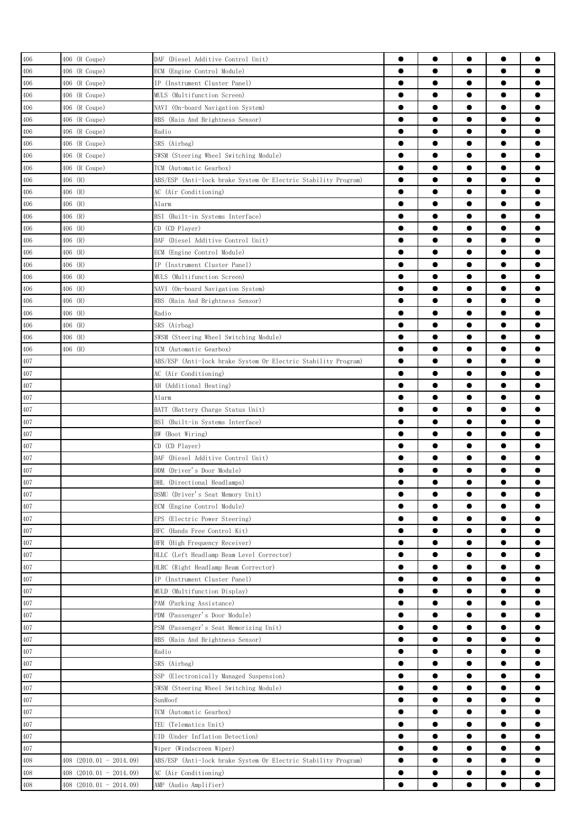| 406 | 406 (R Coupe)               | DAF (Diesel Additive Control Unit)                             | 0         | $\bullet$ |           | $\bullet$ |           |
|-----|-----------------------------|----------------------------------------------------------------|-----------|-----------|-----------|-----------|-----------|
| 406 | 406 (R Coupe)               | ECM (Engine Control Module)                                    | $\bullet$ | ●         |           | $\bullet$ |           |
| 406 | 406 (R Coupe)               | IP (Instrument Cluster Panel)                                  | $\bullet$ | $\bullet$ | $\bullet$ | $\bullet$ |           |
| 406 | 406 (R Coupe)               | MULS (Multifunction Screen)                                    | $\bullet$ | $\bullet$ |           | $\bullet$ |           |
| 406 | 406 (R Coupe)               | NAVI (On-board Navigation System)                              | $\bullet$ | $\bullet$ | $\bullet$ | $\bullet$ |           |
| 406 | 406 (R Coupe)               | RBS (Rain And Brightness Sensor)                               | $\bullet$ | $\bullet$ | $\bullet$ | $\bullet$ | ●         |
| 406 | 406 (R Coupe)               | Radio                                                          | $\bullet$ | $\bullet$ | $\bullet$ | $\bullet$ |           |
| 406 | 406 (R Coupe)               | SRS (Airbag)                                                   | $\bullet$ | $\bullet$ |           | $\bullet$ |           |
| 406 | 406 (R Coupe)               | SWSM (Steering Wheel Switching Module)                         | $\bullet$ | $\bullet$ | ●         | $\bullet$ |           |
| 406 | 406 (R Coupe)               | TCM (Automatic Gearbox)                                        | $\bullet$ |           |           | $\bullet$ |           |
| 406 | 406 (R)                     | ABS/ESP (Anti-lock brake System Or Electric Stability Program) | $\bullet$ |           | 0         | $\bullet$ |           |
| 406 | 406 (R)                     | AC (Air Conditioning)                                          | ●         | 0         |           | $\bullet$ |           |
| 406 | 406 (R)                     | Alarm                                                          | 0         |           |           | $\bullet$ |           |
|     | 406 (R)                     |                                                                | 0         |           |           | $\bullet$ |           |
| 406 | 406 (R)                     | BSI (Built-in Systems Interface)<br>CD (CD Player)             | $\bullet$ | ●         |           | $\bullet$ | Α         |
| 406 |                             |                                                                |           |           |           |           |           |
| 406 | 406 (R)                     | DAF (Diesel Additive Control Unit)                             | $\bullet$ | $\bullet$ |           | $\bullet$ |           |
| 406 | 406 (R)                     | ECM (Engine Control Module)                                    | $\bullet$ | $\bullet$ |           | $\bullet$ |           |
| 406 | 406 (R)                     | IP (Instrument Cluster Panel)                                  | $\bullet$ | $\bullet$ | $\bullet$ | $\bullet$ |           |
| 406 | 406 (R)                     | MULS (Multifunction Screen)                                    | $\bullet$ | $\bullet$ | $\bullet$ | $\bullet$ |           |
| 406 | 406 (R)                     | NAVI (On-board Navigation System)                              | $\bullet$ | $\bullet$ |           | $\bullet$ |           |
| 406 | 406 (R)                     | RBS (Rain And Brightness Sensor)                               | $\bullet$ | $\bullet$ | ●         | $\bullet$ |           |
| 406 | 406 (R)                     | Radio                                                          | $\bullet$ |           |           | $\bullet$ |           |
| 406 | 406 (R)                     | SRS (Airbag)                                                   | ●         |           | 0         | $\bullet$ |           |
| 406 | 406 (R)                     | SWSM (Steering Wheel Switching Module)                         | 0         |           |           | $\bullet$ |           |
| 406 | 406 (R)                     | TCM (Automatic Gearbox)                                        | 0         | 0         |           | $\bullet$ |           |
| 407 |                             | ABS/ESP (Anti-lock brake System Or Electric Stability Program) | $\bullet$ |           |           | $\bullet$ |           |
| 407 |                             | AC (Air Conditioning)                                          | $\bullet$ | $\bullet$ |           | $\bullet$ | o         |
| 407 |                             | AH (Additional Heating)                                        | $\bullet$ | $\bullet$ |           | $\bullet$ |           |
| 407 |                             | Alarm                                                          | $\bullet$ |           |           | $\bullet$ |           |
| 407 |                             | BATT (Battery Charge Status Unit)                              | $\bullet$ | $\bullet$ | $\bullet$ | $\bullet$ |           |
| 407 |                             | BSI (Built-in Systems Interface)                               | $\bullet$ | $\bullet$ | $\bullet$ | $\bullet$ |           |
| 407 |                             | BW (Boot Wiring)                                               | $\bullet$ |           |           | $\bullet$ |           |
| 407 |                             | CD (CD Player)                                                 | ●         | ●         | ●         | $\bullet$ |           |
| 407 |                             | DAF (Diesel Additive Control Unit)                             | ●         | $\bullet$ | ●         | $\bullet$ |           |
| 407 |                             | DDM (Driver's Door Module)                                     | $\bullet$ |           |           | $\bullet$ |           |
| 407 |                             | DHL (Directional Headlamps)                                    |           |           |           |           |           |
| 407 |                             | DSMU (Driver's Seat Memory Unit)                               | $\bullet$ | $\bullet$ | $\bullet$ | $\bullet$ |           |
| 407 |                             | ECM (Engine Control Module)                                    | 0         |           | 0         |           |           |
| 407 |                             | EPS (Electric Power Steering)                                  | $\bullet$ | $\bullet$ |           | $\bullet$ | ●         |
| 407 |                             | HFC (Hands Free Control Kit)                                   | $\bullet$ | $\bullet$ | $\bullet$ | $\bullet$ | $\bullet$ |
| 407 |                             | HFR (High Frequency Receiver)                                  | $\bullet$ | $\bullet$ | $\bullet$ | $\bullet$ | $\bullet$ |
| 407 |                             | HLLC (Left Headlamp Beam Level Corrector)                      | $\bullet$ | $\bullet$ | $\bullet$ | $\bullet$ |           |
| 407 |                             | HLRC (Right Headlamp Beam Corrector)                           | $\bullet$ | $\bullet$ | $\bullet$ | $\bullet$ | $\bullet$ |
| 407 |                             | IP (Instrument Cluster Panel)                                  | $\bullet$ | $\bullet$ | $\bullet$ | $\bullet$ |           |
| 407 |                             | MULD (Multifunction Display)                                   | $\bullet$ | $\bullet$ |           | $\bullet$ | ●         |
|     |                             |                                                                | $\bullet$ | $\bullet$ |           | $\bullet$ |           |
| 407 |                             | PAM (Parking Assistance)                                       |           |           |           |           |           |
| 407 |                             | PDM (Passenger's Door Module)                                  | $\bullet$ |           |           | $\bullet$ |           |
| 407 |                             | PSM (Passenger's Seat Memorizing Unit)                         | $\bullet$ |           | 0<br>●    | $\bullet$ |           |
| 407 |                             | RBS (Rain And Brightness Sensor)                               | ●         |           |           | $\bullet$ |           |
| 407 |                             | Radio                                                          | $\bullet$ |           | 0         | $\bullet$ |           |
| 407 |                             | SRS (Airbag)                                                   | $\bullet$ |           |           | $\bullet$ |           |
| 407 |                             | SSP (Electronically Managed Suspension)                        | $\bullet$ | $\bullet$ |           | $\bullet$ | ●         |
| 407 |                             | SWSM (Steering Wheel Switching Module)                         | $\bullet$ | $\bullet$ | $\bullet$ | $\bullet$ |           |
| 407 |                             | SunRoof                                                        | $\bullet$ | $\bullet$ | $\bullet$ | $\bullet$ |           |
| 407 |                             | TCM (Automatic Gearbox)                                        | $\bullet$ | $\bullet$ | $\bullet$ | $\bullet$ |           |
| 407 |                             | TEU (Telematics Unit)                                          | $\bullet$ | $\bullet$ | $\bullet$ | $\bullet$ |           |
| 407 |                             | UID (Under Inflation Detection)                                | $\bullet$ | $\bullet$ |           | $\bullet$ |           |
| 407 |                             | Wiper (Windscreen Wiper)                                       | $\bullet$ | $\bullet$ |           | $\bullet$ |           |
| 408 | $408$ $(2010.01 - 2014.09)$ | ABS/ESP (Anti-lock brake System Or Electric Stability Program) | $\bullet$ | $\bullet$ | $\bullet$ | $\bullet$ |           |
| 408 | $408$ $(2010.01 - 2014.09)$ | AC (Air Conditioning)                                          | $\bullet$ |           |           | $\bullet$ |           |
| 408 | 408 (2010.01 - 2014.09)     | AMP (Audio Amplifier)                                          |           |           |           |           |           |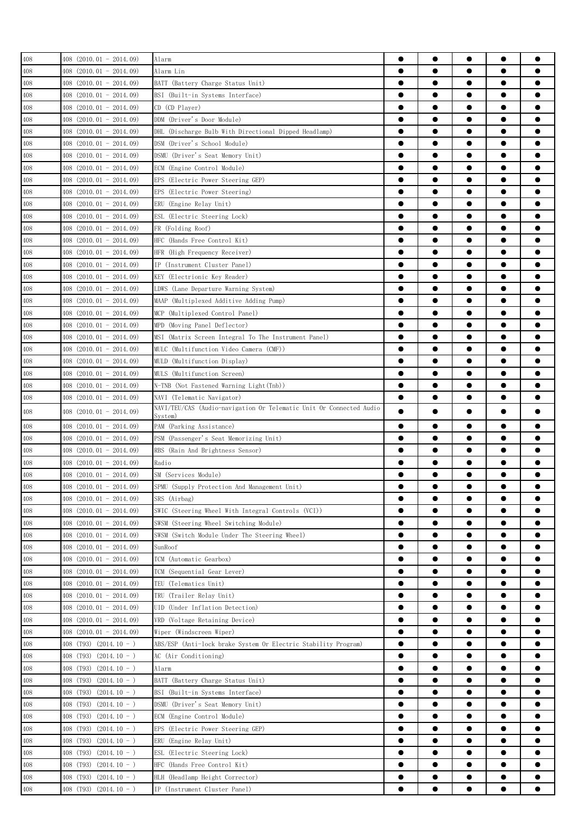| 408 | $408$ $(2010.01 - 2014.09)$              | Alarm                                                               | 0         | $\bullet$ |           | $\bullet$ |           |
|-----|------------------------------------------|---------------------------------------------------------------------|-----------|-----------|-----------|-----------|-----------|
| 408 | 408 (2010.01 - 2014.09)                  | Alarm Lin                                                           |           |           | $\bullet$ | $\bullet$ |           |
| 408 | 408 (2010.01 - 2014.09)                  | BATT (Battery Charge Status Unit)                                   | ●         | $\bullet$ | $\bullet$ | $\bullet$ |           |
| 408 | 408 (2010.01 - 2014.09)                  | BSI (Built-in Systems Interface)                                    | 0         | 0         |           | $\bullet$ |           |
| 408 | $408$ $(2010.01 - 2014.09)$              | CD (CD Player)                                                      | $\bullet$ | ●         | ●         |           |           |
| 408 | 408 (2010.01 - 2014.09)                  | DDM (Driver's Door Module)                                          |           |           | ●         | $\bullet$ |           |
| 408 | 408 (2010.01 - 2014.09)                  | DHL (Discharge Bulb With Directional Dipped Headlamp)               | $\bullet$ |           |           | $\bullet$ |           |
| 408 | 408 (2010.01 - 2014.09)                  | DSM (Driver's School Module)                                        | e         |           |           |           |           |
| 408 | $408$ $(2010.01 - 2014.09)$              | DSMU (Driver's Seat Memory Unit)                                    | e         |           |           |           |           |
| 408 | $408$ $(2010.01 - 2014.09)$              | ECM (Engine Control Module)                                         | 0         |           | 0         |           |           |
| 408 | $408$ $(2010.01 - 2014.09)$              | EPS (Electric Power Steering GEP)                                   | 0         | 0         |           |           |           |
| 408 | 408 (2010.01 - 2014.09)                  | EPS (Electric Power Steering)                                       | $\bullet$ | $\bullet$ |           | $\bullet$ |           |
| 408 | $408$ (2010.01 - 2014.09)                | ERU (Engine Relay Unit)                                             | $\bullet$ | $\bullet$ |           | $\bullet$ |           |
| 408 | 408 (2010.01 - 2014.09)                  | ESL (Electric Steering Lock)                                        |           | 0         |           | $\bullet$ |           |
| 408 | 408 (2010.01 - 2014.09)                  | FR (Folding Roof)                                                   | 0         |           | $\bullet$ | $\bullet$ |           |
| 408 | $408$ $(2010.01 - 2014.09)$              | HFC (Hands Free Control Kit)                                        | $\bullet$ | $\bullet$ |           | $\bullet$ |           |
| 408 | 408 (2010.01 - 2014.09)                  | HFR (High Frequency Receiver)                                       |           | ●         |           |           |           |
| 408 | 408 (2010.01 - 2014.09)                  | IP (Instrument Cluster Panel)                                       | $\bullet$ |           | ●         | $\bullet$ |           |
| 408 | $408$ $(2010.01 - 2014.09)$              | KEY (Electrionic Key Reader)                                        |           |           |           | $\bullet$ |           |
| 408 | $408$ $(2010.01 - 2014.09)$              | LDWS (Lane Departure Warning System)                                |           |           | 0         | $\bullet$ |           |
| 408 | $408$ $(2010.01 - 2014.09)$              | MAAP (Multiplexed Additive Adding Pump)                             | e         |           |           | $\bullet$ |           |
| 408 | $408$ $(2010.01 - 2014.09)$              | MCP (Multiplexed Control Panel)                                     | 0         |           | 0         |           |           |
| 408 | 408 (2010.01 - 2014.09)                  | MPD (Moving Panel Deflector)                                        |           | 0         | 0         | 0         |           |
| 408 | $408$ $(2010.01 - 2014.09)$              | MSI (Matrix Screen Integral To The Instrument Panel)                |           | ●         |           |           | e         |
| 408 | $408$ $(2010.01 - 2014.09)$              | MULC (Multifunction Video Camera (CMF))                             | $\bullet$ | $\bullet$ | $\bullet$ | $\bullet$ | ●         |
| 408 | 408 (2010.01 - 2014.09)                  | MULD (Multifunction Display)                                        |           | 0         |           | $\bullet$ |           |
| 408 | 408 (2010.01 - 2014.09)                  | MULS (Multifunction Screen)                                         |           |           | $\bullet$ | $\bullet$ | e         |
| 408 | $408$ (2010.01 - 2014.09)                | N-TNB (Not Fastened Warning Light (Tnb))                            | $\bullet$ |           | $\bullet$ | $\bullet$ |           |
| 408 | 408 (2010.01 - 2014.09)                  | NAVI (Telematic Navigator)                                          | ●         | 0         | 0         |           |           |
|     |                                          | NAVI/TEU/CAS (Audio-navigation Or Telematic Unit Or Connected Audio |           |           |           |           |           |
| 408 | 408 (2010.01 - 2014.09)                  | System)                                                             |           |           |           |           |           |
| 408 | $408$ $(2010.01 - 2014.09)$              | PAM (Parking Assistance)                                            | $\bullet$ | $\bullet$ | $\bullet$ | $\bullet$ |           |
| 408 | 408 (2010.01 - 2014.09)                  | PSM (Passenger's Seat Memorizing Unit)                              | 0         |           |           |           |           |
| 408 | 408 (2010.01 - 2014.09)                  | RBS (Rain And Brightness Sensor)                                    | ●         |           |           |           |           |
| 408 | 408 (2010.01 - 2014.09)                  | Radio                                                               | ●         |           |           | $\bullet$ |           |
| 408 | 408 (2010.01 - 2014.09)                  | SM (Services Module)                                                |           |           |           |           |           |
| 408 | $408$ $(2010.01 - 2014.09)$              | SPMU (Supply Protection And Management Unit)                        |           |           |           |           |           |
| 408 | 408 (2010.01 - 2014.09)                  | SRS (Airbag)                                                        |           |           |           |           |           |
| 408 | $408$ $(2010.01 - 2014.09)$              | SWIC (Steering Wheel With Integral Controls (VCI))                  |           | 0         | 0         |           |           |
| 408 | $408$ $(2010.01 - 2014.09)$              | SWSM (Steering Wheel Switching Module)                              |           | $\bullet$ |           |           |           |
| 408 | $408$ $(2010.01 - 2014.09)$              | SWSM (Switch Module Under The Steering Wheel)                       | $\bullet$ | $\bullet$ | $\bullet$ | $\bullet$ | $\bullet$ |
| 408 | $408$ $(2010.01 - 2014.09)$              | SunRoof                                                             | $\bullet$ | $\bullet$ | $\bullet$ | $\bullet$ | $\bullet$ |
| 408 | $408$ $(2010.01 - 2014.09)$              | TCM (Automatic Gearbox)                                             |           |           | $\bullet$ | $\bullet$ |           |
| 408 | 408 (2010.01 - 2014.09)                  | TCM (Sequential Gear Lever)                                         | $\bullet$ | $\bullet$ | $\bullet$ | $\bullet$ | $\bullet$ |
| 408 | 408 (2010.01 - 2014.09)                  | TEU (Telematics Unit)                                               | $\bullet$ | $\bullet$ | $\bullet$ | $\bullet$ |           |
| 408 | 408 (2010.01 - 2014.09)                  | TRU (Trailer Relay Unit)                                            | $\bullet$ | $\bullet$ |           | $\bullet$ | 0         |
| 408 | 408 (2010.01 - 2014.09)                  | UID (Under Inflation Detection)                                     | $\bullet$ |           | $\bullet$ | $\bullet$ |           |
| 408 | 408 (2010.01 - 2014.09)                  | VRD (Voltage Retaining Device)                                      | $\bullet$ |           |           | $\bullet$ |           |
| 408 | 408 (2010.01 - 2014.09)                  | Wiper (Windscreen Wiper)                                            | $\bullet$ | 0         |           | $\bullet$ |           |
| 408 | 408 (T93) $(2014.10 - )$                 | ABS/ESP (Anti-lock brake System Or Electric Stability Program)      |           |           | 0         |           |           |
| 408 | $(2014.10 - )$<br>408 (T <sub>93</sub> ) | AC (Air Conditioning)                                               | 0         |           | 0         |           |           |
| 408 | $408$ (T93) (2014.10 - )                 | Alarm                                                               |           |           | 0         |           | O         |
| 408 | 408 (T93)<br>$(2014.10 - )$              | BATT (Battery Charge Status Unit)                                   | $\bullet$ | $\bullet$ | $\bullet$ | $\bullet$ |           |
| 408 | 408 (T <sub>93</sub> )<br>$(2014.10 - )$ | BSI (Built-in Systems Interface)                                    | $\bullet$ | $\bullet$ | $\bullet$ | $\bullet$ |           |
| 408 | 408 (T <sub>93</sub> )<br>$(2014.10 - )$ | DSMU (Driver's Seat Memory Unit)                                    |           | $\bullet$ | $\bullet$ | $\bullet$ |           |
| 408 | 408 (T93)<br>$(2014.10 - )$              | ECM (Engine Control Module)                                         | $\bullet$ |           | $\bullet$ | $\bullet$ |           |
| 408 | 408 (T93)<br>$(2014.10 - )$              | EPS (Electric Power Steering GEP)                                   | $\bullet$ |           |           | $\bullet$ |           |
| 408 | 408 (T93)<br>$(2014.10 - )$              | ERU (Engine Relay Unit)                                             | 0         |           |           |           |           |
| 408 | 408 (T93)<br>$(2014.10 - )$              | ESL (Electric Steering Lock)                                        | $\bullet$ |           |           | $\bullet$ |           |
| 408 | 408 (T93)<br>$(2014.10 - )$              | HFC (Hands Free Control Kit)                                        | $\bullet$ |           |           | $\bullet$ |           |
| 408 | 408 (T93)<br>$(2014.10 - )$              | HLH (Headlamp Height Corrector)                                     |           | $\bullet$ |           | $\bullet$ |           |
| 408 | $408$ (T93) (2014.10 - )                 | IP (Instrument Cluster Panel)                                       |           | 0         | 0         | $\bullet$ |           |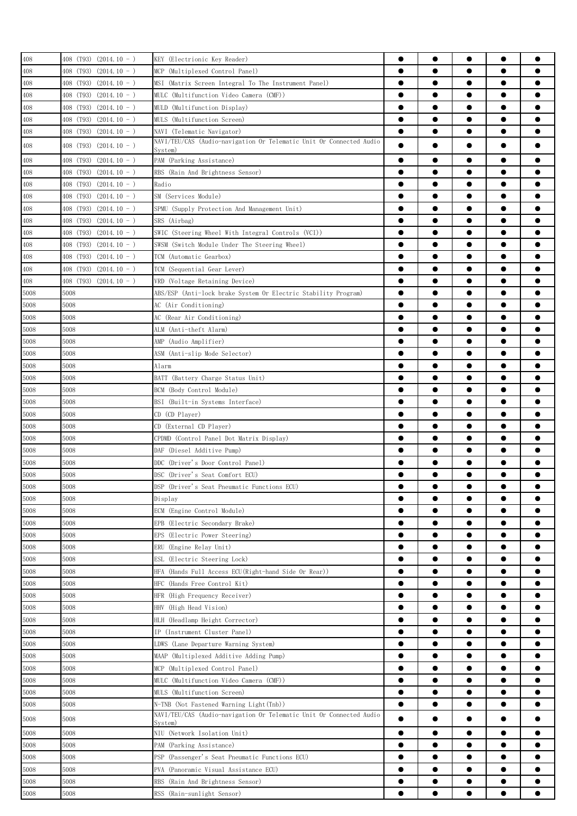| 408  | $408$ (T93) (2014.10 - )    | KEY (Electrionic Key Reader)                                                                      | 0         | $\bullet$ |           | $\bullet$ |   |
|------|-----------------------------|---------------------------------------------------------------------------------------------------|-----------|-----------|-----------|-----------|---|
| 408  | 408 (T93)<br>$(2014.10 - )$ | MCP (Multiplexed Control Panel)                                                                   | $\bullet$ |           |           | $\bullet$ |   |
| 408  | 408 (T93)<br>$(2014.10 - )$ | MSI (Matrix Screen Integral To The Instrument Panel)                                              | $\bullet$ |           | $\bullet$ | $\bullet$ |   |
| 408  | 408 (T93) (2014.10 - )      | MULC (Multifunction Video Camera (CMF))                                                           | $\bullet$ | $\bullet$ | $\bullet$ | $\bullet$ |   |
| 408  | 408 (T93) (2014.10 - )      | MULD (Multifunction Display)                                                                      | $\bullet$ | $\bullet$ | $\bullet$ | $\bullet$ |   |
| 408  | 408 (T93) (2014.10 - )      | MULS (Multifunction Screen)                                                                       | ●         | $\bullet$ |           | $\bullet$ |   |
| 408  | 408 (T93) (2014.10 - )      |                                                                                                   | $\bullet$ | $\bullet$ | $\bullet$ | $\bullet$ | ● |
|      |                             | NAVI (Telematic Navigator)<br>NAVI/TEU/CAS (Audio-navigation Or Telematic Unit Or Connected Audio |           |           |           |           |   |
| 408  | $408$ (T93) (2014.10 - )    | System)                                                                                           | $\bullet$ |           |           |           |   |
| 408  | 408 (T93) (2014.10 - )      | PAM (Parking Assistance)                                                                          | $\bullet$ | $\bullet$ |           | $\bullet$ |   |
| 408  | 408 (T93) (2014.10 - )      | RBS (Rain And Brightness Sensor)                                                                  |           | $\bullet$ | ●         | $\bullet$ |   |
| 408  | 408 (T93)<br>$(2014.10 - )$ | Radio                                                                                             | $\bullet$ | $\bullet$ |           | $\bullet$ |   |
| 408  | 408 (T93)<br>$(2014.10 - )$ | SM (Services Module)                                                                              | ●         |           | 0         | $\bullet$ |   |
| 408  | $(2014.10 - )$<br>408 (T93) | SPMU (Supply Protection And Management Unit)                                                      | 0         | ●         |           | $\bullet$ |   |
| 408  | 408 (T93)<br>$(2014.10 - )$ | SRS (Airbag)                                                                                      | 0         |           |           |           |   |
| 408  | 408 (T93) (2014.10 - )      | SWIC (Steering Wheel With Integral Controls (VCI))                                                | 0         | 0         |           |           |   |
| 408  | 408 (T93)<br>$(2014.10 - )$ | SWSM (Switch Module Under The Steering Wheel)                                                     | $\bullet$ | ●         |           | $\bullet$ | e |
| 408  | 408 (T93)<br>$(2014.10 - )$ | TCM (Automatic Gearbox)                                                                           | $\bullet$ | $\bullet$ | $\bullet$ | $\bullet$ | ● |
| 408  | 408 (T93)<br>$(2014.10 - )$ | TCM (Sequential Gear Lever)                                                                       | $\bullet$ |           |           | $\bullet$ |   |
| 408  | $408$ (T93) (2014.10 - )    | VRD (Voltage Retaining Device)                                                                    | $\bullet$ | $\bullet$ | $\bullet$ | $\bullet$ | Α |
| 5008 | 5008                        | ABS/ESP (Anti-lock brake System Or Electric Stability Program)                                    | $\bullet$ | $\bullet$ | $\bullet$ | $\bullet$ | 0 |
| 5008 | 5008                        | AC (Air Conditioning)                                                                             | $\bullet$ | $\bullet$ | $\bullet$ | $\bullet$ |   |
| 5008 | 5008                        | AC (Rear Air Conditioning)                                                                        | ●         | ●         | ●         | $\bullet$ |   |
| 5008 | 5008                        | ALM (Anti-theft Alarm)                                                                            | $\bullet$ | $\bullet$ |           | $\bullet$ |   |
| 5008 | 5008                        | AMP (Audio Amplifier)                                                                             | $\bullet$ |           | 0         | $\bullet$ |   |
| 5008 | 5008                        | ASM (Anti-slip Mode Selector)                                                                     | 0         | 0         | 0         | $\bullet$ |   |
|      |                             |                                                                                                   | 0         | 0         | 0         | $\bullet$ |   |
| 5008 | 5008                        | Alarm                                                                                             |           |           |           |           |   |
| 5008 | 5008                        | BATT (Battery Charge Status Unit)                                                                 | $\bullet$ |           | 0         | $\bullet$ |   |
| 5008 | 5008                        | BCM (Body Control Module)                                                                         | $\bullet$ | $\bullet$ |           | $\bullet$ |   |
| 5008 | 5008                        | BSI (Built-in Systems Interface)                                                                  | $\bullet$ | $\bullet$ | $\bullet$ | $\bullet$ |   |
| 5008 | 5008                        | $CD$ $(CD$ $Player)$                                                                              | $\bullet$ | $\bullet$ | $\bullet$ | $\bullet$ |   |
| 5008 | 5008                        | CD (External CD Plaver)                                                                           | $\bullet$ | $\bullet$ | $\bullet$ | $\bullet$ |   |
| 5008 | 5008                        | CPDMD (Control Panel Dot Matrix Display)                                                          | $\bullet$ | $\bullet$ | $\bullet$ | $\bullet$ |   |
| 5008 | 5008                        | DAF (Diesel Additive Pump)                                                                        | $\bullet$ | $\bullet$ | $\bullet$ | $\bullet$ |   |
| 5008 | 5008                        | DDC (Driver's Door Control Panel)                                                                 | 0         | 0         | 0         | $\bullet$ |   |
| 5008 | 5008                        | DSC (Driver's Seat Comfort ECU)                                                                   | ●         |           |           | $\bullet$ |   |
| 5008 | 5008                        | DSP (Driver's Seat Pneumatic Functions ECU)                                                       |           |           |           |           |   |
| 5008 | 5008                        | Display                                                                                           |           |           |           |           |   |
| 5008 | 5008                        | ECM (Engine Control Module)                                                                       | 0         |           |           |           |   |
| 5008 | 5008                        | EPB (Electric Secondary Brake)                                                                    | 0         |           |           |           |   |
| 5008 | 5008                        | EPS (Electric Power Steering)                                                                     | $\bullet$ |           |           | $\bullet$ |   |
| 5008 | 5008                        | ERU (Engine Relay Unit)                                                                           | $\bullet$ | $\bullet$ |           | $\bullet$ |   |
| 5008 | 5008                        | ESL (Electric Steering Lock)                                                                      | $\bullet$ | $\bullet$ | $\bullet$ | $\bullet$ |   |
| 5008 | 5008                        | HFA (Hands Full Access ECU(Right-hand Side Or Rear))                                              | $\bullet$ | $\bullet$ | $\bullet$ | $\bullet$ |   |
| 5008 | 5008                        | HFC (Hands Free Control Kit)                                                                      | $\bullet$ | $\bullet$ | $\bullet$ | $\bullet$ |   |
| 5008 | 5008                        | HFR (High Frequency Receiver)                                                                     | $\bullet$ | $\bullet$ | $\bullet$ | $\bullet$ |   |
| 5008 | 5008                        | HHV (High Head Vision)                                                                            | $\bullet$ | $\bullet$ |           | $\bullet$ |   |
| 5008 | 5008                        | HLH (Headlamp Height Corrector)                                                                   | $\bullet$ | ●         |           | $\bullet$ |   |
| 5008 | 5008                        | IP (Instrument Cluster Panel)                                                                     | $\bullet$ |           |           | $\bullet$ |   |
| 5008 | 5008                        | LDWS (Lane Departure Warning System)                                                              |           | 0         |           | $\bullet$ |   |
| 5008 | 5008                        | MAAP (Multiplexed Additive Adding Pump)                                                           | ●         |           |           | $\bullet$ |   |
| 5008 | 5008                        | MCP (Multiplexed Control Panel)                                                                   | $\bullet$ |           |           | $\bullet$ |   |
| 5008 | 5008                        | MULC (Multifunction Video Camera (CMF))                                                           |           |           |           |           |   |
| 5008 | 5008                        | MULS (Multifunction Screen)                                                                       | $\bullet$ | ●         |           | $\bullet$ |   |
| 5008 | 5008                        | N-TNB (Not Fastened Warning Light (Tnb))                                                          | $\bullet$ | $\bullet$ | $\bullet$ | $\bullet$ |   |
|      |                             | NAVI/TEU/CAS (Audio-navigation Or Telematic Unit Or Connected Audio                               |           |           |           |           |   |
| 5008 | 5008                        | System)                                                                                           | ●         |           |           | $\bullet$ |   |
| 5008 | 5008                        | NIU (Network Isolation Unit)                                                                      | $\bullet$ | $\bullet$ |           | $\bullet$ |   |
| 5008 | 5008                        | PAM (Parking Assistance)                                                                          | $\bullet$ | $\bullet$ |           | $\bullet$ |   |
| 5008 | 5008                        | PSP (Passenger's Seat Pneumatic Functions ECU)                                                    | $\bullet$ | $\bullet$ |           | $\bullet$ |   |
| 5008 | 5008                        | PVA (Panoramic Visual Assistance ECU)                                                             | $\bullet$ | $\bullet$ | $\bullet$ | $\bullet$ |   |
| 5008 | 5008                        | RBS (Rain And Brightness Sensor)                                                                  | $\bullet$ | $\bullet$ | $\bullet$ | $\bullet$ |   |
| 5008 | 5008                        | RSS (Rain-sunlight Sensor)                                                                        |           | $\bullet$ |           |           |   |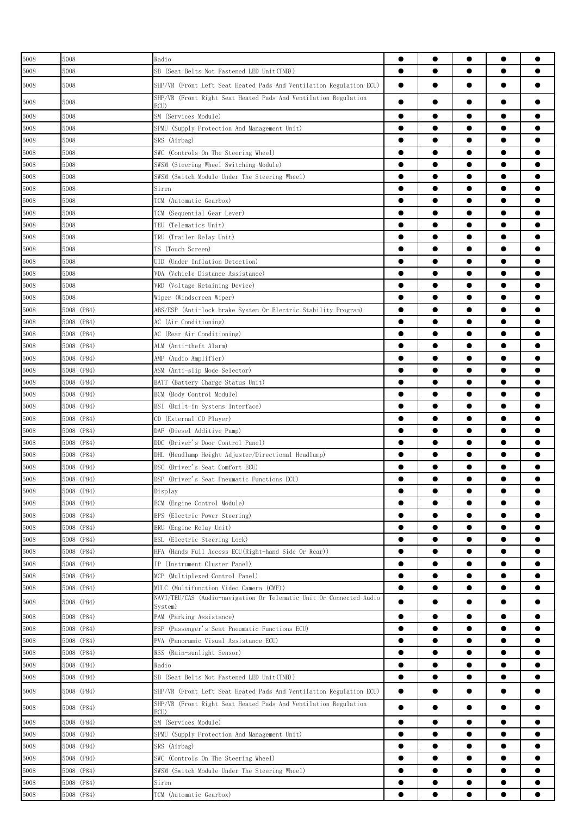| 5008 | 5008       | Radio                                                                   |           | $\bullet$ | $\bullet$ | $\bullet$ |           |
|------|------------|-------------------------------------------------------------------------|-----------|-----------|-----------|-----------|-----------|
| 5008 | 5008       | SB (Seat Belts Not Fastened LED Unit(TNB))                              | $\bullet$ | $\bullet$ |           | $\bullet$ |           |
| 5008 | 5008       | SHP/VR (Front Left Seat Heated Pads And Ventilation Regulation ECU)     | $\bullet$ |           |           | $\bullet$ |           |
| 5008 | 5008       | SHP/VR (Front Right Seat Heated Pads And Ventilation Regulation<br>ECU) | ●         |           | ●         | $\bullet$ |           |
| 5008 | 5008       | SM (Services Module)                                                    | 0         | ●         |           | $\bullet$ |           |
| 5008 | 5008       | SPMU (Supply Protection And Management Unit)                            | $\bullet$ | $\bullet$ | $\bullet$ | $\bullet$ | ●         |
| 5008 | 5008       | SRS (Airbag)                                                            |           | $\bullet$ | $\bullet$ | $\bullet$ |           |
| 5008 | 5008       | SWC (Controls On The Steering Wheel)                                    |           | $\bullet$ | $\bullet$ | $\bullet$ |           |
| 5008 | 5008       | SWSM (Steering Wheel Switching Module)                                  | $\bullet$ | $\bullet$ | $\bullet$ | $\bullet$ | $\bullet$ |
| 5008 | 5008       | SWSM (Switch Module Under The Steering Wheel)                           | $\bullet$ | $\bullet$ | $\bullet$ | $\bullet$ |           |
| 5008 | 5008       | Siren                                                                   | ●         | ●         | $\bullet$ | $\bullet$ |           |
| 5008 | 5008       | TCM (Automatic Gearbox)                                                 | ●         | ●         |           | $\bullet$ |           |
| 5008 | 5008       | TCM (Sequential Gear Lever)                                             |           |           |           | $\bullet$ |           |
| 5008 | 5008       | TEU (Telematics Unit)                                                   | e         |           |           | $\bullet$ |           |
| 5008 | 5008       | TRU (Trailer Relay Unit)                                                |           |           |           | $\bullet$ |           |
| 5008 | 5008       | TS (Touch Screen)                                                       |           |           |           | $\bullet$ |           |
| 5008 | 5008       | UID (Under Inflation Detection)                                         |           |           |           | $\bullet$ | O         |
| 5008 | 5008       | VDA (Vehicle Distance Assistance)                                       | $\bullet$ | $\bullet$ | $\bullet$ | $\bullet$ | ●         |
| 5008 | 5008       | VRD (Voltage Retaining Device)                                          | $\bullet$ | $\bullet$ | $\bullet$ | $\bullet$ |           |
| 5008 | 5008       | Wiper (Windscreen Wiper)                                                |           | $\bullet$ |           | $\bullet$ |           |
| 5008 | 5008 (P84) | ABS/ESP (Anti-lock brake System Or Electric Stability Program)          | $\bullet$ | $\bullet$ | $\bullet$ | $\bullet$ |           |
| 5008 | 5008 (P84) | AC (Air Conditioning)                                                   | $\bullet$ | $\bullet$ | $\bullet$ | $\bullet$ |           |
| 5008 | 5008 (P84) | AC (Rear Air Conditioning)                                              |           | ●         | 0         | $\bullet$ |           |
| 5008 | 5008 (P84) | ALM (Anti-theft Alarm)                                                  | ●         | ●         | ●         | $\bullet$ |           |
| 5008 | 5008 (P84) | AMP (Audio Amplifier)                                                   |           |           |           | $\bullet$ |           |
| 5008 | 5008 (P84) | ASM (Anti-slip Mode Selector)                                           |           |           |           | $\bullet$ |           |
| 5008 | 5008 (P84) | BATT (Battery Charge Status Unit)                                       |           |           |           | $\bullet$ |           |
| 5008 | 5008 (P84) | BCM (Body Control Module)                                               |           | 0         |           | $\bullet$ |           |
| 5008 | 5008 (P84) | BSI (Built-in Systems Interface)                                        | 0         | ●         |           | $\bullet$ |           |
| 5008 | 5008 (P84) | CD (External CD Player)                                                 |           | $\bullet$ |           | $\bullet$ | ●         |
| 5008 | 5008 (P84) | DAF (Diesel Additive Pump)                                              | $\bullet$ | $\bullet$ | $\bullet$ | $\bullet$ |           |
| 5008 | 5008 (P84) | DDC (Driver's Door Control Panel)                                       |           | $\bullet$ | $\bullet$ | $\bullet$ |           |
| 5008 | 5008 (P84) | (Headlamp Height Adjuster/Directional Headlamp)<br>DHL                  |           | $\bullet$ | $\bullet$ | $\bullet$ |           |
| 5008 | 5008 (P84) | DSC (Driver's Seat Comfort ECU)                                         | $\bullet$ | $\bullet$ | $\bullet$ | $\bullet$ | ●         |
| 5008 | 5008 (P84) | DSP (Driver's Seat Pneumatic Functions ECU)                             |           |           |           |           |           |
| 5008 | 5008 (P84) | Display                                                                 |           | ●         |           | $\bullet$ |           |
| 5008 | 5008 (P84) | ECM (Engine Control Module)                                             | ●         |           |           | $\bullet$ |           |
| 5008 | 5008 (P84) | EPS (Electric Power Steering)                                           | 0         |           |           | $\bullet$ |           |
| 5008 | 5008 (P84) | ERU (Engine Relay Unit)                                                 | ●         |           |           |           |           |
| 5008 | 5008 (P84) | ESL (Electric Steering Lock)                                            |           |           |           | $\bullet$ |           |
| 5008 | 5008 (P84) | HFA (Hands Full Access ECU(Right-hand Side Or Rear))                    |           |           |           | $\bullet$ |           |
| 5008 | 5008 (P84) | IP (Instrument Cluster Panel)                                           |           | ●         |           | $\bullet$ | ●         |
| 5008 | 5008 (P84) | MCP (Multiplexed Control Panel)                                         | $\bullet$ | $\bullet$ | $\bullet$ | $\bullet$ | $\bullet$ |
| 5008 | 5008 (P84) | MULC (Multifunction Video Camera (CMF))                                 | $\bullet$ | $\bullet$ | $\bullet$ | $\bullet$ | $\bullet$ |
| 5008 | 5008 (P84) | NAVI/TEU/CAS (Audio-navigation Or Telematic Unit Or Connected Audio     | $\bullet$ |           |           | $\bullet$ |           |
|      |            | System)                                                                 |           |           |           |           |           |
| 5008 | 5008 (P84) | PAM (Parking Assistance)                                                | $\bullet$ | $\bullet$ | $\bullet$ | $\bullet$ |           |
| 5008 | 5008 (P84) | PSP (Passenger's Seat Pneumatic Functions ECU)                          | $\bullet$ | $\bullet$ | $\bullet$ | $\bullet$ |           |
| 5008 | 5008 (P84) | PVA (Panoramic Visual Assistance ECU)                                   | $\bullet$ | $\bullet$ | $\bullet$ | $\bullet$ |           |
| 5008 | 5008 (P84) | RSS (Rain-sunlight Sensor)                                              | $\bullet$ | $\bullet$ | $\bullet$ | $\bullet$ |           |
| 5008 | 5008 (P84) | Radio                                                                   | $\bullet$ | $\bullet$ | $\bullet$ | $\bullet$ |           |
| 5008 | 5008 (P84) | SB (Seat Belts Not Fastened LED Unit(TNB))                              | $\bullet$ | $\bullet$ |           | $\bullet$ |           |
| 5008 | 5008 (P84) | SHP/VR (Front Left Seat Heated Pads And Ventilation Regulation ECU)     | $\bullet$ |           |           | $\bullet$ |           |
| 5008 | 5008 (P84) | SHP/VR (Front Right Seat Heated Pads And Ventilation Regulation<br>ECU) |           |           |           |           |           |
| 5008 | 5008 (P84) | SM (Services Module)                                                    | $\bullet$ | $\bullet$ | $\bullet$ | $\bullet$ |           |
| 5008 | 5008 (P84) | SPMU (Supply Protection And Management Unit)                            | $\bullet$ | $\bullet$ | $\bullet$ | $\bullet$ |           |
| 5008 | 5008 (P84) | SRS (Airbag)                                                            | $\bullet$ |           |           | $\bullet$ |           |
| 5008 | 5008 (P84) | SWC (Controls On The Steering Wheel)                                    |           | $\bullet$ |           | $\bullet$ |           |
| 5008 | 5008 (P84) | SWSM (Switch Module Under The Steering Wheel)                           | $\bullet$ | ●         |           | $\bullet$ |           |
| 5008 | 5008 (P84) | Siren                                                                   | $\bullet$ |           |           | $\bullet$ |           |
| 5008 | 5008 (P84) | TCM (Automatic Gearbox)                                                 |           |           |           |           |           |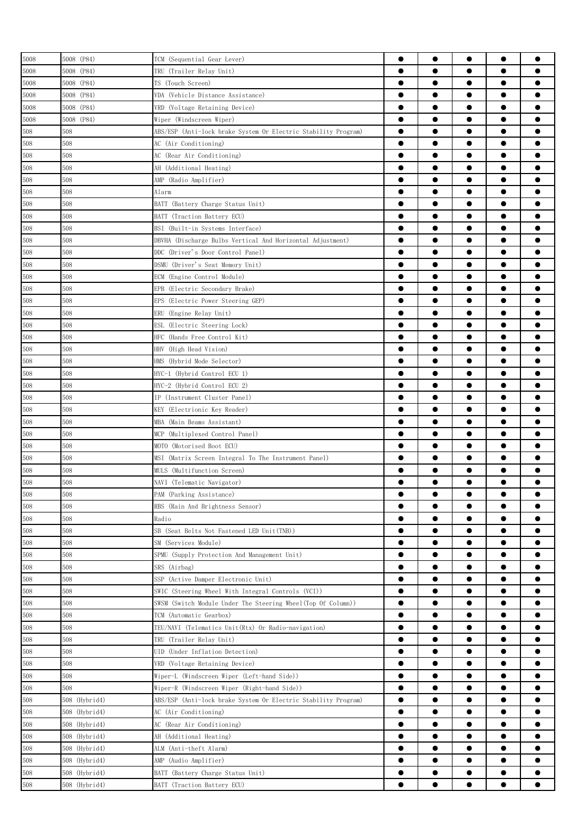| 5008 | 5008 (P84)    | TCM (Sequential Gear Lever)                                    | ●         | $\bullet$ |           | $\bullet$ |           |
|------|---------------|----------------------------------------------------------------|-----------|-----------|-----------|-----------|-----------|
| 5008 | 5008 (P84)    | TRU (Trailer Relay Unit)                                       | 0         | 0         |           |           |           |
| 5008 | 5008 (P84)    | TS (Touch Screen)                                              | $\bullet$ | $\bullet$ |           | $\bullet$ |           |
| 5008 | 5008 (P84)    | VDA (Vehicle Distance Assistance)                              | $\bullet$ | $\bullet$ | $\bullet$ | $\bullet$ |           |
| 5008 | 5008 (P84)    | VRD (Voltage Retaining Device)                                 | $\bullet$ | $\bullet$ |           | $\bullet$ |           |
| 5008 | 5008 (P84)    | Wiper (Windscreen Wiper)                                       | $\bullet$ | $\bullet$ | $\bullet$ | $\bullet$ |           |
| 508  | 508           | ABS/ESP (Anti-lock brake System Or Electric Stability Program) | $\bullet$ | $\bullet$ | $\bullet$ | $\bullet$ | ●         |
| 508  | 508           | AC (Air Conditioning)                                          | $\bullet$ | $\bullet$ |           | $\bullet$ |           |
| 508  | 508           | AC (Rear Air Conditioning)                                     | $\bullet$ | $\bullet$ | ●         | $\bullet$ |           |
| 508  | 508           | AH (Additional Heating)                                        | $\bullet$ |           | ●         | $\bullet$ |           |
| 508  | 508           | AMP (Radio Amplifier)                                          | $\bullet$ |           |           | $\bullet$ |           |
| 508  | 508           | Alarm                                                          | 0         |           | e         | $\bullet$ |           |
| 508  | 508           | BATT (Battery Charge Status Unit)                              | ●         | 0         |           | $\bullet$ |           |
| 508  | 508           | BATT (Traction Battery ECU)                                    | 0         |           |           | $\bullet$ |           |
| 508  | 508           | BSI (Built-in Systems Interface)                               |           |           |           | $\bullet$ |           |
| 508  | 508           |                                                                | $\bullet$ | $\bullet$ |           | $\bullet$ |           |
|      |               | DBVHA (Discharge Bulbs Vertical And Horizontal Adjustment)     | $\bullet$ | $\bullet$ | $\bullet$ | $\bullet$ |           |
| 508  | 508           | DDC (Driver's Door Control Panel)                              | $\bullet$ | $\bullet$ | $\bullet$ | $\bullet$ |           |
| 508  | 508           | DSMU (Driver's Seat Memory Unit)                               |           |           |           |           |           |
| 508  | 508           | ECM (Engine Control Module)                                    | $\bullet$ | $\bullet$ | $\bullet$ | $\bullet$ |           |
| 508  | 508           | EPB (Electric Secondary Brake)                                 | $\bullet$ | $\bullet$ | $\bullet$ | $\bullet$ |           |
| 508  | 508           | EPS (Electric Power Steering GEP)                              | ●         | $\bullet$ |           | $\bullet$ |           |
| 508  | 508           | (Engine Relay Unit)<br>ERU                                     | $\bullet$ | ●         |           | $\bullet$ |           |
| 508  | 508           | (Electric Steering Lock)<br>ESL                                | $\bullet$ |           |           | $\bullet$ |           |
| 508  | 508           | HFC (Hands Free Control Kit)                                   | 0         | 0         |           | $\bullet$ |           |
| 508  | 508           | HHV (High Head Vision)                                         |           |           |           | $\bullet$ |           |
| 508  | 508           | HMS (Hybrid Mode Selector)                                     | 0         | 0         |           |           |           |
| 508  | 508           | HYC-1 (Hybrid Control ECU 1)                                   |           |           |           | $\bullet$ |           |
| 508  | 508           | HYC-2 (Hybrid Control ECU 2)                                   | $\bullet$ | $\bullet$ |           | $\bullet$ | ●         |
| 508  | 508           | IP (Instrument Cluster Panel)                                  | $\bullet$ | $\bullet$ | $\bullet$ | $\bullet$ |           |
| 508  | 508           | KEY (Electrionic Key Reader)                                   | $\bullet$ | $\bullet$ | $\bullet$ | $\bullet$ |           |
| 508  | 508           | MBA (Main Beams Assistant)                                     | $\bullet$ | $\bullet$ | $\bullet$ | $\bullet$ | Α         |
| 508  | 508           | MCP (Multiplexed Control Panel)                                | $\bullet$ | $\bullet$ | $\bullet$ | $\bullet$ | 0         |
| 508  | 508           | MOTO (Motorised Boot ECU)                                      |           |           |           | $\bullet$ |           |
| 508  | 508           | MSI<br>(Matrix Screen Integral To The Instrument Panel)        | ●         | $\bullet$ | ●         | $\bullet$ |           |
| 508  | 508           | MULS (Multifunction Screen)                                    | $\bullet$ | ●         |           | $\bullet$ |           |
| 508  | 508           | NAVI (Telematic Navigator)                                     |           |           |           |           |           |
| 508  | 508           | PAM (Parking Assistance)                                       |           | $\bullet$ |           | $\bullet$ |           |
| 508  | 508           | RBS (Rain And Brightness Sensor)                               | 0         |           |           |           |           |
| 508  | 508           | Radio                                                          | $\bullet$ |           |           |           |           |
| 508  | 508           | SB (Seat Belts Not Fastened LED Unit(TNB))                     | $\bullet$ | $\bullet$ |           | $\bullet$ | ●         |
| 508  | 508           | SM (Services Module)                                           | $\bullet$ | $\bullet$ | $\bullet$ | $\bullet$ | $\bullet$ |
| 508  | 508           | SPMU (Supply Protection And Management Unit)                   | $\bullet$ | $\bullet$ | $\bullet$ | $\bullet$ |           |
| 508  | 508           | SRS (Airbag)                                                   | $\bullet$ | $\bullet$ | $\bullet$ | $\bullet$ | Ω         |
| 508  | 508           | SSP (Active Damper Electronic Unit)                            | $\bullet$ | $\bullet$ | $\bullet$ | $\bullet$ | $\bullet$ |
| 508  | 508           | SWIC (Steering Wheel With Integral Controls (VCI))             | $\bullet$ | $\bullet$ | $\bullet$ | $\bullet$ |           |
| 508  | 508           | SWSM (Switch Module Under The Steering Wheel(Top Of Column))   | $\bullet$ | $\bullet$ | $\bullet$ | $\bullet$ | ●         |
| 508  | 508           | TCM (Automatic Gearbox)                                        | $\bullet$ | $\bullet$ |           | $\bullet$ |           |
| 508  | 508           | TEU/NAVI (Telematics Unit(Rtx) Or Radio-navigation)            | $\bullet$ |           |           | $\bullet$ |           |
| 508  | 508           | TRU (Trailer Relay Unit)                                       | $\bullet$ | $\bullet$ |           | $\bullet$ |           |
| 508  | 508           | UID (Under Inflation Detection)                                | $\bullet$ |           | 0         | $\bullet$ |           |
| 508  | 508           | VRD (Voltage Retaining Device)                                 | $\bullet$ |           | 0         | $\bullet$ |           |
| 508  | 508           | Wiper-L (Windscreen Wiper (Left-hand Side))                    | $\bullet$ |           |           | $\bullet$ |           |
| 508  | 508           | Wiper-R (Windscreen Wiper (Right-hand Side))                   | $\bullet$ | $\bullet$ | $\bullet$ | $\bullet$ |           |
| 508  | 508 (Hybrid4) | ABS/ESP (Anti-lock brake System Or Electric Stability Program) | $\bullet$ | $\bullet$ | $\bullet$ | $\bullet$ |           |
| 508  | 508 (Hybrid4) | AC (Air Conditioning)                                          | $\bullet$ | $\bullet$ | $\bullet$ | $\bullet$ |           |
| 508  | 508 (Hybrid4) | AC (Rear Air Conditioning)                                     | $\bullet$ | $\bullet$ | $\bullet$ | $\bullet$ |           |
|      |               |                                                                | $\bullet$ | $\bullet$ | $\bullet$ | $\bullet$ |           |
| 508  | 508 (Hybrid4) | AH (Additional Heating)                                        | $\bullet$ | $\bullet$ |           | $\bullet$ |           |
| 508  | 508 (Hybrid4) | ALM (Anti-theft Alarm)                                         | ●         | ●         |           | $\bullet$ |           |
| 508  | 508 (Hybrid4) | AMP (Audio Amplifier)                                          |           |           |           |           |           |
| 508  | 508 (Hybrid4) | BATT (Battery Charge Status Unit)                              | $\bullet$ | $\bullet$ |           | $\bullet$ |           |
| 508  | 508 (Hybrid4) | BATT (Traction Battery ECU)                                    |           | 0         |           | $\bullet$ |           |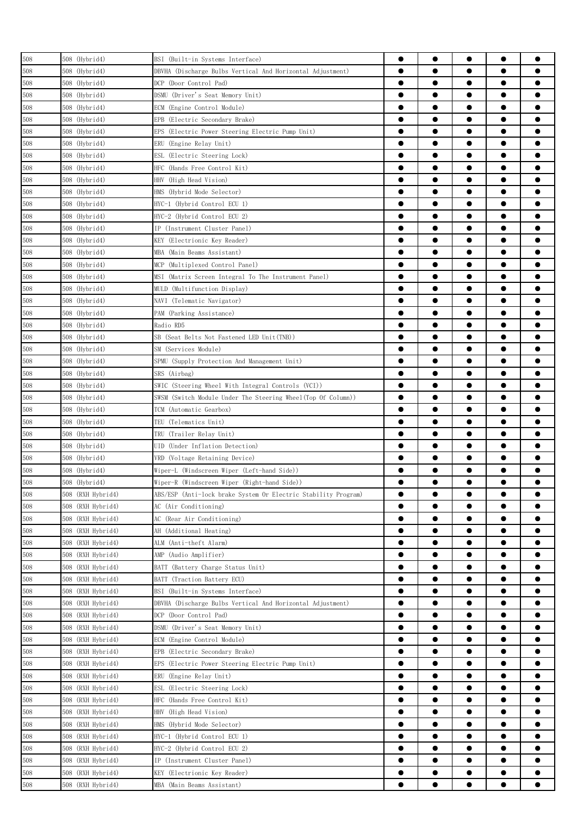| 508 | 508 (Hybrid4)     | BSI (Built-in Systems Interface)                               | 0         |           |           |           |           |
|-----|-------------------|----------------------------------------------------------------|-----------|-----------|-----------|-----------|-----------|
| 508 | 508 (Hybrid4)     | DBVHA (Discharge Bulbs Vertical And Horizontal Adjustment)     | $\bullet$ |           |           | $\bullet$ |           |
| 508 | 508 (Hybrid4)     | DCP (Door Control Pad)                                         | $\bullet$ | $\bullet$ |           | $\bullet$ |           |
| 508 | 508 (Hybrid4)     | DSMU (Driver's Seat Memory Unit)                               |           |           |           | $\bullet$ |           |
| 508 | 508 (Hybrid4)     | ECM (Engine Control Module)                                    | ●         | $\bullet$ | $\bullet$ | $\bullet$ |           |
| 508 | 508 (Hybrid4)     | EPB (Electric Secondary Brake)                                 | $\bullet$ |           |           | $\bullet$ |           |
| 508 | 508 (Hybrid4)     | EPS (Electric Power Steering Electric Pump Unit)               |           | ●         |           |           |           |
| 508 | 508 (Hybrid4)     | ERU (Engine Relay Unit)                                        | ●         | ●         | ●         | $\bullet$ |           |
| 508 | 508 (Hybrid4)     | ESL (Electric Steering Lock)                                   |           |           |           | $\bullet$ |           |
| 508 | 508 (Hybrid4)     | HFC (Hands Free Control Kit)                                   |           |           | 0         | $\bullet$ |           |
| 508 | 508 (Hybrid4)     | HHV (High Head Vision)                                         | e         | 0         |           | $\bullet$ |           |
| 508 | 508 (Hybrid4)     | HMS (Hybrid Mode Selector)                                     | 0         |           |           |           |           |
| 508 | 508 (Hybrid4)     | HYC-1 (Hybrid Control ECU 1)                                   | 0         | 0         |           |           |           |
| 508 | 508 (Hybrid4)     | HYC-2 (Hybrid Control ECU 2)                                   | 0         | ●         |           | $\bullet$ |           |
| 508 | 508 (Hybrid4)     | IP (Instrument Cluster Panel)                                  | $\bullet$ | $\bullet$ | $\bullet$ | $\bullet$ | ●         |
| 508 | 508 (Hybrid4)     | KEY (Electrionic Key Reader)                                   |           |           |           | $\bullet$ |           |
| 508 | 508 (Hybrid4)     | MBA (Main Beams Assistant)                                     |           |           | $\bullet$ | $\bullet$ |           |
| 508 | 508 (Hybrid4)     | MCP (Multiplexed Control Panel)                                | $\bullet$ | $\bullet$ | $\bullet$ | $\bullet$ |           |
| 508 | 508 (Hybrid4)     | MSI (Matrix Screen Integral To The Instrument Panel)           | ●         | ●         |           |           |           |
| 508 | 508 (Hybrid4)     | MULD (Multifunction Display)                                   | $\bullet$ |           | ●         |           |           |
| 508 | 508 (Hybrid4)     | NAVI (Telematic Navigator)                                     | ●         |           | 0         | $\bullet$ |           |
| 508 | 508 (Hybrid4)     | PAM (Parking Assistance)                                       | 0         |           |           | $\bullet$ |           |
| 508 | 508 (Hybrid4)     | Radio RD5                                                      |           |           |           | $\bullet$ |           |
| 508 | 508 (Hybrid4)     | SB (Seat Belts Not Fastened LED Unit(TNB))                     |           |           |           |           |           |
| 508 | 508 (Hybrid4)     | SM (Services Module)                                           | 0         |           |           |           |           |
| 508 | 508 (Hybrid4)     | SPMU (Supply Protection And Management Unit)                   |           | ●         |           | $\bullet$ | o         |
| 508 | 508 (Hybrid4)     | SRS (Airbag)                                                   | $\bullet$ | $\bullet$ | $\bullet$ | $\bullet$ |           |
| 508 | 508 (Hybrid4)     | SWIC (Steering Wheel With Integral Controls (VCI))             | $\bullet$ | $\bullet$ |           | $\bullet$ |           |
| 508 | 508 (Hybrid4)     | SWSM (Switch Module Under The Steering Wheel(Top Of Column))   | $\bullet$ |           | $\bullet$ | $\bullet$ |           |
| 508 | 508 (Hybrid4)     | TCM (Automatic Gearbox)                                        | $\bullet$ | $\bullet$ | $\bullet$ | $\bullet$ | ●         |
| 508 | 508 (Hybrid4)     | TEU (Telematics Unit)                                          | $\bullet$ | $\bullet$ | $\bullet$ | $\bullet$ |           |
| 508 | 508 (Hybrid4)     | TRU (Trailer Relay Unit)                                       | 0         | 0         |           |           |           |
| 508 | 508 (Hybrid4)     | UID (Under Inflation Detection)                                | $\bullet$ | ●         |           | $\bullet$ |           |
| 508 | 508 (Hybrid4)     | VRD (Voltage Retaining Device)                                 |           |           |           | $\bullet$ |           |
| 508 | 508 (Hybrid4)     | Wiper-L (Windscreen Wiper (Left-hand Side))                    | Œ         |           |           | e         |           |
| 508 | 508 (Hybrid4)     | Wiper-R (Windscreen Wiper (Right-hand Side))                   |           |           |           |           |           |
| 508 | 508 (RXH Hybrid4) | ABS/ESP (Anti-lock brake System Or Electric Stability Program) | $\bullet$ | $\bullet$ |           | $\bullet$ |           |
| 508 | 508 (RXH Hybrid4) | AC (Air Conditioning)                                          | 0         |           |           |           |           |
| 508 | 508 (RXH Hybrid4) | AC (Rear Air Conditioning)                                     | $\bullet$ | $\bullet$ | $\bullet$ | $\bullet$ |           |
| 508 | 508 (RXH Hybrid4) | AH (Additional Heating)                                        | $\bullet$ | $\bullet$ | $\bullet$ | $\bullet$ |           |
| 508 | 508 (RXH Hybrid4) | ALM (Anti-theft Alarm)                                         | $\bullet$ | $\bullet$ | $\bullet$ | $\bullet$ |           |
| 508 | 508 (RXH Hybrid4) | AMP (Audio Amplifier)                                          | $\bullet$ |           | $\bullet$ | $\bullet$ |           |
| 508 | 508 (RXH Hybrid4) | BATT (Battery Charge Status Unit)                              | $\bullet$ | $\bullet$ | $\bullet$ | $\bullet$ |           |
| 508 | 508 (RXH Hybrid4) | BATT (Traction Battery ECU)                                    | $\bullet$ | $\bullet$ |           |           |           |
| 508 | 508 (RXH Hybrid4) | BSI (Built-in Systems Interface)                               | $\bullet$ | $\bullet$ |           | $\bullet$ | 0         |
| 508 | 508 (RXH Hybrid4) | DBVHA (Discharge Bulbs Vertical And Horizontal Adjustment)     | $\bullet$ |           |           | $\bullet$ |           |
| 508 | 508 (RXH Hybrid4) | DCP (Door Control Pad)                                         | $\bullet$ | 0         |           | $\bullet$ |           |
| 508 | 508 (RXH Hybrid4) | DSMU (Driver's Seat Memory Unit)                               | $\bullet$ |           | 0         | $\bullet$ |           |
| 508 | 508 (RXH Hybrid4) | ECM (Engine Control Module)                                    |           | 0         |           | $\bullet$ |           |
| 508 | 508 (RXH Hybrid4) | EPB (Electric Secondary Brake)                                 |           |           | 0         |           |           |
| 508 | 508 (RXH Hybrid4) | (Electric Power Steering Electric Pump Unit)<br>EPS            |           |           |           | $\bullet$ |           |
| 508 | 508 (RXH Hybrid4) | (Engine Relay Unit)<br>ERU                                     | $\bullet$ | $\bullet$ | $\bullet$ | $\bullet$ | $\bullet$ |
| 508 | 508 (RXH Hybrid4) | ESL<br>(Electric Steering Lock)                                | $\bullet$ | $\bullet$ | $\bullet$ | $\bullet$ |           |
| 508 | 508 (RXH Hybrid4) | HFC<br>(Hands Free Control Kit)                                | $\bullet$ |           | $\bullet$ | $\bullet$ |           |
| 508 | 508 (RXH Hybrid4) | HHV (High Head Vision)                                         | $\bullet$ | $\bullet$ | $\bullet$ | $\bullet$ | $\bullet$ |
| 508 | 508 (RXH Hybrid4) | HMS (Hybrid Mode Selector)                                     | $\bullet$ | $\bullet$ |           | $\bullet$ |           |
| 508 | 508 (RXH Hybrid4) | HYC-1 (Hybrid Control ECU 1)                                   | $\bullet$ |           |           | $\bullet$ |           |
| 508 | 508 (RXH Hybrid4) | HYC-2 (Hybrid Control ECU 2)                                   | 0         |           |           | $\bullet$ |           |
| 508 | 508 (RXH Hybrid4) | IP (Instrument Cluster Panel)                                  |           |           |           | $\bullet$ |           |
| 508 | 508 (RXH Hybrid4) | KEY (Electrionic Key Reader)                                   | 0         |           |           | $\bullet$ |           |
| 508 | 508 (RXH Hybrid4) | MBA (Main Beams Assistant)                                     | $\bullet$ |           |           |           |           |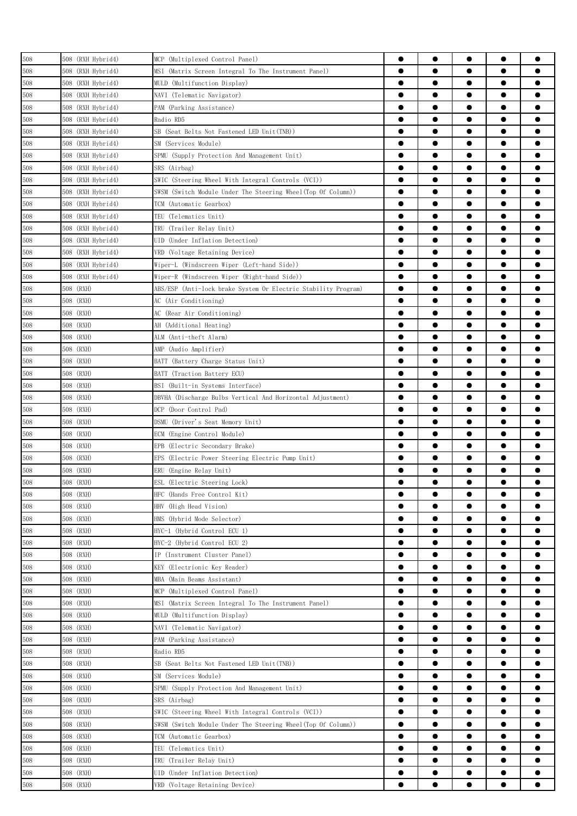| 508 | 508 (RXH Hybrid4) | MCP (Multiplexed Control Panel)                                | 0                      | $\bullet$              |           | $\bullet$ |           |
|-----|-------------------|----------------------------------------------------------------|------------------------|------------------------|-----------|-----------|-----------|
| 508 | 508 (RXH Hybrid4) | MSI (Matrix Screen Integral To The Instrument Panel)           | ●                      | ●                      |           | $\bullet$ |           |
| 508 | 508 (RXH Hybrid4) | MULD (Multifunction Display)                                   | $\bullet$              | $\bullet$              | $\bullet$ | $\bullet$ |           |
| 508 | 508 (RXH Hybrid4) | NAVI (Telematic Navigator)                                     | $\bullet$              | $\bullet$              |           | $\bullet$ | 0         |
| 508 | 508 (RXH Hybrid4) | PAM (Parking Assistance)                                       |                        |                        | $\bullet$ | $\bullet$ | Α         |
| 508 | 508 (RXH Hybrid4) | Radio RD5                                                      | $\bullet$              | $\bullet$              | $\bullet$ | $\bullet$ | $\bullet$ |
| 508 | 508 (RXH Hybrid4) | SB (Seat Belts Not Fastened LED Unit(TNB))                     | $\bullet$              |                        | $\bullet$ | $\bullet$ |           |
| 508 | 508 (RXH Hybrid4) | SM (Services Module)                                           | $\bullet$              | $\bullet$              |           |           | 0         |
| 508 | 508 (RXH Hybrid4) | SPMU (Supply Protection And Management Unit)                   | $\bullet$              |                        |           | $\bullet$ |           |
| 508 | 508 (RXH Hybrid4) | SRS (Airbag)                                                   | $\bullet$              |                        |           | $\bullet$ |           |
| 508 | 508 (RXH Hybrid4) | SWIC (Steering Wheel With Integral Controls (VCI))             |                        |                        | 0         | $\bullet$ |           |
| 508 | 508 (RXH Hybrid4) | SWSM (Switch Module Under The Steering Wheel(Top Of Column))   | 0                      |                        | 0         | $\bullet$ |           |
| 508 | 508 (RXH Hybrid4) | TCM (Automatic Gearbox)                                        | 0                      |                        | 0         | $\bullet$ |           |
| 508 | 508 (RXH Hybrid4) | TEU (Telematics Unit)                                          | 0                      | 0                      |           | $\bullet$ |           |
| 508 | 508 (RXH Hybrid4) | TRU (Trailer Relay Unit)                                       | ●                      | ●                      |           | $\bullet$ | ●         |
| 508 | 508 (RXH Hybrid4) | UID (Under Inflation Detection)                                | $\bullet$              | $\bullet$              | $\bullet$ | $\bullet$ | 0         |
| 508 | 508 (RXH Hybrid4) | VRD (Voltage Retaining Device)                                 | $\bullet$              |                        | $\bullet$ | $\bullet$ |           |
| 508 | 508 (RXH Hybrid4) | Wiper-L (Windscreen Wiper (Left-hand Side))                    | $\bullet$              |                        | $\bullet$ | $\bullet$ |           |
| 508 | 508 (RXH Hybrid4) | Wiper-R (Windscreen Wiper (Right-hand Side))                   | $\bullet$              | $\bullet$              | $\bullet$ | $\bullet$ |           |
| 508 | 508 (RXH)         | ABS/ESP (Anti-lock brake System Or Electric Stability Program) | $\bullet$              |                        |           | $\bullet$ |           |
| 508 | 508 (RXH)         | AC (Air Conditioning)                                          | $\bullet$              | $\bullet$              | ●         | $\bullet$ |           |
| 508 | 508 (RXH)         | AC (Rear Air Conditioning)                                     | $\bullet$              |                        |           | $\bullet$ |           |
| 508 | 508 (RXH)         | AH (Additional Heating)                                        |                        | 0                      |           | $\bullet$ |           |
| 508 | 508 (RXH)         | ALM (Anti-theft Alarm)                                         |                        |                        |           | $\bullet$ |           |
| 508 | 508 (RXH)         | AMP (Audio Amplifier)                                          | 0                      |                        |           | $\bullet$ |           |
| 508 | 508 (RXH)         | BATT (Battery Charge Status Unit)                              | 0                      | 0                      |           | $\bullet$ |           |
| 508 | 508 (RXH)         | BATT (Traction Battery ECU)                                    |                        | ●                      |           | $\bullet$ | ●         |
| 508 | 508 (RXH)         | BSI (Built-in Systems Interface)                               | $\bullet$              | $\bullet$              | $\bullet$ | $\bullet$ | 0         |
| 508 | 508 (RXH)         | DBVHA (Discharge Bulbs Vertical And Horizontal Adjustment)     | $\bullet$              |                        | $\bullet$ | $\bullet$ |           |
| 508 | 508 (RXH)         | DCP (Door Control Pad)                                         | $\bullet$              |                        | $\bullet$ | $\bullet$ | ●         |
| 508 | 508 (RXH)         | DSMU (Driver's Seat Memory Unit)                               | $\bullet$              | $\bullet$              | $\bullet$ | $\bullet$ | 0         |
| 508 | 508 (RXH)         | ECM (Engine Control Module)                                    | 0                      | ●                      |           | $\bullet$ |           |
| 508 | 508 (RXH)         | EPB (Electric Secondary Brake)                                 | ●                      | ●                      | ●         |           |           |
| 508 | 508 (RXH)         | EPS (Electric Power Steering Electric Pump Unit)               |                        | ●                      |           | $\bullet$ |           |
| 508 | 508 (RXH)         | ERU (Engine Relay Unit)                                        | 0                      |                        |           | $\bullet$ |           |
| 508 | 508 (RXH)         | ESL (Electric Steering Lock)                                   |                        |                        |           | e         |           |
| 508 | 508 (RXH)         | HFC (Hands Free Control Kit)                                   | $\bullet$              | $\bullet$              | $\bullet$ | $\bullet$ |           |
| 508 | 508 (RXH)         | HHV (High Head Vision)                                         | 0                      |                        | 0         | 0         |           |
| 508 | 508 (RXH)         | HMS (Hybrid Mode Selector)                                     |                        | $\bullet$              |           | $\bullet$ | ●         |
| 508 | 508 (RXH)         | HYC-1 (Hybrid Control ECU 1)                                   | $\bullet$              | $\bullet$              | $\bullet$ | $\bullet$ |           |
| 508 | 508 (RXH)         | HYC-2 (Hybrid Control ECU 2)                                   |                        | $\bullet$              | $\bullet$ | $\bullet$ |           |
| 508 | 508 (RXH)         | IP (Instrument Cluster Panel)                                  | $\bullet$              | $\bullet$              | $\bullet$ | $\bullet$ |           |
| 508 | 508 (RXH)         | KEY (Electrionic Key Reader)                                   | $\bullet$              | $\bullet$              | $\bullet$ | $\bullet$ | $\bullet$ |
| 508 | 508 (RXH)         | MBA (Main Beams Assistant)                                     | $\bullet$              | $\bullet$              | $\bullet$ | $\bullet$ |           |
| 508 | 508 (RXH)         | MCP (Multiplexed Control Panel)                                | $\bullet$              | $\bullet$              |           |           | ●         |
| 508 | 508 (RXH)         | MSI (Matrix Screen Integral To The Instrument Panel)           | ●                      | ●                      | 0         | $\bullet$ |           |
| 508 | 508 (RXH)         | MULD (Multifunction Display)                                   | $\bullet$              |                        |           | $\bullet$ |           |
| 508 | 508 (RXH)         | NAVI (Telematic Navigator)                                     |                        | 0                      | 0         | $\bullet$ |           |
| 508 | 508 (RXH)         | PAM (Parking Assistance)                                       | 0                      |                        |           | $\bullet$ |           |
|     |                   |                                                                |                        |                        |           |           |           |
| 508 | 508 (RXH)         | Radio RD5                                                      | 0<br>0                 |                        | 0         |           |           |
| 508 | 508 (RXH)         | SB (Seat Belts Not Fastened LED Unit(TNB))                     | $\bullet$              | $\bullet$              |           | $\bullet$ | ●         |
| 508 | 508 (RXH)         | SM (Services Module)                                           |                        |                        |           |           |           |
| 508 | 508 (RXH)         | SPMU (Supply Protection And Management Unit)                   | $\bullet$              | $\bullet$              |           | $\bullet$ |           |
| 508 | 508 (RXH)         | SRS (Airbag)                                                   | $\bullet$              |                        | $\bullet$ | $\bullet$ |           |
| 508 | 508 (RXH)         | SWIC (Steering Wheel With Integral Controls (VCI))             | $\bullet$              | $\bullet$              | $\bullet$ | $\bullet$ |           |
| 508 | 508 (RXH)         | SWSM (Switch Module Under The Steering Wheel(Top Of Column))   | $\bullet$<br>$\bullet$ | $\bullet$<br>$\bullet$ | $\bullet$ | $\bullet$ |           |
| 508 | 508 (RXH)         | TCM (Automatic Gearbox)                                        | $\bullet$              | ●                      |           | $\bullet$ |           |
| 508 | 508 (RXH)         | TEU (Telematics Unit)                                          | $\bullet$              |                        |           | $\bullet$ |           |
| 508 | 508 (RXH)         | TRU (Trailer Relay Unit)                                       |                        |                        |           |           |           |
| 508 | 508 (RXH)         | UID (Under Inflation Detection)                                |                        | 0                      |           | $\bullet$ |           |
| 508 | 508 (RXH)         | VRD (Voltage Retaining Device)                                 |                        |                        |           | ●         |           |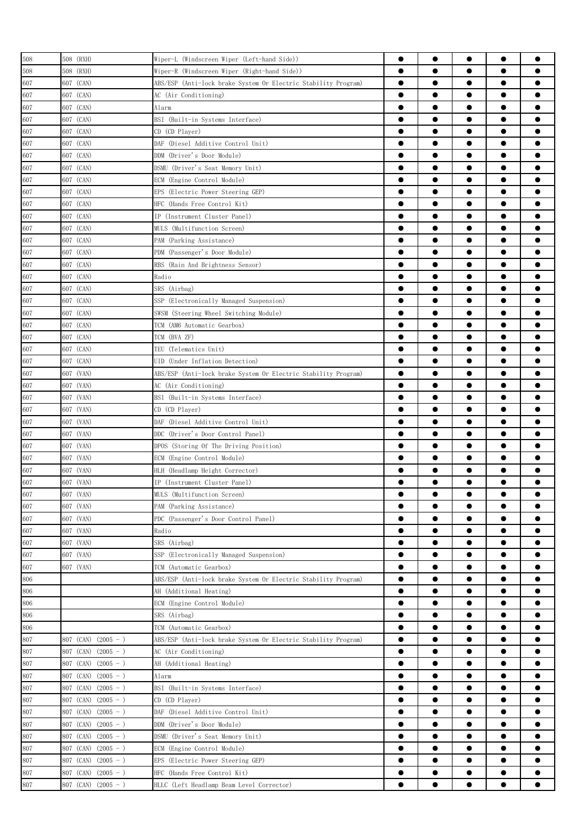| 508 | 508 (RXH)                | Wiper-L (Windscreen Wiper (Left-hand Side))                    | 0         | $\bullet$ | $\bullet$ | $\bullet$              |           |
|-----|--------------------------|----------------------------------------------------------------|-----------|-----------|-----------|------------------------|-----------|
| 508 | 508 (RXH)                | Wiper-R (Windscreen Wiper (Right-hand Side))                   | $\bullet$ |           |           | $\bullet$              |           |
| 607 | 607 (CAN)                | ABS/ESP (Anti-lock brake System Or Electric Stability Program) | $\bullet$ |           |           | $\bullet$              |           |
| 607 | 607 (CAN)                | AC (Air Conditioning)                                          | $\bullet$ | $\bullet$ | $\bullet$ | $\bullet$              |           |
| 607 | 607 (CAN)                | Alarm                                                          | $\bullet$ | $\bullet$ | $\bullet$ | $\bullet$              |           |
| 607 | 607 (CAN)                | BSI (Built-in Systems Interface)                               | ●         | ●         |           | $\bullet$              |           |
| 607 | 607 (CAN)                | CD (CD Player)                                                 | ●         | $\bullet$ | ●         | $\bullet$              |           |
| 607 | 607 (CAN)                | DAF (Diesel Additive Control Unit)                             | $\bullet$ | $\bullet$ | ●         | $\bullet$              |           |
| 607 | 607 (CAN)                | DDM (Driver's Door Module)                                     | 0         | 0         |           | $\bullet$              |           |
| 607 | 607 (CAN)                | DSMU (Driver's Seat Memory Unit)                               | e         | ●         |           | $\bullet$              |           |
| 607 | 607 (CAN)                | ECM (Engine Control Module)                                    | 0         | 0         |           | $\bullet$              |           |
|     |                          |                                                                |           | ●         |           | $\bullet$              |           |
| 607 | 607 (CAN)                | EPS (Electric Power Steering GEP)                              | 0<br>●    | ●         | ●         |                        |           |
| 607 | 607 (CAN)                | HFC (Hands Free Control Kit)                                   |           | $\bullet$ |           | $\bullet$<br>$\bullet$ |           |
| 607 | 607 (CAN)                | IP (Instrument Cluster Panel)                                  | $\bullet$ |           |           |                        |           |
| 607 | 607 (CAN)                | MULS (Multifunction Screen)                                    | $\bullet$ | $\bullet$ |           | $\bullet$              |           |
| 607 | 607 (CAN)                | PAM (Parking Assistance)                                       | 0         |           | $\bullet$ | $\bullet$              |           |
| 607 | 607 (CAN)                | PDM (Passenger's Door Module)                                  | $\bullet$ | $\bullet$ | $\bullet$ | $\bullet$              | ●         |
| 607 | 607 (CAN)                | RBS (Rain And Brightness Sensor)                               | $\bullet$ | $\bullet$ | $\bullet$ | $\bullet$              |           |
| 607 | 607 (CAN)                | Radio                                                          | ●         | $\bullet$ | ●         | $\bullet$              |           |
| 607 | 607 (CAN)                | SRS (Airbag)                                                   | $\bullet$ |           | 0         | $\bullet$              |           |
| 607 | 607 (CAN)                | SSP (Electronically Managed Suspension)                        | $\bullet$ |           |           | $\bullet$              |           |
| 607 | 607 (CAN)                | SWSM (Steering Wheel Switching Module)                         | 0         |           |           | $\bullet$              |           |
| 607 | 607 (CAN)                | TCM (AM6 Automatic Gearbox)                                    | ●         |           |           | $\bullet$              |           |
| 607 | 607 (CAN)                | TCM (BVA ZF)                                                   | 0         | 0         |           |                        |           |
| 607 | 607 (CAN)                | TEU (Telematics Unit)                                          |           |           |           | $\bullet$              |           |
| 607 | 607 (CAN)                | UID (Under Inflation Detection)                                | $\bullet$ | $\bullet$ |           | $\bullet$              |           |
| 607 | 607 (VAN)                | ABS/ESP (Anti-lock brake System Or Electric Stability Program) | $\bullet$ |           | $\bullet$ | $\bullet$              |           |
| 607 | 607 (VAN)                | AC (Air Conditioning)                                          | $\bullet$ |           | $\bullet$ | $\bullet$              |           |
| 607 | 607 (VAN)                | BSI (Built-in Systems Interface)                               | $\bullet$ | $\bullet$ | $\bullet$ | $\bullet$              |           |
| 607 | 607 (VAN)                | CD (CD Player)                                                 | $\bullet$ |           | $\bullet$ | $\bullet$              |           |
| 607 | 607 (VAN)                | DAF (Diesel Additive Control Unit)                             | 0         |           |           | $\bullet$              |           |
| 607 | 607 (VAN)                | DDC (Driver's Door Control Panel)                              | ●         |           | ●         | $\bullet$              |           |
| 607 | 607 (VAN)                | DPOS (Storing Of The Driving Position)                         | ●         |           |           | $\bullet$              |           |
| 607 | 607 (VAN)                | ECM (Engine Control Module)                                    | 0         |           |           |                        |           |
| 607 | 607 (VAN)                | HLH (Headlamp Height Corrector)                                |           |           |           |                        |           |
| 607 | 607 (VAN)                | IP (Instrument Cluster Panel)                                  | $\bullet$ | $\bullet$ |           |                        |           |
| 607 | 607 (VAN)                | MULS (Multifunction Screen)                                    | $\bullet$ | $\bullet$ | $\bullet$ | $\bullet$              |           |
| 607 | 607 (VAN)                | PAM (Parking Assistance)                                       | $\bullet$ | $\bullet$ |           | $\bullet$              |           |
| 607 | 607 (VAN)                | PDC (Passenger's Door Control Panel)                           | $\bullet$ | $\bullet$ | $\bullet$ | $\bullet$              | $\bullet$ |
| 607 | 607 (VAN)                | Radio                                                          | $\bullet$ | $\bullet$ | $\bullet$ | $\bullet$              |           |
| 607 | 607 (VAN)                | SRS (Airbag)                                                   | $\bullet$ | $\bullet$ | $\bullet$ | $\bullet$              | $\bullet$ |
| 607 | 607 (VAN)                | SSP (Electronically Managed Suspension)                        | $\bullet$ | $\bullet$ | $\bullet$ | $\bullet$              | $\bullet$ |
| 607 | 607 (VAN)                | TCM (Automatic Gearbox)                                        | $\bullet$ | $\bullet$ | $\bullet$ | $\bullet$              |           |
| 806 |                          | ABS/ESP (Anti-lock brake System Or Electric Stability Program) | $\bullet$ | $\bullet$ | $\bullet$ | $\bullet$              |           |
| 806 |                          |                                                                | $\bullet$ | $\bullet$ | $\bullet$ | $\bullet$              |           |
|     |                          | AH (Additional Heating)                                        |           |           |           |                        |           |
| 806 |                          | ECM (Engine Control Module)                                    | $\bullet$ | 0         | 0         | $\bullet$              |           |
| 806 |                          | SRS (Airbag)                                                   | $\bullet$ |           |           | $\bullet$              |           |
| 806 |                          | TCM (Automatic Gearbox)                                        | $\bullet$ |           |           | $\bullet$              |           |
| 807 | 807 (CAN) (2005 - )      | ABS/ESP (Anti-lock brake System Or Electric Stability Program) | $\bullet$ |           |           | $\bullet$              |           |
| 807 | 807 (CAN)<br>$(2005 - )$ | AC (Air Conditioning)                                          | $\bullet$ | $\bullet$ |           | $\bullet$              |           |
| 807 | 807 (CAN)<br>$(2005 - )$ | AH (Additional Heating)                                        | $\bullet$ | $\bullet$ | $\bullet$ | $\bullet$              | $\bullet$ |
| 807 | $(2005 - )$<br>807 (CAN) | Alarm                                                          | $\bullet$ | $\bullet$ | $\bullet$ | $\bullet$              | $\bullet$ |
| 807 | 807 (CAN)<br>$(2005 - )$ | BSI (Built-in Systems Interface)                               | $\bullet$ | $\bullet$ | $\bullet$ | $\bullet$              | $\bullet$ |
| 807 | $(2005 - )$<br>807 (CAN) | $CD$ $(CD$ $Player)$                                           | $\bullet$ | $\bullet$ | $\bullet$ | $\bullet$              | $\bullet$ |
| 807 | 807 (CAN)<br>$(2005 - )$ | DAF (Diesel Additive Control Unit)                             | $\bullet$ | $\bullet$ | $\bullet$ | $\bullet$              |           |
| 807 | 807 (CAN)<br>$(2005 - )$ | DDM (Driver's Door Module)                                     | $\bullet$ | $\bullet$ | $\bullet$ | $\bullet$              | 0         |
| 807 | $(2005 - )$<br>807 (CAN) | DSMU (Driver's Seat Memory Unit)                               | $\bullet$ | $\bullet$ | $\bullet$ | $\bullet$              |           |
| 807 | 807 (CAN)<br>$(2005 - )$ | ECM (Engine Control Module)                                    | $\bullet$ |           |           | $\bullet$              |           |
| 807 | 807 (CAN) $(2005 - )$    | EPS (Electric Power Steering GEP)                              | $\bullet$ |           |           | $\bullet$              |           |
| 807 | 807 (CAN) (2005 - )      | HFC (Hands Free Control Kit)                                   | $\bullet$ |           | 0         | $\bullet$              |           |
| 807 | 807 (CAN) (2005 - )      | HLLC (Left Headlamp Beam Level Corrector)                      | $\bullet$ |           |           |                        |           |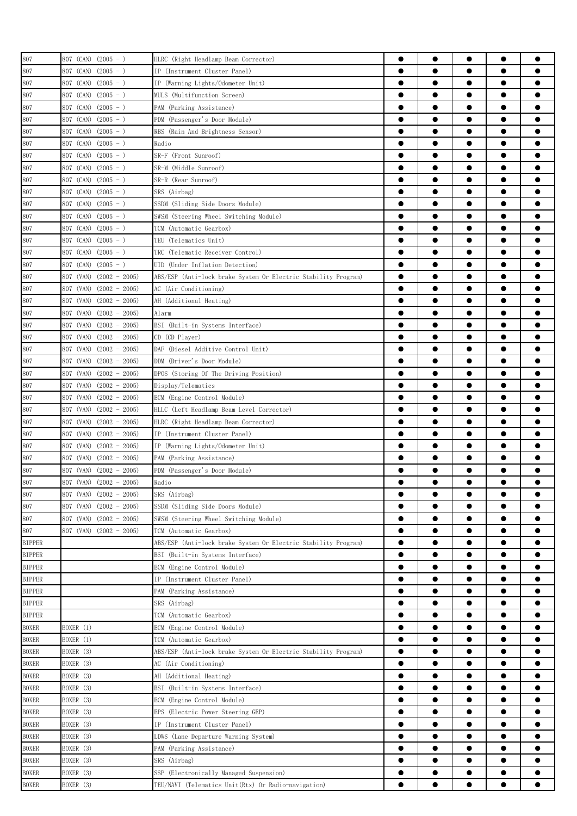| 807                          | 807 (CAN) $(2005 - )$        | HLRC (Right Headlamp Beam Corrector)                           | 0         | $\bullet$ |           | $\bullet$ |           |
|------------------------------|------------------------------|----------------------------------------------------------------|-----------|-----------|-----------|-----------|-----------|
| 807                          | 807 (CAN)<br>$(2005 - )$     | IP (Instrument Cluster Panel)                                  | $\bullet$ |           |           | $\bullet$ |           |
| 807                          | 807 (CAN)<br>$(2005 - )$     | IP (Warning Lights/Odometer Unit)                              | $\bullet$ |           | $\bullet$ | $\bullet$ |           |
| 807                          | 807 (CAN)<br>$(2005 - )$     | MULS (Multifunction Screen)                                    | $\bullet$ | $\bullet$ | $\bullet$ | $\bullet$ | 0         |
| 807                          | $(2005 - )$<br>807 (CAN)     | PAM (Parking Assistance)                                       | $\bullet$ | $\bullet$ | $\bullet$ | $\bullet$ |           |
| 807                          | 807 (CAN)<br>$(2005 - )$     | PDM (Passenger's Door Module)                                  | ●         | ●         |           | $\bullet$ |           |
| 807                          | $(2005 - )$<br>807 (CAN)     | RBS (Rain And Brightness Sensor)                               | ●         | $\bullet$ |           | $\bullet$ | ●         |
| 807                          | 807 (CAN)<br>$(2005 - )$     | Radio                                                          | $\bullet$ |           |           | $\bullet$ |           |
| 807                          | 807 (CAN)<br>$(2005 - )$     | SR-F (Front Sunroof)                                           | 0         | 0         | 0         | $\bullet$ |           |
| 807                          | 807 (CAN)<br>$(2005 - )$     | SR-M (Middle Sunroof)                                          | 0         | 0         | ●         | $\bullet$ |           |
| 807                          | 807 (CAN)<br>$(2005 - )$     | SR-R (Rear Sunroof)                                            | 0         | 0         | 0         | $\bullet$ |           |
|                              |                              |                                                                | 0         | 0         |           |           |           |
| 807                          | 807 (CAN)<br>$(2005 - )$     | SRS (Airbag)                                                   | ●         | ●         |           | $\bullet$ | 0         |
| 807                          | 807 (CAN)<br>$(2005 - )$     | SSDM (Sliding Side Doors Module)                               | $\bullet$ |           | $\bullet$ | $\bullet$ | 0         |
| 807                          | 807 (CAN)<br>$(2005 - )$     | SWSM (Steering Wheel Switching Module)                         | $\bullet$ | $\bullet$ | $\bullet$ | $\bullet$ | 0         |
| 807                          | 807 (CAN)<br>$(2005 - )$     | TCM (Automatic Gearbox)                                        |           |           |           |           |           |
| 807                          | 807 (CAN)<br>$(2005 - )$     | TEU (Telematics Unit)                                          | $\bullet$ |           | $\bullet$ | $\bullet$ |           |
| 807                          | 807 (CAN)<br>$(2005 - )$     | TRC (Telematic Receiver Control)                               | $\bullet$ | $\bullet$ | $\bullet$ | $\bullet$ |           |
| 807                          | $(2005 - )$<br>807 (CAN)     | UID (Under Inflation Detection)                                | $\bullet$ | $\bullet$ | $\bullet$ | $\bullet$ |           |
| 807                          | 807 (VAN)<br>$(2002 - 2005)$ | ABS/ESP (Anti-lock brake System Or Electric Stability Program) | $\bullet$ | $\bullet$ |           | $\bullet$ | ●         |
| 807                          | 807 (VAN)<br>$(2002 - 2005)$ | AC (Air Conditioning)                                          | $\bullet$ |           |           | $\bullet$ |           |
| 807                          | 807 (VAN)<br>$(2002 - 2005)$ | AH (Additional Heating)                                        | $\bullet$ |           |           | $\bullet$ |           |
| 807                          | 807 (VAN)<br>$(2002 - 2005)$ | Alarm                                                          | 0         | 0         |           | $\bullet$ |           |
| 807                          | $(2002 - 2005)$<br>807 (VAN) | BSI (Built-in Systems Interface)                               | 0         |           | 0         | $\bullet$ |           |
| 807                          | 807 (VAN)<br>$(2002 - 2005)$ | CD (CD Player)                                                 | 0         | 0         | 0         |           |           |
| 807                          | 807 (VAN)<br>$(2002 - 2005)$ | DAF (Diesel Additive Control Unit)                             |           |           |           | $\bullet$ |           |
| 807                          | 807 (VAN)<br>$(2002 - 2005)$ | DDM (Driver's Door Module)                                     | $\bullet$ | $\bullet$ | $\bullet$ | $\bullet$ | 0         |
| 807                          | 807 (VAN)<br>$(2002 - 2005)$ | DPOS (Storing Of The Driving Position)                         | $\bullet$ |           | $\bullet$ | $\bullet$ |           |
| 807                          | 807 (VAN)<br>$(2002 - 2005)$ | Display/Telematics                                             | $\bullet$ |           | $\bullet$ | $\bullet$ | 0         |
| 807                          | $(2002 - 2005)$<br>807 (VAN) | ECM (Engine Control Module)                                    | $\bullet$ | $\bullet$ | $\bullet$ | $\bullet$ | 0         |
| 807                          | 807 (VAN)<br>$(2002 - 2005)$ | HLLC (Left Headlamp Beam Level Corrector)                      | $\bullet$ |           | $\bullet$ | $\bullet$ |           |
| 807                          | 807 (VAN)<br>$(2002 - 2005)$ | HLRC (Right Headlamp Beam Corrector)                           | 0         | ●         |           | $\bullet$ |           |
| 807                          | 807 (VAN)<br>$(2002 - 2005)$ | IP (Instrument Cluster Panel)                                  | ●         | ●         | ●         | $\bullet$ |           |
| 807                          | 807 (VAN)<br>$(2002 - 2005)$ | IP (Warning Lights/Odometer Unit)                              | $\bullet$ |           |           | $\bullet$ |           |
| 807                          | 807 (VAN)<br>$(2002 - 2005)$ | PAM (Parking Assistance)                                       | 0         | 0         |           | $\bullet$ |           |
| 807                          | 807 (VAN)<br>$(2002 - 2005)$ | PDM (Passenger's Door Module)                                  |           |           |           | e         |           |
| 807                          | 807 (VAN) (2002 - 2005)      | Radio                                                          | 0         | $\bullet$ |           |           |           |
| 807                          | 807 (VAN) $(2002 - 2005)$    | SRS (Airbag)                                                   | $\bullet$ | $\bullet$ | $\bullet$ | $\bullet$ | 0         |
| 807                          | 807 (VAN)<br>$(2002 - 2005)$ | SSDM (Sliding Side Doors Module)                               | $\bullet$ |           |           | $\bullet$ | ●         |
| 807                          | $(2002 - 2005)$<br>807 (VAN) | SWSM (Steering Wheel Switching Module)                         | $\bullet$ | $\bullet$ | $\bullet$ | $\bullet$ | $\bullet$ |
| 807                          | $(2002 - 2005)$<br>807 (VAN) | TCM (Automatic Gearbox)                                        | $\bullet$ |           | $\bullet$ | $\bullet$ |           |
| <b>BIPPER</b>                |                              | ABS/ESP (Anti-lock brake System Or Electric Stability Program) | $\bullet$ | $\bullet$ | $\bullet$ | $\bullet$ | $\bullet$ |
| <b>BIPPER</b>                |                              | BSI (Built-in Systems Interface)                               | $\bullet$ | $\bullet$ | $\bullet$ | $\bullet$ | $\bullet$ |
| <b>BIPPER</b>                |                              | ECM (Engine Control Module)                                    | $\bullet$ | ●         |           | $\bullet$ |           |
| <b>BIPPER</b>                |                              | IP (Instrument Cluster Panel)                                  | $\bullet$ | ●         |           | $\bullet$ | ●         |
| <b>BIPPER</b>                |                              | PAM (Parking Assistance)                                       | $\bullet$ |           | $\bullet$ | $\bullet$ |           |
| <b>BIPPER</b>                |                              | SRS (Airbag)                                                   | ●         | 0         |           | $\bullet$ |           |
|                              |                              | TCM (Automatic Gearbox)                                        | ●         | 0         | 0         | $\bullet$ |           |
| <b>BIPPER</b>                | BOXER (1)                    | ECM (Engine Control Module)                                    | $\bullet$ | 0         | 0         | $\bullet$ |           |
| <b>BOXER</b><br><b>BOXER</b> | BOXER (1)                    | TCM (Automatic Gearbox)                                        | $\bullet$ | 0         |           | $\bullet$ |           |
|                              |                              |                                                                |           |           |           |           |           |
| <b>BOXER</b>                 | BOXER (3)                    | ABS/ESP (Anti-lock brake System Or Electric Stability Program) | $\bullet$ | ●         |           | $\bullet$ | ●         |
| <b>BOXER</b>                 | BOXER (3)                    | AC (Air Conditioning)                                          | $\bullet$ | $\bullet$ | $\bullet$ | $\bullet$ | $\bullet$ |
| <b>BOXER</b>                 | BOXER (3)                    | AH (Additional Heating)                                        | $\bullet$ | $\bullet$ | $\bullet$ | $\bullet$ | $\bullet$ |
| <b>BOXER</b>                 | BOXER (3)                    | BSI (Built-in Systems Interface)                               | $\bullet$ | $\bullet$ | $\bullet$ | $\bullet$ | Ω         |
| <b>BOXER</b>                 | BOXER (3)                    | ECM (Engine Control Module)                                    | $\bullet$ | $\bullet$ | $\bullet$ | $\bullet$ | $\bullet$ |
| <b>BOXER</b>                 | BOXER (3)                    | EPS (Electric Power Steering GEP)                              | $\bullet$ | $\bullet$ | $\bullet$ | $\bullet$ |           |
| <b>BOXER</b>                 | BOXER (3)                    | IP (Instrument Cluster Panel)                                  | $\bullet$ | $\bullet$ |           | $\bullet$ |           |
| <b>BOXER</b>                 | BOXER (3)                    | LDWS (Lane Departure Warning System)                           | $\bullet$ |           |           | $\bullet$ |           |
| <b>BOXER</b>                 | BOXER (3)                    | PAM (Parking Assistance)                                       | $\bullet$ |           |           | $\bullet$ |           |
| <b>BOXER</b>                 | BOXER (3)                    | SRS (Airbag)                                                   | $\bullet$ | 0         | 0         | $\bullet$ |           |
| <b>BOXER</b>                 | BOXER (3)                    | SSP (Electronically Managed Suspension)                        | $\bullet$ | 0         |           | $\bullet$ |           |
| <b>BOXER</b>                 | BOXER (3)                    | TEU/NAVI (Telematics Unit(Rtx) Or Radio-navigation)            | $\bullet$ |           |           | $\bullet$ |           |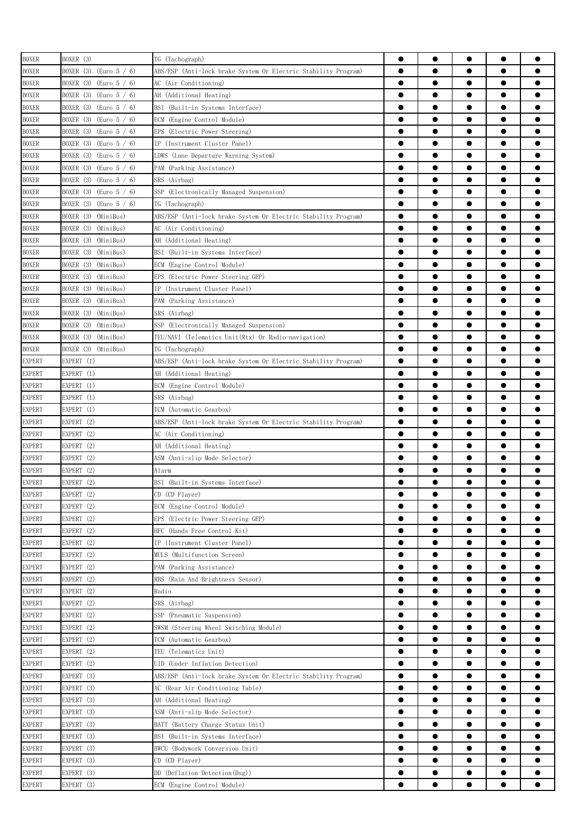| <b>BOXER</b>  | BOXER (3)                          | TG (Tachograph)                                                | $\bullet$ | $\bullet$ | $\bullet$ | $\bullet$ | $\bullet$ |
|---------------|------------------------------------|----------------------------------------------------------------|-----------|-----------|-----------|-----------|-----------|
| <b>BOXER</b>  | BOXER (3)<br>(Euro $5/6$ )         | ABS/ESP (Anti-lock brake System Or Electric Stability Program) | $\bullet$ |           |           | $\bullet$ |           |
|               |                                    | AC (Air Conditioning)                                          | $\bullet$ | $\bullet$ | $\bullet$ | $\bullet$ |           |
| <b>BOXER</b>  | BOXER (3) (Euro 5 / 6)             |                                                                | $\bullet$ | $\bullet$ | $\bullet$ | $\bullet$ |           |
| <b>BOXER</b>  | BOXER (3) (Euro 5 / 6)             | AH (Additional Heating)                                        |           |           |           |           |           |
| <b>BOXER</b>  | BOXER (3) (Euro 5 / 6)             | BSI (Built-in Systems Interface)                               |           |           | ●         | $\bullet$ |           |
| <b>BOXER</b>  | BOXER (3) (Euro 5 / 6)             | ECM (Engine Control Module)                                    |           | ●         | ●         | $\bullet$ | ●         |
| <b>BOXER</b>  | BOXER (3)<br>(Euro 5 / 6)          | EPS<br>(Electric Power Steering)                               | $\bullet$ |           | ●         | $\bullet$ |           |
| <b>BOXER</b>  | BOXER (3) (Euro 5 / 6)             | IP (Instrument Cluster Panel)                                  | $\bullet$ |           | 0         | $\bullet$ |           |
| <b>BOXER</b>  | BOXER (3) (Euro 5 / 6)             | LDWS (Lane Departure Warning System)                           | ●         | 0         | 0         | $\bullet$ |           |
| <b>BOXER</b>  | BOXER $(3)$ (Euro $5 / 6$ )        | PAM (Parking Assistance)                                       | ●         | 0         | 0         | $\bullet$ |           |
| <b>BOXER</b>  | BOXER (3) (Euro 5 / 6)             | SRS (Airbag)                                                   | $\bullet$ |           | 0         | $\bullet$ |           |
| <b>BOXER</b>  | BOXER (3) (Euro 5 / 6)             | SSP (Electronically Managed Suspension)                        |           | ●         |           | $\bullet$ |           |
| <b>BOXER</b>  | BOXER (3)<br>$\text{(Euro 5 / 6)}$ | TG (Tachograph)                                                | $\bullet$ |           |           | $\bullet$ |           |
| <b>BOXER</b>  | BOXER (3)<br>(MiniBus)             | ABS/ESP (Anti-lock brake System Or Electric Stability Program) | $\bullet$ | $\bullet$ | $\bullet$ | $\bullet$ |           |
| <b>BOXER</b>  | BOXER (3)<br>(MiniBus)             | AC (Air Conditioning)                                          | $\bullet$ | $\bullet$ | $\bullet$ | $\bullet$ |           |
| <b>BOXER</b>  | BOXER (3)<br>(MiniBus)             | AH (Additional Heating)                                        | $\bullet$ | $\bullet$ | $\bullet$ | $\bullet$ | 0         |
| <b>BOXER</b>  | (MiniBus)<br>BOXER (3)             | BSI (Built-in Systems Interface)                               | $\bullet$ |           |           | $\bullet$ |           |
| <b>BOXER</b>  | BOXER (3)<br>(MiniBus)             | ECM (Engine Control Module)                                    |           | ●         |           | $\bullet$ |           |
| <b>BOXER</b>  | BOXER (3)<br>(MiniBus)             | EPS<br>(Electric Power Steering GEP)                           | $\bullet$ | ●         |           | $\bullet$ |           |
| <b>BOXER</b>  | BOXER (3)<br>(MiniBus)             | IP (Instrument Cluster Panel)                                  | $\bullet$ |           |           | $\bullet$ |           |
| <b>BOXER</b>  | BOXER (3)<br>(MiniBus)             | PAM (Parking Assistance)                                       | ●         |           |           | $\bullet$ |           |
| <b>BOXER</b>  | BOXER (3)<br>(MiniBus)             | SRS (Airbag)                                                   | $\bullet$ |           |           | $\bullet$ |           |
| <b>BOXER</b>  | BOXER (3)<br>(MiniBus)             | SSP (Electronically Managed Suspension)                        | $\bullet$ |           | 0         | $\bullet$ |           |
| <b>BOXER</b>  | BOXER (3) (MiniBus)                | TEU/NAVI (Telematics Unit(Rtx) Or Radio-navigation)            | $\bullet$ |           | e         | $\bullet$ |           |
| <b>BOXER</b>  | BOXER (3) (MiniBus)                | TG (Tachograph)                                                |           | ●         |           | $\bullet$ | ●         |
|               |                                    |                                                                | $\bullet$ | $\bullet$ | $\bullet$ | $\bullet$ | 0         |
| <b>EXPERT</b> | EXPERT (1)                         | ABS/ESP (Anti-lock brake System Or Electric Stability Program) |           |           |           |           |           |
| <b>EXPERT</b> | EXPERT (1)                         | AH (Additional Heating)                                        | $\bullet$ |           | $\bullet$ | $\bullet$ |           |
| <b>EXPERT</b> | EXPERT (1)                         | ECM (Engine Control Module)                                    | $\bullet$ |           | $\bullet$ | $\bullet$ |           |
| <b>EXPERT</b> | EXPERT (1)                         | SRS (Airbag)                                                   | $\bullet$ |           | $\bullet$ | $\bullet$ |           |
| <b>EXPERT</b> | EXPERT (1)                         | TCM (Automatic Gearbox)                                        |           | ●         |           | $\bullet$ | e         |
| <b>EXPERT</b> | EXPERT (2)                         | ABS/ESP (Anti-lock brake System Or Electric Stability Program) |           |           | ●         | $\bullet$ | ●         |
| <b>EXPERT</b> | EXPERT (2)                         | AC (Air Conditioning)                                          | $\bullet$ | $\bullet$ |           | $\bullet$ | ●         |
| <b>EXPERT</b> | EXPERT (2)                         | AH (Additional Heating)                                        | ●         |           |           | $\bullet$ |           |
| <b>EXPERT</b> | EXPERT (2)                         | ASM (Anti-slip Mode Selector)                                  |           |           |           |           |           |
| <b>EXPERT</b> | EXPERT (2)                         | Alarm                                                          | $\bullet$ |           |           |           |           |
| <b>EXPERT</b> | EXPERT (2)                         | BSI (Built-in Systems Interface)                               | ●         |           |           | ●         |           |
| <b>EXPERT</b> | EXPERT (2)                         | CD (CD Player)                                                 | $\bullet$ | $\bullet$ | $\bullet$ | $\bullet$ |           |
| <b>EXPERT</b> | EXPERT (2)                         | ECM (Engine Control Module)                                    | $\bullet$ | $\bullet$ | $\bullet$ | $\bullet$ | $\bullet$ |
| <b>EXPERT</b> | EXPERT (2)                         | EPS (Electric Power Steering GEP)                              | $\bullet$ | $\bullet$ | $\bullet$ | $\bullet$ |           |
| <b>EXPERT</b> | EXPERT (2)                         | HFC (Hands Free Control Kit)                                   | $\bullet$ | $\bullet$ | $\bullet$ | $\bullet$ | $\bullet$ |
| <b>EXPERT</b> | EXPERT (2)                         | IP (Instrument Cluster Panel)                                  | $\bullet$ | $\bullet$ | $\bullet$ | $\bullet$ | $\bullet$ |
| <b>EXPERT</b> | EXPERT (2)                         | MULS (Multifunction Screen)                                    | $\bullet$ | $\bullet$ | $\bullet$ | $\bullet$ |           |
| <b>EXPERT</b> | EXPERT (2)                         | PAM (Parking Assistance)                                       | $\bullet$ | $\bullet$ |           | $\bullet$ | $\bullet$ |
| <b>EXPERT</b> | EXPERT (2)                         | RBS<br>(Rain And Brightness Sensor)                            | $\bullet$ | $\bullet$ | $\bullet$ | $\bullet$ |           |
| <b>EXPERT</b> | EXPERT (2)                         | Radio                                                          | $\bullet$ |           | $\bullet$ | $\bullet$ |           |
| <b>EXPERT</b> | EXPERT (2)                         | SRS (Airbag)                                                   | $\bullet$ |           | $\bullet$ | $\bullet$ |           |
| <b>EXPERT</b> | EXPERT (2)                         | SSP (Pneumatic Suspension)                                     | $\bullet$ |           |           | $\bullet$ |           |
| <b>EXPERT</b> | EXPERT (2)                         | SWSM (Steering Wheel Switching Module)                         | $\bullet$ |           |           | $\bullet$ |           |
| <b>EXPERT</b> | EXPERT (2)                         | TCM (Automatic Gearbox)                                        | $\bullet$ |           | $\bullet$ | $\bullet$ |           |
|               | EXPERT (2)                         |                                                                | $\bullet$ | $\bullet$ | $\bullet$ | $\bullet$ | $\bullet$ |
| <b>EXPERT</b> |                                    | TEU (Telematics Unit)                                          |           |           |           |           |           |
| <b>EXPERT</b> | EXPERT (2)                         | UID (Under Inflation Detection)                                | $\bullet$ | $\bullet$ | $\bullet$ | $\bullet$ | $\bullet$ |
| <b>EXPERT</b> | EXPERT (3)                         | ABS/ESP (Anti-lock brake System Or Electric Stability Program) | $\bullet$ | $\bullet$ | $\bullet$ | $\bullet$ | $\bullet$ |
| <b>EXPERT</b> | EXPERT (3)                         | AC (Rear Air Conditioning Table)                               | $\bullet$ | $\bullet$ | $\bullet$ | $\bullet$ | $\bullet$ |
| <b>EXPERT</b> | EXPERT (3)                         | AH (Additional Heating)                                        | $\bullet$ | $\bullet$ | $\bullet$ | $\bullet$ |           |
| <b>EXPERT</b> | EXPERT (3)                         | ASM (Anti-slip Mode Selector)                                  | $\bullet$ | $\bullet$ |           | $\bullet$ |           |
| <b>EXPERT</b> | EXPERT (3)                         | BATT (Battery Charge Status Unit)                              | $\bullet$ |           |           | $\bullet$ |           |
| <b>EXPERT</b> | EXPERT (3)                         | BSI (Built-in Systems Interface)                               | $\bullet$ |           |           | $\bullet$ |           |
| <b>EXPERT</b> | EXPERT (3)                         | BWCU (Bodywork Conversion Unit)                                | $\bullet$ | 0         | 0         | $\bullet$ |           |
| <b>EXPERT</b> | EXPERT (3)                         | CD (CD Player)                                                 | ●         |           |           | $\bullet$ |           |
| <b>EXPERT</b> | EXPERT (3)                         | DD (Deflation Detection(Dsg))                                  | $\bullet$ |           |           | $\bullet$ |           |
| <b>EXPERT</b> | EXPERT (3)                         | ECM (Engine Control Module)                                    | $\bullet$ |           |           | $\bullet$ |           |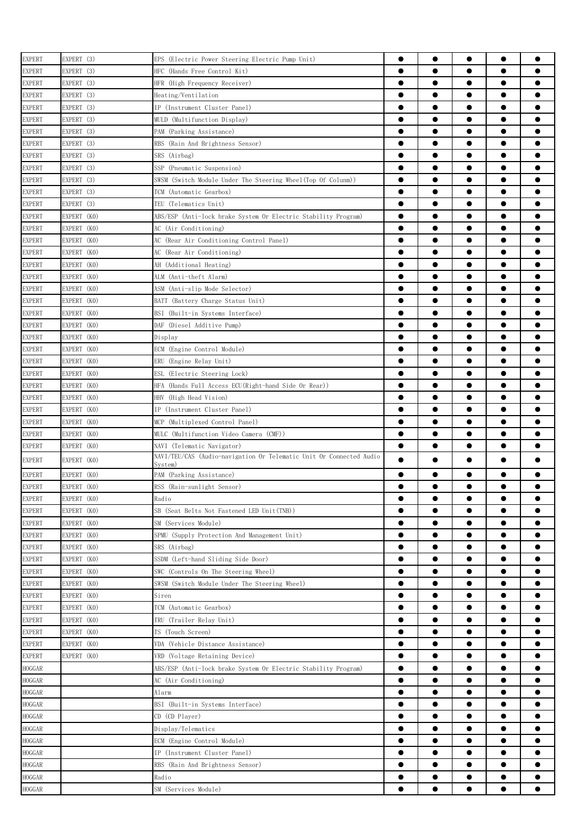| <b>EXPERT</b>                  | EXPERT (3)  | EPS (Electric Power Steering Electric Pump Unit)                               | 0         | $\bullet$ | $\bullet$ | $\bullet$ | 0         |
|--------------------------------|-------------|--------------------------------------------------------------------------------|-----------|-----------|-----------|-----------|-----------|
| <b>EXPERT</b>                  | EXPERT (3)  | HFC (Hands Free Control Kit)                                                   | $\bullet$ |           | $\bullet$ | $\bullet$ | ●         |
| <b>EXPERT</b>                  | EXPERT (3)  | HFR (High Frequency Receiver)                                                  | $\bullet$ | $\bullet$ | $\bullet$ | $\bullet$ |           |
| <b>EXPERT</b>                  | EXPERT (3)  | Heating/Ventilation                                                            | $\bullet$ | $\bullet$ | $\bullet$ | $\bullet$ |           |
| <b>EXPERT</b>                  | EXPERT (3)  | IP (Instrument Cluster Panel)                                                  | $\bullet$ | $\bullet$ | $\bullet$ | $\bullet$ |           |
| <b>EXPERT</b>                  | EXPERT (3)  | MULD (Multifunction Display)                                                   | $\bullet$ | $\bullet$ | $\bullet$ | $\bullet$ |           |
| <b>EXPERT</b>                  | EXPERT (3)  | PAM (Parking Assistance)                                                       | $\bullet$ | $\bullet$ |           | $\bullet$ |           |
| <b>EXPERT</b>                  | EXPERT (3)  | RBS (Rain And Brightness Sensor)                                               | ●         | ●         | ●         | $\bullet$ |           |
| <b>EXPERT</b>                  | EXPERT (3)  | SRS (Airbag)                                                                   | $\bullet$ |           |           | $\bullet$ |           |
| <b>EXPERT</b>                  | EXPERT (3)  | SSP (Pneumatic Suspension)                                                     |           |           | 0         | $\bullet$ |           |
| <b>EXPERT</b>                  | EXPERT (3)  | SWSM (Switch Module Under The Steering Wheel(Top Of Colunm))                   |           | ●         | ●         | $\bullet$ |           |
| <b>EXPERT</b>                  | EXPERT (3)  | TCM (Automatic Gearbox)                                                        | $\bullet$ |           |           | $\bullet$ |           |
| <b>EXPERT</b>                  | EXPERT (3)  | TEU (Telematics Unit)                                                          | $\bullet$ |           | 0         | $\bullet$ |           |
| <b>EXPERT</b>                  | EXPERT (KO) | ABS/ESP (Anti-lock brake System Or Electric Stability Program)                 | $\bullet$ | ●         |           | $\bullet$ | ●         |
| <b>EXPERT</b>                  | EXPERT (KO) | AC (Air Conditioning)                                                          | $\bullet$ | $\bullet$ | $\bullet$ | $\bullet$ | $\bullet$ |
| <b>EXPERT</b>                  | EXPERT (KO) | AC (Rear Air Conditioning Control Panel)                                       | $\bullet$ | $\bullet$ | $\bullet$ | $\bullet$ |           |
| <b>EXPERT</b>                  | EXPERT (KO) | AC (Rear Air Conditioning)                                                     | $\bullet$ | $\bullet$ | $\bullet$ | $\bullet$ |           |
| <b>EXPERT</b>                  | EXPERT (KO) | AH (Additional Heating)                                                        | $\bullet$ | $\bullet$ | $\bullet$ | $\bullet$ |           |
|                                |             |                                                                                | $\bullet$ |           |           | $\bullet$ |           |
| <b>EXPERT</b>                  | EXPERT (KO) | ALM (Anti-theft Alarm)                                                         | $\bullet$ | $\bullet$ | ●         | $\bullet$ |           |
| <b>EXPERT</b>                  | EXPERT (KO) | ASM (Anti-slip Mode Selector)                                                  | $\bullet$ | $\bullet$ | ●         | $\bullet$ |           |
| <b>EXPERT</b>                  | EXPERT (KO) | BATT (Battery Charge Status Unit)                                              |           |           |           |           |           |
| <b>EXPERT</b>                  | EXPERT (KO) | BSI (Built-in Systems Interface)                                               | ●         |           |           | $\bullet$ |           |
| <b>EXPERT</b>                  | EXPERT (KO) | DAF (Diesel Additive Pump)                                                     | 0         |           |           | $\bullet$ |           |
| <b>EXPERT</b>                  | EXPERT (KO) | Display                                                                        | ●         | 0         | 0         | $\bullet$ |           |
| <b>EXPERT</b>                  | EXPERT (KO) | ECM (Engine Control Module)                                                    | $\bullet$ |           |           | $\bullet$ |           |
| <b>EXPERT</b>                  | EXPERT (KO) | ERU (Engine Relay Unit)                                                        | $\bullet$ | ●         |           | $\bullet$ | ●         |
| <b>EXPERT</b>                  | EXPERT (KO) | ESL<br>(Electric Steering Lock)                                                | $\bullet$ | $\bullet$ | $\bullet$ | $\bullet$ | ●         |
| <b>EXPERT</b>                  | EXPERT (KO) | (Hands Full Access ECU(Right-hand Side Or Rear))<br>HFA                        | $\bullet$ | $\bullet$ | $\bullet$ | $\bullet$ |           |
| <b>EXPERT</b>                  | EXPERT (KO) | HHV (High Head Vision)                                                         | $\bullet$ | $\bullet$ | $\bullet$ | $\bullet$ | 0         |
| <b>EXPERT</b>                  | EXPERT (KO) | IP (Instrument Cluster Panel)                                                  | $\bullet$ | $\bullet$ | $\bullet$ | $\bullet$ | 0         |
| <b>EXPERT</b>                  | EXPERT (KO) | MCP (Multiplexed Control Panel)                                                | $\bullet$ | $\bullet$ | $\bullet$ | $\bullet$ |           |
| <b>EXPERT</b>                  | EXPERT (KO) | MULC (Multifunction Video Camera (CMF))                                        | $\bullet$ |           |           | $\bullet$ |           |
| <b>EXPERT</b>                  | EXPERT (KO) | NAVI (Telematic Navigator)                                                     | $\bullet$ | $\bullet$ | $\bullet$ | $\bullet$ |           |
| <b>EXPERT</b>                  | EXPERT (KO) | NAVI/TEU/CAS (Audio-navigation Or Telematic Unit Or Connected Audio<br>Svstem) | $\bullet$ | $\bullet$ |           | $\bullet$ |           |
| <b>EXPERT</b>                  | EXPERT (KO) | PAM (Parking Assistance)                                                       | $\bullet$ | $\bullet$ |           | $\bullet$ |           |
| <b>EXPERT</b>                  | EXPERT (KO) | RSS (Rain-sunlight Sensor)                                                     |           |           |           |           |           |
| <b>EXPERT</b>                  | EXPERT (KO) | Radio                                                                          | $\bullet$ | $\bullet$ | ●         | $\bullet$ |           |
| <b>EXPERT</b>                  | EXPERT (KO) | SB (Seat Belts Not Fastened LED Unit(TNB))                                     | 0         | 0         |           |           |           |
| <b>EXPERT</b>                  | EXPERT (KO) | SM (Services Module)                                                           | $\bullet$ |           |           | $\bullet$ |           |
| <b>EXPERT</b>                  | EXPERT (KO) | SPMU (Supply Protection And Management Unit)                                   | $\bullet$ |           |           | $\bullet$ |           |
| <b>EXPERT</b>                  | EXPERT (KO) | SRS (Airbag)                                                                   | $\bullet$ |           |           |           |           |
| <b>EXPERT</b>                  | EXPERT (KO) | SSDM (Left-hand Sliding Side Door)                                             | $\bullet$ | $\bullet$ |           | $\bullet$ |           |
| <b>EXPERT</b>                  | EXPERT (KO) | SWC (Controls On The Steering Wheel)                                           | $\bullet$ | $\bullet$ | $\bullet$ | $\bullet$ |           |
| <b>EXPERT</b>                  | EXPERT (KO) | SWSM (Switch Module Under The Steering Wheel)                                  | $\bullet$ | $\bullet$ | $\bullet$ | $\bullet$ |           |
| <b>EXPERT</b>                  | EXPERT (KO) | Siren                                                                          | $\bullet$ | $\bullet$ | $\bullet$ | $\bullet$ |           |
|                                | EXPERT (KO) | TCM (Automatic Gearbox)                                                        | $\bullet$ | $\bullet$ | $\bullet$ | $\bullet$ |           |
| <b>EXPERT</b><br><b>EXPERT</b> | EXPERT (KO) | TRU (Trailer Relay Unit)                                                       | $\bullet$ | $\bullet$ |           | $\bullet$ |           |
|                                |             | TS (Touch Screen)                                                              | $\bullet$ | $\bullet$ |           | $\bullet$ | Α         |
| <b>EXPERT</b>                  | EXPERT (KO) |                                                                                | $\bullet$ |           |           | $\bullet$ |           |
| <b>EXPERT</b>                  | EXPERT (KO) | VDA (Vehicle Distance Assistance)                                              |           |           |           |           |           |
| <b>EXPERT</b>                  | EXPERT (KO) | VRD (Voltage Retaining Device)                                                 | $\bullet$ | 0         | 0         | $\bullet$ |           |
| HOGGAR                         |             | ABS/ESP (Anti-lock brake System Or Electric Stability Program)                 | $\bullet$ | 0         | 0         | $\bullet$ |           |
| <b>HOGGAR</b>                  |             | AC (Air Conditioning)                                                          | 0         |           | 0         |           |           |
| <b>HOGGAR</b>                  |             | Alarm                                                                          | $\bullet$ |           |           |           |           |
| <b>HOGGAR</b>                  |             | BSI (Built-in Systems Interface)                                               | $\bullet$ |           |           | $\bullet$ | ●         |
| <b>HOGGAR</b>                  |             | $CD$ $(CD$ $Player)$                                                           | $\bullet$ | $\bullet$ | $\bullet$ | $\bullet$ | $\bullet$ |
| <b>HOGGAR</b>                  |             | Display/Telematics                                                             | $\bullet$ |           | $\bullet$ | $\bullet$ |           |
| <b>HOGGAR</b>                  |             | ECM (Engine Control Module)                                                    | $\bullet$ | $\bullet$ | $\bullet$ | $\bullet$ | Ω         |
| <b>HOGGAR</b>                  |             | IP (Instrument Cluster Panel)                                                  | $\bullet$ | $\bullet$ | $\bullet$ | $\bullet$ |           |
| HOGGAR                         |             | RBS (Rain And Brightness Sensor)                                               | ●         |           |           |           |           |
| HOGGAR                         |             | Radio                                                                          | $\bullet$ | $\bullet$ |           | $\bullet$ |           |
| HOGGAR                         |             | SM (Services Module)                                                           |           |           |           | $\bullet$ |           |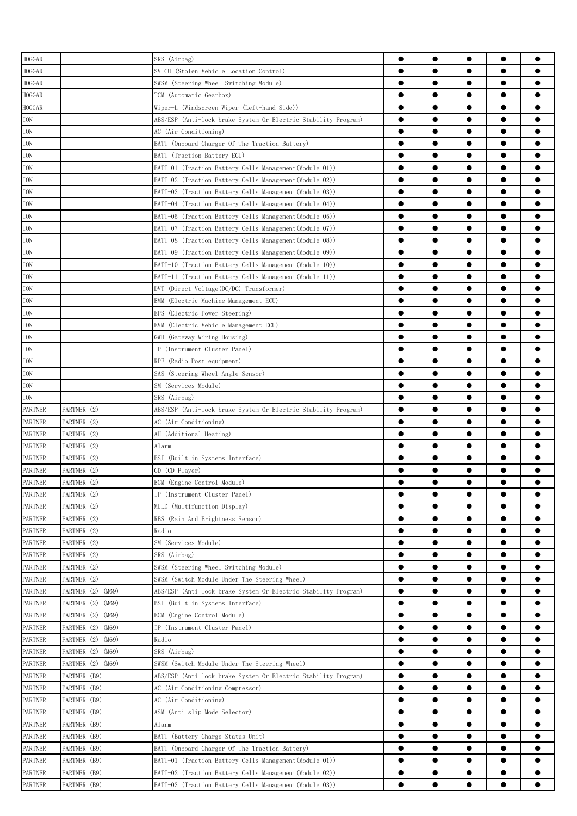| <b>HOGGAR</b>  |                      | SRS (Airbag)                                                   | ●         | $\bullet$ |           | $\bullet$ |           |
|----------------|----------------------|----------------------------------------------------------------|-----------|-----------|-----------|-----------|-----------|
| HOGGAR         |                      | SVLCU (Stolen Vehicle Location Control)                        |           |           |           | $\bullet$ |           |
| HOGGAR         |                      | SWSM (Steering Wheel Switching Module)                         | $\bullet$ | $\bullet$ |           | $\bullet$ |           |
| HOGGAR         |                      | TCM (Automatic Gearbox)                                        | $\bullet$ | $\bullet$ | $\bullet$ | $\bullet$ |           |
| HOGGAR         |                      | Wiper-L (Windscreen Wiper (Left-hand Side))                    |           |           | ●         | $\bullet$ |           |
| ION            |                      | ABS/ESP (Anti-lock brake System Or Electric Stability Program) |           | $\bullet$ | ●         | $\bullet$ |           |
| ION            |                      | AC (Air Conditioning)                                          | $\bullet$ |           |           | $\bullet$ |           |
| ION            |                      | BATT (Onboard Charger Of The Traction Battery)                 | ●         |           |           | $\bullet$ |           |
| ION            |                      | BATT (Traction Battery ECU)                                    | ●         | 0         |           | $\bullet$ |           |
| ION            |                      | BATT-01 (Traction Battery Cells Management(Module 01))         | ●         |           |           | $\bullet$ |           |
| $\rm{ION}$     |                      | BATT-02 (Traction Battery Cells Management(Module 02))         | $\bullet$ |           |           | $\bullet$ |           |
| ION            |                      | BATT-03 (Traction Battery Cells Management(Module 03))         |           | $\bullet$ |           | $\bullet$ |           |
| ION            |                      | BATT-04 (Traction Battery Cells Management(Module 04))         | $\bullet$ | $\bullet$ |           | $\bullet$ |           |
| ION            |                      | BATT-05 (Traction Battery Cells Management(Module 05))         | $\bullet$ | $\bullet$ |           | $\bullet$ |           |
| ION            |                      |                                                                | $\bullet$ | $\bullet$ | $\bullet$ | $\bullet$ |           |
|                |                      | BATT-07 (Traction Battery Cells Management(Module 07))         | $\bullet$ | $\bullet$ | $\bullet$ | $\bullet$ |           |
| ION            |                      | BATT-08 (Traction Battery Cells Management(Module 08))         | $\bullet$ | $\bullet$ |           | $\bullet$ |           |
| ION            |                      | BATT-09 (Traction Battery Cells Management(Module 09))         |           | ●         |           |           |           |
| ION            |                      | BATT-10 (Traction Battery Cells Management(Module 10))         |           |           |           | $\bullet$ |           |
| ION            |                      | BATT-11 (Traction Battery Cells Management(Module 11))         | ●         |           |           | $\bullet$ |           |
| ION            |                      | DVT (Direct Voltage(DC/DC) Transformer)                        | ●         |           |           | $\bullet$ |           |
| ION            |                      | (Electric Machine Management ECU)<br>EMM                       | 0         |           |           | $\bullet$ |           |
| ION            |                      | EPS (Electric Power Steering)                                  | ●         |           |           | $\bullet$ |           |
| ION            |                      | EVM (Electric Vehicle Management ECU)                          | 0         |           |           | $\bullet$ |           |
| ION            |                      | GWH (Gateway Wiring Housing)                                   |           | ●         | e         |           |           |
| ION            |                      | IP (Instrument Cluster Panel)                                  |           | ●         | ●         | $\bullet$ |           |
| ION            |                      | RPE (Radio Post-equipment)                                     | $\bullet$ | $\bullet$ | $\bullet$ | $\bullet$ |           |
| ION            |                      | SAS (Steering Wheel Angle Sensor)                              | $\bullet$ |           |           | $\bullet$ |           |
| ION            |                      | SM (Services Module)                                           |           | $\bullet$ | $\bullet$ | $\bullet$ |           |
| ION            |                      | SRS (Airbag)                                                   | $\bullet$ | $\bullet$ | $\bullet$ | $\bullet$ |           |
| <b>PARTNER</b> | PARTNER (2)          | ABS/ESP (Anti-lock brake System Or Electric Stability Program) |           | ●         |           | $\bullet$ |           |
| <b>PARTNER</b> | PARTNER (2)          | AC (Air Conditioning)                                          |           |           |           | $\bullet$ |           |
| <b>PARTNER</b> | PARTNER (2)          | AH (Additional Heating)                                        | $\bullet$ | $\bullet$ | ●         | $\bullet$ |           |
| <b>PARTNER</b> | PARTNER (2)          | Alarm                                                          | 0         | 0         |           | $\bullet$ |           |
| <b>PARTNER</b> | PARTNER (2)          | BSI (Built-in Systems Interface)                               |           |           |           | O         |           |
| <b>PARTNER</b> | PARTNER (2)          | CD (CD Player)                                                 | $\bullet$ |           |           |           |           |
| <b>PARTNER</b> | PARTNER (2)          | ECM (Engine Control Module)                                    | 0         |           |           |           |           |
| <b>PARTNER</b> | PARTNER (2)          | IP (Instrument Cluster Panel)                                  | $\bullet$ | $\bullet$ | $\bullet$ | $\bullet$ |           |
| <b>PARTNER</b> | PARTNER (2)          | MULD (Multifunction Display)                                   | $\bullet$ | $\bullet$ | $\bullet$ | $\bullet$ |           |
| <b>PARTNER</b> | PARTNER (2)          | RBS (Rain And Brightness Sensor)                               | $\bullet$ | $\bullet$ | $\bullet$ | $\bullet$ |           |
| <b>PARTNER</b> | PARTNER (2)          | Radio                                                          | $\bullet$ | $\bullet$ | $\bullet$ | $\bullet$ | 0         |
| PARTNER        | PARTNER (2)          | SM (Services Module)                                           | $\bullet$ | $\bullet$ | $\bullet$ | $\bullet$ | $\bullet$ |
| <b>PARTNER</b> | PARTNER (2)          | SRS (Airbag)                                                   | $\bullet$ | $\bullet$ | $\bullet$ | $\bullet$ |           |
| <b>PARTNER</b> | PARTNER (2)          | SWSM (Steering Wheel Switching Module)                         |           | $\bullet$ |           | $\bullet$ |           |
| <b>PARTNER</b> | PARTNER (2)          | SWSM (Switch Module Under The Steering Wheel)                  | $\bullet$ | $\bullet$ |           | $\bullet$ |           |
| <b>PARTNER</b> | PARTNER (2)<br>(M69) | ABS/ESP (Anti-lock brake System Or Electric Stability Program) | $\bullet$ |           | $\bullet$ | $\bullet$ |           |
| <b>PARTNER</b> | PARTNER (2) (M69)    | BSI (Built-in Systems Interface)                               | $\bullet$ |           | $\bullet$ | $\bullet$ |           |
| <b>PARTNER</b> | PARTNER (2) (M69)    | ECM (Engine Control Module)                                    | $\bullet$ |           |           | $\bullet$ |           |
| PARTNER        | PARTNER (2) (M69)    | IP (Instrument Cluster Panel)                                  | $\bullet$ |           |           | $\bullet$ |           |
| <b>PARTNER</b> | PARTNER (2) (M69)    | Radio                                                          | $\bullet$ |           |           | $\bullet$ |           |
| <b>PARTNER</b> | PARTNER (2)<br>(M69) | SRS (Airbag)                                                   | $\bullet$ | $\bullet$ | $\bullet$ | $\bullet$ | $\bullet$ |
| PARTNER        | PARTNER (2)<br>(M69) | SWSM (Switch Module Under The Steering Wheel)                  | $\bullet$ | $\bullet$ | $\bullet$ | $\bullet$ | $\bullet$ |
| <b>PARTNER</b> | PARTNER (B9)         | ABS/ESP (Anti-lock brake System Or Electric Stability Program) | $\bullet$ | $\bullet$ | $\bullet$ | $\bullet$ |           |
| PARTNER        | PARTNER (B9)         | AC (Air Conditioning Compressor)                               | $\bullet$ | $\bullet$ | $\bullet$ | $\bullet$ | $\bullet$ |
| PARTNER        | PARTNER (B9)         | AC (Air Conditioning)                                          | $\bullet$ | $\bullet$ | $\bullet$ | $\bullet$ |           |
| <b>PARTNER</b> | PARTNER (B9)         | ASM (Anti-slip Mode Selector)                                  |           |           |           | $\bullet$ |           |
|                | PARTNER (B9)         | Alarm                                                          | $\bullet$ |           |           | $\bullet$ |           |
| <b>PARTNER</b> |                      |                                                                | $\bullet$ |           |           | $\bullet$ |           |
| <b>PARTNER</b> | PARTNER (B9)         | BATT (Battery Charge Status Unit)                              | ●         | 0         |           | $\bullet$ |           |
| <b>PARTNER</b> | PARTNER (B9)         | BATT (Onboard Charger Of The Traction Battery)                 | ●         |           |           |           |           |
| <b>PARTNER</b> | PARTNER (B9)         | BATT-01 (Traction Battery Cells Management(Module 01))         |           |           | 0         | $\bullet$ |           |
| PARTNER        | PARTNER (B9)         | BATT-02 (Traction Battery Cells Management(Module 02))         | $\bullet$ |           |           | $\bullet$ |           |
| <b>PARTNER</b> | PARTNER (B9)         | BATT-03 (Traction Battery Cells Management(Module 03))         |           |           |           | ●         |           |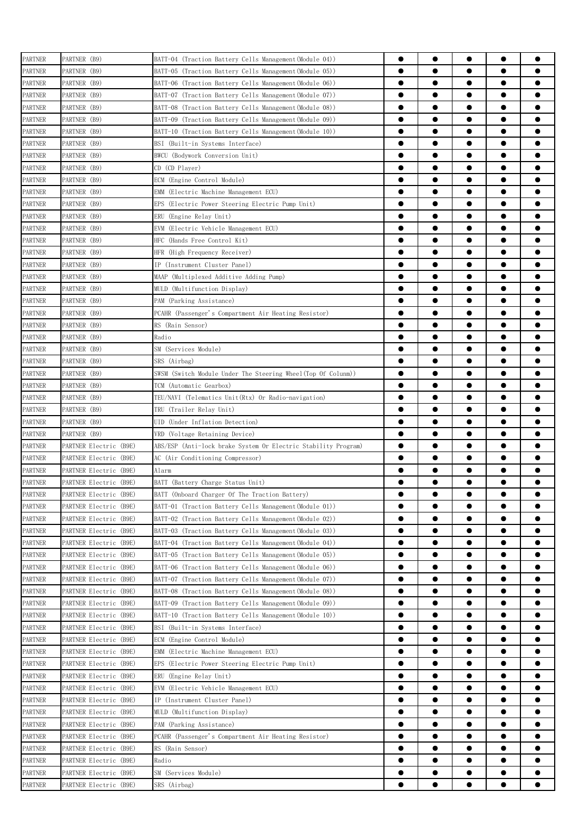| <b>PARTNER</b> | PARTNER (B9)           | BATT-04 (Traction Battery Cells Management(Module 04))         | ●         | $\bullet$ | $\bullet$ | $\bullet$ | $\bullet$ |
|----------------|------------------------|----------------------------------------------------------------|-----------|-----------|-----------|-----------|-----------|
| <b>PARTNER</b> | PARTNER (B9)           | BATT-05 (Traction Battery Cells Management(Module 05))         | $\bullet$ |           | $\bullet$ | $\bullet$ |           |
| <b>PARTNER</b> | PARTNER (B9)           | BATT-06 (Traction Battery Cells Management(Module 06))         | $\bullet$ |           | $\bullet$ | $\bullet$ |           |
| PARTNER        | PARTNER (B9)           | BATT-07 (Traction Battery Cells Management(Module 07))         | $\bullet$ | $\bullet$ | $\bullet$ | $\bullet$ | ●         |
| PARTNER        | PARTNER (B9)           | BATT-08 (Traction Battery Cells Management(Module 08))         |           |           | ●         | $\bullet$ |           |
| <b>PARTNER</b> | PARTNER (B9)           | BATT-09 (Traction Battery Cells Management(Module 09))         | ●         | $\bullet$ | ●         |           |           |
| <b>PARTNER</b> | PARTNER (B9)           | BATT-10 (Traction Battery Cells Management(Module 10))         | ●         |           | ●         | $\bullet$ |           |
|                |                        |                                                                | ●         |           |           | $\bullet$ |           |
| PARTNER        | PARTNER (B9)           | BSI (Built-in Systems Interface)                               |           |           |           |           |           |
| <b>PARTNER</b> | PARTNER (B9)           | BWCU (Bodywork Conversion Unit)                                | e         |           | e         | $\bullet$ |           |
| <b>PARTNER</b> | PARTNER (B9)           | CD (CD Player)                                                 |           |           |           | $\bullet$ |           |
| PARTNER        | PARTNER (B9)           | ECM (Engine Control Module)                                    | 0         |           |           | $\bullet$ |           |
| <b>PARTNER</b> | PARTNER (B9)           | EMM (Electric Machine Management ECU)                          | $\bullet$ | $\bullet$ |           | $\bullet$ | ●         |
| <b>PARTNER</b> | PARTNER (B9)           | EPS<br>(Electric Power Steering Electric Pump Unit)            | $\bullet$ |           | $\bullet$ | $\bullet$ |           |
| PARTNER        | PARTNER (B9)           | ERU<br>(Engine Relay Unit)                                     | $\bullet$ |           | $\bullet$ | $\bullet$ |           |
| PARTNER        | PARTNER (B9)           | EVM<br>(Electric Vehicle Management ECU)                       | $\bullet$ |           | $\bullet$ | $\bullet$ |           |
| PARTNER        | PARTNER (B9)           | HFC<br>(Hands Free Control Kit)                                | $\bullet$ |           | $\bullet$ | $\bullet$ |           |
|                | PARTNER (B9)           | HFR (High Frequency Receiver)                                  | $\bullet$ |           | ●         | $\bullet$ |           |
| PARTNER        |                        |                                                                |           |           |           | $\bullet$ |           |
| PARTNER        | PARTNER (B9)           | IP (Instrument Cluster Panel)                                  |           |           | ●         |           |           |
| <b>PARTNER</b> | PARTNER (B9)           | MAAP (Multiplexed Additive Adding Pump)                        | ●         |           |           | $\bullet$ |           |
| PARTNER        | PARTNER (B9)           | MULD (Multifunction Display)                                   |           |           |           | $\bullet$ |           |
| <b>PARTNER</b> | PARTNER (B9)           | PAM (Parking Assistance)                                       | 0         |           |           | $\bullet$ |           |
| <b>PARTNER</b> | PARTNER (B9)           | PCAHR (Passenger's Compartment Air Heating Resistor)           | 0         |           |           | $\bullet$ |           |
| <b>PARTNER</b> | PARTNER (B9)           | RS (Rain Sensor)                                               | 0         |           | 0         | $\bullet$ |           |
| <b>PARTNER</b> | PARTNER (B9)           | Radio                                                          |           |           | ●         | $\bullet$ |           |
| <b>PARTNER</b> | PARTNER (B9)           | SM (Services Module)                                           |           |           | ●         |           |           |
|                | PARTNER (B9)           |                                                                | $\bullet$ |           |           | $\bullet$ |           |
| <b>PARTNER</b> |                        | SRS (Airbag)                                                   |           |           |           |           |           |
| PARTNER        | PARTNER (B9)           | SWSM (Switch Module Under The Steering Wheel(Top Of Colunm))   | $\bullet$ |           | $\bullet$ | $\bullet$ |           |
| PARTNER        | PARTNER (B9)           | TCM (Automatic Gearbox)                                        | $\bullet$ |           | $\bullet$ | $\bullet$ | ●         |
| PARTNER        | PARTNER (B9)           | TEU/NAVI (Telematics Unit(Rtx) Or Radio-navigation)            | $\bullet$ |           | $\bullet$ | $\bullet$ | ●         |
| PARTNER        | PARTNER (B9)           | TRU (Trailer Relay Unit)                                       |           |           |           | $\bullet$ |           |
| PARTNER        | PARTNER (B9)           | (Under Inflation Detection)<br>UID-                            | ●         | $\bullet$ | ●         |           |           |
| <b>PARTNER</b> | PARTNER (B9)           | VRD (Voltage Retaining Device)                                 | $\bullet$ | $\bullet$ | $\bullet$ | $\bullet$ |           |
| <b>PARTNER</b> | PARTNER Electric (B9E) | ABS/ESP (Anti-lock brake System Or Electric Stability Program) |           |           |           | $\bullet$ |           |
| <b>PARTNER</b> | PARTNER Electric (B9E) | AC (Air Conditioning Compressor)                               |           |           |           |           |           |
| <b>PARTNER</b> | PARTNER Electric (B9E) | Alarm                                                          | 0         |           |           |           |           |
| <b>PARTNER</b> | PARTNER Electric (B9E) | BATT (Battery Charge Status Unit)                              | ●         |           |           | Α         |           |
|                |                        |                                                                |           | $\bullet$ |           |           |           |
| <b>PARTNER</b> | PARTNER Electric (B9E) | BATT (Onboard Charger Of The Traction Battery)                 | $\bullet$ |           | $\bullet$ | $\bullet$ |           |
| <b>PARTNER</b> | PARTNER Electric (B9E) | BATT-01 (Traction Battery Cells Management(Module 01))         | $\bullet$ |           | $\bullet$ | $\bullet$ |           |
| <b>PARTNER</b> | PARTNER Electric (B9E) | BATT-02 (Traction Battery Cells Management (Module 02))        | $\bullet$ |           | $\bullet$ | $\bullet$ |           |
| <b>PARTNER</b> | PARTNER Electric (B9E) | BATT-03 (Traction Battery Cells Management (Module 03))        | $\bullet$ |           | $\bullet$ | $\bullet$ | ●         |
| PARTNER        | PARTNER Electric (B9E) | BATT-04 (Traction Battery Cells Management(Module 04))         | $\bullet$ | $\bullet$ | $\bullet$ | $\bullet$ | $\bullet$ |
| PARTNER        | PARTNER Electric (B9E) | BATT-05 (Traction Battery Cells Management(Module 05))         | $\bullet$ |           | $\bullet$ | $\bullet$ | ●         |
| <b>PARTNER</b> | PARTNER Electric (B9E) | BATT-06 (Traction Battery Cells Management(Module 06))         | $\bullet$ | $\bullet$ | $\bullet$ | $\bullet$ | ●         |
| <b>PARTNER</b> | PARTNER Electric (B9E) | BATT-07 (Traction Battery Cells Management (Module 07))        | $\bullet$ |           | $\bullet$ | $\bullet$ |           |
| <b>PARTNER</b> | PARTNER Electric (B9E) | BATT-08 (Traction Battery Cells Management(Module 08))         | $\bullet$ |           |           | $\bullet$ |           |
|                |                        | BATT-09 (Traction Battery Cells Management(Module 09))         | $\bullet$ |           |           | $\bullet$ |           |
| <b>PARTNER</b> | PARTNER Electric (B9E) |                                                                |           |           |           |           |           |
| <b>PARTNER</b> | PARTNER Electric (B9E) | BATT-10 (Traction Battery Cells Management(Module 10))         | $\bullet$ |           |           | $\bullet$ |           |
| PARTNER        | PARTNER Electric (B9E) | BSI (Built-in Systems Interface)                               |           |           |           | $\bullet$ |           |
| <b>PARTNER</b> | PARTNER Electric (B9E) | ECM (Engine Control Module)                                    | $\bullet$ | $\bullet$ |           | $\bullet$ | ●         |
| <b>PARTNER</b> | PARTNER Electric (B9E) | EMM<br>(Electric Machine Management ECU)                       | $\bullet$ | $\bullet$ | $\bullet$ | $\bullet$ | ●         |
| PARTNER        | PARTNER Electric (B9E) | EPS<br>(Electric Power Steering Electric Pump Unit)            | $\bullet$ |           | $\bullet$ | $\bullet$ |           |
| PARTNER        | PARTNER Electric (B9E) | ERU (Engine Relay Unit)                                        | $\bullet$ | $\bullet$ | $\bullet$ | $\bullet$ | ●         |
| PARTNER        | PARTNER Electric (B9E) | EVM (Electric Vehicle Management ECU)                          | $\bullet$ | $\bullet$ | $\bullet$ | $\bullet$ |           |
| PARTNER        | PARTNER Electric (B9E) | IP (Instrument Cluster Panel)                                  | $\bullet$ |           | $\bullet$ | $\bullet$ | ●         |
|                |                        |                                                                | $\bullet$ |           | $\bullet$ | $\bullet$ | ●         |
| <b>PARTNER</b> | PARTNER Electric (B9E) | MULD (Multifunction Display)                                   |           |           |           |           |           |
| <b>PARTNER</b> | PARTNER Electric (B9E) | PAM (Parking Assistance)                                       |           |           |           | $\bullet$ |           |
| <b>PARTNER</b> | PARTNER Electric (B9E) | PCAHR (Passenger's Compartment Air Heating Resistor)           | $\bullet$ |           |           | $\bullet$ |           |
| <b>PARTNER</b> | PARTNER Electric (B9E) | RS (Rain Sensor)                                               |           |           |           | $\bullet$ |           |
| <b>PARTNER</b> | PARTNER Electric (B9E) | Radio                                                          |           |           |           |           |           |
| <b>PARTNER</b> | PARTNER Electric (B9E) | SM (Services Module)                                           | $\bullet$ |           |           |           |           |
| <b>PARTNER</b> | PARTNER Electric (B9E) | SRS (Airbag)                                                   |           |           |           |           |           |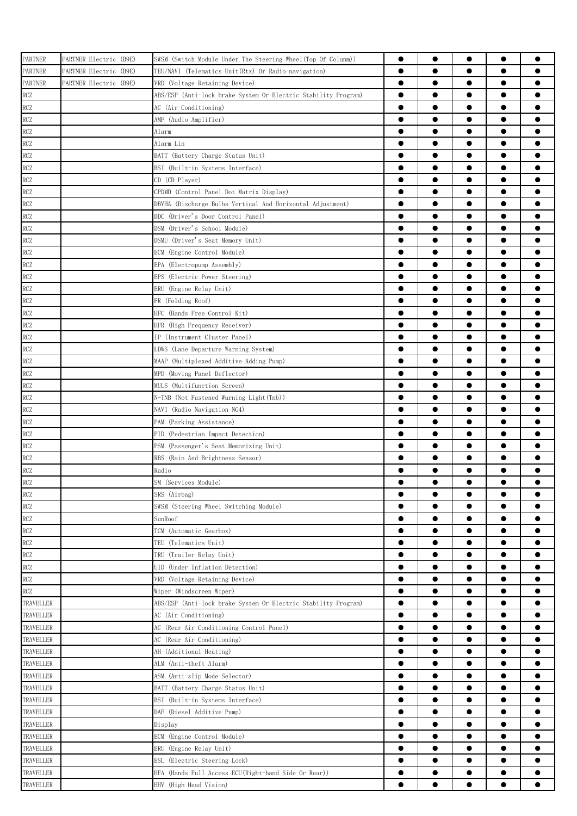| <b>PARTNER</b> | PARTNER Electric (B9E) | SWSM (Switch Module Under The Steering Wheel(Top Of Colunm))   | $\bullet$ | $\bullet$ |           | $\bullet$ |   |
|----------------|------------------------|----------------------------------------------------------------|-----------|-----------|-----------|-----------|---|
| <b>PARTNER</b> | PARTNER Electric (B9E) | TEU/NAVI (Telematics Unit(Rtx) Or Radio-navigation)            | $\bullet$ | $\bullet$ |           | $\bullet$ |   |
| <b>PARTNER</b> | PARTNER Electric (B9E) | VRD (Voltage Retaining Device)                                 | $\bullet$ | $\bullet$ | $\bullet$ | $\bullet$ |   |
| RCZ            |                        | ABS/ESP (Anti-lock brake System Or Electric Stability Program) | $\bullet$ | $\bullet$ | $\bullet$ | $\bullet$ |   |
| RCZ            |                        | AC (Air Conditioning)                                          | $\bullet$ | $\bullet$ | $\bullet$ | $\bullet$ |   |
| RCZ            |                        | AMP (Audio Amplifier)                                          | $\bullet$ | $\bullet$ | $\bullet$ | $\bullet$ | ● |
| RCZ            |                        | Alarm                                                          | $\bullet$ | $\bullet$ | $\bullet$ | $\bullet$ |   |
| <b>RCZ</b>     |                        | Alarm Lin                                                      | $\bullet$ | $\bullet$ | $\bullet$ | $\bullet$ |   |
| <b>RCZ</b>     |                        | BATT (Battery Charge Status Unit)                              | $\bullet$ | $\bullet$ |           | $\bullet$ |   |
| RCZ            |                        | BSI (Built-in Systems Interface)                               | $\bullet$ |           |           | $\bullet$ |   |
| RCZ            |                        | CD (CD Player)                                                 | $\bullet$ |           | 0         | $\bullet$ |   |
| RCZ            |                        | CPDMD (Control Panel Dot Matrix Display)                       | $\bullet$ | 0         |           | $\bullet$ |   |
| RCZ            |                        | DBVHA (Discharge Bulbs Vertical And Horizontal Adjustment)     | $\bullet$ |           | 0         | $\bullet$ |   |
| RCZ            |                        | DDC (Driver's Door Control Panel)                              | $\bullet$ |           |           | $\bullet$ |   |
| RCZ            |                        | DSM (Driver's School Module)                                   | $\bullet$ | $\bullet$ |           | $\bullet$ | Α |
| RCZ            |                        | DSMU (Driver's Seat Memory Unit)                               | $\bullet$ | $\bullet$ | $\bullet$ | $\bullet$ |   |
| <b>RCZ</b>     |                        | ECM (Engine Control Module)                                    | $\bullet$ | $\bullet$ | $\bullet$ | $\bullet$ |   |
| RCZ            |                        | EPA (Electropump Assembly)                                     | $\bullet$ | $\bullet$ | $\bullet$ | $\bullet$ |   |
| <b>RCZ</b>     |                        | EPS (Electric Power Steering)                                  | $\bullet$ | $\bullet$ | $\bullet$ | $\bullet$ |   |
| <b>RCZ</b>     |                        | ERU (Engine Relay Unit)                                        | $\bullet$ | $\bullet$ |           | $\bullet$ |   |
| RCZ            |                        | FR (Folding Roof)                                              | $\bullet$ | $\bullet$ |           | $\bullet$ |   |
| <b>RCZ</b>     |                        | HFC (Hands Free Control Kit)                                   | $\bullet$ |           |           | $\bullet$ |   |
| RCZ            |                        | HFR (High Frequency Receiver)                                  | $\bullet$ |           | 0         | $\bullet$ |   |
| RCZ            |                        | IP (Instrument Cluster Panel)                                  | 0         | 0         |           | $\bullet$ |   |
| RCZ            |                        | LDWS (Lane Departure Warning System)                           | $\bullet$ | 0         |           | $\bullet$ |   |
| <b>RCZ</b>     |                        | MAAP (Multiplexed Additive Adding Pump)                        | $\bullet$ | $\bullet$ |           | $\bullet$ |   |
| <b>RCZ</b>     |                        | MPD (Moving Panel Deflector)                                   | $\bullet$ | $\bullet$ |           | $\bullet$ | o |
| RCZ            |                        | MULS (Multifunction Screen)                                    | $\bullet$ | $\bullet$ | $\bullet$ | $\bullet$ |   |
| RCZ            |                        | N-TNB (Not Fastened Warning Light (Tnb))                       | $\bullet$ |           | $\bullet$ | $\bullet$ |   |
| <b>RCZ</b>     |                        | NAVI (Radio Navigation NG4)                                    | $\bullet$ | $\bullet$ | $\bullet$ | $\bullet$ |   |
| RCZ            |                        | PAM (Parking Assistance)                                       | $\bullet$ | $\bullet$ | $\bullet$ | $\bullet$ |   |
| RCZ            |                        | PID (Pedestrian Impact Detection)                              | $\bullet$ | $\bullet$ | $\bullet$ | $\bullet$ |   |
| RCZ            |                        | PSM (Passenger's Seat Memorizing Unit)                         | $\bullet$ | ●         |           | $\bullet$ |   |
| <b>RCZ</b>     |                        | RBS (Rain And Brightness Sensor)                               | $\bullet$ | $\bullet$ | $\bullet$ | $\bullet$ |   |
| RCZ            |                        | Radio                                                          | $\bullet$ |           |           | $\bullet$ |   |
| <b>RCZ</b>     |                        | SM (Services Module)                                           |           | ●         |           | ●         |   |
| <b>RCZ</b>     |                        | SRS (Airbag)                                                   | $\bullet$ | $\bullet$ | $\bullet$ | $\bullet$ |   |
| RCZ            |                        | SWSM (Steering Wheel Switching Module)                         | 0         |           |           |           |   |
| RCZ            |                        | SunRoof                                                        | $\bullet$ | $\bullet$ |           | $\bullet$ |   |
| RCZ            |                        | TCM (Automatic Gearbox)                                        | $\bullet$ | $\bullet$ | $\bullet$ | $\bullet$ |   |
| RCZ            |                        | TEU (Telematics Unit)                                          | $\bullet$ | $\bullet$ | $\bullet$ | $\bullet$ |   |
| <b>RCZ</b>     |                        | TRU (Trailer Relay Unit)                                       | $\bullet$ | $\bullet$ | $\bullet$ | $\bullet$ |   |
| RCZ            |                        | UID (Under Inflation Detection)                                | $\bullet$ | $\bullet$ | $\bullet$ | $\bullet$ |   |
| <b>RCZ</b>     |                        | VRD (Voltage Retaining Device)                                 | $\bullet$ | $\bullet$ | $\bullet$ | $\bullet$ |   |
| <b>RCZ</b>     |                        | Wiper (Windscreen Wiper)                                       | $\bullet$ | $\bullet$ |           | $\bullet$ |   |
| TRAVELLER      |                        | ABS/ESP (Anti-lock brake System Or Electric Stability Program) | $\bullet$ | $\bullet$ | ●         | $\bullet$ |   |
| TRAVELLER      |                        | AC (Air Conditioning)                                          | $\bullet$ |           |           | $\bullet$ |   |
| TRAVELLER      |                        | AC (Rear Air Conditioning Control Panel)                       | $\bullet$ |           | 0         | $\bullet$ |   |
| TRAVELLER      |                        | AC (Rear Air Conditioning)                                     | ●         |           | e         | $\bullet$ |   |
|                |                        |                                                                | 0         | 0         |           |           |   |
| TRAVELLER      |                        | AH (Additional Heating)                                        | 0         |           | 0         | $\bullet$ |   |
| TRAVELLER      |                        | ALM (Anti-theft Alarm)                                         |           |           |           |           | ● |
| TRAVELLER      |                        | ASM (Anti-slip Mode Selector)                                  | $\bullet$ |           |           | $\bullet$ |   |
| TRAVELLER      |                        | BATT (Battery Charge Status Unit)                              | $\bullet$ | $\bullet$ | $\bullet$ | $\bullet$ |   |
| TRAVELLER      |                        | BSI<br>(Built-in Systems Interface)                            | $\bullet$ | $\bullet$ | $\bullet$ | $\bullet$ |   |
| TRAVELLER      |                        | DAF (Diesel Additive Pump)                                     | $\bullet$ | $\bullet$ | $\bullet$ | $\bullet$ |   |
| TRAVELLER      |                        | Display                                                        | $\bullet$ | $\bullet$ | $\bullet$ | $\bullet$ |   |
| TRAVELLER      |                        | ECM (Engine Control Module)                                    | $\bullet$ | $\bullet$ |           | $\bullet$ |   |
| TRAVELLER      |                        | ERU (Engine Relay Unit)                                        | $\bullet$ | $\bullet$ | ●         | $\bullet$ |   |
| TRAVELLER      |                        | ESL (Electric Steering Lock)                                   | $\bullet$ | $\bullet$ |           | $\bullet$ |   |
| TRAVELLER      |                        | HFA (Hands Full Access ECU(Right-hand Side Or Rear))           |           |           |           | $\bullet$ |   |
| TRAVELLER      |                        | HHV (High Head Vision)                                         |           |           |           | ●         |   |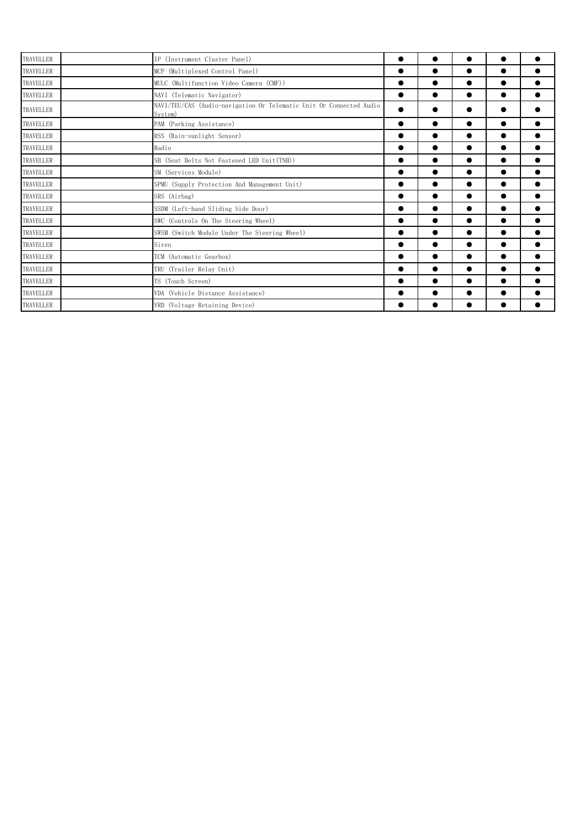| TRAVELLER | IP (Instrument Cluster Panel)                                                  |           |           | $\bullet$ |           |  |
|-----------|--------------------------------------------------------------------------------|-----------|-----------|-----------|-----------|--|
| TRAVELLER | MCP (Multiplexed Control Panel)                                                | 0         | $\bullet$ | ●         |           |  |
| TRAVELLER | MULC (Multifunction Video Camera (CMF))                                        |           |           |           |           |  |
| TRAVELLER | NAVI (Telematic Navigator)                                                     | $\bullet$ | $\bullet$ | $\bullet$ | $\bullet$ |  |
| TRAVELLER | NAVI/TEU/CAS (Audio-navigation Or Telematic Unit Or Connected Audio<br>System) |           |           |           |           |  |
| TRAVELLER | PAM (Parking Assistance)                                                       | 0         |           | ●         |           |  |
| TRAVELLER | RSS (Rain-sunlight Sensor)                                                     | ●         | $\bullet$ | $\bullet$ | $\bullet$ |  |
| TRAVELLER | Radio                                                                          | 0         | $\bullet$ |           |           |  |
| TRAVELLER | SB (Seat Belts Not Fastened LED Unit (TNB))                                    |           | $\bullet$ |           | $\bullet$ |  |
| TRAVELLER | SM (Services Module)                                                           |           | $\bullet$ | $\bullet$ | $\bullet$ |  |
| TRAVELLER | SPMU (Supply Protection And Management Unit)                                   |           |           | $\bullet$ | $\bullet$ |  |
| TRAVELLER | SRS (Airbag)                                                                   |           | $\bullet$ | $\bullet$ | $\bullet$ |  |
| TRAVELLER | SSDM (Left-hand Sliding Side Door)                                             | ●         |           | $\bullet$ | $\bullet$ |  |
| TRAVELLER | SWC (Controls On The Steering Wheel)                                           | $\bullet$ | $\bullet$ | $\bullet$ | $\bullet$ |  |
| TRAVELLER | SWSM (Switch Module Under The Steering Wheel)                                  | $\bullet$ |           | $\bullet$ | $\bullet$ |  |
| TRAVELLER | Siren                                                                          | $\bullet$ | $\bullet$ | $\bullet$ | $\bullet$ |  |
| TRAVELLER | TCM (Automatic Gearbox)                                                        | ●         | ●         | ●         |           |  |
| TRAVELLER | TRU (Trailer Relay Unit)                                                       | $\bullet$ | $\bullet$ | $\bullet$ | $\bullet$ |  |
| TRAVELLER | TS (Touch Screen)                                                              |           | $\bullet$ |           | $\bullet$ |  |
| TRAVELLER | VDA (Vehicle Distance Assistance)                                              |           | $\bullet$ |           |           |  |
| TRAVELLER | VRD (Voltage Retaining Device)                                                 |           |           |           |           |  |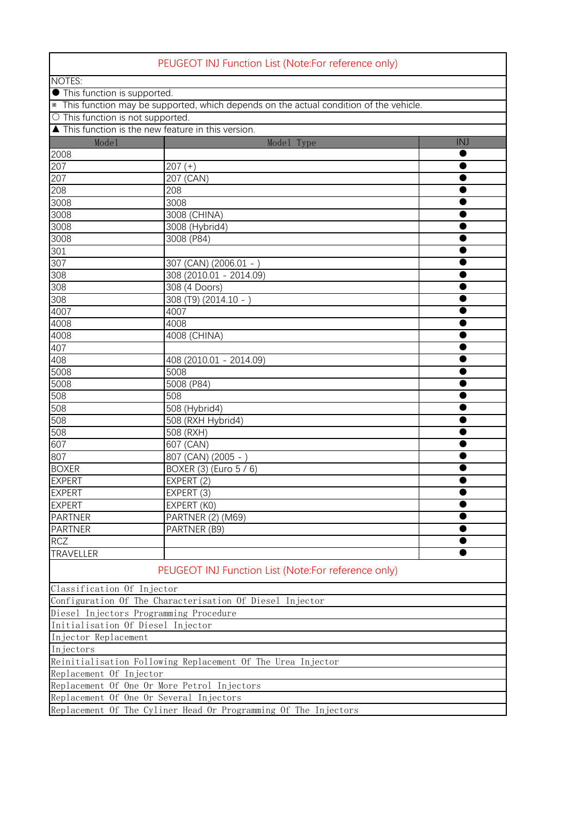| PEUGEOT INJ Function List (Note:For reference only)                                     |                         |     |  |  |
|-----------------------------------------------------------------------------------------|-------------------------|-----|--|--|
| <b>NOTES:</b>                                                                           |                         |     |  |  |
| • This function is supported.                                                           |                         |     |  |  |
| * This function may be supported, which depends on the actual condition of the vehicle. |                         |     |  |  |
| O This function is not supported.                                                       |                         |     |  |  |
| ▲ This function is the new feature in this version.                                     |                         |     |  |  |
| Mode1                                                                                   | Model Type              | INJ |  |  |
| 2008                                                                                    |                         |     |  |  |
| 207                                                                                     | $207 (+)$               |     |  |  |
| 207                                                                                     | 207 (CAN)               |     |  |  |
| 208                                                                                     | 208                     |     |  |  |
| 3008                                                                                    | 3008                    |     |  |  |
| 3008                                                                                    | 3008 (CHINA)            |     |  |  |
| 3008                                                                                    | 3008 (Hybrid4)          |     |  |  |
| 3008                                                                                    | 3008 (P84)              |     |  |  |
| 301                                                                                     |                         |     |  |  |
| 307                                                                                     | 307 (CAN) (2006.01 - )  |     |  |  |
| 308                                                                                     | 308 (2010.01 - 2014.09) |     |  |  |
| 308                                                                                     | 308 (4 Doors)           |     |  |  |
| 308                                                                                     | 308 (T9) (2014.10 - )   |     |  |  |
| 4007                                                                                    | 4007                    |     |  |  |
| 4008                                                                                    | 4008                    |     |  |  |
| 4008                                                                                    | 4008 (CHINA)            |     |  |  |
| 407                                                                                     |                         |     |  |  |
| 408                                                                                     | 408 (2010.01 - 2014.09) |     |  |  |
| $5008$                                                                                  | 5008                    |     |  |  |
| 5008                                                                                    | 5008 (P84)              |     |  |  |
| 508                                                                                     | 508                     |     |  |  |
| 508                                                                                     | 508 (Hybrid4)           |     |  |  |
| 508                                                                                     | 508 (RXH Hybrid4)       |     |  |  |
| 508                                                                                     | 508 (RXH)               |     |  |  |
| $60\overline{7}$                                                                        | 607 (CAN)               |     |  |  |
| 807                                                                                     | 807 (CAN) (2005 - )     |     |  |  |
| <b>BOXER</b>                                                                            | BOXER (3) (Euro 5 / 6)  |     |  |  |
| <b>EXPERT</b>                                                                           | EXPERT (2)              |     |  |  |
| <b>EXPERT</b>                                                                           | EXPERT (3)              |     |  |  |
| <b>EXPERT</b>                                                                           | EXPERT (KO)             |     |  |  |
| <b>PARTNER</b>                                                                          | PARTNER (2) (M69)       |     |  |  |
| <b>PARTNER</b>                                                                          | PARTNER (B9)            |     |  |  |
| <b>RCZ</b>                                                                              |                         | ●   |  |  |
| TRAVELLER                                                                               |                         |     |  |  |
| PEUGEOT INJ Function List (Note:For reference only)                                     |                         |     |  |  |
|                                                                                         |                         |     |  |  |
| Classification Of Injector                                                              |                         |     |  |  |
| Configuration Of The Characterisation Of Diesel Injector                                |                         |     |  |  |
| Diesel Injectors Programming Procedure                                                  |                         |     |  |  |
| Initialisation Of Diesel Injector                                                       |                         |     |  |  |
| Injector Replacement                                                                    |                         |     |  |  |
| Injectors                                                                               |                         |     |  |  |
| Reinitialisation Following Replacement Of The Urea Injector<br>Replacement Of Injector  |                         |     |  |  |
| Replacement Of One Or More Petrol Injectors                                             |                         |     |  |  |
| Replacement Of One Or Several Injectors                                                 |                         |     |  |  |
|                                                                                         |                         |     |  |  |
| Replacement Of The Cyliner Head Or Programming Of The Injectors                         |                         |     |  |  |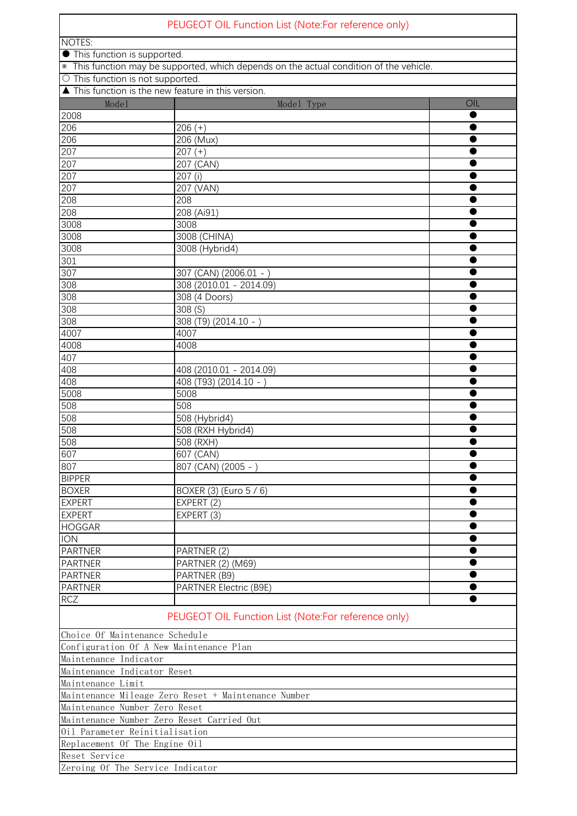| PEUGEOT OIL Function List (Note:For reference only)                                     |                                                     |     |  |  |
|-----------------------------------------------------------------------------------------|-----------------------------------------------------|-----|--|--|
| <b>NOTES:</b>                                                                           |                                                     |     |  |  |
| <b>•</b> This function is supported.                                                    |                                                     |     |  |  |
| * This function may be supported, which depends on the actual condition of the vehicle. |                                                     |     |  |  |
| O This function is not supported.                                                       |                                                     |     |  |  |
| ▲ This function is the new feature in this version.                                     |                                                     |     |  |  |
| Mode1                                                                                   | Model Type                                          | OIL |  |  |
| 2008                                                                                    |                                                     |     |  |  |
| 206                                                                                     | $206 (+)$                                           |     |  |  |
| 206                                                                                     | 206 (Mux)                                           |     |  |  |
| 207                                                                                     | $207 (+)$                                           |     |  |  |
| 207<br>207                                                                              | 207 (CAN)                                           |     |  |  |
| 207                                                                                     | 207 (i)<br>207 (VAN)                                |     |  |  |
| 208                                                                                     | 208                                                 |     |  |  |
| 208                                                                                     | 208 (Ai91)                                          |     |  |  |
| 3008                                                                                    | 3008                                                |     |  |  |
| 3008                                                                                    | 3008 (CHINA)                                        |     |  |  |
| 3008                                                                                    | 3008 (Hybrid4)                                      |     |  |  |
| 301                                                                                     |                                                     |     |  |  |
| 307                                                                                     | 307 (CAN) (2006.01 - )                              |     |  |  |
| 308                                                                                     | 308 (2010.01 - 2014.09)                             |     |  |  |
| 308                                                                                     | 308 (4 Doors)                                       |     |  |  |
| 308                                                                                     | 308 (S)                                             |     |  |  |
| 308                                                                                     | 308 (T9) (2014.10 - )                               |     |  |  |
| 4007                                                                                    | 4007                                                |     |  |  |
| 4008                                                                                    | 4008                                                |     |  |  |
| 407                                                                                     |                                                     |     |  |  |
| 408                                                                                     | 408 (2010.01 - 2014.09)                             |     |  |  |
| 408                                                                                     | 408 (T93) (2014.10 - )                              |     |  |  |
| 5008                                                                                    | 5008                                                |     |  |  |
| 508                                                                                     | 508                                                 |     |  |  |
| 508                                                                                     | 508 (Hybrid4)                                       |     |  |  |
| 508                                                                                     | 508 (RXH Hybrid4)                                   |     |  |  |
| 508                                                                                     | 508 (RXH)                                           |     |  |  |
| 607                                                                                     | 607 (CAN)                                           |     |  |  |
| 807                                                                                     | 807 (CAN) (2005 - )                                 |     |  |  |
| <b>BIPPER</b>                                                                           |                                                     |     |  |  |
| <b>BOXER</b>                                                                            | BOXER (3) (Euro 5 / 6)                              |     |  |  |
| <b>EXPERT</b>                                                                           | EXPERT (2)                                          |     |  |  |
| <b>EXPERT</b>                                                                           | EXPERT (3)                                          |     |  |  |
| <b>HOGGAR</b>                                                                           |                                                     |     |  |  |
| <b>ION</b>                                                                              |                                                     |     |  |  |
| <b>PARTNER</b>                                                                          | PARTNER (2)                                         |     |  |  |
| <b>PARTNER</b><br><b>PARTNER</b>                                                        | <b>PARTNER (2) (M69)</b>                            |     |  |  |
| <b>PARTNER</b>                                                                          | PARTNER (B9)<br>PARTNER Electric (B9E)              |     |  |  |
| <b>RCZ</b>                                                                              |                                                     |     |  |  |
|                                                                                         | PEUGEOT OIL Function List (Note:For reference only) |     |  |  |
| Choice Of Maintenance Schedule                                                          |                                                     |     |  |  |
| Configuration Of A New Maintenance Plan                                                 |                                                     |     |  |  |
| Maintenance Indicator                                                                   |                                                     |     |  |  |
| Maintenance Indicator Reset                                                             |                                                     |     |  |  |
| Maintenance Limit                                                                       |                                                     |     |  |  |
| Maintenance Mileage Zero Reset + Maintenance Number                                     |                                                     |     |  |  |
| Maintenance Number Zero Reset                                                           |                                                     |     |  |  |
| Maintenance Number Zero Reset Carried Out                                               |                                                     |     |  |  |
| Oil Parameter Reinitialisation                                                          |                                                     |     |  |  |
| Replacement Of The Engine Oil                                                           |                                                     |     |  |  |
| Reset Service                                                                           |                                                     |     |  |  |
| Zeroing Of The Service Indicator                                                        |                                                     |     |  |  |